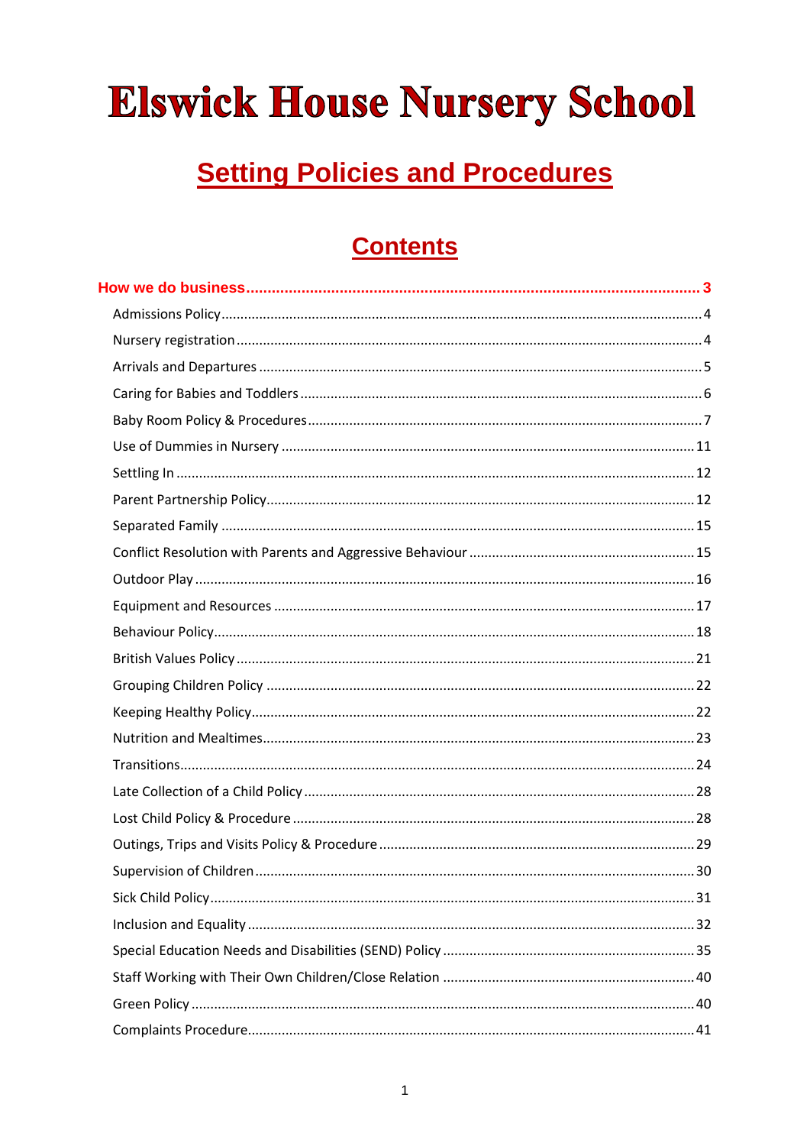# **Elswick House Nursery School**

# **Setting Policies and Procedures**

# **Contents**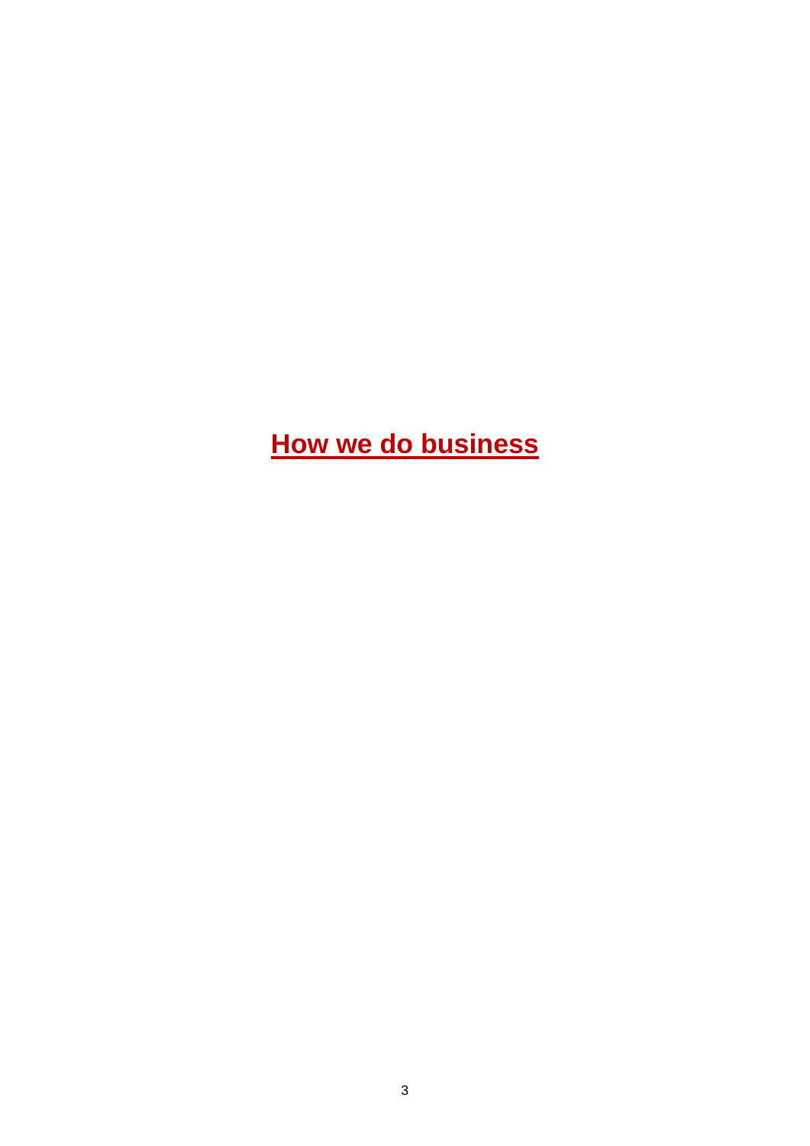<span id="page-2-0"></span>**How we do business**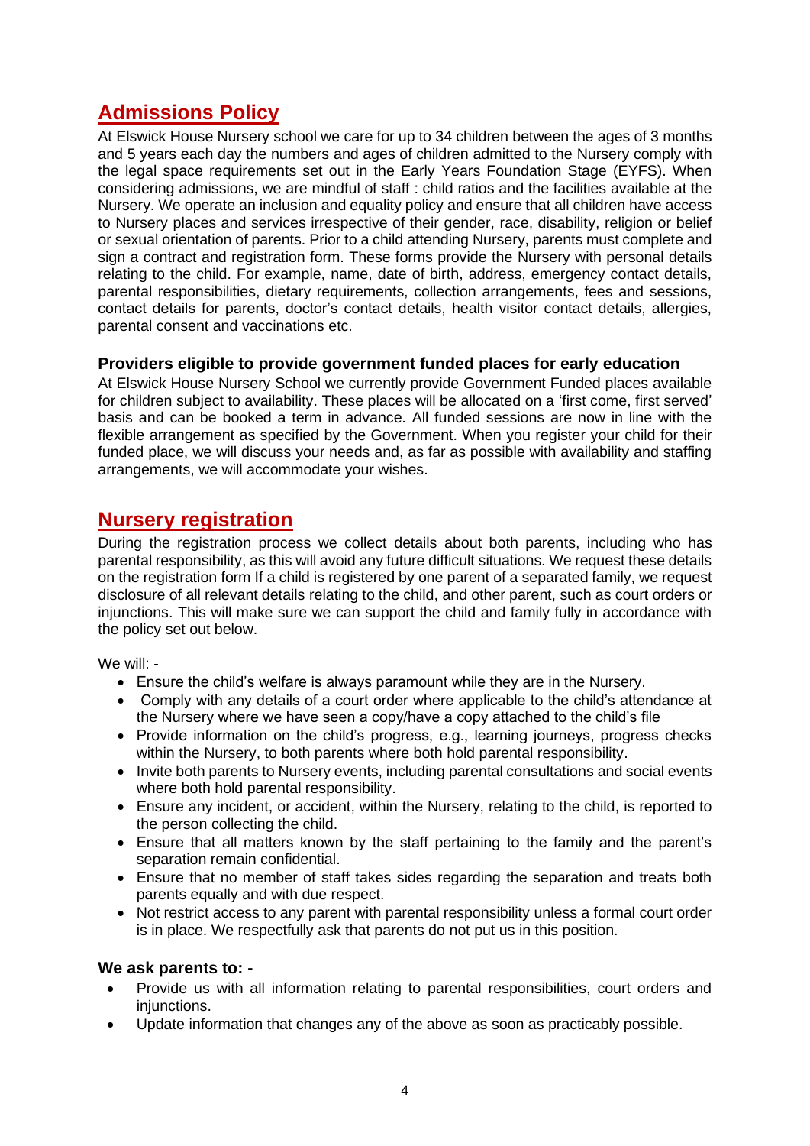# <span id="page-3-0"></span>**Admissions Policy**

At Elswick House Nursery school we care for up to 34 children between the ages of 3 months and 5 years each day the numbers and ages of children admitted to the Nursery comply with the legal space requirements set out in the Early Years Foundation Stage (EYFS). When considering admissions, we are mindful of staff : child ratios and the facilities available at the Nursery. We operate an inclusion and equality policy and ensure that all children have access to Nursery places and services irrespective of their gender, race, disability, religion or belief or sexual orientation of parents. Prior to a child attending Nursery, parents must complete and sign a contract and registration form. These forms provide the Nursery with personal details relating to the child. For example, name, date of birth, address, emergency contact details, parental responsibilities, dietary requirements, collection arrangements, fees and sessions, contact details for parents, doctor's contact details, health visitor contact details, allergies, parental consent and vaccinations etc.

# **Providers eligible to provide government funded places for early education**

At Elswick House Nursery School we currently provide Government Funded places available for children subject to availability. These places will be allocated on a 'first come, first served' basis and can be booked a term in advance. All funded sessions are now in line with the flexible arrangement as specified by the Government. When you register your child for their funded place, we will discuss your needs and, as far as possible with availability and staffing arrangements, we will accommodate your wishes.

# <span id="page-3-1"></span>**Nursery registration**

During the registration process we collect details about both parents, including who has parental responsibility, as this will avoid any future difficult situations. We request these details on the registration form If a child is registered by one parent of a separated family, we request disclosure of all relevant details relating to the child, and other parent, such as court orders or injunctions. This will make sure we can support the child and family fully in accordance with the policy set out below.

We will: -

- Ensure the child's welfare is always paramount while they are in the Nursery.
- Comply with any details of a court order where applicable to the child's attendance at the Nursery where we have seen a copy/have a copy attached to the child's file
- Provide information on the child's progress, e.g., learning journeys, progress checks within the Nursery, to both parents where both hold parental responsibility.
- Invite both parents to Nursery events, including parental consultations and social events where both hold parental responsibility.
- Ensure any incident, or accident, within the Nursery, relating to the child, is reported to the person collecting the child.
- Ensure that all matters known by the staff pertaining to the family and the parent's separation remain confidential.
- Ensure that no member of staff takes sides regarding the separation and treats both parents equally and with due respect.
- Not restrict access to any parent with parental responsibility unless a formal court order is in place. We respectfully ask that parents do not put us in this position.

# **We ask parents to: -**

- Provide us with all information relating to parental responsibilities, court orders and injunctions.
- Update information that changes any of the above as soon as practicably possible.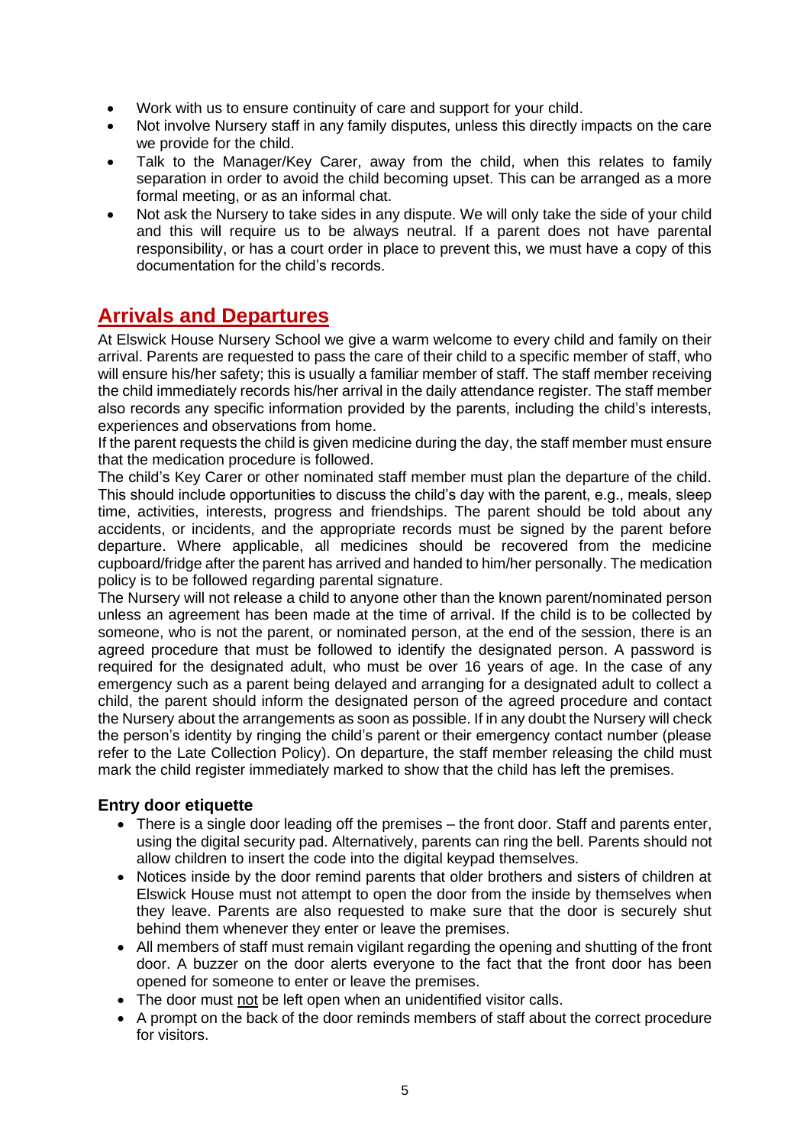- Work with us to ensure continuity of care and support for your child.
- Not involve Nursery staff in any family disputes, unless this directly impacts on the care we provide for the child.
- Talk to the Manager/Key Carer, away from the child, when this relates to family separation in order to avoid the child becoming upset. This can be arranged as a more formal meeting, or as an informal chat.
- Not ask the Nursery to take sides in any dispute. We will only take the side of your child and this will require us to be always neutral. If a parent does not have parental responsibility, or has a court order in place to prevent this, we must have a copy of this documentation for the child's records.

# <span id="page-4-0"></span>**Arrivals and Departures**

At Elswick House Nursery School we give a warm welcome to every child and family on their arrival. Parents are requested to pass the care of their child to a specific member of staff, who will ensure his/her safety; this is usually a familiar member of staff. The staff member receiving the child immediately records his/her arrival in the daily attendance register. The staff member also records any specific information provided by the parents, including the child's interests, experiences and observations from home.

If the parent requests the child is given medicine during the day, the staff member must ensure that the medication procedure is followed.

The child's Key Carer or other nominated staff member must plan the departure of the child. This should include opportunities to discuss the child's day with the parent, e.g., meals, sleep time, activities, interests, progress and friendships. The parent should be told about any accidents, or incidents, and the appropriate records must be signed by the parent before departure. Where applicable, all medicines should be recovered from the medicine cupboard/fridge after the parent has arrived and handed to him/her personally. The medication policy is to be followed regarding parental signature.

The Nursery will not release a child to anyone other than the known parent/nominated person unless an agreement has been made at the time of arrival. If the child is to be collected by someone, who is not the parent, or nominated person, at the end of the session, there is an agreed procedure that must be followed to identify the designated person. A password is required for the designated adult, who must be over 16 years of age. In the case of any emergency such as a parent being delayed and arranging for a designated adult to collect a child, the parent should inform the designated person of the agreed procedure and contact the Nursery about the arrangements as soon as possible. If in any doubt the Nursery will check the person's identity by ringing the child's parent or their emergency contact number (please refer to the Late Collection Policy). On departure, the staff member releasing the child must mark the child register immediately marked to show that the child has left the premises.

# **Entry door etiquette**

- There is a single door leading off the premises the front door. Staff and parents enter, using the digital security pad. Alternatively, parents can ring the bell. Parents should not allow children to insert the code into the digital keypad themselves.
- Notices inside by the door remind parents that older brothers and sisters of children at Elswick House must not attempt to open the door from the inside by themselves when they leave. Parents are also requested to make sure that the door is securely shut behind them whenever they enter or leave the premises.
- All members of staff must remain vigilant regarding the opening and shutting of the front door. A buzzer on the door alerts everyone to the fact that the front door has been opened for someone to enter or leave the premises.
- The door must not be left open when an unidentified visitor calls.
- A prompt on the back of the door reminds members of staff about the correct procedure for visitors.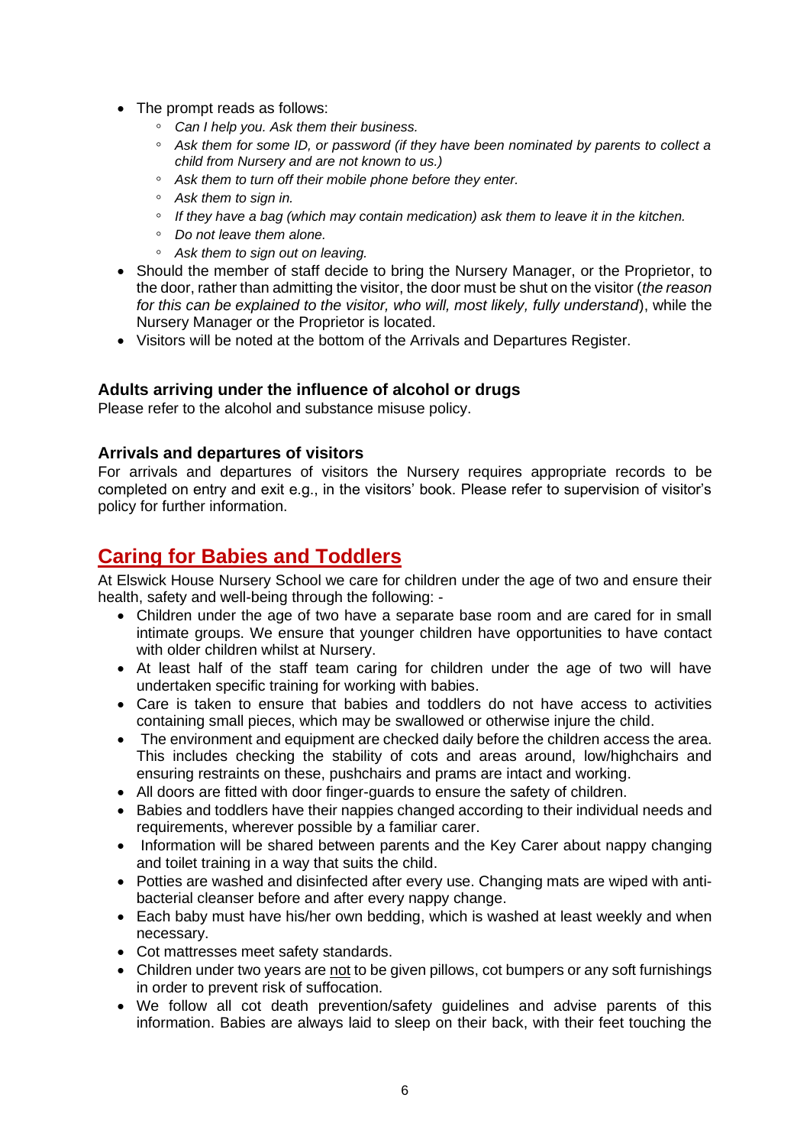- The prompt reads as follows:
	- *Can I help you. Ask them their business.*
	- *Ask them for some ID, or password (if they have been nominated by parents to collect a child from Nursery and are not known to us.)*
	- *Ask them to turn off their mobile phone before they enter.*
	- *Ask them to sign in.*
	- *If they have a bag (which may contain medication) ask them to leave it in the kitchen.*
	- *Do not leave them alone.*
	- *Ask them to sign out on leaving.*
- Should the member of staff decide to bring the Nursery Manager, or the Proprietor, to the door, rather than admitting the visitor, the door must be shut on the visitor (*the reason for this can be explained to the visitor, who will, most likely, fully understand*), while the Nursery Manager or the Proprietor is located.
- Visitors will be noted at the bottom of the Arrivals and Departures Register.

# **Adults arriving under the influence of alcohol or drugs**

Please refer to the alcohol and substance misuse policy.

# **Arrivals and departures of visitors**

For arrivals and departures of visitors the Nursery requires appropriate records to be completed on entry and exit e.g., in the visitors' book. Please refer to supervision of visitor's policy for further information.

# <span id="page-5-0"></span>**Caring for Babies and Toddlers**

At Elswick House Nursery School we care for children under the age of two and ensure their health, safety and well-being through the following: -

- Children under the age of two have a separate base room and are cared for in small intimate groups. We ensure that younger children have opportunities to have contact with older children whilst at Nursery.
- At least half of the staff team caring for children under the age of two will have undertaken specific training for working with babies.
- Care is taken to ensure that babies and toddlers do not have access to activities containing small pieces, which may be swallowed or otherwise injure the child.
- The environment and equipment are checked daily before the children access the area. This includes checking the stability of cots and areas around, low/highchairs and ensuring restraints on these, pushchairs and prams are intact and working.
- All doors are fitted with door finger-guards to ensure the safety of children.
- Babies and toddlers have their nappies changed according to their individual needs and requirements, wherever possible by a familiar carer.
- Information will be shared between parents and the Key Carer about nappy changing and toilet training in a way that suits the child.
- Potties are washed and disinfected after every use. Changing mats are wiped with antibacterial cleanser before and after every nappy change.
- Each baby must have his/her own bedding, which is washed at least weekly and when necessary.
- Cot mattresses meet safety standards.
- Children under two years are not to be given pillows, cot bumpers or any soft furnishings in order to prevent risk of suffocation.
- We follow all cot death prevention/safety guidelines and advise parents of this information. Babies are always laid to sleep on their back, with their feet touching the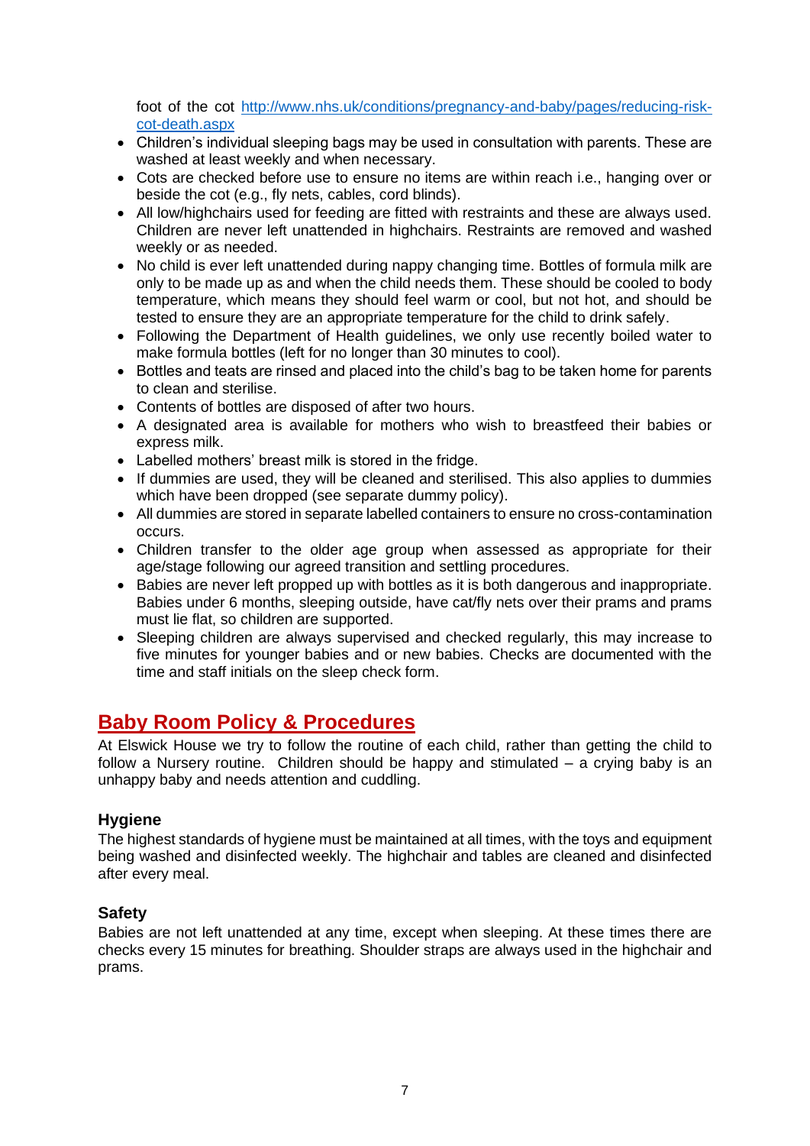foot of the cot [http://www.nhs.uk/conditions/pregnancy-and-baby/pages/reducing-risk](http://www.nhs.uk/conditions/pregnancy-and-baby/pages/reducing-risk-cot-death.aspx)[cot-death.aspx](http://www.nhs.uk/conditions/pregnancy-and-baby/pages/reducing-risk-cot-death.aspx)

- Children's individual sleeping bags may be used in consultation with parents. These are washed at least weekly and when necessary.
- Cots are checked before use to ensure no items are within reach i.e., hanging over or beside the cot (e.g., fly nets, cables, cord blinds).
- All low/highchairs used for feeding are fitted with restraints and these are always used. Children are never left unattended in highchairs. Restraints are removed and washed weekly or as needed.
- No child is ever left unattended during nappy changing time. Bottles of formula milk are only to be made up as and when the child needs them. These should be cooled to body temperature, which means they should feel warm or cool, but not hot, and should be tested to ensure they are an appropriate temperature for the child to drink safely.
- Following the Department of Health guidelines, we only use recently boiled water to make formula bottles (left for no longer than 30 minutes to cool).
- Bottles and teats are rinsed and placed into the child's bag to be taken home for parents to clean and sterilise.
- Contents of bottles are disposed of after two hours.
- A designated area is available for mothers who wish to breastfeed their babies or express milk.
- Labelled mothers' breast milk is stored in the fridge.
- If dummies are used, they will be cleaned and sterilised. This also applies to dummies which have been dropped (see separate dummy policy).
- All dummies are stored in separate labelled containers to ensure no cross-contamination occurs.
- Children transfer to the older age group when assessed as appropriate for their age/stage following our agreed transition and settling procedures.
- Babies are never left propped up with bottles as it is both dangerous and inappropriate. Babies under 6 months, sleeping outside, have cat/fly nets over their prams and prams must lie flat, so children are supported.
- Sleeping children are always supervised and checked regularly, this may increase to five minutes for younger babies and or new babies. Checks are documented with the time and staff initials on the sleep check form.

# <span id="page-6-0"></span>**Baby Room Policy & Procedures**

At Elswick House we try to follow the routine of each child, rather than getting the child to follow a Nursery routine. Children should be happy and stimulated – a crying baby is an unhappy baby and needs attention and cuddling.

# **Hygiene**

The highest standards of hygiene must be maintained at all times, with the toys and equipment being washed and disinfected weekly. The highchair and tables are cleaned and disinfected after every meal.

# **Safety**

Babies are not left unattended at any time, except when sleeping. At these times there are checks every 15 minutes for breathing. Shoulder straps are always used in the highchair and prams.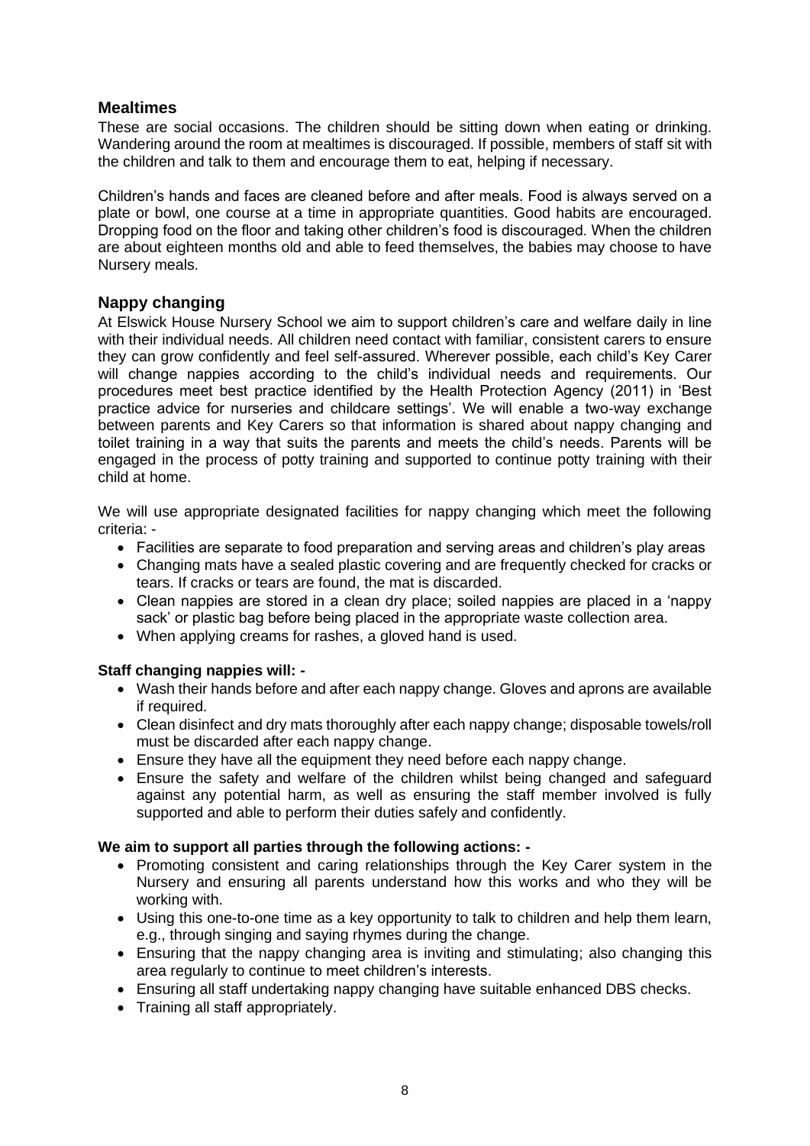### **Mealtimes**

These are social occasions. The children should be sitting down when eating or drinking. Wandering around the room at mealtimes is discouraged. If possible, members of staff sit with the children and talk to them and encourage them to eat, helping if necessary.

Children's hands and faces are cleaned before and after meals. Food is always served on a plate or bowl, one course at a time in appropriate quantities. Good habits are encouraged. Dropping food on the floor and taking other children's food is discouraged. When the children are about eighteen months old and able to feed themselves, the babies may choose to have Nursery meals.

# **Nappy changing**

At Elswick House Nursery School we aim to support children's care and welfare daily in line with their individual needs. All children need contact with familiar, consistent carers to ensure they can grow confidently and feel self-assured. Wherever possible, each child's Key Carer will change nappies according to the child's individual needs and requirements. Our procedures meet best practice identified by the Health Protection Agency (2011) in 'Best practice advice for nurseries and childcare settings'. We will enable a two-way exchange between parents and Key Carers so that information is shared about nappy changing and toilet training in a way that suits the parents and meets the child's needs. Parents will be engaged in the process of potty training and supported to continue potty training with their child at home.

We will use appropriate designated facilities for nappy changing which meet the following criteria: -

- Facilities are separate to food preparation and serving areas and children's play areas
- Changing mats have a sealed plastic covering and are frequently checked for cracks or tears. If cracks or tears are found, the mat is discarded.
- Clean nappies are stored in a clean dry place; soiled nappies are placed in a 'nappy sack' or plastic bag before being placed in the appropriate waste collection area.
- When applying creams for rashes, a gloved hand is used.

### **Staff changing nappies will: -**

- Wash their hands before and after each nappy change. Gloves and aprons are available if required.
- Clean disinfect and dry mats thoroughly after each nappy change; disposable towels/roll must be discarded after each nappy change.
- Ensure they have all the equipment they need before each nappy change.
- Ensure the safety and welfare of the children whilst being changed and safeguard against any potential harm, as well as ensuring the staff member involved is fully supported and able to perform their duties safely and confidently.

### **We aim to support all parties through the following actions: -**

- Promoting consistent and caring relationships through the Key Carer system in the Nursery and ensuring all parents understand how this works and who they will be working with.
- Using this one-to-one time as a key opportunity to talk to children and help them learn, e.g., through singing and saying rhymes during the change.
- Ensuring that the nappy changing area is inviting and stimulating: also changing this area regularly to continue to meet children's interests.
- Ensuring all staff undertaking nappy changing have suitable enhanced DBS checks.
- Training all staff appropriately.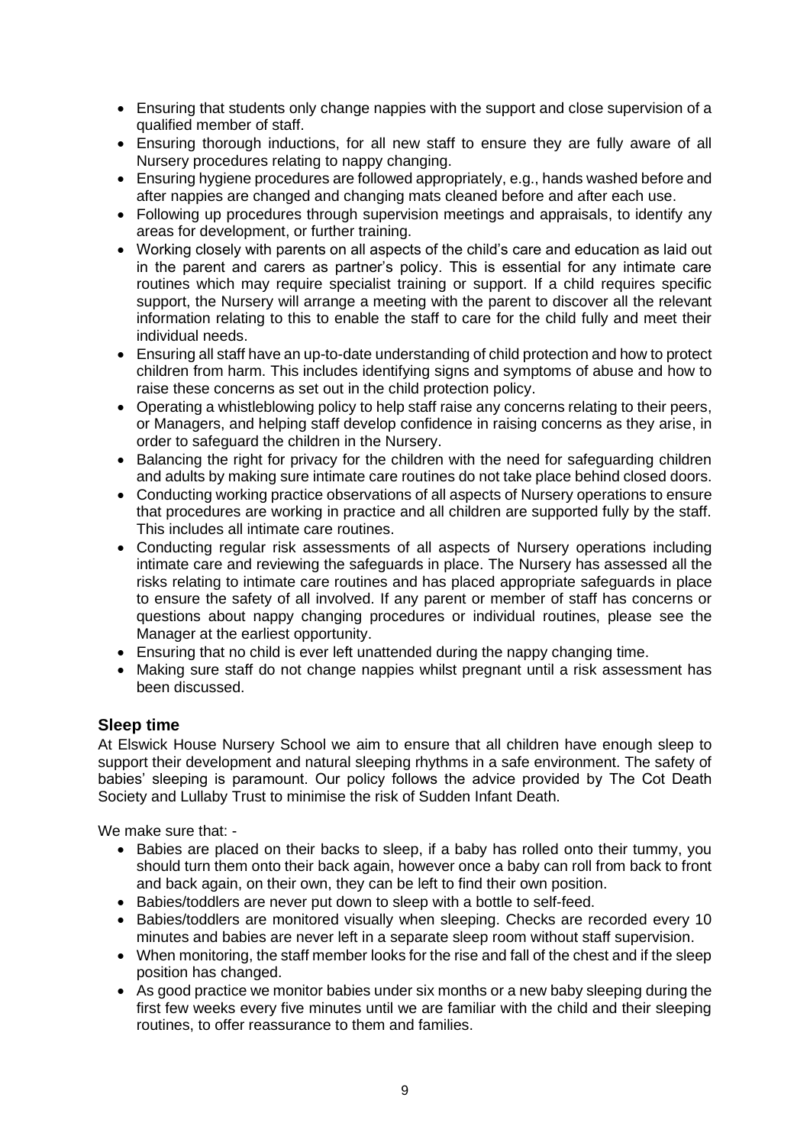- Ensuring that students only change nappies with the support and close supervision of a qualified member of staff.
- Ensuring thorough inductions, for all new staff to ensure they are fully aware of all Nursery procedures relating to nappy changing.
- Ensuring hygiene procedures are followed appropriately, e.g., hands washed before and after nappies are changed and changing mats cleaned before and after each use.
- Following up procedures through supervision meetings and appraisals, to identify any areas for development, or further training.
- Working closely with parents on all aspects of the child's care and education as laid out in the parent and carers as partner's policy. This is essential for any intimate care routines which may require specialist training or support. If a child requires specific support, the Nursery will arrange a meeting with the parent to discover all the relevant information relating to this to enable the staff to care for the child fully and meet their individual needs.
- Ensuring all staff have an up-to-date understanding of child protection and how to protect children from harm. This includes identifying signs and symptoms of abuse and how to raise these concerns as set out in the child protection policy.
- Operating a whistleblowing policy to help staff raise any concerns relating to their peers, or Managers, and helping staff develop confidence in raising concerns as they arise, in order to safeguard the children in the Nursery.
- Balancing the right for privacy for the children with the need for safeguarding children and adults by making sure intimate care routines do not take place behind closed doors.
- Conducting working practice observations of all aspects of Nursery operations to ensure that procedures are working in practice and all children are supported fully by the staff. This includes all intimate care routines.
- Conducting regular risk assessments of all aspects of Nursery operations including intimate care and reviewing the safeguards in place. The Nursery has assessed all the risks relating to intimate care routines and has placed appropriate safeguards in place to ensure the safety of all involved. If any parent or member of staff has concerns or questions about nappy changing procedures or individual routines, please see the Manager at the earliest opportunity.
- Ensuring that no child is ever left unattended during the nappy changing time.
- Making sure staff do not change nappies whilst pregnant until a risk assessment has been discussed.

# **Sleep time**

At Elswick House Nursery School we aim to ensure that all children have enough sleep to support their development and natural sleeping rhythms in a safe environment. The safety of babies' sleeping is paramount. Our policy follows the advice provided by The Cot Death Society and Lullaby Trust to minimise the risk of Sudden Infant Death.

We make sure that: -

- Babies are placed on their backs to sleep, if a baby has rolled onto their tummy, you should turn them onto their back again, however once a baby can roll from back to front and back again, on their own, they can be left to find their own position.
- Babies/toddlers are never put down to sleep with a bottle to self-feed.
- Babies/toddlers are monitored visually when sleeping. Checks are recorded every 10 minutes and babies are never left in a separate sleep room without staff supervision.
- When monitoring, the staff member looks for the rise and fall of the chest and if the sleep position has changed.
- As good practice we monitor babies under six months or a new baby sleeping during the first few weeks every five minutes until we are familiar with the child and their sleeping routines, to offer reassurance to them and families.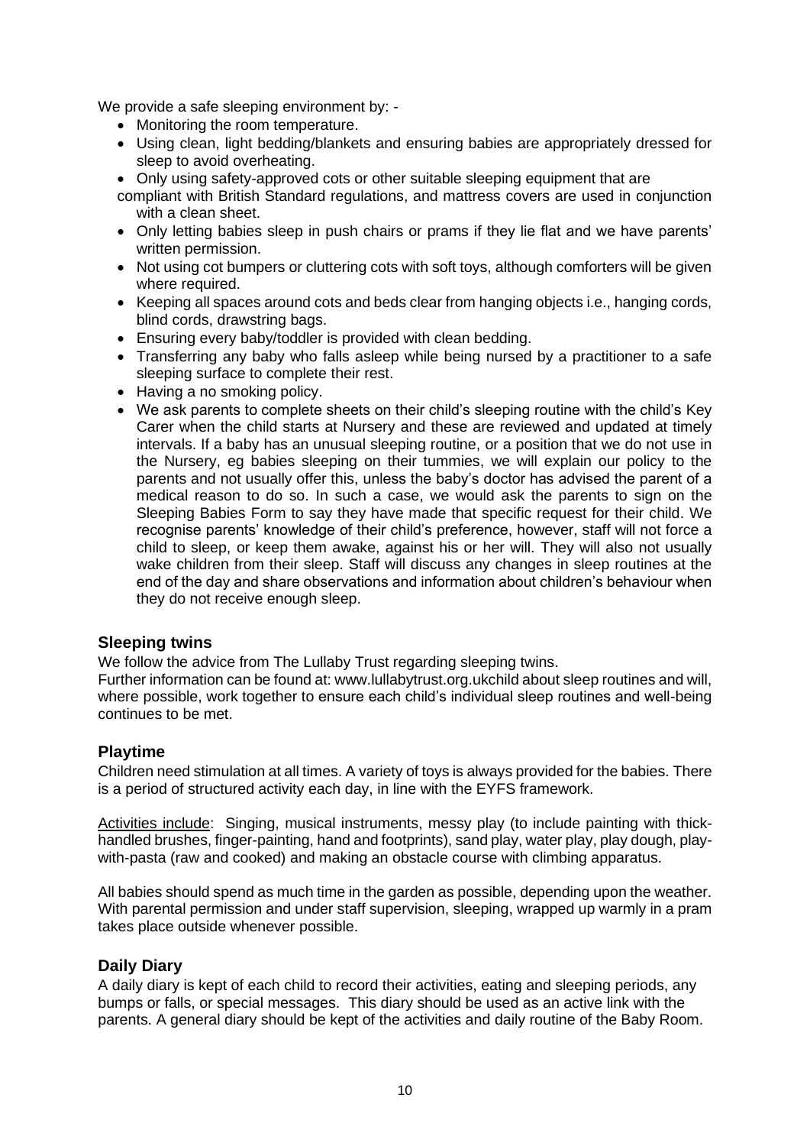We provide a safe sleeping environment by: -

- Monitoring the room temperature.
- Using clean, light bedding/blankets and ensuring babies are appropriately dressed for sleep to avoid overheating.
- Only using safety-approved cots or other suitable sleeping equipment that are
- compliant with British Standard regulations, and mattress covers are used in conjunction with a clean sheet.
- Only letting babies sleep in push chairs or prams if they lie flat and we have parents' written permission.
- Not using cot bumpers or cluttering cots with soft toys, although comforters will be given where required.
- Keeping all spaces around cots and beds clear from hanging objects i.e., hanging cords, blind cords, drawstring bags.
- Ensuring every baby/toddler is provided with clean bedding.
- Transferring any baby who falls asleep while being nursed by a practitioner to a safe sleeping surface to complete their rest.
- Having a no smoking policy.
- We ask parents to complete sheets on their child's sleeping routine with the child's Key Carer when the child starts at Nursery and these are reviewed and updated at timely intervals. If a baby has an unusual sleeping routine, or a position that we do not use in the Nursery, eg babies sleeping on their tummies, we will explain our policy to the parents and not usually offer this, unless the baby's doctor has advised the parent of a medical reason to do so. In such a case, we would ask the parents to sign on the Sleeping Babies Form to say they have made that specific request for their child. We recognise parents' knowledge of their child's preference, however, staff will not force a child to sleep, or keep them awake, against his or her will. They will also not usually wake children from their sleep. Staff will discuss any changes in sleep routines at the end of the day and share observations and information about children's behaviour when they do not receive enough sleep.

### **Sleeping twins**

We follow the advice from The Lullaby Trust regarding sleeping twins.

Further information can be found at: www.lullabytrust.org.ukchild about sleep routines and will, where possible, work together to ensure each child's individual sleep routines and well-being continues to be met.

### **Playtime**

Children need stimulation at all times. A variety of toys is always provided for the babies. There is a period of structured activity each day, in line with the EYFS framework.

Activities include: Singing, musical instruments, messy play (to include painting with thickhandled brushes, finger-painting, hand and footprints), sand play, water play, play dough, playwith-pasta (raw and cooked) and making an obstacle course with climbing apparatus.

All babies should spend as much time in the garden as possible, depending upon the weather. With parental permission and under staff supervision, sleeping, wrapped up warmly in a pram takes place outside whenever possible.

### **Daily Diary**

A daily diary is kept of each child to record their activities, eating and sleeping periods, any bumps or falls, or special messages. This diary should be used as an active link with the parents. A general diary should be kept of the activities and daily routine of the Baby Room.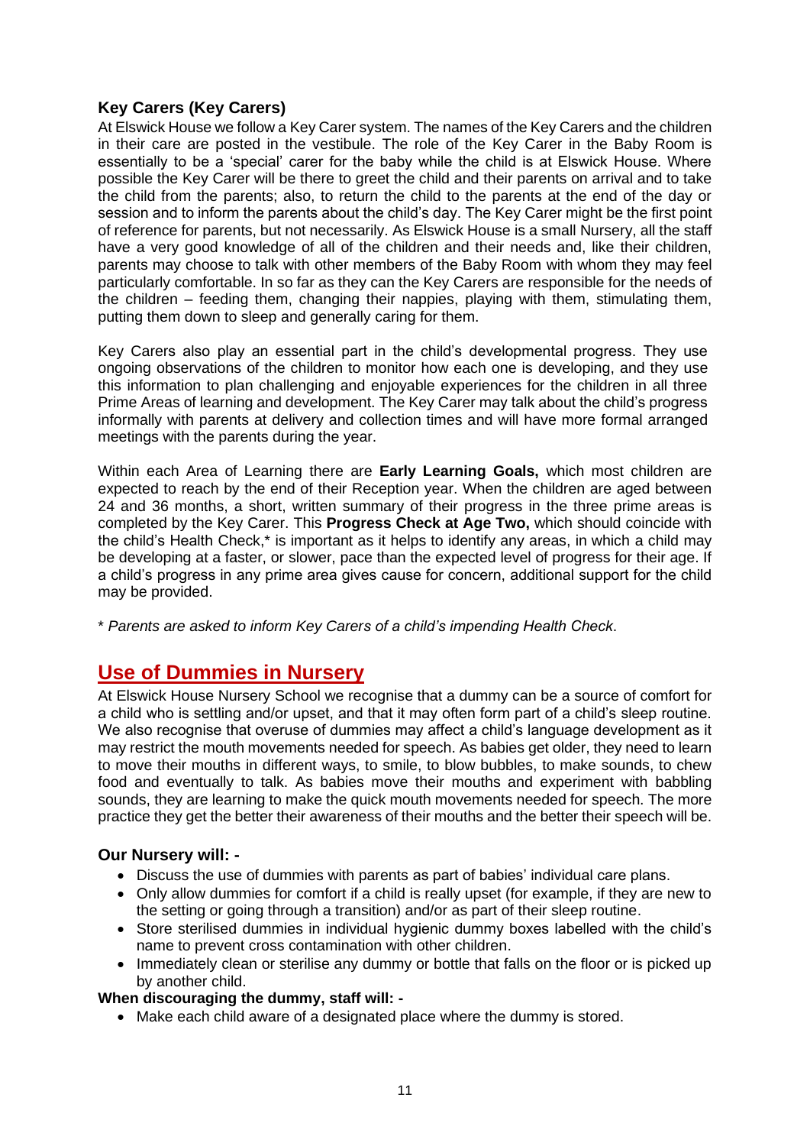# **Key Carers (Key Carers)**

At Elswick House we follow a Key Carer system. The names of the Key Carers and the children in their care are posted in the vestibule. The role of the Key Carer in the Baby Room is essentially to be a 'special' carer for the baby while the child is at Elswick House. Where possible the Key Carer will be there to greet the child and their parents on arrival and to take the child from the parents; also, to return the child to the parents at the end of the day or session and to inform the parents about the child's day. The Key Carer might be the first point of reference for parents, but not necessarily. As Elswick House is a small Nursery, all the staff have a very good knowledge of all of the children and their needs and, like their children, parents may choose to talk with other members of the Baby Room with whom they may feel particularly comfortable. In so far as they can the Key Carers are responsible for the needs of the children – feeding them, changing their nappies, playing with them, stimulating them, putting them down to sleep and generally caring for them.

Key Carers also play an essential part in the child's developmental progress. They use ongoing observations of the children to monitor how each one is developing, and they use this information to plan challenging and enjoyable experiences for the children in all three Prime Areas of learning and development. The Key Carer may talk about the child's progress informally with parents at delivery and collection times and will have more formal arranged meetings with the parents during the year.

Within each Area of Learning there are **Early Learning Goals,** which most children are expected to reach by the end of their Reception year. When the children are aged between 24 and 36 months, a short, written summary of their progress in the three prime areas is completed by the Key Carer. This **Progress Check at Age Two,** which should coincide with the child's Health Check,\* is important as it helps to identify any areas, in which a child may be developing at a faster, or slower, pace than the expected level of progress for their age. If a child's progress in any prime area gives cause for concern, additional support for the child may be provided.

<span id="page-10-0"></span>\* *Parents are asked to inform Key Carers of a child's impending Health Check*.

# **Use of Dummies in Nursery**

At Elswick House Nursery School we recognise that a dummy can be a source of comfort for a child who is settling and/or upset, and that it may often form part of a child's sleep routine. We also recognise that overuse of dummies may affect a child's language development as it may restrict the mouth movements needed for speech. As babies get older, they need to learn to move their mouths in different ways, to smile, to blow bubbles, to make sounds, to chew food and eventually to talk. As babies move their mouths and experiment with babbling sounds, they are learning to make the quick mouth movements needed for speech. The more practice they get the better their awareness of their mouths and the better their speech will be.

# **Our Nursery will: -**

- Discuss the use of dummies with parents as part of babies' individual care plans.
- Only allow dummies for comfort if a child is really upset (for example, if they are new to the setting or going through a transition) and/or as part of their sleep routine.
- Store sterilised dummies in individual hygienic dummy boxes labelled with the child's name to prevent cross contamination with other children.
- Immediately clean or sterilise any dummy or bottle that falls on the floor or is picked up by another child.

### **When discouraging the dummy, staff will: -**

• Make each child aware of a designated place where the dummy is stored.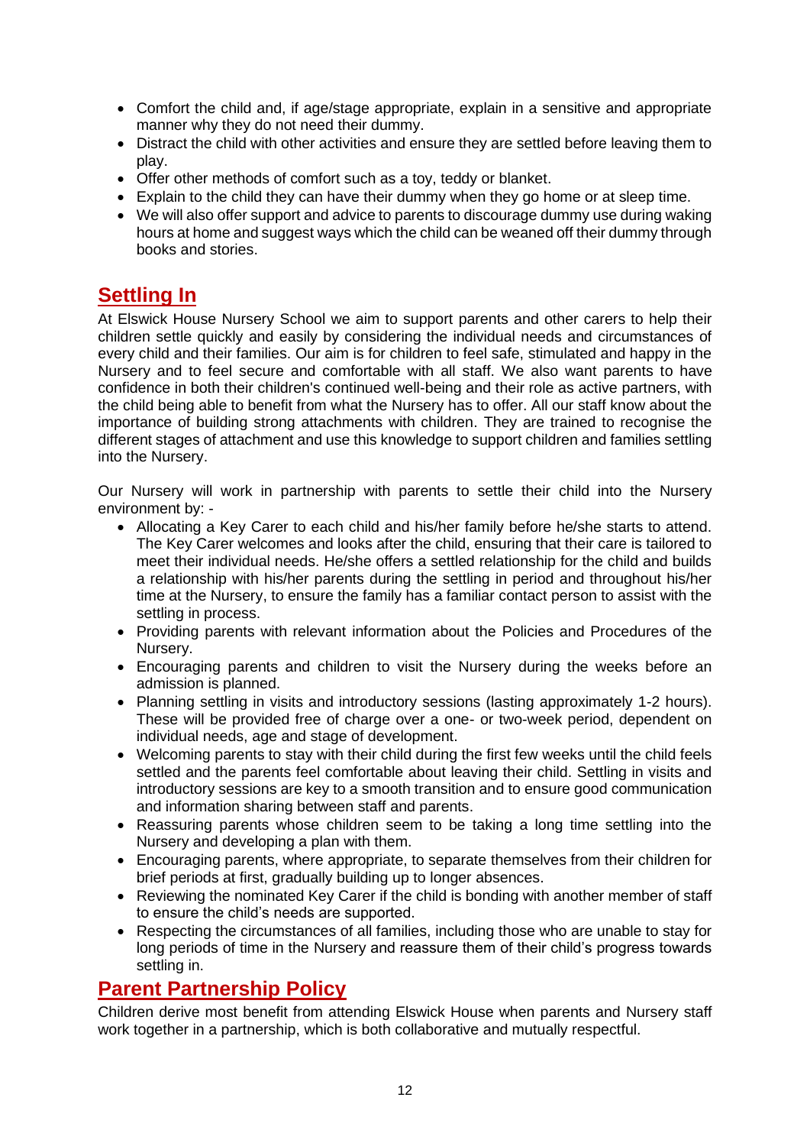- Comfort the child and, if age/stage appropriate, explain in a sensitive and appropriate manner why they do not need their dummy.
- Distract the child with other activities and ensure they are settled before leaving them to play.
- Offer other methods of comfort such as a toy, teddy or blanket.
- Explain to the child they can have their dummy when they go home or at sleep time.
- We will also offer support and advice to parents to discourage dummy use during waking hours at home and suggest ways which the child can be weaned off their dummy through books and stories.

# <span id="page-11-0"></span>**Settling In**

At Elswick House Nursery School we aim to support parents and other carers to help their children settle quickly and easily by considering the individual needs and circumstances of every child and their families. Our aim is for children to feel safe, stimulated and happy in the Nursery and to feel secure and comfortable with all staff. We also want parents to have confidence in both their children's continued well-being and their role as active partners, with the child being able to benefit from what the Nursery has to offer. All our staff know about the importance of building strong attachments with children. They are trained to recognise the different stages of attachment and use this knowledge to support children and families settling into the Nursery.

Our Nursery will work in partnership with parents to settle their child into the Nursery environment by: -

- Allocating a Key Carer to each child and his/her family before he/she starts to attend. The Key Carer welcomes and looks after the child, ensuring that their care is tailored to meet their individual needs. He/she offers a settled relationship for the child and builds a relationship with his/her parents during the settling in period and throughout his/her time at the Nursery, to ensure the family has a familiar contact person to assist with the settling in process.
- Providing parents with relevant information about the Policies and Procedures of the Nursery.
- Encouraging parents and children to visit the Nursery during the weeks before an admission is planned.
- Planning settling in visits and introductory sessions (lasting approximately 1-2 hours). These will be provided free of charge over a one- or two-week period, dependent on individual needs, age and stage of development.
- Welcoming parents to stay with their child during the first few weeks until the child feels settled and the parents feel comfortable about leaving their child. Settling in visits and introductory sessions are key to a smooth transition and to ensure good communication and information sharing between staff and parents.
- Reassuring parents whose children seem to be taking a long time settling into the Nursery and developing a plan with them.
- Encouraging parents, where appropriate, to separate themselves from their children for brief periods at first, gradually building up to longer absences.
- Reviewing the nominated Key Carer if the child is bonding with another member of staff to ensure the child's needs are supported.
- Respecting the circumstances of all families, including those who are unable to stay for long periods of time in the Nursery and reassure them of their child's progress towards settling in.

# <span id="page-11-1"></span>**Parent Partnership Policy**

Children derive most benefit from attending Elswick House when parents and Nursery staff work together in a partnership, which is both collaborative and mutually respectful.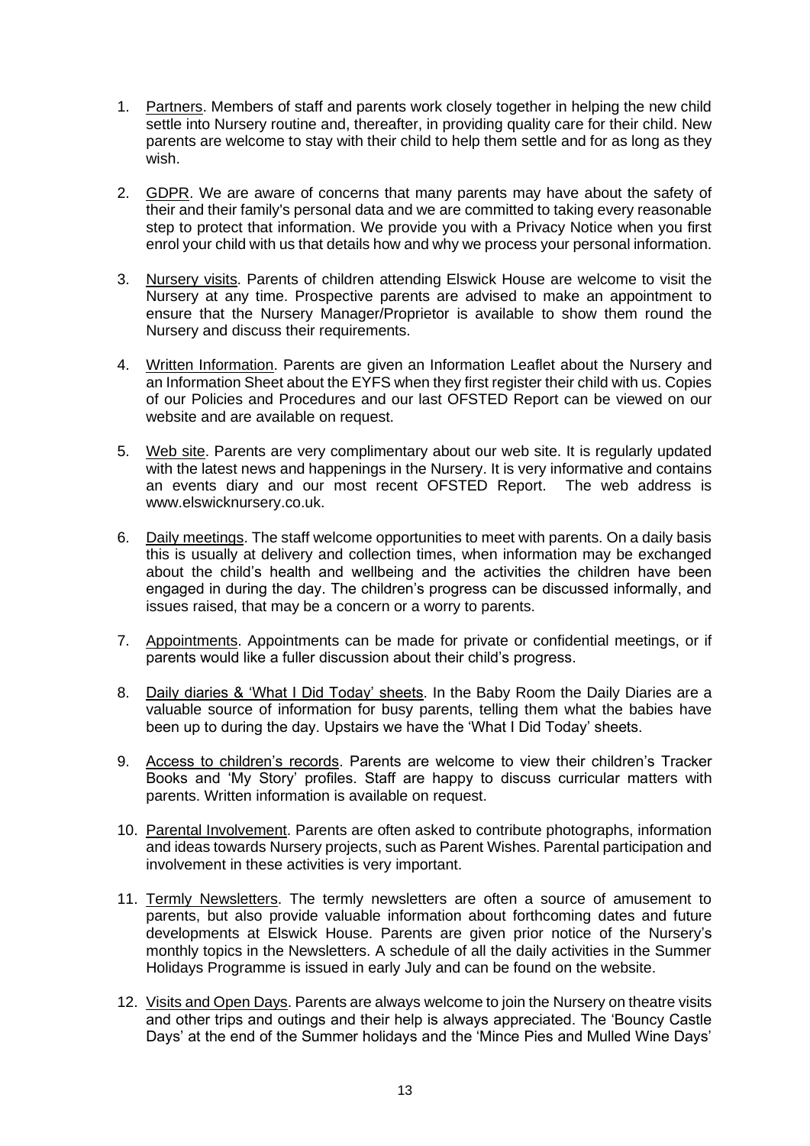- 1. Partners. Members of staff and parents work closely together in helping the new child settle into Nursery routine and, thereafter, in providing quality care for their child. New parents are welcome to stay with their child to help them settle and for as long as they wish.
- 2. GDPR. We are aware of concerns that many parents may have about the safety of their and their family's personal data and we are committed to taking every reasonable step to protect that information. We provide you with a Privacy Notice when you first enrol your child with us that details how and why we process your personal information.
- 3. Nursery visits. Parents of children attending Elswick House are welcome to visit the Nursery at any time. Prospective parents are advised to make an appointment to ensure that the Nursery Manager/Proprietor is available to show them round the Nursery and discuss their requirements.
- 4. Written Information. Parents are given an Information Leaflet about the Nursery and an Information Sheet about the EYFS when they first register their child with us. Copies of our Policies and Procedures and our last OFSTED Report can be viewed on our website and are available on request.
- 5. Web site. Parents are very complimentary about our web site. It is regularly updated with the latest news and happenings in the Nursery. It is very informative and contains an events diary and our most recent OFSTED Report. The web address is www.elswicknursery.co.uk.
- 6. Daily meetings. The staff welcome opportunities to meet with parents. On a daily basis this is usually at delivery and collection times, when information may be exchanged about the child's health and wellbeing and the activities the children have been engaged in during the day. The children's progress can be discussed informally, and issues raised, that may be a concern or a worry to parents.
- 7. Appointments. Appointments can be made for private or confidential meetings, or if parents would like a fuller discussion about their child's progress.
- 8. Daily diaries & 'What I Did Today' sheets. In the Baby Room the Daily Diaries are a valuable source of information for busy parents, telling them what the babies have been up to during the day. Upstairs we have the 'What I Did Today' sheets.
- 9. Access to children's records. Parents are welcome to view their children's Tracker Books and 'My Story' profiles. Staff are happy to discuss curricular matters with parents. Written information is available on request.
- 10. Parental Involvement. Parents are often asked to contribute photographs, information and ideas towards Nursery projects, such as Parent Wishes. Parental participation and involvement in these activities is very important.
- 11. Termly Newsletters. The termly newsletters are often a source of amusement to parents, but also provide valuable information about forthcoming dates and future developments at Elswick House. Parents are given prior notice of the Nursery's monthly topics in the Newsletters. A schedule of all the daily activities in the Summer Holidays Programme is issued in early July and can be found on the website.
- 12. Visits and Open Days. Parents are always welcome to join the Nursery on theatre visits and other trips and outings and their help is always appreciated. The 'Bouncy Castle Days' at the end of the Summer holidays and the 'Mince Pies and Mulled Wine Days'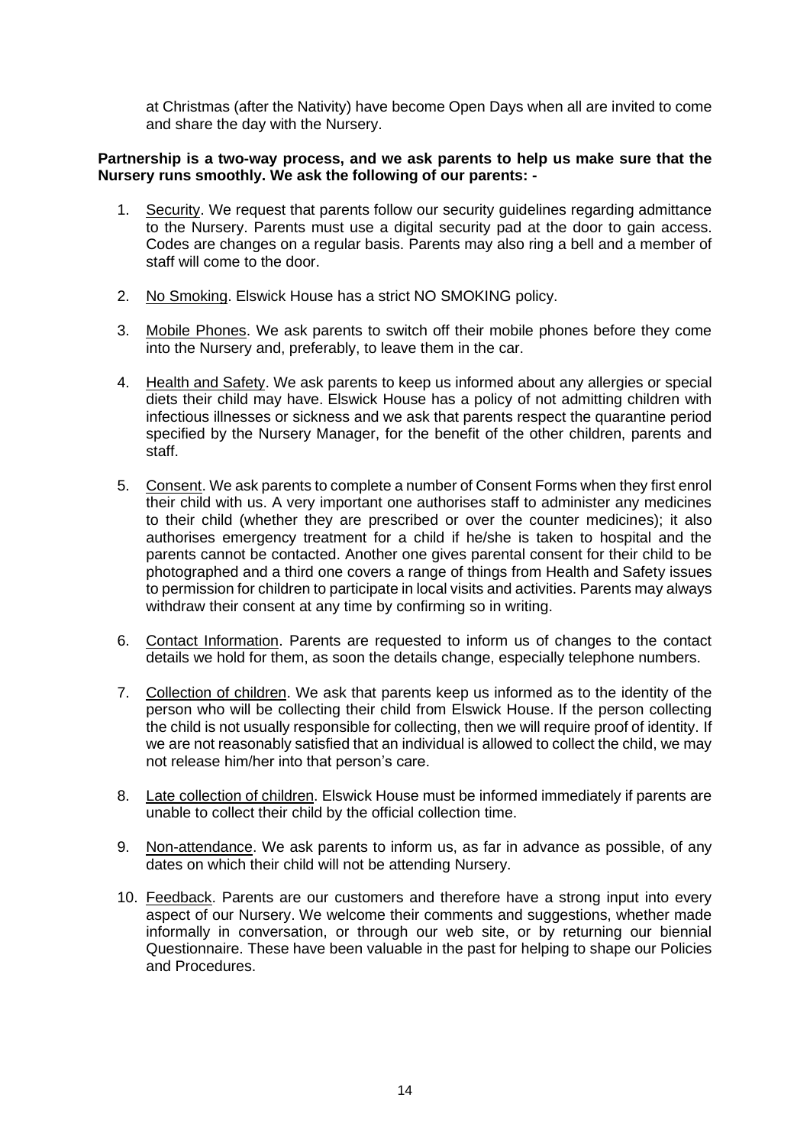at Christmas (after the Nativity) have become Open Days when all are invited to come and share the day with the Nursery.

#### **Partnership is a two-way process, and we ask parents to help us make sure that the Nursery runs smoothly. We ask the following of our parents: -**

- 1. Security. We request that parents follow our security guidelines regarding admittance to the Nursery. Parents must use a digital security pad at the door to gain access. Codes are changes on a regular basis. Parents may also ring a bell and a member of staff will come to the door.
- 2. No Smoking. Elswick House has a strict NO SMOKING policy.
- 3. Mobile Phones. We ask parents to switch off their mobile phones before they come into the Nursery and, preferably, to leave them in the car.
- 4. Health and Safety. We ask parents to keep us informed about any allergies or special diets their child may have. Elswick House has a policy of not admitting children with infectious illnesses or sickness and we ask that parents respect the quarantine period specified by the Nursery Manager, for the benefit of the other children, parents and staff.
- 5. Consent. We ask parents to complete a number of Consent Forms when they first enrol their child with us. A very important one authorises staff to administer any medicines to their child (whether they are prescribed or over the counter medicines); it also authorises emergency treatment for a child if he/she is taken to hospital and the parents cannot be contacted. Another one gives parental consent for their child to be photographed and a third one covers a range of things from Health and Safety issues to permission for children to participate in local visits and activities. Parents may always withdraw their consent at any time by confirming so in writing.
- 6. Contact Information. Parents are requested to inform us of changes to the contact details we hold for them, as soon the details change, especially telephone numbers.
- 7. Collection of children. We ask that parents keep us informed as to the identity of the person who will be collecting their child from Elswick House. If the person collecting the child is not usually responsible for collecting, then we will require proof of identity. If we are not reasonably satisfied that an individual is allowed to collect the child, we may not release him/her into that person's care.
- 8. Late collection of children. Elswick House must be informed immediately if parents are unable to collect their child by the official collection time.
- 9. Non-attendance. We ask parents to inform us, as far in advance as possible, of any dates on which their child will not be attending Nursery.
- 10. Feedback. Parents are our customers and therefore have a strong input into every aspect of our Nursery. We welcome their comments and suggestions, whether made informally in conversation, or through our web site, or by returning our biennial Questionnaire. These have been valuable in the past for helping to shape our Policies and Procedures.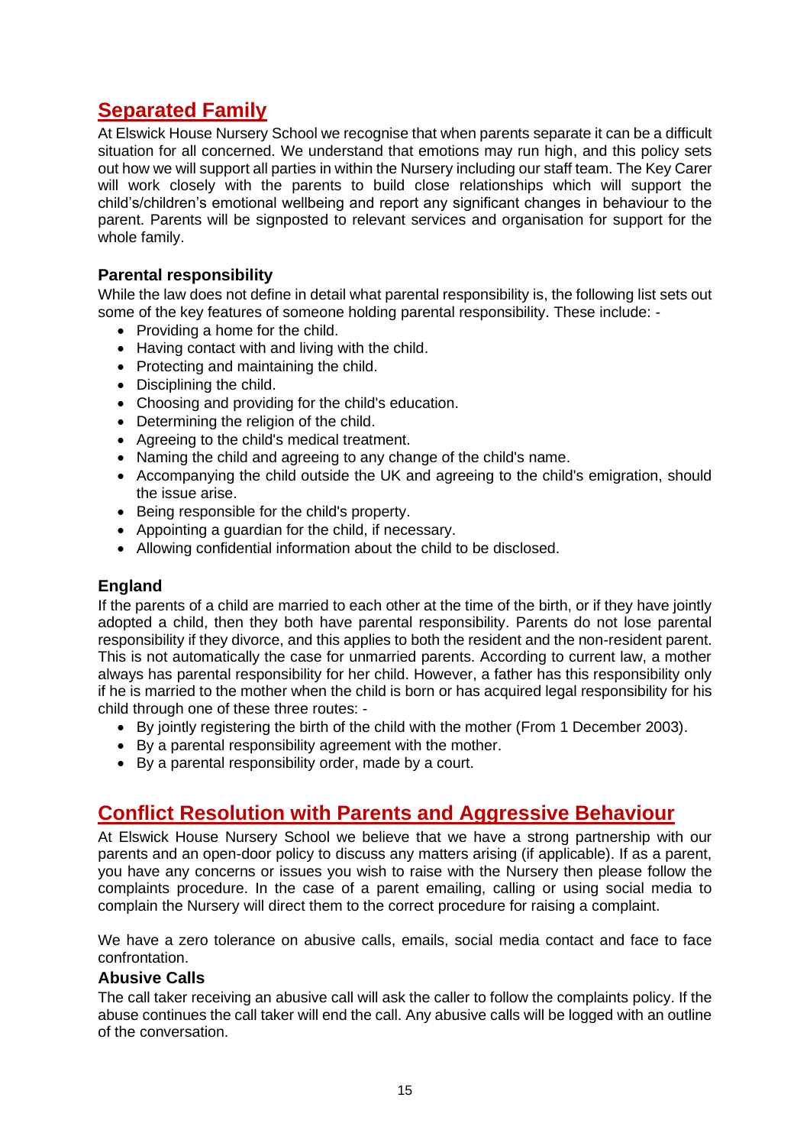# <span id="page-14-0"></span>**Separated Family**

At Elswick House Nursery School we recognise that when parents separate it can be a difficult situation for all concerned. We understand that emotions may run high, and this policy sets out how we will support all parties in within the Nursery including our staff team. The Key Carer will work closely with the parents to build close relationships which will support the child's/children's emotional wellbeing and report any significant changes in behaviour to the parent. Parents will be signposted to relevant services and organisation for support for the whole family.

# **Parental responsibility**

While the law does not define in detail what parental responsibility is, the following list sets out some of the key features of someone holding parental responsibility. These include: -

- Providing a home for the child.
- Having contact with and living with the child.
- Protecting and maintaining the child.
- Disciplining the child.
- Choosing and providing for the child's education.
- Determining the religion of the child.
- Agreeing to the child's medical treatment.
- Naming the child and agreeing to any change of the child's name.
- Accompanying the child outside the UK and agreeing to the child's emigration, should the issue arise.
- Being responsible for the child's property.
- Appointing a guardian for the child, if necessary.
- Allowing confidential information about the child to be disclosed.

# **England**

If the parents of a child are married to each other at the time of the birth, or if they have jointly adopted a child, then they both have parental responsibility. Parents do not lose parental responsibility if they divorce, and this applies to both the resident and the non-resident parent. This is not automatically the case for unmarried parents. According to current law, a mother always has parental responsibility for her child. However, a father has this responsibility only if he is married to the mother when the child is born or has acquired legal responsibility for his child through one of these three routes: -

- By jointly registering the birth of the child with the mother (From 1 December 2003).
- By a parental responsibility agreement with the mother.
- By a parental responsibility order, made by a court.

# <span id="page-14-1"></span>**Conflict Resolution with Parents and Aggressive Behaviour**

At Elswick House Nursery School we believe that we have a strong partnership with our parents and an open-door policy to discuss any matters arising (if applicable). If as a parent, you have any concerns or issues you wish to raise with the Nursery then please follow the complaints procedure. In the case of a parent emailing, calling or using social media to complain the Nursery will direct them to the correct procedure for raising a complaint.

We have a zero tolerance on abusive calls, emails, social media contact and face to face confrontation.

### **Abusive Calls**

The call taker receiving an abusive call will ask the caller to follow the complaints policy. If the abuse continues the call taker will end the call. Any abusive calls will be logged with an outline of the conversation.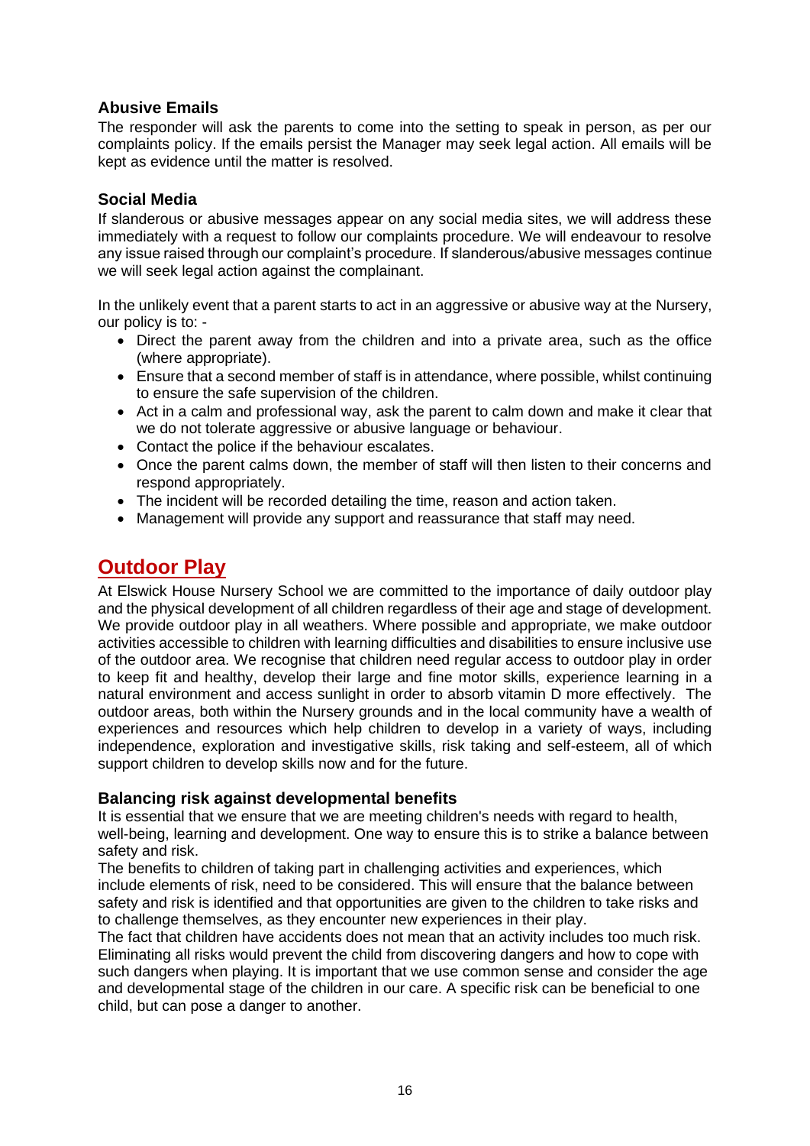# **Abusive Emails**

The responder will ask the parents to come into the setting to speak in person, as per our complaints policy. If the emails persist the Manager may seek legal action. All emails will be kept as evidence until the matter is resolved.

# **Social Media**

If slanderous or abusive messages appear on any social media sites, we will address these immediately with a request to follow our complaints procedure. We will endeavour to resolve any issue raised through our complaint's procedure. If slanderous/abusive messages continue we will seek legal action against the complainant.

In the unlikely event that a parent starts to act in an aggressive or abusive way at the Nursery, our policy is to: -

- Direct the parent away from the children and into a private area, such as the office (where appropriate).
- Ensure that a second member of staff is in attendance, where possible, whilst continuing to ensure the safe supervision of the children.
- Act in a calm and professional way, ask the parent to calm down and make it clear that we do not tolerate aggressive or abusive language or behaviour.
- Contact the police if the behaviour escalates.
- Once the parent calms down, the member of staff will then listen to their concerns and respond appropriately.
- The incident will be recorded detailing the time, reason and action taken.
- Management will provide any support and reassurance that staff may need.

# <span id="page-15-0"></span>**Outdoor Play**

At Elswick House Nursery School we are committed to the importance of daily outdoor play and the physical development of all children regardless of their age and stage of development. We provide outdoor play in all weathers. Where possible and appropriate, we make outdoor activities accessible to children with learning difficulties and disabilities to ensure inclusive use of the outdoor area. We recognise that children need regular access to outdoor play in order to keep fit and healthy, develop their large and fine motor skills, experience learning in a natural environment and access sunlight in order to absorb vitamin D more effectively. The outdoor areas, both within the Nursery grounds and in the local community have a wealth of experiences and resources which help children to develop in a variety of ways, including independence, exploration and investigative skills, risk taking and self-esteem, all of which support children to develop skills now and for the future.

# **Balancing risk against developmental benefits**

It is essential that we ensure that we are meeting children's needs with regard to health, well-being, learning and development. One way to ensure this is to strike a balance between safety and risk.

The benefits to children of taking part in challenging activities and experiences, which include elements of risk, need to be considered. This will ensure that the balance between safety and risk is identified and that opportunities are given to the children to take risks and to challenge themselves, as they encounter new experiences in their play.

The fact that children have accidents does not mean that an activity includes too much risk. Eliminating all risks would prevent the child from discovering dangers and how to cope with such dangers when playing. It is important that we use common sense and consider the age and developmental stage of the children in our care. A specific risk can be beneficial to one child, but can pose a danger to another.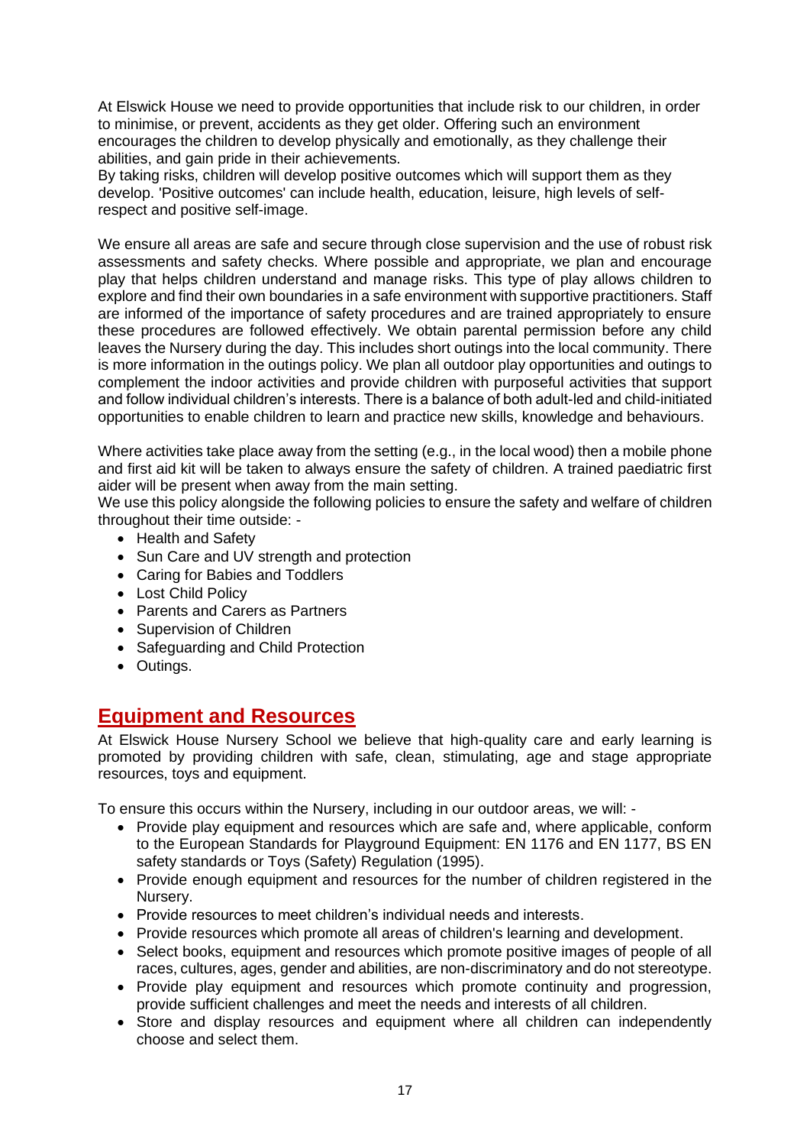At Elswick House we need to provide opportunities that include risk to our children, in order to minimise, or prevent, accidents as they get older. Offering such an environment encourages the children to develop physically and emotionally, as they challenge their abilities, and gain pride in their achievements.

By taking risks, children will develop positive outcomes which will support them as they develop. 'Positive outcomes' can include health, education, leisure, high levels of selfrespect and positive self-image.

We ensure all areas are safe and secure through close supervision and the use of robust risk assessments and safety checks. Where possible and appropriate, we plan and encourage play that helps children understand and manage risks. This type of play allows children to explore and find their own boundaries in a safe environment with supportive practitioners. Staff are informed of the importance of safety procedures and are trained appropriately to ensure these procedures are followed effectively. We obtain parental permission before any child leaves the Nursery during the day. This includes short outings into the local community. There is more information in the outings policy. We plan all outdoor play opportunities and outings to complement the indoor activities and provide children with purposeful activities that support and follow individual children's interests. There is a balance of both adult-led and child-initiated opportunities to enable children to learn and practice new skills, knowledge and behaviours.

Where activities take place away from the setting (e.g., in the local wood) then a mobile phone and first aid kit will be taken to always ensure the safety of children. A trained paediatric first aider will be present when away from the main setting.

We use this policy alongside the following policies to ensure the safety and welfare of children throughout their time outside: -

- Health and Safety
- Sun Care and UV strength and protection
- Caring for Babies and Toddlers
- Lost Child Policy
- Parents and Carers as Partners
- Supervision of Children
- Safeguarding and Child Protection
- Outings.

# <span id="page-16-0"></span>**Equipment and Resources**

At Elswick House Nursery School we believe that high-quality care and early learning is promoted by providing children with safe, clean, stimulating, age and stage appropriate resources, toys and equipment.

To ensure this occurs within the Nursery, including in our outdoor areas, we will: -

- Provide play equipment and resources which are safe and, where applicable, conform to the European Standards for Playground Equipment: EN 1176 and EN 1177, BS EN safety standards or Toys (Safety) Regulation (1995).
- Provide enough equipment and resources for the number of children registered in the Nursery.
- Provide resources to meet children's individual needs and interests.
- Provide resources which promote all areas of children's learning and development.
- Select books, equipment and resources which promote positive images of people of all races, cultures, ages, gender and abilities, are non-discriminatory and do not stereotype.
- Provide play equipment and resources which promote continuity and progression, provide sufficient challenges and meet the needs and interests of all children.
- Store and display resources and equipment where all children can independently choose and select them.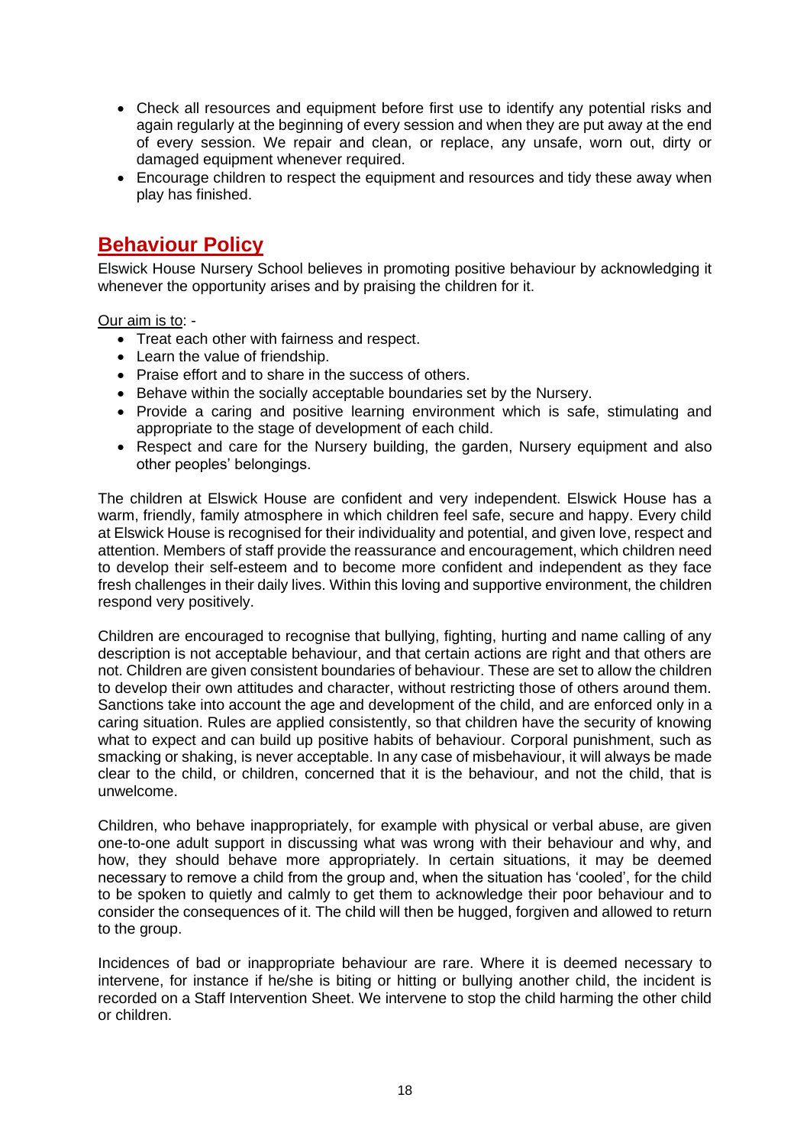- Check all resources and equipment before first use to identify any potential risks and again regularly at the beginning of every session and when they are put away at the end of every session. We repair and clean, or replace, any unsafe, worn out, dirty or damaged equipment whenever required.
- Encourage children to respect the equipment and resources and tidy these away when play has finished.

# <span id="page-17-0"></span>**Behaviour Policy**

Elswick House Nursery School believes in promoting positive behaviour by acknowledging it whenever the opportunity arises and by praising the children for it.

Our aim is to: -

- Treat each other with fairness and respect.
- Learn the value of friendship.
- Praise effort and to share in the success of others.
- Behave within the socially acceptable boundaries set by the Nursery.
- Provide a caring and positive learning environment which is safe, stimulating and appropriate to the stage of development of each child.
- Respect and care for the Nursery building, the garden, Nursery equipment and also other peoples' belongings.

The children at Elswick House are confident and very independent. Elswick House has a warm, friendly, family atmosphere in which children feel safe, secure and happy. Every child at Elswick House is recognised for their individuality and potential, and given love, respect and attention. Members of staff provide the reassurance and encouragement, which children need to develop their self-esteem and to become more confident and independent as they face fresh challenges in their daily lives. Within this loving and supportive environment, the children respond very positively.

Children are encouraged to recognise that bullying, fighting, hurting and name calling of any description is not acceptable behaviour, and that certain actions are right and that others are not. Children are given consistent boundaries of behaviour. These are set to allow the children to develop their own attitudes and character, without restricting those of others around them. Sanctions take into account the age and development of the child, and are enforced only in a caring situation. Rules are applied consistently, so that children have the security of knowing what to expect and can build up positive habits of behaviour. Corporal punishment, such as smacking or shaking, is never acceptable. In any case of misbehaviour, it will always be made clear to the child, or children, concerned that it is the behaviour, and not the child, that is unwelcome.

Children, who behave inappropriately, for example with physical or verbal abuse, are given one-to-one adult support in discussing what was wrong with their behaviour and why, and how, they should behave more appropriately. In certain situations, it may be deemed necessary to remove a child from the group and, when the situation has 'cooled', for the child to be spoken to quietly and calmly to get them to acknowledge their poor behaviour and to consider the consequences of it. The child will then be hugged, forgiven and allowed to return to the group.

Incidences of bad or inappropriate behaviour are rare. Where it is deemed necessary to intervene, for instance if he/she is biting or hitting or bullying another child, the incident is recorded on a Staff Intervention Sheet. We intervene to stop the child harming the other child or children.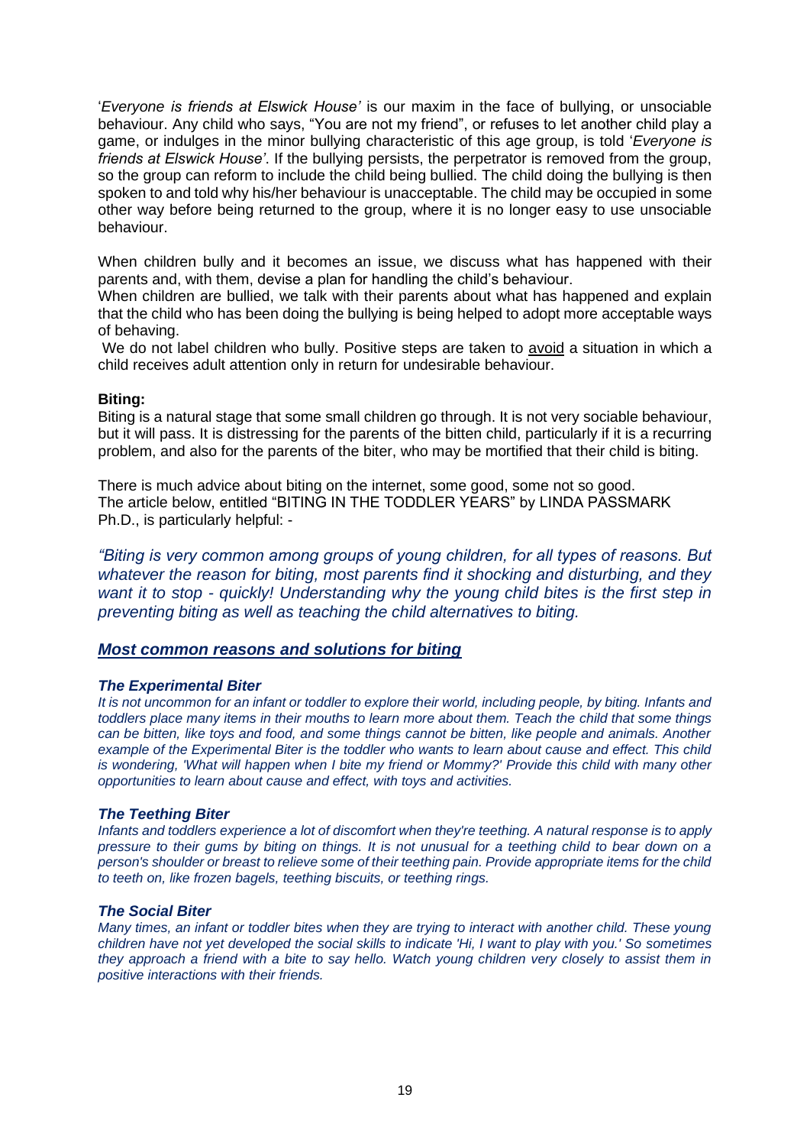'*Everyone is friends at Elswick House'* is our maxim in the face of bullying, or unsociable behaviour. Any child who says, "You are not my friend", or refuses to let another child play a game, or indulges in the minor bullying characteristic of this age group, is told '*Everyone is friends at Elswick House'*. If the bullying persists, the perpetrator is removed from the group, so the group can reform to include the child being bullied. The child doing the bullying is then spoken to and told why his/her behaviour is unacceptable. The child may be occupied in some other way before being returned to the group, where it is no longer easy to use unsociable behaviour.

When children bully and it becomes an issue, we discuss what has happened with their parents and, with them, devise a plan for handling the child's behaviour.

When children are bullied, we talk with their parents about what has happened and explain that the child who has been doing the bullying is being helped to adopt more acceptable ways of behaving.

We do not label children who bully. Positive steps are taken to avoid a situation in which a child receives adult attention only in return for undesirable behaviour.

#### **Biting:**

Biting is a natural stage that some small children go through. It is not very sociable behaviour, but it will pass. It is distressing for the parents of the bitten child, particularly if it is a recurring problem, and also for the parents of the biter, who may be mortified that their child is biting.

There is much advice about biting on the internet, some good, some not so good. The article below, entitled "BITING IN THE TODDLER YEARS" by LINDA PASSMARK Ph.D., is particularly helpful: -

*"Biting is very common among groups of young children, for all types of reasons. But whatever the reason for biting, most parents find it shocking and disturbing, and they want it to stop - quickly! Understanding why the young child bites is the first step in preventing biting as well as teaching the child alternatives to biting.*

#### *Most common reasons and solutions for biting*

#### *The Experimental Biter*

*It is not uncommon for an infant or toddler to explore their world, including people, by biting. Infants and toddlers place many items in their mouths to learn more about them. Teach the child that some things can be bitten, like toys and food, and some things cannot be bitten, like people and animals. Another example of the Experimental Biter is the toddler who wants to learn about cause and effect. This child is wondering, 'What will happen when I bite my friend or Mommy?' Provide this child with many other opportunities to learn about cause and effect, with toys and activities.*

#### *The Teething Biter*

*Infants and toddlers experience a lot of discomfort when they're teething. A natural response is to apply pressure to their gums by biting on things. It is not unusual for a teething child to bear down on a person's shoulder or breast to relieve some of their teething pain. Provide appropriate items for the child to teeth on, like frozen bagels, teething biscuits, or teething rings.*

#### *The Social Biter*

*Many times, an infant or toddler bites when they are trying to interact with another child. These young children have not yet developed the social skills to indicate 'Hi, I want to play with you.' So sometimes they approach a friend with a bite to say hello. Watch young children very closely to assist them in positive interactions with their friends.*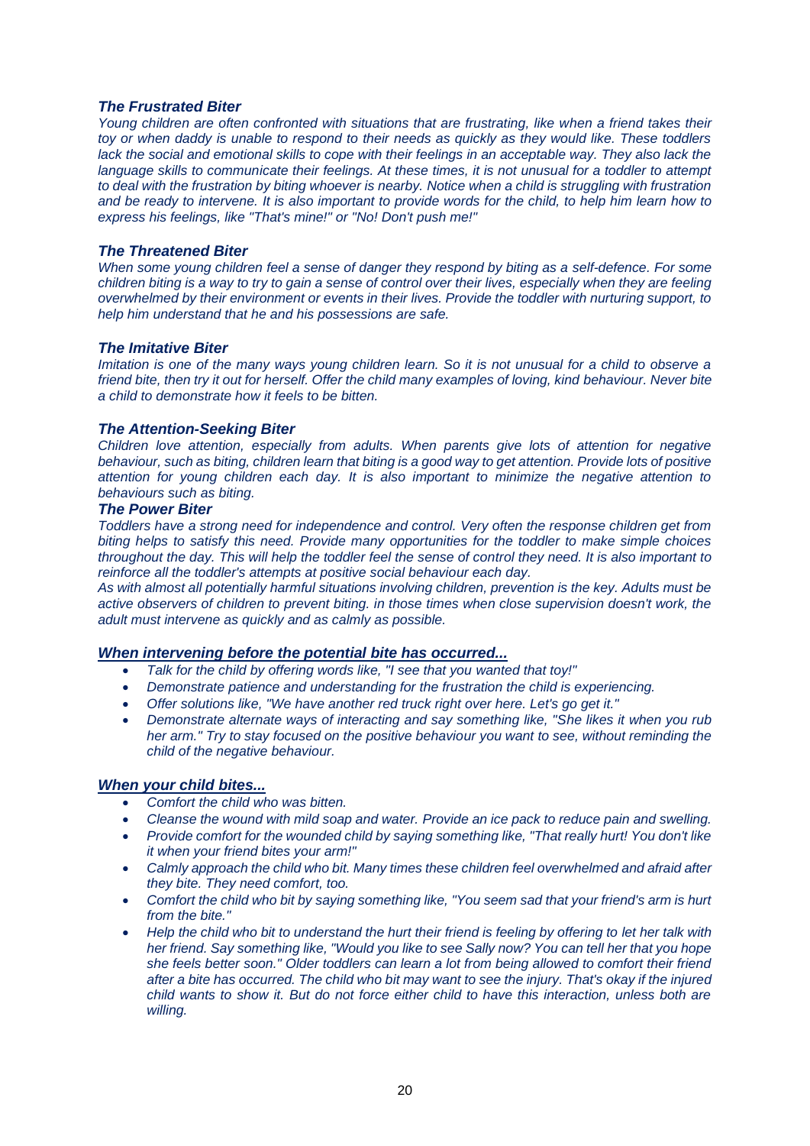#### *The Frustrated Biter*

*Young children are often confronted with situations that are frustrating, like when a friend takes their toy or when daddy is unable to respond to their needs as quickly as they would like. These toddlers lack the social and emotional skills to cope with their feelings in an acceptable way. They also lack the* language skills to communicate their feelings. At these times, it is not unusual for a toddler to attempt *to deal with the frustration by biting whoever is nearby. Notice when a child is struggling with frustration and be ready to intervene. It is also important to provide words for the child, to help him learn how to express his feelings, like "That's mine!" or "No! Don't push me!"*

#### *The Threatened Biter*

When some young children feel a sense of danger they respond by biting as a self-defence. For some *children biting is a way to try to gain a sense of control over their lives, especially when they are feeling overwhelmed by their environment or events in their lives. Provide the toddler with nurturing support, to help him understand that he and his possessions are safe.*

#### *The Imitative Biter*

*Imitation is one of the many ways young children learn. So it is not unusual for a child to observe a friend bite, then try it out for herself. Offer the child many examples of loving, kind behaviour. Never bite a child to demonstrate how it feels to be bitten.*

#### *The Attention-Seeking Biter*

*Children love attention, especially from adults. When parents give lots of attention for negative behaviour, such as biting, children learn that biting is a good way to get attention. Provide lots of positive attention for young children each day. It is also important to minimize the negative attention to behaviours such as biting.*

#### *The Power Biter*

*Toddlers have a strong need for independence and control. Very often the response children get from biting helps to satisfy this need. Provide many opportunities for the toddler to make simple choices throughout the day. This will help the toddler feel the sense of control they need. It is also important to reinforce all the toddler's attempts at positive social behaviour each day.*

*As with almost all potentially harmful situations involving children, prevention is the key. Adults must be active observers of children to prevent biting. in those times when close supervision doesn't work, the adult must intervene as quickly and as calmly as possible.*

#### *When intervening before the potential bite has occurred...*

- *Talk for the child by offering words like, "I see that you wanted that toy!"*
- *Demonstrate patience and understanding for the frustration the child is experiencing.*
- *Offer solutions like, "We have another red truck right over here. Let's go get it."*
- *Demonstrate alternate ways of interacting and say something like, "She likes it when you rub her arm." Try to stay focused on the positive behaviour you want to see, without reminding the child of the negative behaviour.*

#### *When your child bites...*

- *Comfort the child who was bitten.*
- *Cleanse the wound with mild soap and water. Provide an ice pack to reduce pain and swelling.*
- *Provide comfort for the wounded child by saying something like, "That really hurt! You don't like it when your friend bites your arm!"*
- *Calmly approach the child who bit. Many times these children feel overwhelmed and afraid after they bite. They need comfort, too.*
- *Comfort the child who bit by saying something like, "You seem sad that your friend's arm is hurt from the bite."*
- *Help the child who bit to understand the hurt their friend is feeling by offering to let her talk with her friend. Say something like, "Would you like to see Sally now? You can tell her that you hope she feels better soon." Older toddlers can learn a lot from being allowed to comfort their friend after a bite has occurred. The child who bit may want to see the injury. That's okay if the injured child wants to show it. But do not force either child to have this interaction, unless both are willing.*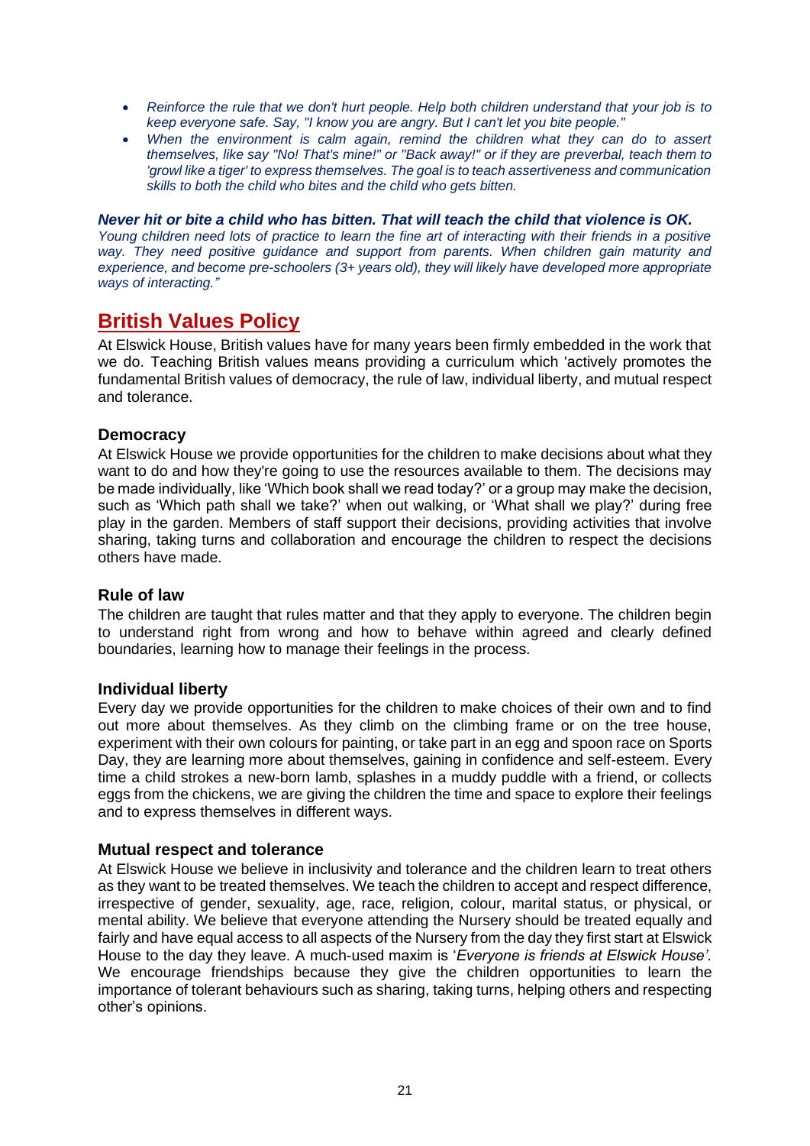- *Reinforce the rule that we don't hurt people. Help both children understand that your job is to keep everyone safe. Say, "I know you are angry. But I can't let you bite people."*
- *When the environment is calm again, remind the children what they can do to assert themselves, like say "No! That's mine!" or "Back away!" or if they are preverbal, teach them to 'growl like a tiger' to express themselves. The goal is to teach assertiveness and communication skills to both the child who bites and the child who gets bitten.*

#### *Never hit or bite a child who has bitten. That will teach the child that violence is OK.*

*Young children need lots of practice to learn the fine art of interacting with their friends in a positive way. They need positive guidance and support from parents. When children gain maturity and experience, and become pre-schoolers (3+ years old), they will likely have developed more appropriate ways of interacting."*

# <span id="page-20-0"></span>**British Values Policy**

At Elswick House, British values have for many years been firmly embedded in the work that we do. Teaching British values means providing a curriculum which 'actively promotes the fundamental British values of democracy, the rule of law, individual liberty, and mutual respect and tolerance.

#### **Democracy**

At Elswick House we provide opportunities for the children to make decisions about what they want to do and how they're going to use the resources available to them. The decisions may be made individually, like 'Which book shall we read today?' or a group may make the decision, such as 'Which path shall we take?' when out walking, or 'What shall we play?' during free play in the garden. Members of staff support their decisions, providing activities that involve sharing, taking turns and collaboration and encourage the children to respect the decisions others have made.

#### **Rule of law**

The children are taught that rules matter and that they apply to everyone. The children begin to understand right from wrong and how to behave within agreed and clearly defined boundaries, learning how to manage their feelings in the process.

#### **Individual liberty**

Every day we provide opportunities for the children to make choices of their own and to find out more about themselves. As they climb on the climbing frame or on the tree house, experiment with their own colours for painting, or take part in an egg and spoon race on Sports Day, they are learning more about themselves, gaining in confidence and self-esteem. Every time a child strokes a new-born lamb, splashes in a muddy puddle with a friend, or collects eggs from the chickens, we are giving the children the time and space to explore their feelings and to express themselves in different ways.

#### **Mutual respect and tolerance**

At Elswick House we believe in inclusivity and tolerance and the children learn to treat others as they want to be treated themselves. We teach the children to accept and respect difference, irrespective of gender, sexuality, age, race, religion, colour, marital status, or physical, or mental ability. We believe that everyone attending the Nursery should be treated equally and fairly and have equal access to all aspects of the Nursery from the day they first start at Elswick House to the day they leave. A much-used maxim is '*Everyone is friends at Elswick House'.*  We encourage friendships because they give the children opportunities to learn the importance of tolerant behaviours such as sharing, taking turns, helping others and respecting other's opinions.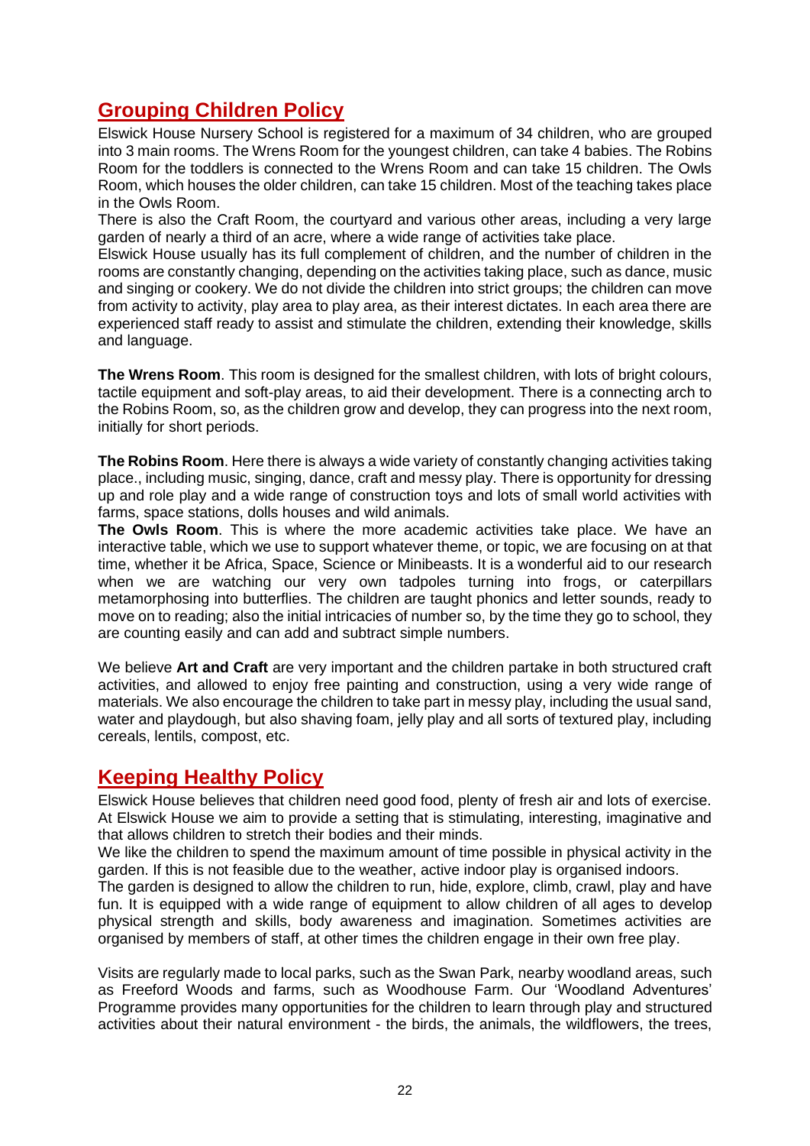# <span id="page-21-0"></span>**Grouping Children Policy**

Elswick House Nursery School is registered for a maximum of 34 children, who are grouped into 3 main rooms. The Wrens Room for the youngest children, can take 4 babies. The Robins Room for the toddlers is connected to the Wrens Room and can take 15 children. The Owls Room, which houses the older children, can take 15 children. Most of the teaching takes place in the Owls Room.

There is also the Craft Room, the courtyard and various other areas, including a very large garden of nearly a third of an acre, where a wide range of activities take place.

Elswick House usually has its full complement of children, and the number of children in the rooms are constantly changing, depending on the activities taking place, such as dance, music and singing or cookery. We do not divide the children into strict groups; the children can move from activity to activity, play area to play area, as their interest dictates. In each area there are experienced staff ready to assist and stimulate the children, extending their knowledge, skills and language.

**The Wrens Room**. This room is designed for the smallest children, with lots of bright colours, tactile equipment and soft-play areas, to aid their development. There is a connecting arch to the Robins Room, so, as the children grow and develop, they can progress into the next room, initially for short periods.

**The Robins Room**. Here there is always a wide variety of constantly changing activities taking place., including music, singing, dance, craft and messy play. There is opportunity for dressing up and role play and a wide range of construction toys and lots of small world activities with farms, space stations, dolls houses and wild animals.

**The Owls Room**. This is where the more academic activities take place. We have an interactive table, which we use to support whatever theme, or topic, we are focusing on at that time, whether it be Africa, Space, Science or Minibeasts. It is a wonderful aid to our research when we are watching our very own tadpoles turning into frogs, or caterpillars metamorphosing into butterflies. The children are taught phonics and letter sounds, ready to move on to reading; also the initial intricacies of number so, by the time they go to school, they are counting easily and can add and subtract simple numbers.

We believe **Art and Craft** are very important and the children partake in both structured craft activities, and allowed to enjoy free painting and construction, using a very wide range of materials. We also encourage the children to take part in messy play, including the usual sand, water and playdough, but also shaving foam, jelly play and all sorts of textured play, including cereals, lentils, compost, etc.

# <span id="page-21-1"></span>**Keeping Healthy Policy**

Elswick House believes that children need good food, plenty of fresh air and lots of exercise. At Elswick House we aim to provide a setting that is stimulating, interesting, imaginative and that allows children to stretch their bodies and their minds.

We like the children to spend the maximum amount of time possible in physical activity in the garden. If this is not feasible due to the weather, active indoor play is organised indoors.

The garden is designed to allow the children to run, hide, explore, climb, crawl, play and have fun. It is equipped with a wide range of equipment to allow children of all ages to develop physical strength and skills, body awareness and imagination. Sometimes activities are organised by members of staff, at other times the children engage in their own free play.

Visits are regularly made to local parks, such as the Swan Park, nearby woodland areas, such as Freeford Woods and farms, such as Woodhouse Farm. Our 'Woodland Adventures' Programme provides many opportunities for the children to learn through play and structured activities about their natural environment - the birds, the animals, the wildflowers, the trees,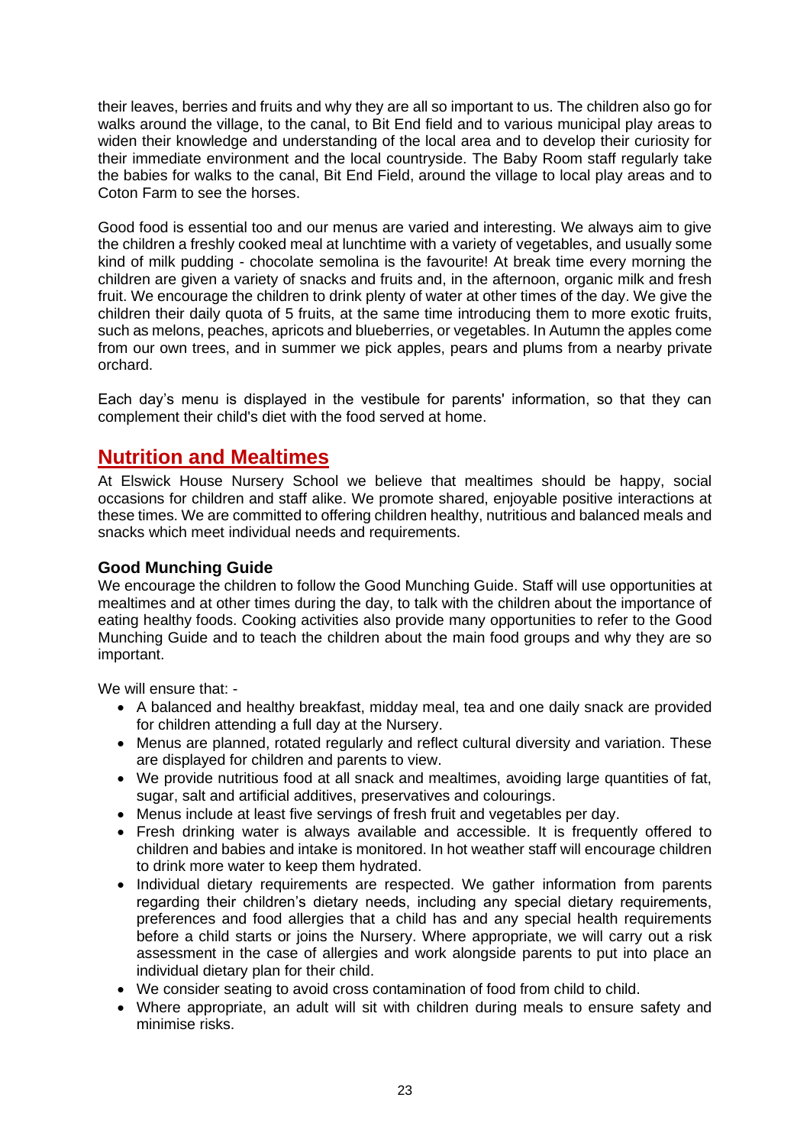their leaves, berries and fruits and why they are all so important to us. The children also go for walks around the village, to the canal, to Bit End field and to various municipal play areas to widen their knowledge and understanding of the local area and to develop their curiosity for their immediate environment and the local countryside. The Baby Room staff regularly take the babies for walks to the canal, Bit End Field, around the village to local play areas and to Coton Farm to see the horses.

Good food is essential too and our menus are varied and interesting. We always aim to give the children a freshly cooked meal at lunchtime with a variety of vegetables, and usually some kind of milk pudding - chocolate semolina is the favourite! At break time every morning the children are given a variety of snacks and fruits and, in the afternoon, organic milk and fresh fruit. We encourage the children to drink plenty of water at other times of the day. We give the children their daily quota of 5 fruits, at the same time introducing them to more exotic fruits, such as melons, peaches, apricots and blueberries, or vegetables. In Autumn the apples come from our own trees, and in summer we pick apples, pears and plums from a nearby private orchard.

Each day's menu is displayed in the vestibule for parents' information, so that they can complement their child's diet with the food served at home.

# <span id="page-22-0"></span>**Nutrition and Mealtimes**

At Elswick House Nursery School we believe that mealtimes should be happy, social occasions for children and staff alike. We promote shared, enjoyable positive interactions at these times. We are committed to offering children healthy, nutritious and balanced meals and snacks which meet individual needs and requirements.

# **Good Munching Guide**

We encourage the children to follow the Good Munching Guide. Staff will use opportunities at mealtimes and at other times during the day, to talk with the children about the importance of eating healthy foods. Cooking activities also provide many opportunities to refer to the Good Munching Guide and to teach the children about the main food groups and why they are so important.

We will ensure that: -

- A balanced and healthy breakfast, midday meal, tea and one daily snack are provided for children attending a full day at the Nursery.
- Menus are planned, rotated regularly and reflect cultural diversity and variation. These are displayed for children and parents to view.
- We provide nutritious food at all snack and mealtimes, avoiding large quantities of fat, sugar, salt and artificial additives, preservatives and colourings.
- Menus include at least five servings of fresh fruit and vegetables per day.
- Fresh drinking water is always available and accessible. It is frequently offered to children and babies and intake is monitored. In hot weather staff will encourage children to drink more water to keep them hydrated.
- Individual dietary requirements are respected. We gather information from parents regarding their children's dietary needs, including any special dietary requirements, preferences and food allergies that a child has and any special health requirements before a child starts or joins the Nursery. Where appropriate, we will carry out a risk assessment in the case of allergies and work alongside parents to put into place an individual dietary plan for their child.
- We consider seating to avoid cross contamination of food from child to child.
- Where appropriate, an adult will sit with children during meals to ensure safety and minimise risks.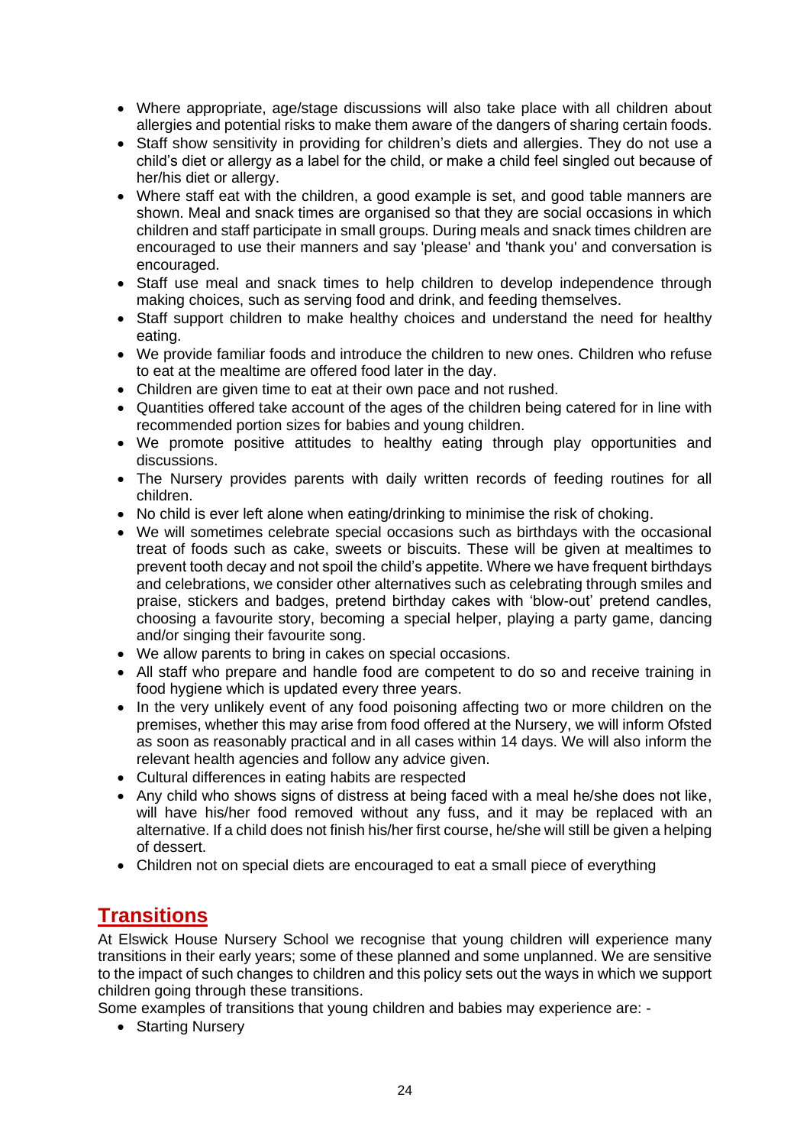- Where appropriate, age/stage discussions will also take place with all children about allergies and potential risks to make them aware of the dangers of sharing certain foods.
- Staff show sensitivity in providing for children's diets and allergies. They do not use a child's diet or allergy as a label for the child, or make a child feel singled out because of her/his diet or allergy.
- Where staff eat with the children, a good example is set, and good table manners are shown. Meal and snack times are organised so that they are social occasions in which children and staff participate in small groups. During meals and snack times children are encouraged to use their manners and say 'please' and 'thank you' and conversation is encouraged.
- Staff use meal and snack times to help children to develop independence through making choices, such as serving food and drink, and feeding themselves.
- Staff support children to make healthy choices and understand the need for healthy eating.
- We provide familiar foods and introduce the children to new ones. Children who refuse to eat at the mealtime are offered food later in the day.
- Children are given time to eat at their own pace and not rushed.
- Quantities offered take account of the ages of the children being catered for in line with recommended portion sizes for babies and young children.
- We promote positive attitudes to healthy eating through play opportunities and discussions.
- The Nursery provides parents with daily written records of feeding routines for all children.
- No child is ever left alone when eating/drinking to minimise the risk of choking.
- We will sometimes celebrate special occasions such as birthdays with the occasional treat of foods such as cake, sweets or biscuits. These will be given at mealtimes to prevent tooth decay and not spoil the child's appetite. Where we have frequent birthdays and celebrations, we consider other alternatives such as celebrating through smiles and praise, stickers and badges, pretend birthday cakes with 'blow-out' pretend candles, choosing a favourite story, becoming a special helper, playing a party game, dancing and/or singing their favourite song.
- We allow parents to bring in cakes on special occasions.
- All staff who prepare and handle food are competent to do so and receive training in food hygiene which is updated every three years.
- In the very unlikely event of any food poisoning affecting two or more children on the premises, whether this may arise from food offered at the Nursery, we will inform Ofsted as soon as reasonably practical and in all cases within 14 days. We will also inform the relevant health agencies and follow any advice given.
- Cultural differences in eating habits are respected
- Any child who shows signs of distress at being faced with a meal he/she does not like, will have his/her food removed without any fuss, and it may be replaced with an alternative. If a child does not finish his/her first course, he/she will still be given a helping of dessert.
- Children not on special diets are encouraged to eat a small piece of everything

# <span id="page-23-0"></span>**Transitions**

At Elswick House Nursery School we recognise that young children will experience many transitions in their early years; some of these planned and some unplanned. We are sensitive to the impact of such changes to children and this policy sets out the ways in which we support children going through these transitions.

Some examples of transitions that young children and babies may experience are: -

• Starting Nursery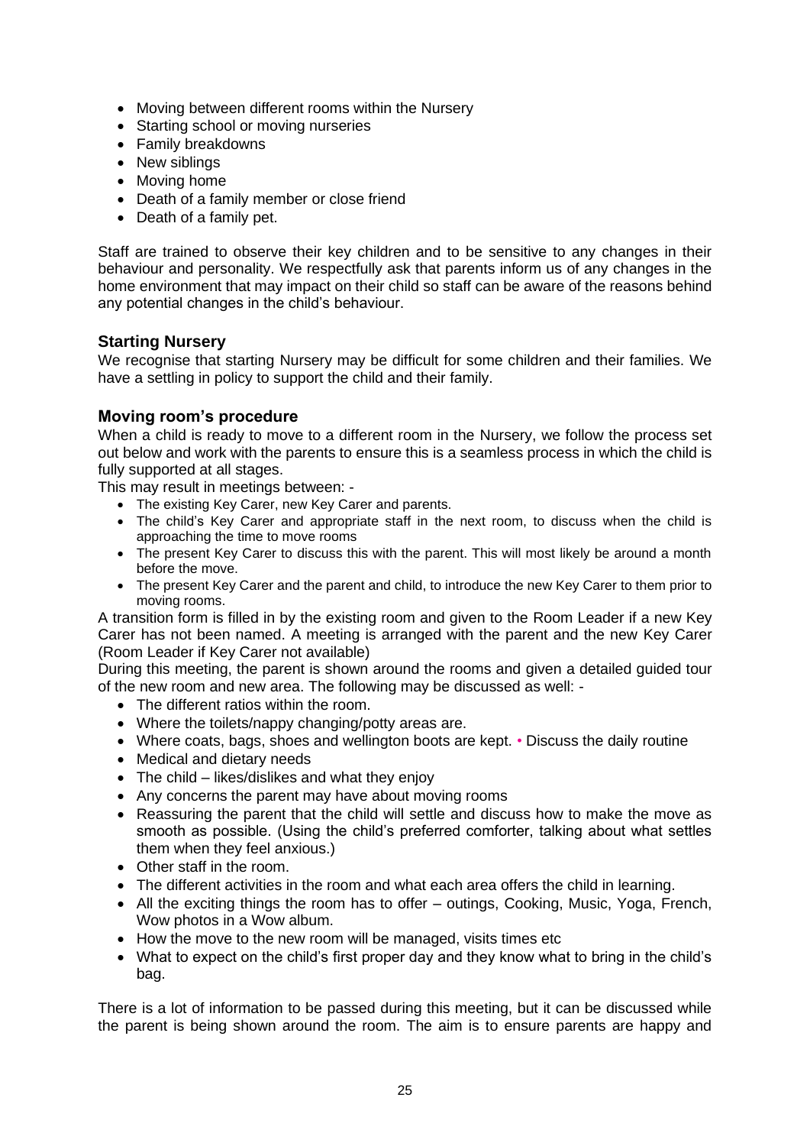- Moving between different rooms within the Nursery
- Starting school or moving nurseries
- Family breakdowns
- New siblings
- Moving home
- Death of a family member or close friend
- Death of a family pet.

Staff are trained to observe their key children and to be sensitive to any changes in their behaviour and personality. We respectfully ask that parents inform us of any changes in the home environment that may impact on their child so staff can be aware of the reasons behind any potential changes in the child's behaviour.

# **Starting Nursery**

We recognise that starting Nursery may be difficult for some children and their families. We have a settling in policy to support the child and their family.

# **Moving room's procedure**

When a child is ready to move to a different room in the Nursery, we follow the process set out below and work with the parents to ensure this is a seamless process in which the child is fully supported at all stages.

This may result in meetings between: -

- The existing Key Carer, new Key Carer and parents.
- The child's Key Carer and appropriate staff in the next room, to discuss when the child is approaching the time to move rooms
- The present Key Carer to discuss this with the parent. This will most likely be around a month before the move.
- The present Key Carer and the parent and child, to introduce the new Key Carer to them prior to moving rooms.

A transition form is filled in by the existing room and given to the Room Leader if a new Key Carer has not been named. A meeting is arranged with the parent and the new Key Carer (Room Leader if Key Carer not available)

During this meeting, the parent is shown around the rooms and given a detailed guided tour of the new room and new area. The following may be discussed as well: -

- The different ratios within the room.
- Where the toilets/nappy changing/potty areas are.
- Where coats, bags, shoes and wellington boots are kept. Discuss the daily routine
- Medical and dietary needs
- The child likes/dislikes and what they enjoy
- Any concerns the parent may have about moving rooms
- Reassuring the parent that the child will settle and discuss how to make the move as smooth as possible. (Using the child's preferred comforter, talking about what settles them when they feel anxious.)
- Other staff in the room.
- The different activities in the room and what each area offers the child in learning.
- All the exciting things the room has to offer outings, Cooking, Music, Yoga, French, Wow photos in a Wow album.
- How the move to the new room will be managed, visits times etc
- What to expect on the child's first proper day and they know what to bring in the child's bag.

There is a lot of information to be passed during this meeting, but it can be discussed while the parent is being shown around the room. The aim is to ensure parents are happy and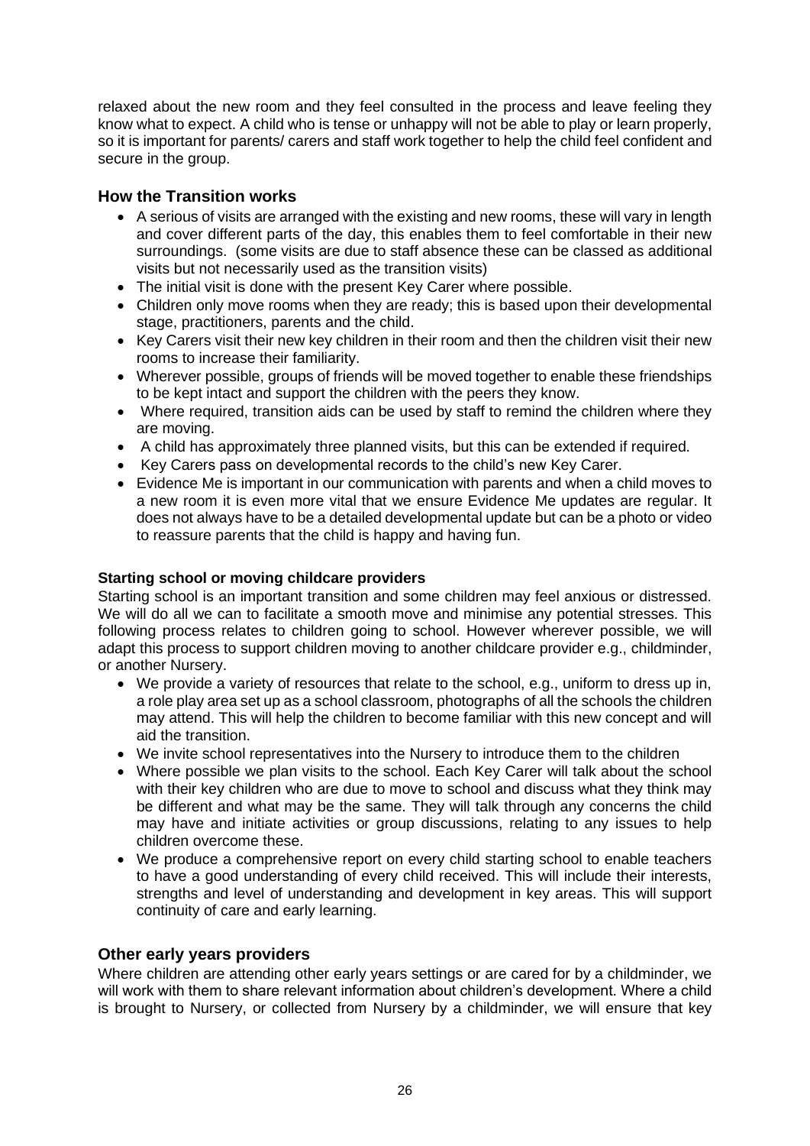relaxed about the new room and they feel consulted in the process and leave feeling they know what to expect. A child who is tense or unhappy will not be able to play or learn properly, so it is important for parents/ carers and staff work together to help the child feel confident and secure in the group.

# **How the Transition works**

- A serious of visits are arranged with the existing and new rooms, these will vary in length and cover different parts of the day, this enables them to feel comfortable in their new surroundings. (some visits are due to staff absence these can be classed as additional visits but not necessarily used as the transition visits)
- The initial visit is done with the present Key Carer where possible.
- Children only move rooms when they are ready; this is based upon their developmental stage, practitioners, parents and the child.
- Key Carers visit their new key children in their room and then the children visit their new rooms to increase their familiarity.
- Wherever possible, groups of friends will be moved together to enable these friendships to be kept intact and support the children with the peers they know.
- Where required, transition aids can be used by staff to remind the children where they are moving.
- A child has approximately three planned visits, but this can be extended if required.
- Key Carers pass on developmental records to the child's new Key Carer.
- Evidence Me is important in our communication with parents and when a child moves to a new room it is even more vital that we ensure Evidence Me updates are regular. It does not always have to be a detailed developmental update but can be a photo or video to reassure parents that the child is happy and having fun.

### **Starting school or moving childcare providers**

Starting school is an important transition and some children may feel anxious or distressed. We will do all we can to facilitate a smooth move and minimise any potential stresses. This following process relates to children going to school. However wherever possible, we will adapt this process to support children moving to another childcare provider e.g., childminder, or another Nursery.

- We provide a variety of resources that relate to the school, e.g., uniform to dress up in, a role play area set up as a school classroom, photographs of all the schools the children may attend. This will help the children to become familiar with this new concept and will aid the transition.
- We invite school representatives into the Nursery to introduce them to the children
- Where possible we plan visits to the school. Each Key Carer will talk about the school with their key children who are due to move to school and discuss what they think may be different and what may be the same. They will talk through any concerns the child may have and initiate activities or group discussions, relating to any issues to help children overcome these.
- We produce a comprehensive report on every child starting school to enable teachers to have a good understanding of every child received. This will include their interests, strengths and level of understanding and development in key areas. This will support continuity of care and early learning.

# **Other early years providers**

Where children are attending other early years settings or are cared for by a childminder, we will work with them to share relevant information about children's development. Where a child is brought to Nursery, or collected from Nursery by a childminder, we will ensure that key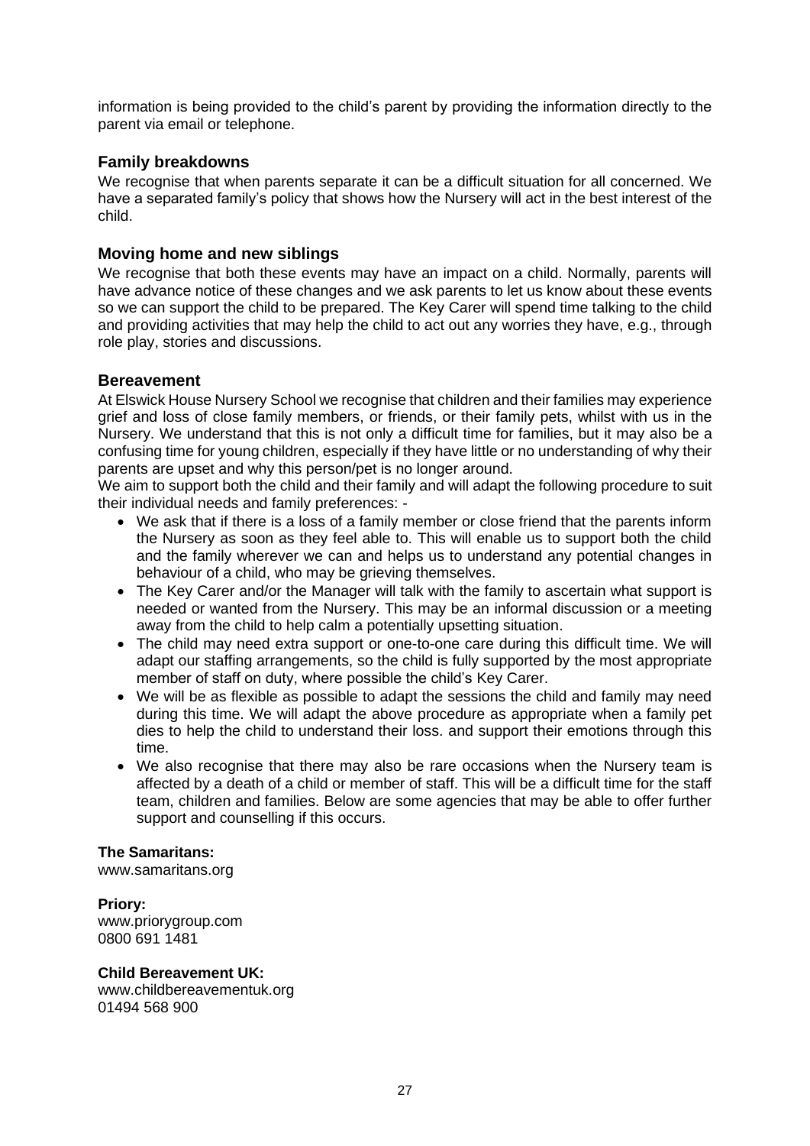information is being provided to the child's parent by providing the information directly to the parent via email or telephone.

### **Family breakdowns**

We recognise that when parents separate it can be a difficult situation for all concerned. We have a separated family's policy that shows how the Nursery will act in the best interest of the child.

### **Moving home and new siblings**

We recognise that both these events may have an impact on a child. Normally, parents will have advance notice of these changes and we ask parents to let us know about these events so we can support the child to be prepared. The Key Carer will spend time talking to the child and providing activities that may help the child to act out any worries they have, e.g., through role play, stories and discussions.

### **Bereavement**

At Elswick House Nursery School we recognise that children and their families may experience grief and loss of close family members, or friends, or their family pets, whilst with us in the Nursery. We understand that this is not only a difficult time for families, but it may also be a confusing time for young children, especially if they have little or no understanding of why their parents are upset and why this person/pet is no longer around.

We aim to support both the child and their family and will adapt the following procedure to suit their individual needs and family preferences: -

- We ask that if there is a loss of a family member or close friend that the parents inform the Nursery as soon as they feel able to. This will enable us to support both the child and the family wherever we can and helps us to understand any potential changes in behaviour of a child, who may be grieving themselves.
- The Key Carer and/or the Manager will talk with the family to ascertain what support is needed or wanted from the Nursery. This may be an informal discussion or a meeting away from the child to help calm a potentially upsetting situation.
- The child may need extra support or one-to-one care during this difficult time. We will adapt our staffing arrangements, so the child is fully supported by the most appropriate member of staff on duty, where possible the child's Key Carer.
- We will be as flexible as possible to adapt the sessions the child and family may need during this time. We will adapt the above procedure as appropriate when a family pet dies to help the child to understand their loss. and support their emotions through this time.
- We also recognise that there may also be rare occasions when the Nursery team is affected by a death of a child or member of staff. This will be a difficult time for the staff team, children and families. Below are some agencies that may be able to offer further support and counselling if this occurs.

### **The Samaritans:**

www.samaritans.org

# **Priory:**

www.priorygroup.com 0800 691 1481

# **Child Bereavement UK:**

www.childbereavementuk.org 01494 568 900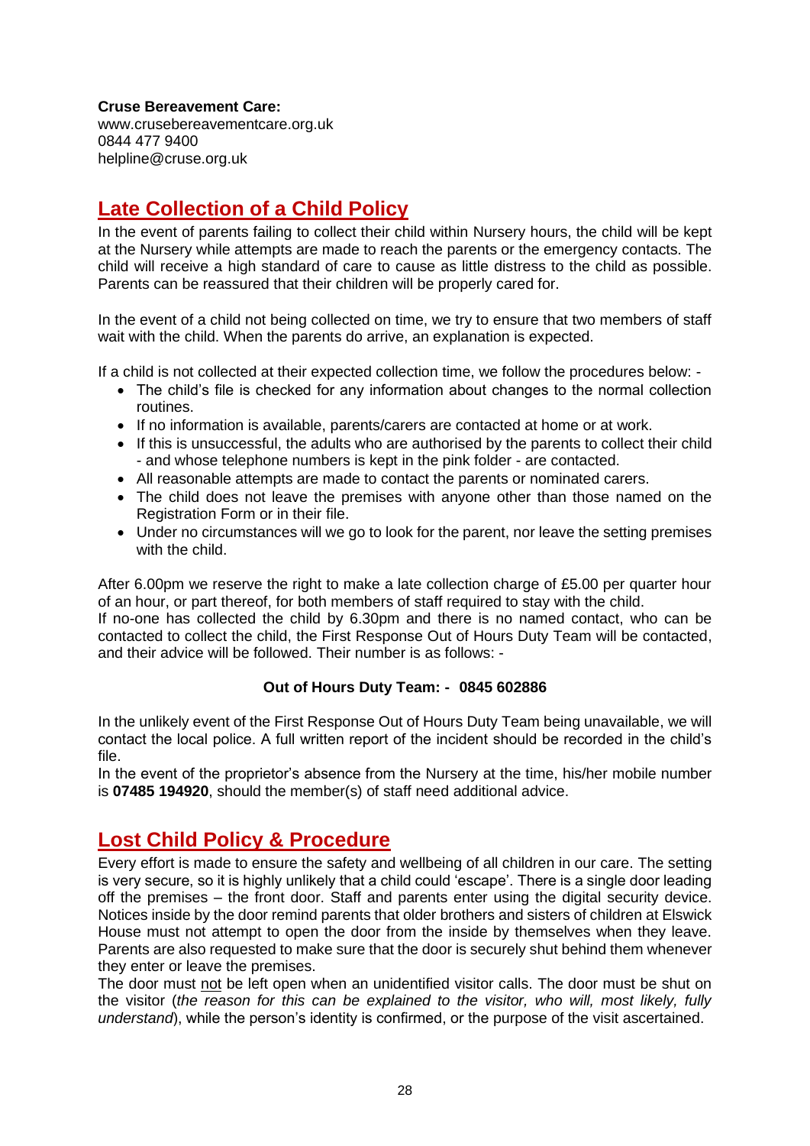### **Cruse Bereavement Care:**

www.crusebereavementcare.org.uk 0844 477 9400 helpline@cruse.org.uk

# <span id="page-27-0"></span>**Late Collection of a Child Policy**

In the event of parents failing to collect their child within Nursery hours, the child will be kept at the Nursery while attempts are made to reach the parents or the emergency contacts. The child will receive a high standard of care to cause as little distress to the child as possible. Parents can be reassured that their children will be properly cared for.

In the event of a child not being collected on time, we try to ensure that two members of staff wait with the child. When the parents do arrive, an explanation is expected.

If a child is not collected at their expected collection time, we follow the procedures below: -

- The child's file is checked for any information about changes to the normal collection routines.
- If no information is available, parents/carers are contacted at home or at work.
- If this is unsuccessful, the adults who are authorised by the parents to collect their child - and whose telephone numbers is kept in the pink folder - are contacted.
- All reasonable attempts are made to contact the parents or nominated carers.
- The child does not leave the premises with anyone other than those named on the Registration Form or in their file.
- Under no circumstances will we go to look for the parent, nor leave the setting premises with the child.

After 6.00pm we reserve the right to make a late collection charge of £5.00 per quarter hour of an hour, or part thereof, for both members of staff required to stay with the child.

If no-one has collected the child by 6.30pm and there is no named contact, who can be contacted to collect the child, the First Response Out of Hours Duty Team will be contacted, and their advice will be followed. Their number is as follows: -

### **Out of Hours Duty Team: - 0845 602886**

In the unlikely event of the First Response Out of Hours Duty Team being unavailable, we will contact the local police. A full written report of the incident should be recorded in the child's file.

In the event of the proprietor's absence from the Nursery at the time, his/her mobile number is **07485 194920**, should the member(s) of staff need additional advice.

# <span id="page-27-1"></span>**Lost Child Policy & Procedure**

Every effort is made to ensure the safety and wellbeing of all children in our care. The setting is very secure, so it is highly unlikely that a child could 'escape'. There is a single door leading off the premises – the front door. Staff and parents enter using the digital security device. Notices inside by the door remind parents that older brothers and sisters of children at Elswick House must not attempt to open the door from the inside by themselves when they leave. Parents are also requested to make sure that the door is securely shut behind them whenever they enter or leave the premises.

The door must not be left open when an unidentified visitor calls. The door must be shut on the visitor (*the reason for this can be explained to the visitor, who will, most likely, fully understand*), while the person's identity is confirmed, or the purpose of the visit ascertained.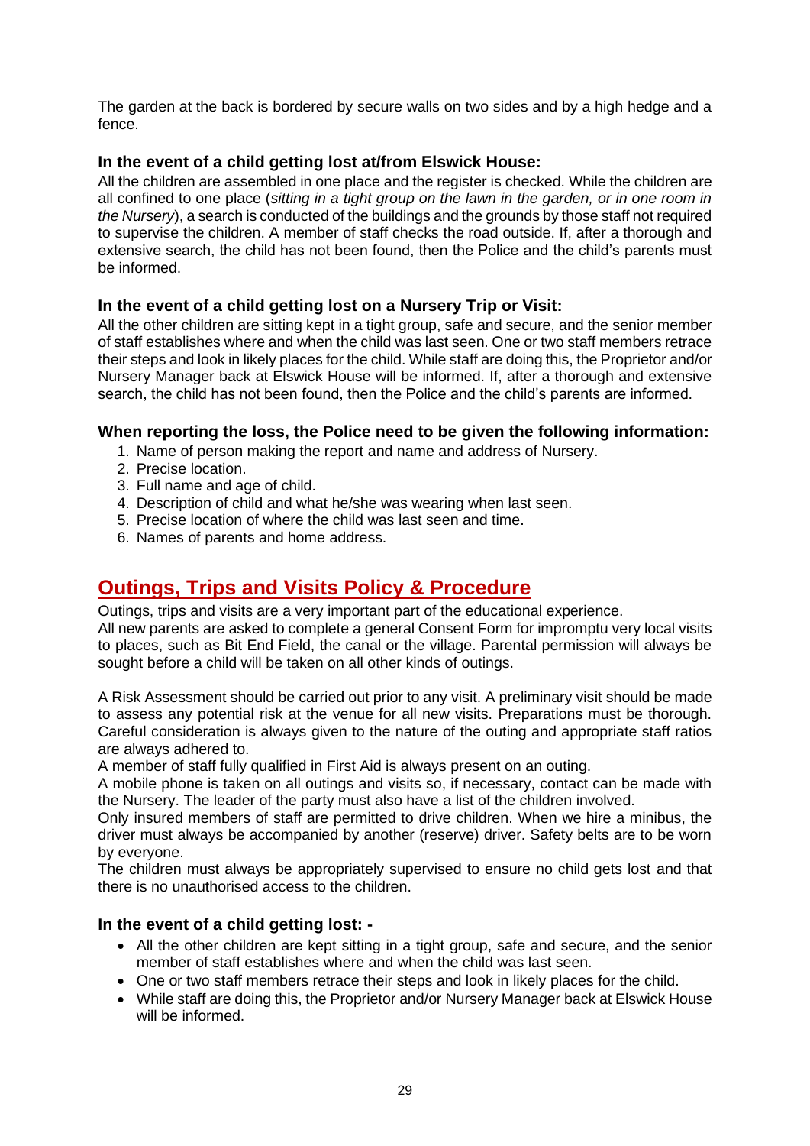The garden at the back is bordered by secure walls on two sides and by a high hedge and a fence.

# **In the event of a child getting lost at/from Elswick House:**

All the children are assembled in one place and the register is checked. While the children are all confined to one place (*sitting in a tight group on the lawn in the garden, or in one room in the Nursery*), a search is conducted of the buildings and the grounds by those staff not required to supervise the children. A member of staff checks the road outside. If, after a thorough and extensive search, the child has not been found, then the Police and the child's parents must be informed.

# **In the event of a child getting lost on a Nursery Trip or Visit:**

All the other children are sitting kept in a tight group, safe and secure, and the senior member of staff establishes where and when the child was last seen. One or two staff members retrace their steps and look in likely places for the child. While staff are doing this, the Proprietor and/or Nursery Manager back at Elswick House will be informed. If, after a thorough and extensive search, the child has not been found, then the Police and the child's parents are informed.

# **When reporting the loss, the Police need to be given the following information:**

- 1. Name of person making the report and name and address of Nursery.
- 2. Precise location.
- 3. Full name and age of child.
- 4. Description of child and what he/she was wearing when last seen.
- 5. Precise location of where the child was last seen and time.
- 6. Names of parents and home address.

# <span id="page-28-0"></span>**Outings, Trips and Visits Policy & Procedure**

Outings, trips and visits are a very important part of the educational experience.

All new parents are asked to complete a general Consent Form for impromptu very local visits to places, such as Bit End Field, the canal or the village. Parental permission will always be sought before a child will be taken on all other kinds of outings.

A Risk Assessment should be carried out prior to any visit. A preliminary visit should be made to assess any potential risk at the venue for all new visits. Preparations must be thorough. Careful consideration is always given to the nature of the outing and appropriate staff ratios are always adhered to.

A member of staff fully qualified in First Aid is always present on an outing.

A mobile phone is taken on all outings and visits so, if necessary, contact can be made with the Nursery. The leader of the party must also have a list of the children involved.

Only insured members of staff are permitted to drive children. When we hire a minibus, the driver must always be accompanied by another (reserve) driver. Safety belts are to be worn by everyone.

The children must always be appropriately supervised to ensure no child gets lost and that there is no unauthorised access to the children.

# **In the event of a child getting lost: -**

- All the other children are kept sitting in a tight group, safe and secure, and the senior member of staff establishes where and when the child was last seen.
- One or two staff members retrace their steps and look in likely places for the child.
- While staff are doing this, the Proprietor and/or Nursery Manager back at Elswick House will be informed.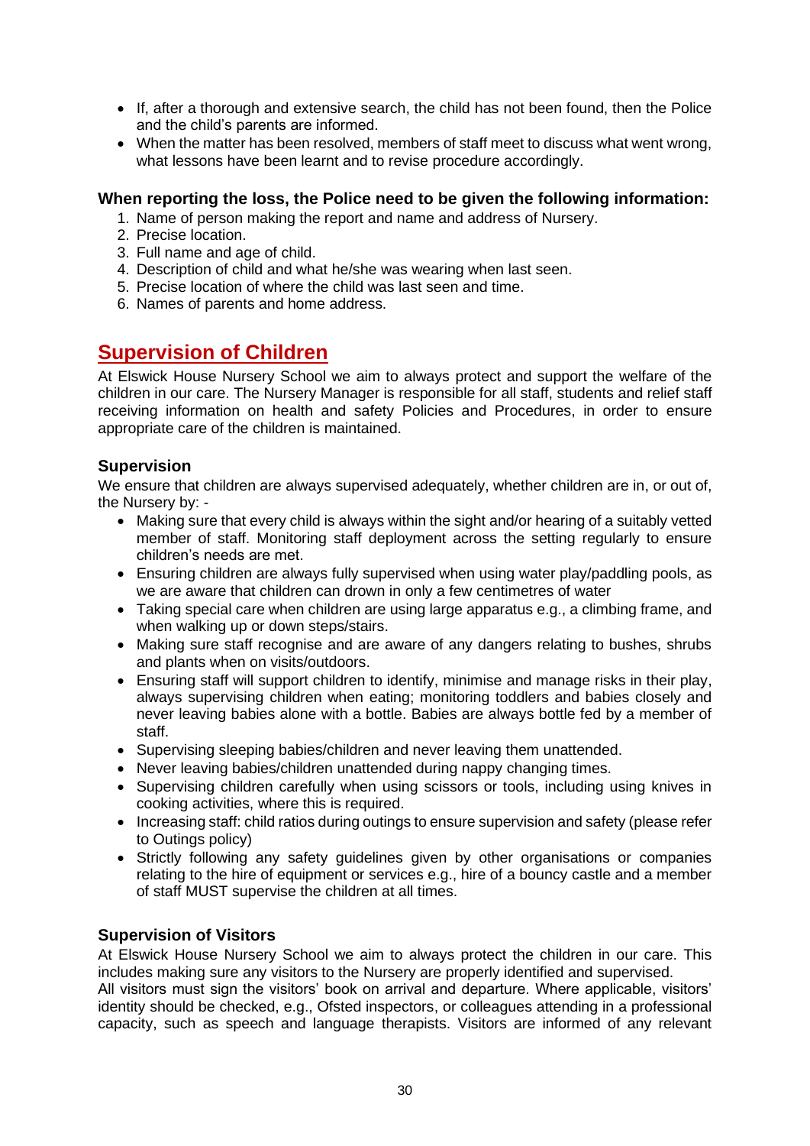- If, after a thorough and extensive search, the child has not been found, then the Police and the child's parents are informed.
- When the matter has been resolved, members of staff meet to discuss what went wrong, what lessons have been learnt and to revise procedure accordingly.

# **When reporting the loss, the Police need to be given the following information:**

- 1. Name of person making the report and name and address of Nursery.
- 2. Precise location.
- 3. Full name and age of child.
- 4. Description of child and what he/she was wearing when last seen.
- 5. Precise location of where the child was last seen and time.
- 6. Names of parents and home address.

# <span id="page-29-0"></span>**Supervision of Children**

At Elswick House Nursery School we aim to always protect and support the welfare of the children in our care. The Nursery Manager is responsible for all staff, students and relief staff receiving information on health and safety Policies and Procedures, in order to ensure appropriate care of the children is maintained.

# **Supervision**

We ensure that children are always supervised adequately, whether children are in, or out of, the Nursery by: -

- Making sure that every child is always within the sight and/or hearing of a suitably vetted member of staff. Monitoring staff deployment across the setting regularly to ensure children's needs are met.
- Ensuring children are always fully supervised when using water play/paddling pools, as we are aware that children can drown in only a few centimetres of water
- Taking special care when children are using large apparatus e.g., a climbing frame, and when walking up or down steps/stairs.
- Making sure staff recognise and are aware of any dangers relating to bushes, shrubs and plants when on visits/outdoors.
- Ensuring staff will support children to identify, minimise and manage risks in their play, always supervising children when eating; monitoring toddlers and babies closely and never leaving babies alone with a bottle. Babies are always bottle fed by a member of staff.
- Supervising sleeping babies/children and never leaving them unattended.
- Never leaving babies/children unattended during nappy changing times.
- Supervising children carefully when using scissors or tools, including using knives in cooking activities, where this is required.
- Increasing staff: child ratios during outings to ensure supervision and safety (please refer to Outings policy)
- Strictly following any safety guidelines given by other organisations or companies relating to the hire of equipment or services e.g., hire of a bouncy castle and a member of staff MUST supervise the children at all times.

# **Supervision of Visitors**

At Elswick House Nursery School we aim to always protect the children in our care. This includes making sure any visitors to the Nursery are properly identified and supervised.

All visitors must sign the visitors' book on arrival and departure. Where applicable, visitors' identity should be checked, e.g., Ofsted inspectors, or colleagues attending in a professional capacity, such as speech and language therapists. Visitors are informed of any relevant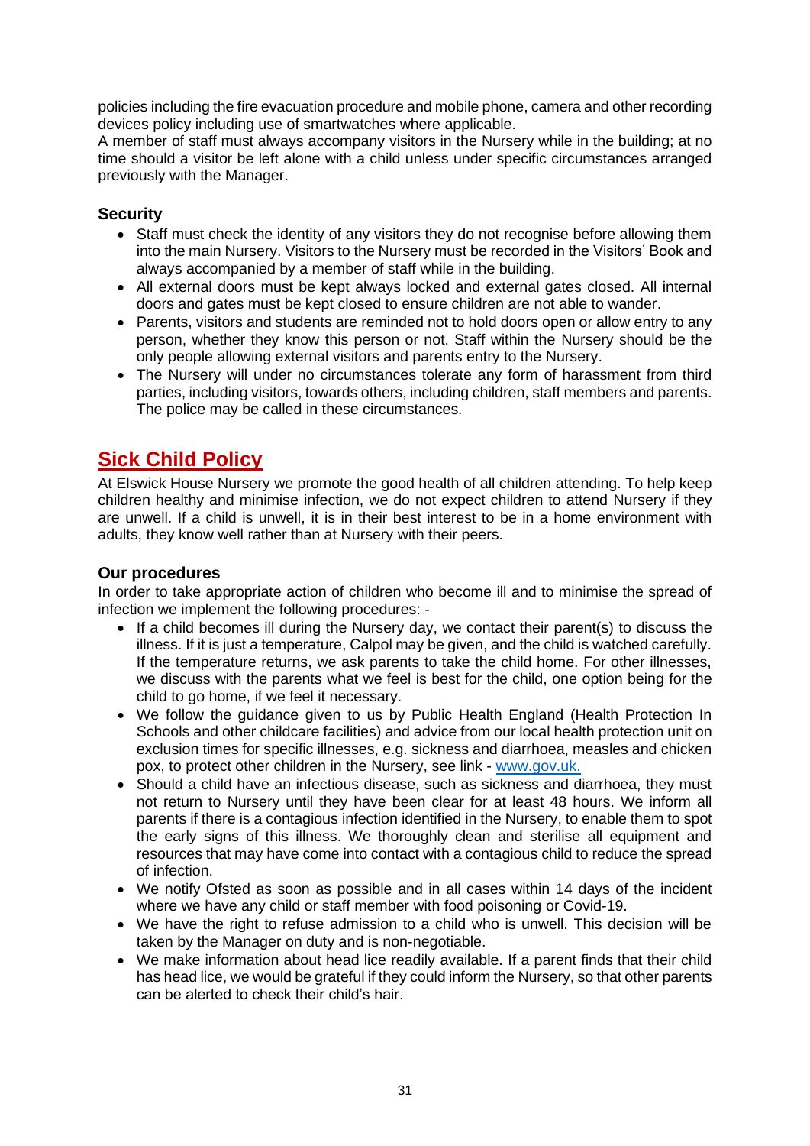policies including the fire evacuation procedure and mobile phone, camera and other recording devices policy including use of smartwatches where applicable.

A member of staff must always accompany visitors in the Nursery while in the building; at no time should a visitor be left alone with a child unless under specific circumstances arranged previously with the Manager.

### **Security**

- Staff must check the identity of any visitors they do not recognise before allowing them into the main Nursery. Visitors to the Nursery must be recorded in the Visitors' Book and always accompanied by a member of staff while in the building.
- All external doors must be kept always locked and external gates closed. All internal doors and gates must be kept closed to ensure children are not able to wander.
- Parents, visitors and students are reminded not to hold doors open or allow entry to any person, whether they know this person or not. Staff within the Nursery should be the only people allowing external visitors and parents entry to the Nursery.
- The Nursery will under no circumstances tolerate any form of harassment from third parties, including visitors, towards others, including children, staff members and parents. The police may be called in these circumstances.

# <span id="page-30-0"></span>**Sick Child Policy**

At Elswick House Nursery we promote the good health of all children attending. To help keep children healthy and minimise infection, we do not expect children to attend Nursery if they are unwell. If a child is unwell, it is in their best interest to be in a home environment with adults, they know well rather than at Nursery with their peers.

### **Our procedures**

In order to take appropriate action of children who become ill and to minimise the spread of infection we implement the following procedures: -

- If a child becomes ill during the Nursery day, we contact their parent(s) to discuss the illness. If it is just a temperature, Calpol may be given, and the child is watched carefully. If the temperature returns, we ask parents to take the child home. For other illnesses, we discuss with the parents what we feel is best for the child, one option being for the child to go home, if we feel it necessary.
- We follow the guidance given to us by Public Health England (Health Protection In Schools and other childcare facilities) and advice from our local health protection unit on exclusion times for specific illnesses, e.g. sickness and diarrhoea, measles and chicken pox, to protect other children in the Nursery, see link - [www.gov.uk.](http://www.gov.uk/)
- Should a child have an infectious disease, such as sickness and diarrhoea, they must not return to Nursery until they have been clear for at least 48 hours. We inform all parents if there is a contagious infection identified in the Nursery, to enable them to spot the early signs of this illness. We thoroughly clean and sterilise all equipment and resources that may have come into contact with a contagious child to reduce the spread of infection.
- We notify Ofsted as soon as possible and in all cases within 14 days of the incident where we have any child or staff member with food poisoning or Covid-19.
- We have the right to refuse admission to a child who is unwell. This decision will be taken by the Manager on duty and is non-negotiable.
- We make information about head lice readily available. If a parent finds that their child has head lice, we would be grateful if they could inform the Nursery, so that other parents can be alerted to check their child's hair.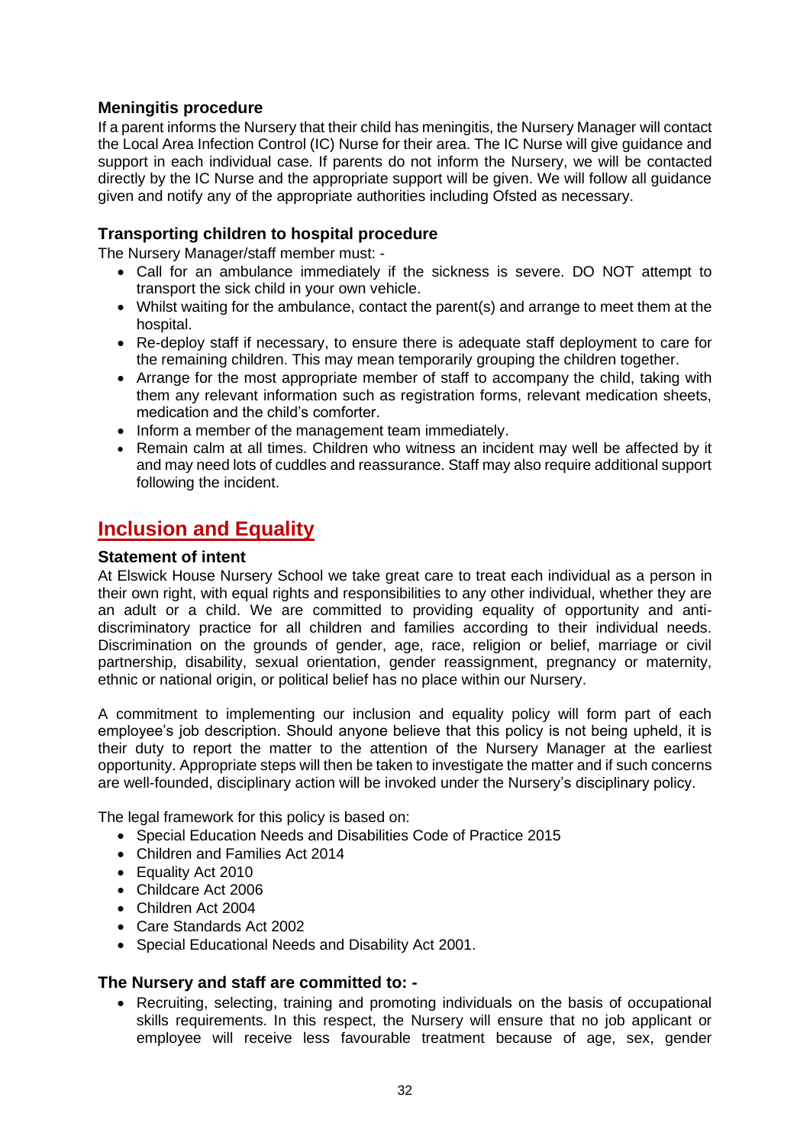# **Meningitis procedure**

If a parent informs the Nursery that their child has meningitis, the Nursery Manager will contact the Local Area Infection Control (IC) Nurse for their area. The IC Nurse will give guidance and support in each individual case. If parents do not inform the Nursery, we will be contacted directly by the IC Nurse and the appropriate support will be given. We will follow all guidance given and notify any of the appropriate authorities including Ofsted as necessary.

# **Transporting children to hospital procedure**

The Nursery Manager/staff member must: -

- Call for an ambulance immediately if the sickness is severe. DO NOT attempt to transport the sick child in your own vehicle.
- Whilst waiting for the ambulance, contact the parent(s) and arrange to meet them at the hospital.
- Re-deploy staff if necessary, to ensure there is adequate staff deployment to care for the remaining children. This may mean temporarily grouping the children together.
- Arrange for the most appropriate member of staff to accompany the child, taking with them any relevant information such as registration forms, relevant medication sheets, medication and the child's comforter.
- Inform a member of the management team immediately.
- Remain calm at all times. Children who witness an incident may well be affected by it and may need lots of cuddles and reassurance. Staff may also require additional support following the incident.

# <span id="page-31-0"></span>**Inclusion and Equality**

### **Statement of intent**

At Elswick House Nursery School we take great care to treat each individual as a person in their own right, with equal rights and responsibilities to any other individual, whether they are an adult or a child. We are committed to providing equality of opportunity and antidiscriminatory practice for all children and families according to their individual needs. Discrimination on the grounds of gender, age, race, religion or belief, marriage or civil partnership, disability, sexual orientation, gender reassignment, pregnancy or maternity, ethnic or national origin, or political belief has no place within our Nursery.

A commitment to implementing our inclusion and equality policy will form part of each employee's job description. Should anyone believe that this policy is not being upheld, it is their duty to report the matter to the attention of the Nursery Manager at the earliest opportunity. Appropriate steps will then be taken to investigate the matter and if such concerns are well-founded, disciplinary action will be invoked under the Nursery's disciplinary policy.

The legal framework for this policy is based on:

- Special Education Needs and Disabilities Code of Practice 2015
- Children and Families Act 2014
- Equality Act 2010
- Childcare Act 2006
- Children Act 2004
- Care Standards Act 2002
- Special Educational Needs and Disability Act 2001.

### **The Nursery and staff are committed to: -**

• Recruiting, selecting, training and promoting individuals on the basis of occupational skills requirements. In this respect, the Nursery will ensure that no job applicant or employee will receive less favourable treatment because of age, sex, gender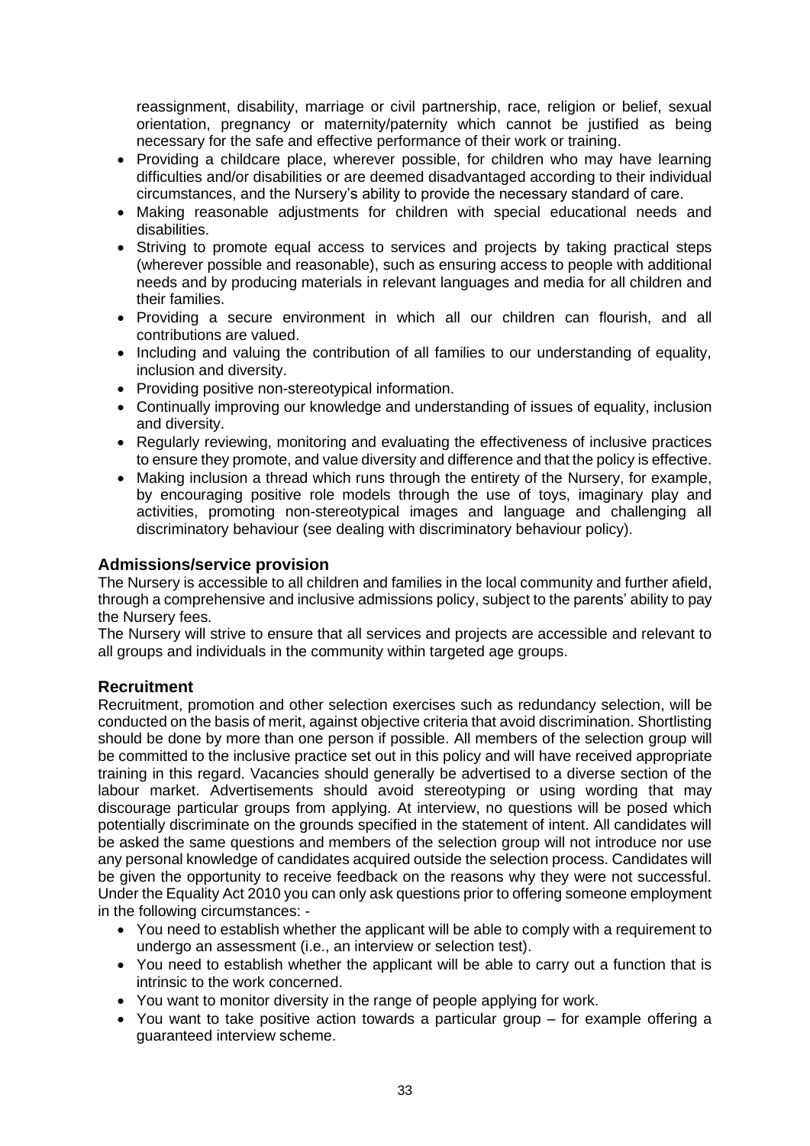reassignment, disability, marriage or civil partnership, race, religion or belief, sexual orientation, pregnancy or maternity/paternity which cannot be justified as being necessary for the safe and effective performance of their work or training.

- Providing a childcare place, wherever possible, for children who may have learning difficulties and/or disabilities or are deemed disadvantaged according to their individual circumstances, and the Nursery's ability to provide the necessary standard of care.
- Making reasonable adjustments for children with special educational needs and disabilities.
- Striving to promote equal access to services and projects by taking practical steps (wherever possible and reasonable), such as ensuring access to people with additional needs and by producing materials in relevant languages and media for all children and their families.
- Providing a secure environment in which all our children can flourish, and all contributions are valued.
- Including and valuing the contribution of all families to our understanding of equality, inclusion and diversity.
- Providing positive non-stereotypical information.
- Continually improving our knowledge and understanding of issues of equality, inclusion and diversity.
- Regularly reviewing, monitoring and evaluating the effectiveness of inclusive practices to ensure they promote, and value diversity and difference and that the policy is effective.
- Making inclusion a thread which runs through the entirety of the Nursery, for example, by encouraging positive role models through the use of toys, imaginary play and activities, promoting non-stereotypical images and language and challenging all discriminatory behaviour (see dealing with discriminatory behaviour policy).

### **Admissions/service provision**

The Nursery is accessible to all children and families in the local community and further afield, through a comprehensive and inclusive admissions policy, subject to the parents' ability to pay the Nursery fees.

The Nursery will strive to ensure that all services and projects are accessible and relevant to all groups and individuals in the community within targeted age groups.

# **Recruitment**

Recruitment, promotion and other selection exercises such as redundancy selection, will be conducted on the basis of merit, against objective criteria that avoid discrimination. Shortlisting should be done by more than one person if possible. All members of the selection group will be committed to the inclusive practice set out in this policy and will have received appropriate training in this regard. Vacancies should generally be advertised to a diverse section of the labour market. Advertisements should avoid stereotyping or using wording that may discourage particular groups from applying. At interview, no questions will be posed which potentially discriminate on the grounds specified in the statement of intent. All candidates will be asked the same questions and members of the selection group will not introduce nor use any personal knowledge of candidates acquired outside the selection process. Candidates will be given the opportunity to receive feedback on the reasons why they were not successful. Under the Equality Act 2010 you can only ask questions prior to offering someone employment in the following circumstances: -

- You need to establish whether the applicant will be able to comply with a requirement to undergo an assessment (i.e., an interview or selection test).
- You need to establish whether the applicant will be able to carry out a function that is intrinsic to the work concerned.
- You want to monitor diversity in the range of people applying for work.
- You want to take positive action towards a particular group for example offering a guaranteed interview scheme.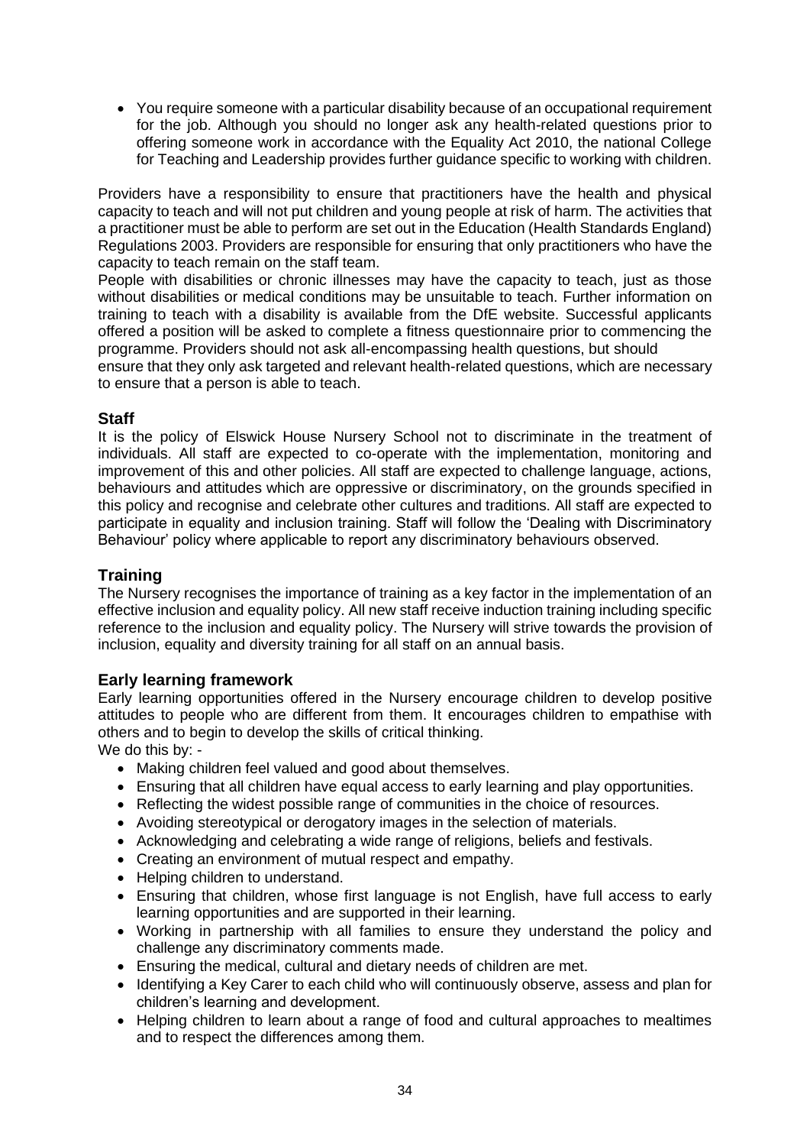• You require someone with a particular disability because of an occupational requirement for the job. Although you should no longer ask any health-related questions prior to offering someone work in accordance with the Equality Act 2010, the national College for Teaching and Leadership provides further guidance specific to working with children.

Providers have a responsibility to ensure that practitioners have the health and physical capacity to teach and will not put children and young people at risk of harm. The activities that a practitioner must be able to perform are set out in the Education (Health Standards England) Regulations 2003. Providers are responsible for ensuring that only practitioners who have the capacity to teach remain on the staff team.

People with disabilities or chronic illnesses may have the capacity to teach, just as those without disabilities or medical conditions may be unsuitable to teach. Further information on training to teach with a disability is available from the DfE website. Successful applicants offered a position will be asked to complete a fitness questionnaire prior to commencing the programme. Providers should not ask all-encompassing health questions, but should

ensure that they only ask targeted and relevant health-related questions, which are necessary to ensure that a person is able to teach.

# **Staff**

It is the policy of Elswick House Nursery School not to discriminate in the treatment of individuals. All staff are expected to co-operate with the implementation, monitoring and improvement of this and other policies. All staff are expected to challenge language, actions, behaviours and attitudes which are oppressive or discriminatory, on the grounds specified in this policy and recognise and celebrate other cultures and traditions. All staff are expected to participate in equality and inclusion training. Staff will follow the 'Dealing with Discriminatory Behaviour' policy where applicable to report any discriminatory behaviours observed.

### **Training**

The Nursery recognises the importance of training as a key factor in the implementation of an effective inclusion and equality policy. All new staff receive induction training including specific reference to the inclusion and equality policy. The Nursery will strive towards the provision of inclusion, equality and diversity training for all staff on an annual basis.

# **Early learning framework**

Early learning opportunities offered in the Nursery encourage children to develop positive attitudes to people who are different from them. It encourages children to empathise with others and to begin to develop the skills of critical thinking.

We do this by: -

- Making children feel valued and good about themselves.
- Ensuring that all children have equal access to early learning and play opportunities.
- Reflecting the widest possible range of communities in the choice of resources.
- Avoiding stereotypical or derogatory images in the selection of materials.
- Acknowledging and celebrating a wide range of religions, beliefs and festivals.
- Creating an environment of mutual respect and empathy.
- Helping children to understand.
- Ensuring that children, whose first language is not English, have full access to early learning opportunities and are supported in their learning.
- Working in partnership with all families to ensure they understand the policy and challenge any discriminatory comments made.
- Ensuring the medical, cultural and dietary needs of children are met.
- Identifying a Key Carer to each child who will continuously observe, assess and plan for children's learning and development.
- Helping children to learn about a range of food and cultural approaches to mealtimes and to respect the differences among them.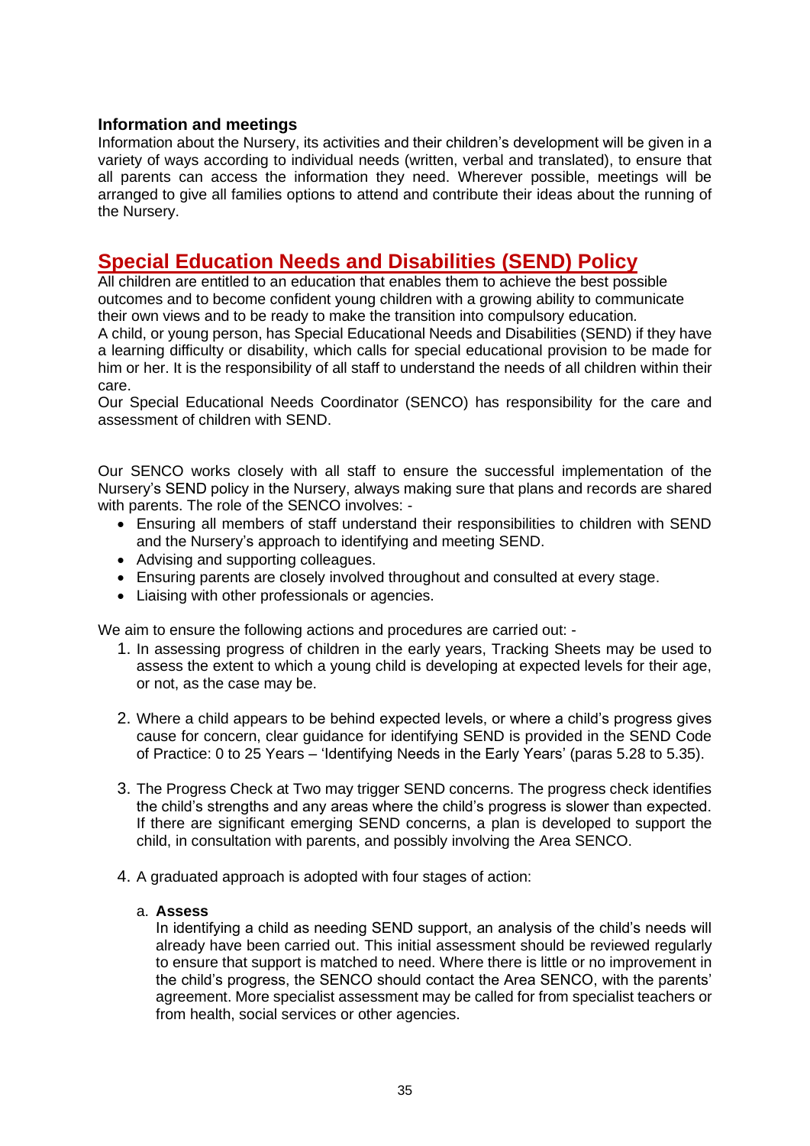### **Information and meetings**

Information about the Nursery, its activities and their children's development will be given in a variety of ways according to individual needs (written, verbal and translated), to ensure that all parents can access the information they need. Wherever possible, meetings will be arranged to give all families options to attend and contribute their ideas about the running of the Nursery.

# <span id="page-34-0"></span>**Special Education Needs and Disabilities (SEND) Policy**

All children are entitled to an education that enables them to achieve the best possible outcomes and to become confident young children with a growing ability to communicate their own views and to be ready to make the transition into compulsory education*.*

A child, or young person, has Special Educational Needs and Disabilities (SEND) if they have a learning difficulty or disability, which calls for special educational provision to be made for him or her. It is the responsibility of all staff to understand the needs of all children within their care.

Our Special Educational Needs Coordinator (SENCO) has responsibility for the care and assessment of children with SEND.

Our SENCO works closely with all staff to ensure the successful implementation of the Nursery's SEND policy in the Nursery, always making sure that plans and records are shared with parents. The role of the SENCO involves: -

- Ensuring all members of staff understand their responsibilities to children with SEND and the Nursery's approach to identifying and meeting SEND.
- Advising and supporting colleagues.
- Ensuring parents are closely involved throughout and consulted at every stage.
- Liaising with other professionals or agencies.

We aim to ensure the following actions and procedures are carried out: -

- 1. In assessing progress of children in the early years, Tracking Sheets may be used to assess the extent to which a young child is developing at expected levels for their age, or not, as the case may be.
- 2. Where a child appears to be behind expected levels, or where a child's progress gives cause for concern, clear guidance for identifying SEND is provided in the SEND Code of Practice: 0 to 25 Years – 'Identifying Needs in the Early Years' (paras 5.28 to 5.35).
- 3. The Progress Check at Two may trigger SEND concerns. The progress check identifies the child's strengths and any areas where the child's progress is slower than expected. If there are significant emerging SEND concerns, a plan is developed to support the child, in consultation with parents, and possibly involving the Area SENCO.
- 4. A graduated approach is adopted with four stages of action:
	- a. **Assess**

In identifying a child as needing SEND support, an analysis of the child's needs will already have been carried out. This initial assessment should be reviewed regularly to ensure that support is matched to need. Where there is little or no improvement in the child's progress, the SENCO should contact the Area SENCO, with the parents' agreement. More specialist assessment may be called for from specialist teachers or from health, social services or other agencies.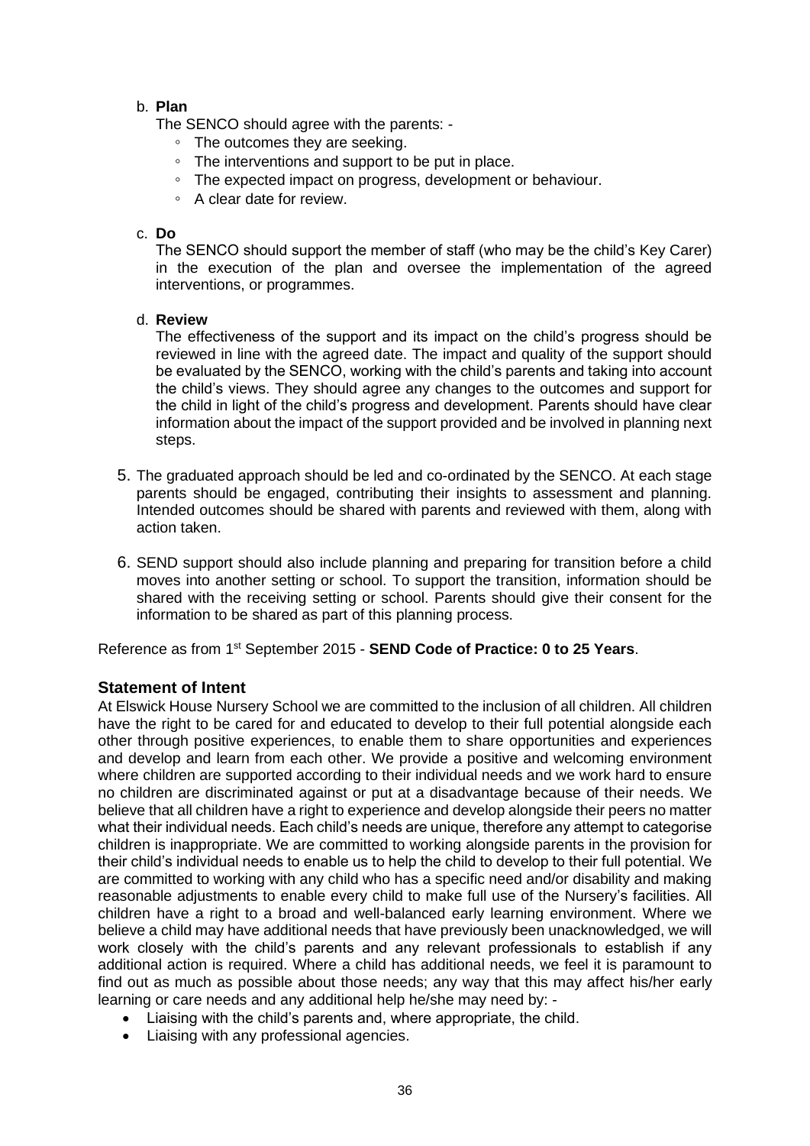### b. **Plan**

The SENCO should agree with the parents: -

- The outcomes they are seeking.
- The interventions and support to be put in place.
- The expected impact on progress, development or behaviour.
- A clear date for review.

#### c. **Do**

The SENCO should support the member of staff (who may be the child's Key Carer) in the execution of the plan and oversee the implementation of the agreed interventions, or programmes.

### d. **Review**

The effectiveness of the support and its impact on the child's progress should be reviewed in line with the agreed date. The impact and quality of the support should be evaluated by the SENCO, working with the child's parents and taking into account the child's views. They should agree any changes to the outcomes and support for the child in light of the child's progress and development. Parents should have clear information about the impact of the support provided and be involved in planning next steps.

- 5. The graduated approach should be led and co-ordinated by the SENCO. At each stage parents should be engaged, contributing their insights to assessment and planning. Intended outcomes should be shared with parents and reviewed with them, along with action taken.
- 6. SEND support should also include planning and preparing for transition before a child moves into another setting or school. To support the transition, information should be shared with the receiving setting or school. Parents should give their consent for the information to be shared as part of this planning process.

Reference as from 1<sup>st</sup> September 2015 - **SEND Code of Practice: 0 to 25 Years**.

# **Statement of Intent**

At Elswick House Nursery School we are committed to the inclusion of all children. All children have the right to be cared for and educated to develop to their full potential alongside each other through positive experiences, to enable them to share opportunities and experiences and develop and learn from each other. We provide a positive and welcoming environment where children are supported according to their individual needs and we work hard to ensure no children are discriminated against or put at a disadvantage because of their needs. We believe that all children have a right to experience and develop alongside their peers no matter what their individual needs. Each child's needs are unique, therefore any attempt to categorise children is inappropriate. We are committed to working alongside parents in the provision for their child's individual needs to enable us to help the child to develop to their full potential. We are committed to working with any child who has a specific need and/or disability and making reasonable adjustments to enable every child to make full use of the Nursery's facilities. All children have a right to a broad and well-balanced early learning environment. Where we believe a child may have additional needs that have previously been unacknowledged, we will work closely with the child's parents and any relevant professionals to establish if any additional action is required. Where a child has additional needs, we feel it is paramount to find out as much as possible about those needs; any way that this may affect his/her early learning or care needs and any additional help he/she may need by: -

- Liaising with the child's parents and, where appropriate, the child.
- Liaising with any professional agencies.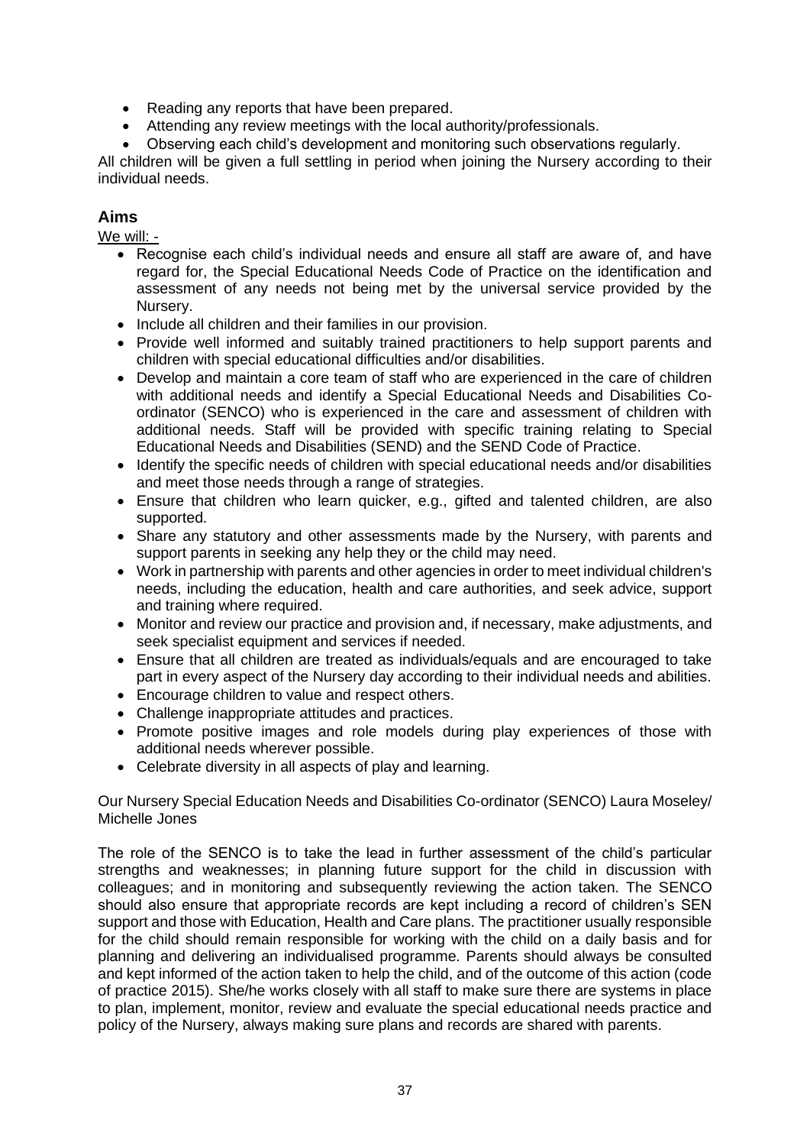- Reading any reports that have been prepared.
- Attending any review meetings with the local authority/professionals.
- Observing each child's development and monitoring such observations regularly.

All children will be given a full settling in period when joining the Nursery according to their individual needs.

#### **Aims**

We will: -

- Recognise each child's individual needs and ensure all staff are aware of, and have regard for, the Special Educational Needs Code of Practice on the identification and assessment of any needs not being met by the universal service provided by the Nursery.
- Include all children and their families in our provision.
- Provide well informed and suitably trained practitioners to help support parents and children with special educational difficulties and/or disabilities.
- Develop and maintain a core team of staff who are experienced in the care of children with additional needs and identify a Special Educational Needs and Disabilities Coordinator (SENCO) who is experienced in the care and assessment of children with additional needs. Staff will be provided with specific training relating to Special Educational Needs and Disabilities (SEND) and the SEND Code of Practice.
- Identify the specific needs of children with special educational needs and/or disabilities and meet those needs through a range of strategies.
- Ensure that children who learn quicker, e.g., gifted and talented children, are also supported.
- Share any statutory and other assessments made by the Nursery, with parents and support parents in seeking any help they or the child may need.
- Work in partnership with parents and other agencies in order to meet individual children's needs, including the education, health and care authorities, and seek advice, support and training where required.
- Monitor and review our practice and provision and, if necessary, make adjustments, and seek specialist equipment and services if needed.
- Ensure that all children are treated as individuals/equals and are encouraged to take part in every aspect of the Nursery day according to their individual needs and abilities.
- Encourage children to value and respect others.
- Challenge inappropriate attitudes and practices.
- Promote positive images and role models during play experiences of those with additional needs wherever possible.
- Celebrate diversity in all aspects of play and learning.

#### Our Nursery Special Education Needs and Disabilities Co-ordinator (SENCO) Laura Moseley/ Michelle Jones

The role of the SENCO is to take the lead in further assessment of the child's particular strengths and weaknesses; in planning future support for the child in discussion with colleagues; and in monitoring and subsequently reviewing the action taken. The SENCO should also ensure that appropriate records are kept including a record of children's SEN support and those with Education, Health and Care plans. The practitioner usually responsible for the child should remain responsible for working with the child on a daily basis and for planning and delivering an individualised programme. Parents should always be consulted and kept informed of the action taken to help the child, and of the outcome of this action (code of practice 2015). She/he works closely with all staff to make sure there are systems in place to plan, implement, monitor, review and evaluate the special educational needs practice and policy of the Nursery, always making sure plans and records are shared with parents.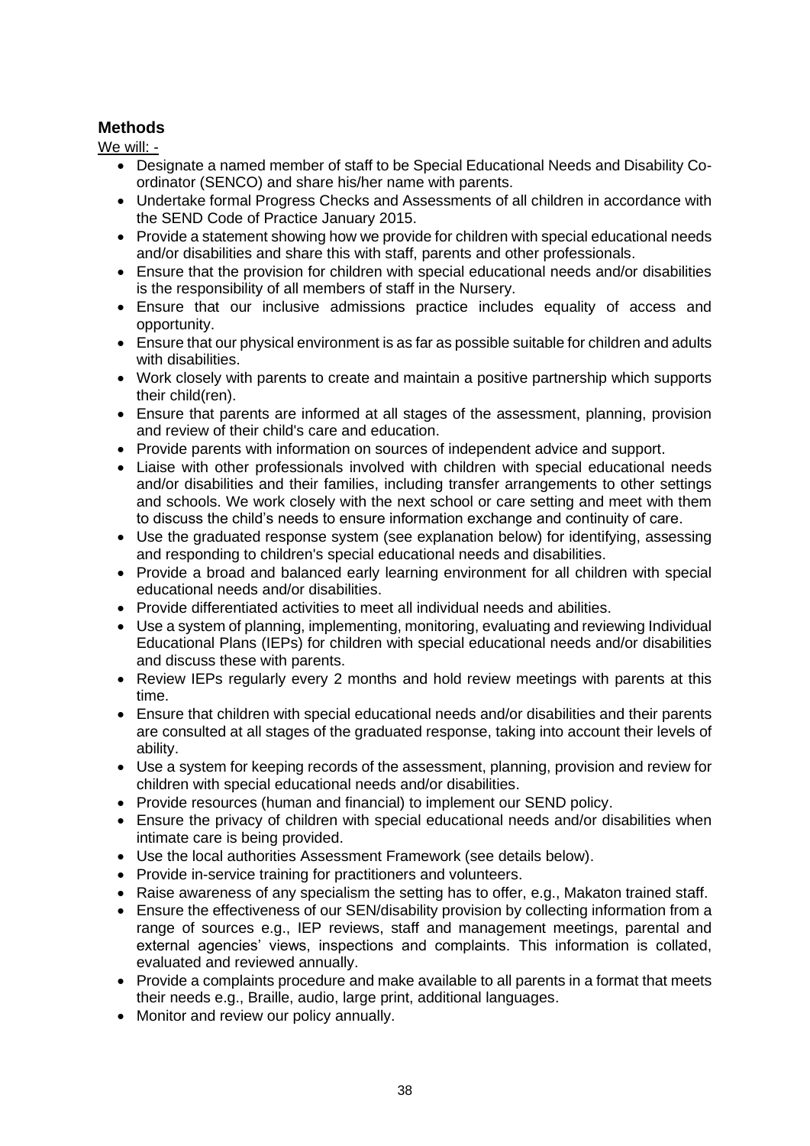# **Methods**

We will: -

- Designate a named member of staff to be Special Educational Needs and Disability Coordinator (SENCO) and share his/her name with parents.
- Undertake formal Progress Checks and Assessments of all children in accordance with the SEND Code of Practice January 2015.
- Provide a statement showing how we provide for children with special educational needs and/or disabilities and share this with staff, parents and other professionals.
- Ensure that the provision for children with special educational needs and/or disabilities is the responsibility of all members of staff in the Nursery.
- Ensure that our inclusive admissions practice includes equality of access and opportunity.
- Ensure that our physical environment is as far as possible suitable for children and adults with disabilities.
- Work closely with parents to create and maintain a positive partnership which supports their child(ren).
- Ensure that parents are informed at all stages of the assessment, planning, provision and review of their child's care and education.
- Provide parents with information on sources of independent advice and support.
- Liaise with other professionals involved with children with special educational needs and/or disabilities and their families, including transfer arrangements to other settings and schools. We work closely with the next school or care setting and meet with them to discuss the child's needs to ensure information exchange and continuity of care.
- Use the graduated response system (see explanation below) for identifying, assessing and responding to children's special educational needs and disabilities.
- Provide a broad and balanced early learning environment for all children with special educational needs and/or disabilities.
- Provide differentiated activities to meet all individual needs and abilities.
- Use a system of planning, implementing, monitoring, evaluating and reviewing Individual Educational Plans (IEPs) for children with special educational needs and/or disabilities and discuss these with parents.
- Review IEPs regularly every 2 months and hold review meetings with parents at this time.
- Ensure that children with special educational needs and/or disabilities and their parents are consulted at all stages of the graduated response, taking into account their levels of ability.
- Use a system for keeping records of the assessment, planning, provision and review for children with special educational needs and/or disabilities.
- Provide resources (human and financial) to implement our SEND policy.
- Ensure the privacy of children with special educational needs and/or disabilities when intimate care is being provided.
- Use the local authorities Assessment Framework (see details below).
- Provide in-service training for practitioners and volunteers.
- Raise awareness of any specialism the setting has to offer, e.g., Makaton trained staff.
- Ensure the effectiveness of our SEN/disability provision by collecting information from a range of sources e.g., IEP reviews, staff and management meetings, parental and external agencies' views, inspections and complaints. This information is collated, evaluated and reviewed annually.
- Provide a complaints procedure and make available to all parents in a format that meets their needs e.g., Braille, audio, large print, additional languages.
- Monitor and review our policy annually.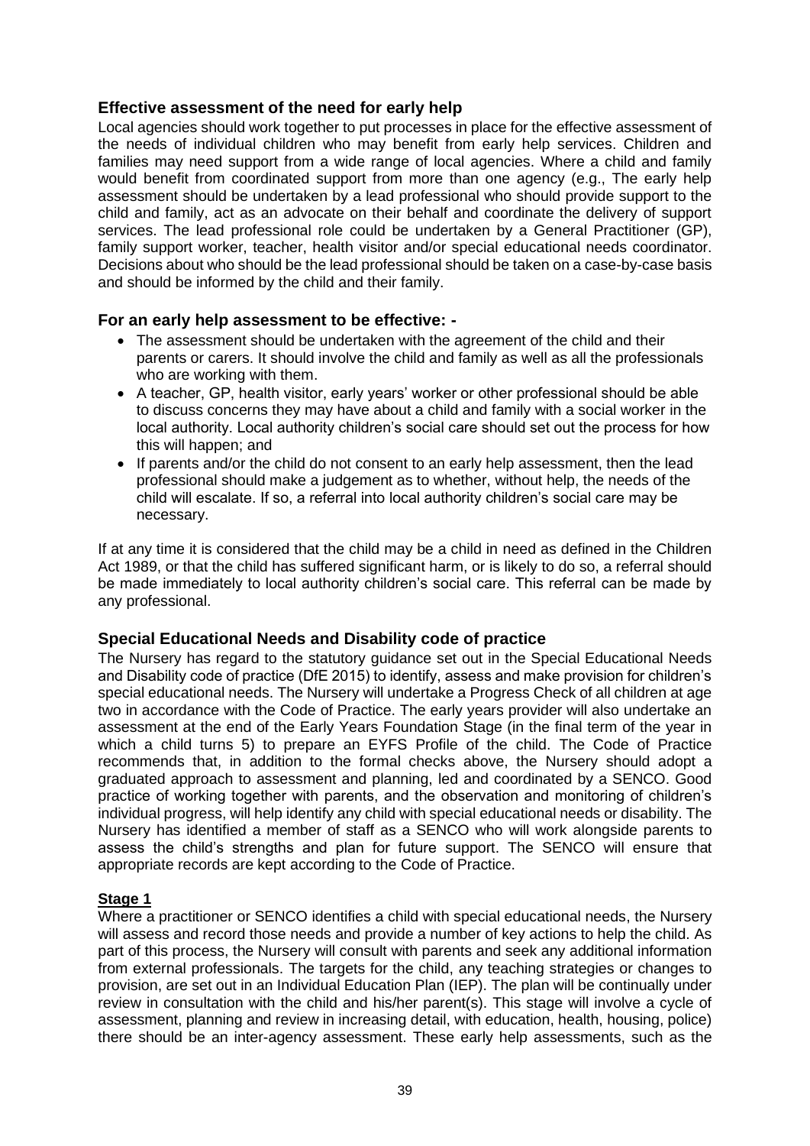# **Effective assessment of the need for early help**

Local agencies should work together to put processes in place for the effective assessment of the needs of individual children who may benefit from early help services. Children and families may need support from a wide range of local agencies. Where a child and family would benefit from coordinated support from more than one agency (e.g., The early help assessment should be undertaken by a lead professional who should provide support to the child and family, act as an advocate on their behalf and coordinate the delivery of support services. The lead professional role could be undertaken by a General Practitioner (GP), family support worker, teacher, health visitor and/or special educational needs coordinator. Decisions about who should be the lead professional should be taken on a case-by-case basis and should be informed by the child and their family.

#### **For an early help assessment to be effective: -**

- The assessment should be undertaken with the agreement of the child and their parents or carers. It should involve the child and family as well as all the professionals who are working with them.
- A teacher, GP, health visitor, early years' worker or other professional should be able to discuss concerns they may have about a child and family with a social worker in the local authority. Local authority children's social care should set out the process for how this will happen; and
- If parents and/or the child do not consent to an early help assessment, then the lead professional should make a judgement as to whether, without help, the needs of the child will escalate. If so, a referral into local authority children's social care may be necessary.

If at any time it is considered that the child may be a child in need as defined in the Children Act 1989, or that the child has suffered significant harm, or is likely to do so, a referral should be made immediately to local authority children's social care. This referral can be made by any professional.

#### **Special Educational Needs and Disability code of practice**

The Nursery has regard to the statutory guidance set out in the Special Educational Needs and Disability code of practice (DfE 2015) to identify, assess and make provision for children's special educational needs. The Nursery will undertake a Progress Check of all children at age two in accordance with the Code of Practice. The early years provider will also undertake an assessment at the end of the Early Years Foundation Stage (in the final term of the year in which a child turns 5) to prepare an EYFS Profile of the child. The Code of Practice recommends that, in addition to the formal checks above, the Nursery should adopt a graduated approach to assessment and planning, led and coordinated by a SENCO. Good practice of working together with parents, and the observation and monitoring of children's individual progress, will help identify any child with special educational needs or disability. The Nursery has identified a member of staff as a SENCO who will work alongside parents to assess the child's strengths and plan for future support. The SENCO will ensure that appropriate records are kept according to the Code of Practice.

#### **Stage 1**

Where a practitioner or SENCO identifies a child with special educational needs, the Nursery will assess and record those needs and provide a number of key actions to help the child. As part of this process, the Nursery will consult with parents and seek any additional information from external professionals. The targets for the child, any teaching strategies or changes to provision, are set out in an Individual Education Plan (IEP). The plan will be continually under review in consultation with the child and his/her parent(s). This stage will involve a cycle of assessment, planning and review in increasing detail, with education, health, housing, police) there should be an inter-agency assessment. These early help assessments, such as the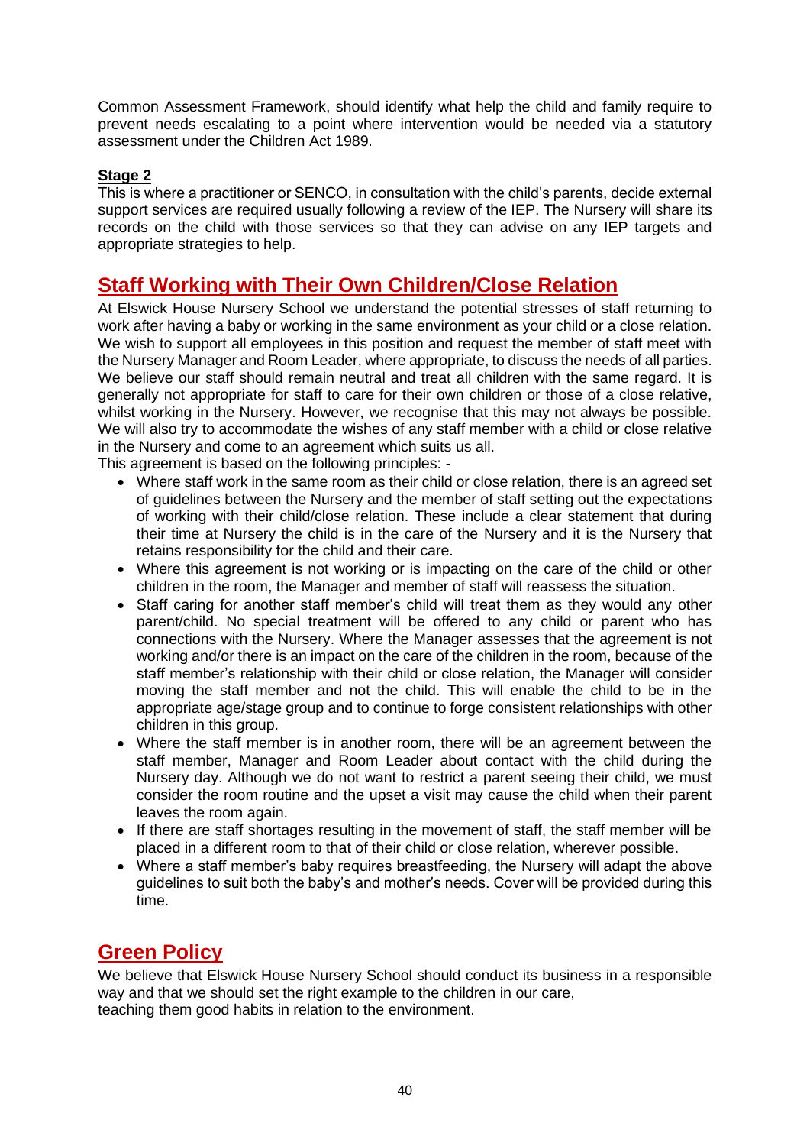Common Assessment Framework, should identify what help the child and family require to prevent needs escalating to a point where intervention would be needed via a statutory assessment under the Children Act 1989.

# **Stage 2**

This is where a practitioner or SENCO, in consultation with the child's parents, decide external support services are required usually following a review of the IEP. The Nursery will share its records on the child with those services so that they can advise on any IEP targets and appropriate strategies to help.

# **Staff Working with Their Own Children/Close Relation**

At Elswick House Nursery School we understand the potential stresses of staff returning to work after having a baby or working in the same environment as your child or a close relation. We wish to support all employees in this position and request the member of staff meet with the Nursery Manager and Room Leader, where appropriate, to discuss the needs of all parties. We believe our staff should remain neutral and treat all children with the same regard. It is generally not appropriate for staff to care for their own children or those of a close relative, whilst working in the Nursery. However, we recognise that this may not always be possible. We will also try to accommodate the wishes of any staff member with a child or close relative in the Nursery and come to an agreement which suits us all.

This agreement is based on the following principles: -

- Where staff work in the same room as their child or close relation, there is an agreed set of guidelines between the Nursery and the member of staff setting out the expectations of working with their child/close relation. These include a clear statement that during their time at Nursery the child is in the care of the Nursery and it is the Nursery that retains responsibility for the child and their care.
- Where this agreement is not working or is impacting on the care of the child or other children in the room, the Manager and member of staff will reassess the situation.
- Staff caring for another staff member's child will treat them as they would any other parent/child. No special treatment will be offered to any child or parent who has connections with the Nursery. Where the Manager assesses that the agreement is not working and/or there is an impact on the care of the children in the room, because of the staff member's relationship with their child or close relation, the Manager will consider moving the staff member and not the child. This will enable the child to be in the appropriate age/stage group and to continue to forge consistent relationships with other children in this group.
- Where the staff member is in another room, there will be an agreement between the staff member, Manager and Room Leader about contact with the child during the Nursery day. Although we do not want to restrict a parent seeing their child, we must consider the room routine and the upset a visit may cause the child when their parent leaves the room again.
- If there are staff shortages resulting in the movement of staff, the staff member will be placed in a different room to that of their child or close relation, wherever possible.
- Where a staff member's baby requires breastfeeding, the Nursery will adapt the above guidelines to suit both the baby's and mother's needs. Cover will be provided during this time.

# **Green Policy**

We believe that Elswick House Nursery School should conduct its business in a responsible way and that we should set the right example to the children in our care. teaching them good habits in relation to the environment.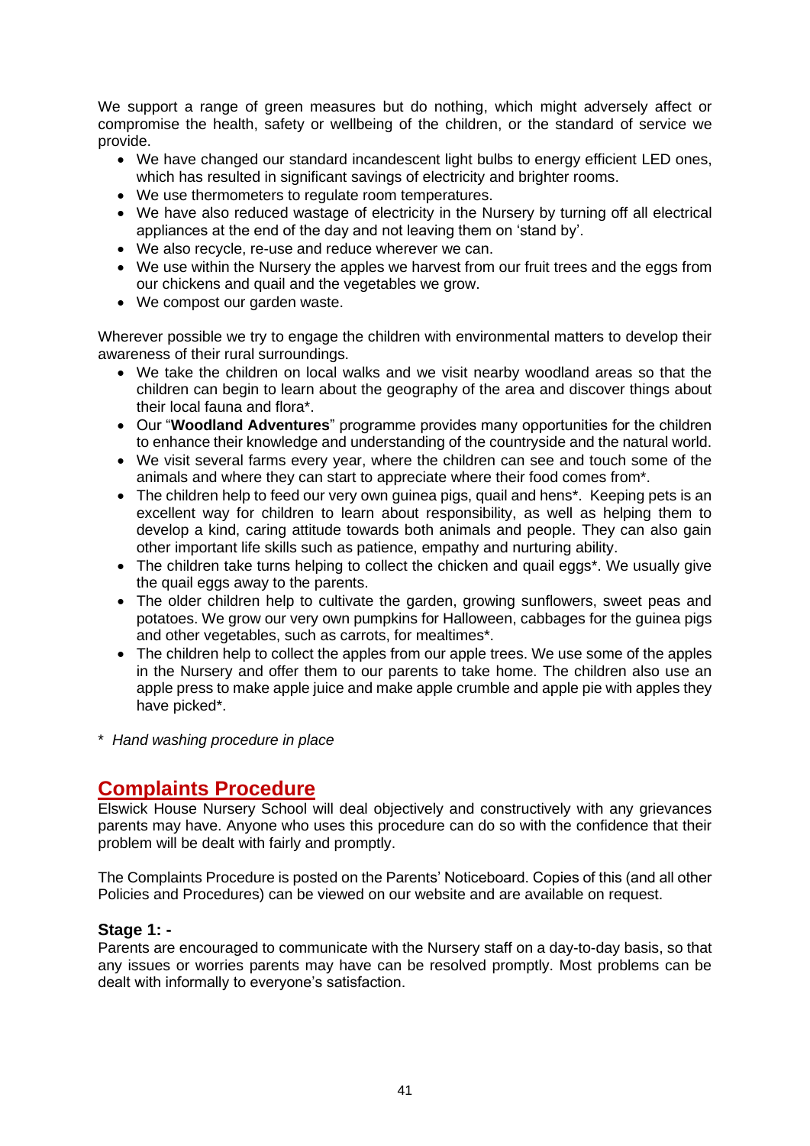We support a range of green measures but do nothing, which might adversely affect or compromise the health, safety or wellbeing of the children, or the standard of service we provide.

- We have changed our standard incandescent light bulbs to energy efficient LED ones, which has resulted in significant savings of electricity and brighter rooms.
- We use thermometers to regulate room temperatures.
- We have also reduced wastage of electricity in the Nursery by turning off all electrical appliances at the end of the day and not leaving them on 'stand by'.
- We also recycle, re-use and reduce wherever we can.
- We use within the Nursery the apples we harvest from our fruit trees and the eggs from our chickens and quail and the vegetables we grow.
- We compost our garden waste.

Wherever possible we try to engage the children with environmental matters to develop their awareness of their rural surroundings.

- We take the children on local walks and we visit nearby woodland areas so that the children can begin to learn about the geography of the area and discover things about their local fauna and flora\*.
- Our "**Woodland Adventures**" programme provides many opportunities for the children to enhance their knowledge and understanding of the countryside and the natural world.
- We visit several farms every year, where the children can see and touch some of the animals and where they can start to appreciate where their food comes from\*.
- The children help to feed our very own guinea pigs, quail and hens<sup>\*</sup>. Keeping pets is an excellent way for children to learn about responsibility, as well as helping them to develop a kind, caring attitude towards both animals and people. They can also gain other important life skills such as patience, empathy and nurturing ability.
- The children take turns helping to collect the chicken and quail eggs<sup>\*</sup>. We usually give the quail eggs away to the parents.
- The older children help to cultivate the garden, growing sunflowers, sweet peas and potatoes. We grow our very own pumpkins for Halloween, cabbages for the guinea pigs and other vegetables, such as carrots, for mealtimes\*.
- The children help to collect the apples from our apple trees. We use some of the apples in the Nursery and offer them to our parents to take home. The children also use an apple press to make apple juice and make apple crumble and apple pie with apples they have picked\*.
- \* *Hand washing procedure in place*

# **Complaints Procedure**

Elswick House Nursery School will deal objectively and constructively with any grievances parents may have. Anyone who uses this procedure can do so with the confidence that their problem will be dealt with fairly and promptly.

The Complaints Procedure is posted on the Parents' Noticeboard. Copies of this (and all other Policies and Procedures) can be viewed on our website and are available on request.

# **Stage 1: -**

Parents are encouraged to communicate with the Nursery staff on a day-to-day basis, so that any issues or worries parents may have can be resolved promptly. Most problems can be dealt with informally to everyone's satisfaction.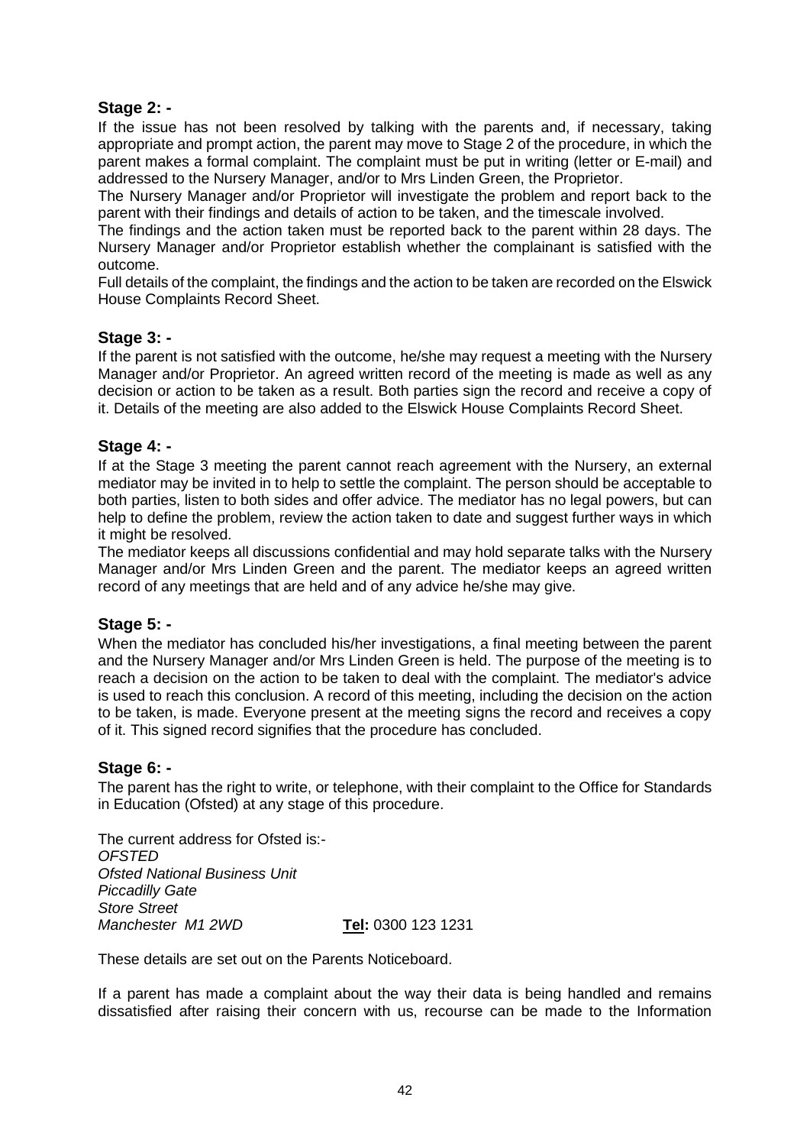# **Stage 2: -**

If the issue has not been resolved by talking with the parents and, if necessary, taking appropriate and prompt action, the parent may move to Stage 2 of the procedure, in which the parent makes a formal complaint. The complaint must be put in writing (letter or E-mail) and addressed to the Nursery Manager, and/or to Mrs Linden Green, the Proprietor.

The Nursery Manager and/or Proprietor will investigate the problem and report back to the parent with their findings and details of action to be taken, and the timescale involved.

The findings and the action taken must be reported back to the parent within 28 days. The Nursery Manager and/or Proprietor establish whether the complainant is satisfied with the outcome.

Full details of the complaint, the findings and the action to be taken are recorded on the Elswick House Complaints Record Sheet.

#### **Stage 3: -**

If the parent is not satisfied with the outcome, he/she may request a meeting with the Nursery Manager and/or Proprietor. An agreed written record of the meeting is made as well as any decision or action to be taken as a result. Both parties sign the record and receive a copy of it. Details of the meeting are also added to the Elswick House Complaints Record Sheet.

#### **Stage 4: -**

If at the Stage 3 meeting the parent cannot reach agreement with the Nursery, an external mediator may be invited in to help to settle the complaint. The person should be acceptable to both parties, listen to both sides and offer advice. The mediator has no legal powers, but can help to define the problem, review the action taken to date and suggest further ways in which it might be resolved.

The mediator keeps all discussions confidential and may hold separate talks with the Nursery Manager and/or Mrs Linden Green and the parent. The mediator keeps an agreed written record of any meetings that are held and of any advice he/she may give.

# **Stage 5: -**

When the mediator has concluded his/her investigations, a final meeting between the parent and the Nursery Manager and/or Mrs Linden Green is held. The purpose of the meeting is to reach a decision on the action to be taken to deal with the complaint. The mediator's advice is used to reach this conclusion. A record of this meeting, including the decision on the action to be taken, is made. Everyone present at the meeting signs the record and receives a copy of it. This signed record signifies that the procedure has concluded.

#### **Stage 6: -**

The parent has the right to write, or telephone, with their complaint to the Office for Standards in Education (Ofsted) at any stage of this procedure.

The current address for Ofsted is:- *OFSTED Ofsted National Business Unit Piccadilly Gate Store Street Manchester M1 2WD* **Tel:** 0300 123 1231

These details are set out on the Parents Noticeboard.

If a parent has made a complaint about the way their data is being handled and remains dissatisfied after raising their concern with us, recourse can be made to the Information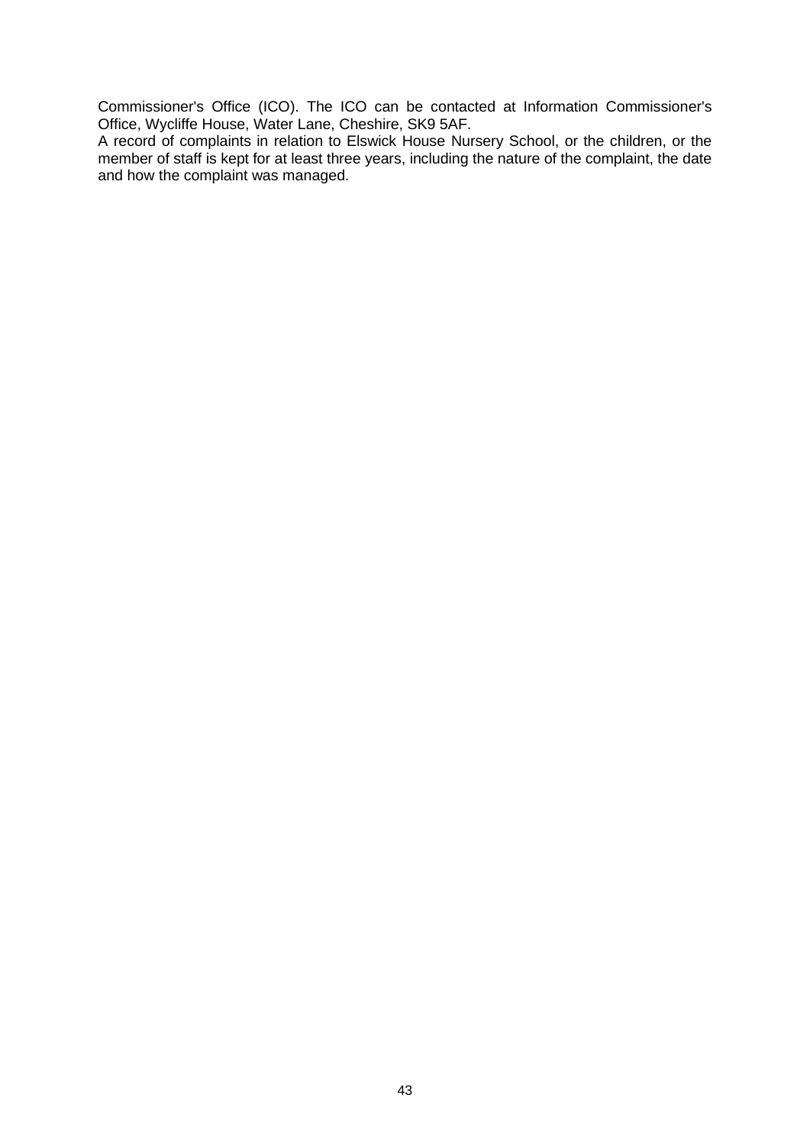Commissioner's Office (ICO). The ICO can be contacted at Information Commissioner's Office, Wycliffe House, Water Lane, Cheshire, SK9 5AF.

A record of complaints in relation to Elswick House Nursery School, or the children, or the member of staff is kept for at least three years, including the nature of the complaint, the date and how the complaint was managed.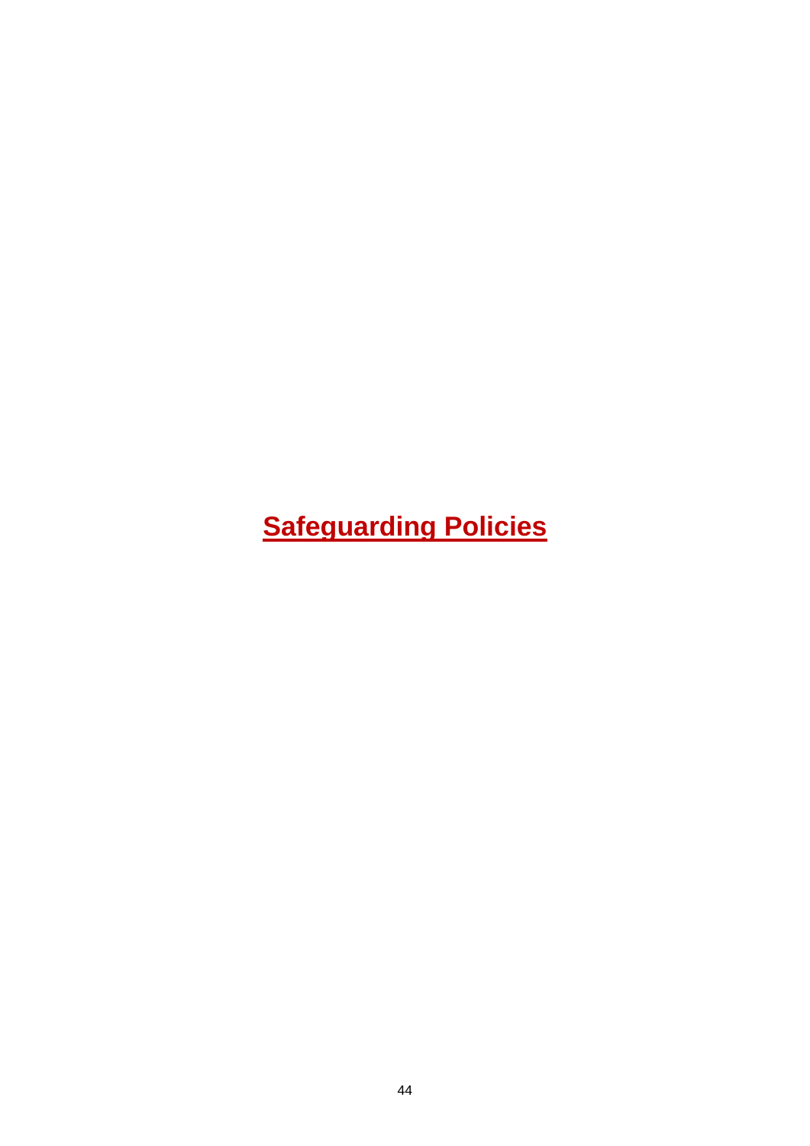**Safeguarding Policies**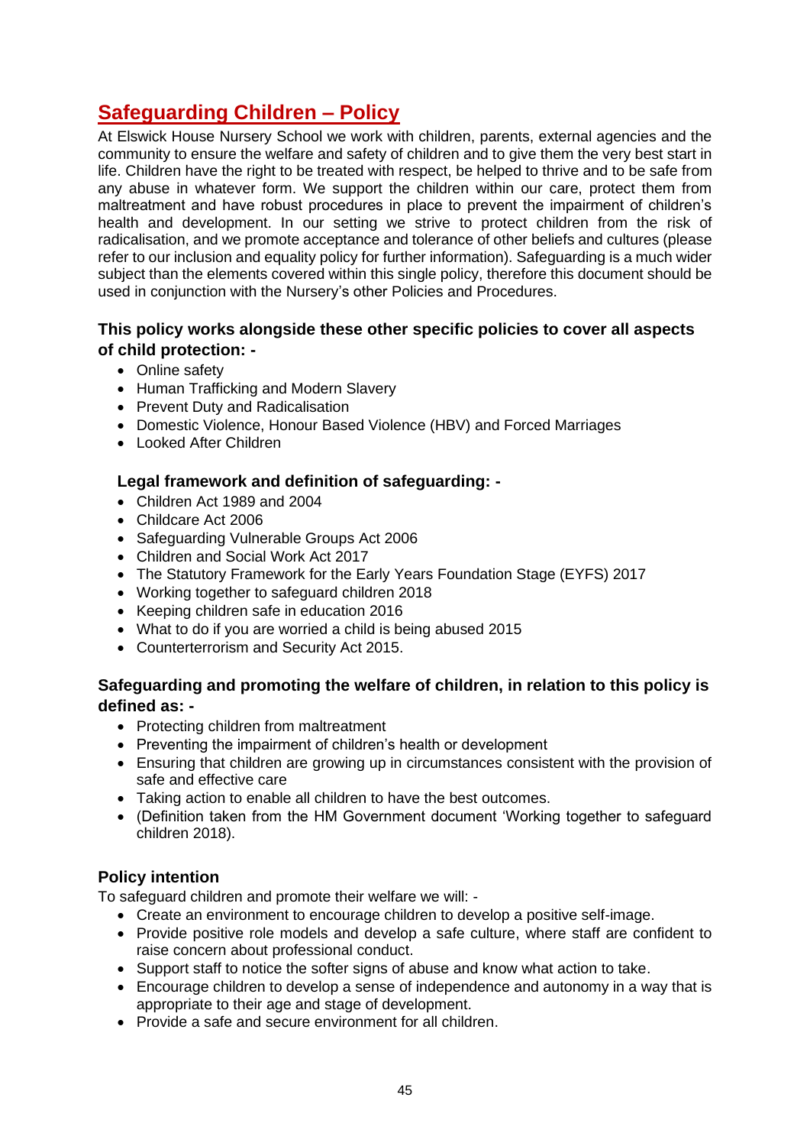# **Safeguarding Children – Policy**

At Elswick House Nursery School we work with children, parents, external agencies and the community to ensure the welfare and safety of children and to give them the very best start in life. Children have the right to be treated with respect, be helped to thrive and to be safe from any abuse in whatever form. We support the children within our care, protect them from maltreatment and have robust procedures in place to prevent the impairment of children's health and development. In our setting we strive to protect children from the risk of radicalisation, and we promote acceptance and tolerance of other beliefs and cultures (please refer to our inclusion and equality policy for further information). Safeguarding is a much wider subject than the elements covered within this single policy, therefore this document should be used in conjunction with the Nursery's other Policies and Procedures.

# **This policy works alongside these other specific policies to cover all aspects of child protection: -**

- Online safety
- Human Trafficking and Modern Slavery
- Prevent Duty and Radicalisation
- Domestic Violence, Honour Based Violence (HBV) and Forced Marriages
- Looked After Children

# **Legal framework and definition of safeguarding: -**

- Children Act 1989 and 2004
- Childcare Act 2006
- Safeguarding Vulnerable Groups Act 2006
- Children and Social Work Act 2017
- The Statutory Framework for the Early Years Foundation Stage (EYFS) 2017
- Working together to safeguard children 2018
- Keeping children safe in education 2016
- What to do if you are worried a child is being abused 2015
- Counterterrorism and Security Act 2015.

# **Safeguarding and promoting the welfare of children, in relation to this policy is defined as: -**

- Protecting children from maltreatment
- Preventing the impairment of children's health or development
- Ensuring that children are growing up in circumstances consistent with the provision of safe and effective care
- Taking action to enable all children to have the best outcomes.
- (Definition taken from the HM Government document 'Working together to safeguard children 2018).

# **Policy intention**

To safeguard children and promote their welfare we will: -

- Create an environment to encourage children to develop a positive self-image.
- Provide positive role models and develop a safe culture, where staff are confident to raise concern about professional conduct.
- Support staff to notice the softer signs of abuse and know what action to take.
- Encourage children to develop a sense of independence and autonomy in a way that is appropriate to their age and stage of development.
- Provide a safe and secure environment for all children.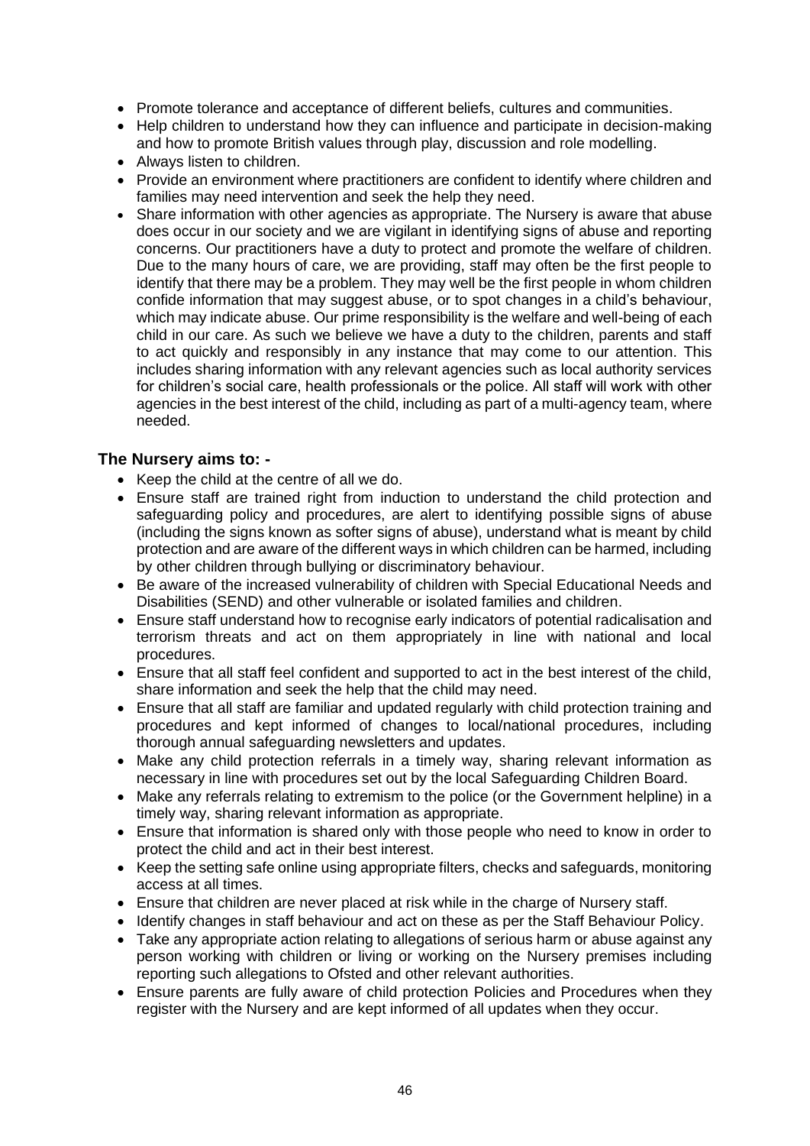- Promote tolerance and acceptance of different beliefs, cultures and communities.
- Help children to understand how they can influence and participate in decision-making and how to promote British values through play, discussion and role modelling.
- Always listen to children.
- Provide an environment where practitioners are confident to identify where children and families may need intervention and seek the help they need.
- Share information with other agencies as appropriate. The Nursery is aware that abuse does occur in our society and we are vigilant in identifying signs of abuse and reporting concerns. Our practitioners have a duty to protect and promote the welfare of children. Due to the many hours of care, we are providing, staff may often be the first people to identify that there may be a problem. They may well be the first people in whom children confide information that may suggest abuse, or to spot changes in a child's behaviour, which may indicate abuse. Our prime responsibility is the welfare and well-being of each child in our care. As such we believe we have a duty to the children, parents and staff to act quickly and responsibly in any instance that may come to our attention. This includes sharing information with any relevant agencies such as local authority services for children's social care, health professionals or the police. All staff will work with other agencies in the best interest of the child, including as part of a multi-agency team, where needed.

# **The Nursery aims to: -**

- Keep the child at the centre of all we do.
- Ensure staff are trained right from induction to understand the child protection and safeguarding policy and procedures, are alert to identifying possible signs of abuse (including the signs known as softer signs of abuse), understand what is meant by child protection and are aware of the different ways in which children can be harmed, including by other children through bullying or discriminatory behaviour.
- Be aware of the increased vulnerability of children with Special Educational Needs and Disabilities (SEND) and other vulnerable or isolated families and children.
- Ensure staff understand how to recognise early indicators of potential radicalisation and terrorism threats and act on them appropriately in line with national and local procedures.
- Ensure that all staff feel confident and supported to act in the best interest of the child. share information and seek the help that the child may need.
- Ensure that all staff are familiar and updated regularly with child protection training and procedures and kept informed of changes to local/national procedures, including thorough annual safeguarding newsletters and updates.
- Make any child protection referrals in a timely way, sharing relevant information as necessary in line with procedures set out by the local Safeguarding Children Board.
- Make any referrals relating to extremism to the police (or the Government helpline) in a timely way, sharing relevant information as appropriate.
- Ensure that information is shared only with those people who need to know in order to protect the child and act in their best interest.
- Keep the setting safe online using appropriate filters, checks and safeguards, monitoring access at all times.
- Ensure that children are never placed at risk while in the charge of Nursery staff.
- Identify changes in staff behaviour and act on these as per the Staff Behaviour Policy.
- Take any appropriate action relating to allegations of serious harm or abuse against any person working with children or living or working on the Nursery premises including reporting such allegations to Ofsted and other relevant authorities.
- Ensure parents are fully aware of child protection Policies and Procedures when they register with the Nursery and are kept informed of all updates when they occur.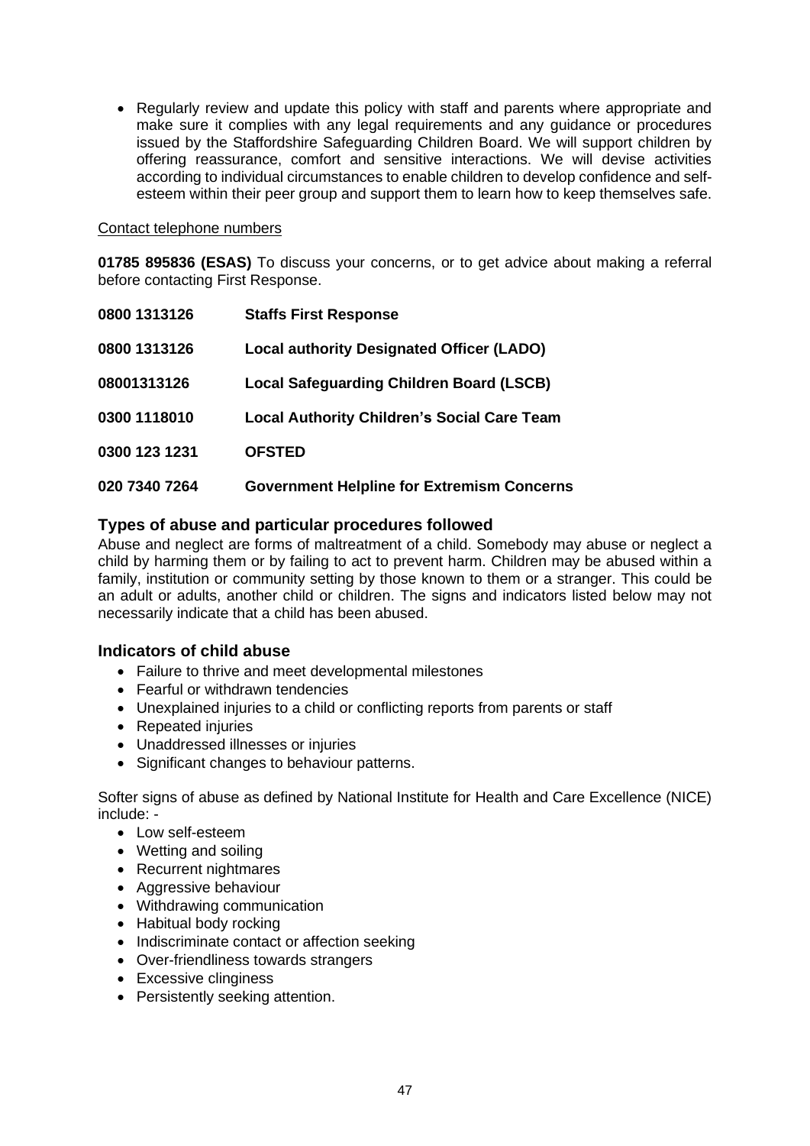• Regularly review and update this policy with staff and parents where appropriate and make sure it complies with any legal requirements and any guidance or procedures issued by the Staffordshire Safeguarding Children Board. We will support children by offering reassurance, comfort and sensitive interactions. We will devise activities according to individual circumstances to enable children to develop confidence and selfesteem within their peer group and support them to learn how to keep themselves safe.

#### Contact telephone numbers

**01785 895836 (ESAS)** To discuss your concerns, or to get advice about making a referral before contacting First Response.

| 0800 1313126  | <b>Staffs First Response</b>                       |
|---------------|----------------------------------------------------|
| 0800 1313126  | <b>Local authority Designated Officer (LADO)</b>   |
| 08001313126   | <b>Local Safeguarding Children Board (LSCB)</b>    |
| 0300 1118010  | <b>Local Authority Children's Social Care Team</b> |
| 0300 123 1231 | <b>OFSTED</b>                                      |
| 020 7340 7264 | <b>Government Helpline for Extremism Concerns</b>  |

#### **Types of abuse and particular procedures followed**

Abuse and neglect are forms of maltreatment of a child. Somebody may abuse or neglect a child by harming them or by failing to act to prevent harm. Children may be abused within a family, institution or community setting by those known to them or a stranger. This could be an adult or adults, another child or children. The signs and indicators listed below may not necessarily indicate that a child has been abused.

#### **Indicators of child abuse**

- Failure to thrive and meet developmental milestones
- Fearful or withdrawn tendencies
- Unexplained injuries to a child or conflicting reports from parents or staff
- Repeated injuries
- Unaddressed illnesses or injuries
- Significant changes to behaviour patterns.

Softer signs of abuse as defined by National Institute for Health and Care Excellence (NICE) include: -

- Low self-esteem
- Wetting and soiling
- Recurrent nightmares
- Aggressive behaviour
- Withdrawing communication
- Habitual body rocking
- Indiscriminate contact or affection seeking
- Over-friendliness towards strangers
- Excessive clinginess
- Persistently seeking attention.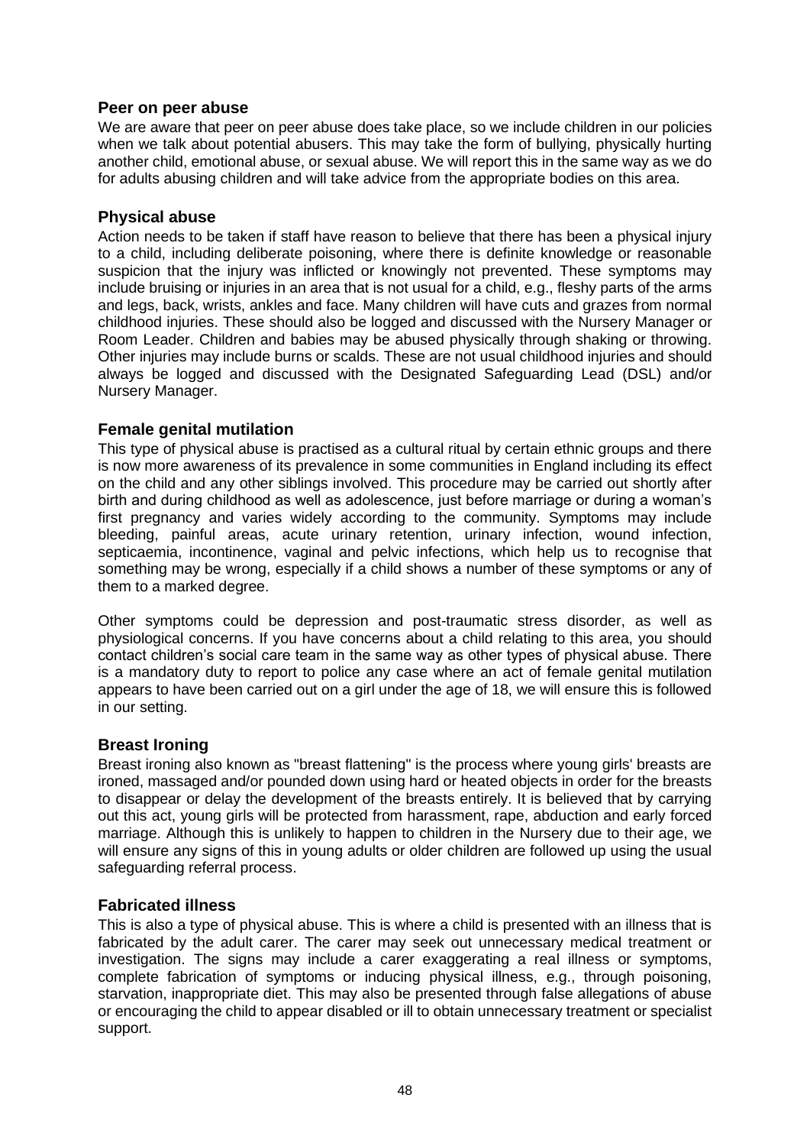#### **Peer on peer abuse**

We are aware that peer on peer abuse does take place, so we include children in our policies when we talk about potential abusers. This may take the form of bullying, physically hurting another child, emotional abuse, or sexual abuse. We will report this in the same way as we do for adults abusing children and will take advice from the appropriate bodies on this area.

#### **Physical abuse**

Action needs to be taken if staff have reason to believe that there has been a physical injury to a child, including deliberate poisoning, where there is definite knowledge or reasonable suspicion that the injury was inflicted or knowingly not prevented. These symptoms may include bruising or injuries in an area that is not usual for a child, e.g., fleshy parts of the arms and legs, back, wrists, ankles and face. Many children will have cuts and grazes from normal childhood injuries. These should also be logged and discussed with the Nursery Manager or Room Leader. Children and babies may be abused physically through shaking or throwing. Other injuries may include burns or scalds. These are not usual childhood injuries and should always be logged and discussed with the Designated Safeguarding Lead (DSL) and/or Nursery Manager.

# **Female genital mutilation**

This type of physical abuse is practised as a cultural ritual by certain ethnic groups and there is now more awareness of its prevalence in some communities in England including its effect on the child and any other siblings involved. This procedure may be carried out shortly after birth and during childhood as well as adolescence, just before marriage or during a woman's first pregnancy and varies widely according to the community. Symptoms may include bleeding, painful areas, acute urinary retention, urinary infection, wound infection, septicaemia, incontinence, vaginal and pelvic infections, which help us to recognise that something may be wrong, especially if a child shows a number of these symptoms or any of them to a marked degree.

Other symptoms could be depression and post-traumatic stress disorder, as well as physiological concerns. If you have concerns about a child relating to this area, you should contact children's social care team in the same way as other types of physical abuse. There is a mandatory duty to report to police any case where an act of female genital mutilation appears to have been carried out on a girl under the age of 18, we will ensure this is followed in our setting.

#### **Breast Ironing**

Breast ironing also known as "breast flattening" is the process where young girls' breasts are ironed, massaged and/or pounded down using hard or heated objects in order for the breasts to disappear or delay the development of the breasts entirely. It is believed that by carrying out this act, young girls will be protected from harassment, rape, abduction and early forced marriage. Although this is unlikely to happen to children in the Nursery due to their age, we will ensure any signs of this in young adults or older children are followed up using the usual safeguarding referral process.

# **Fabricated illness**

This is also a type of physical abuse. This is where a child is presented with an illness that is fabricated by the adult carer. The carer may seek out unnecessary medical treatment or investigation. The signs may include a carer exaggerating a real illness or symptoms, complete fabrication of symptoms or inducing physical illness, e.g., through poisoning, starvation, inappropriate diet. This may also be presented through false allegations of abuse or encouraging the child to appear disabled or ill to obtain unnecessary treatment or specialist support.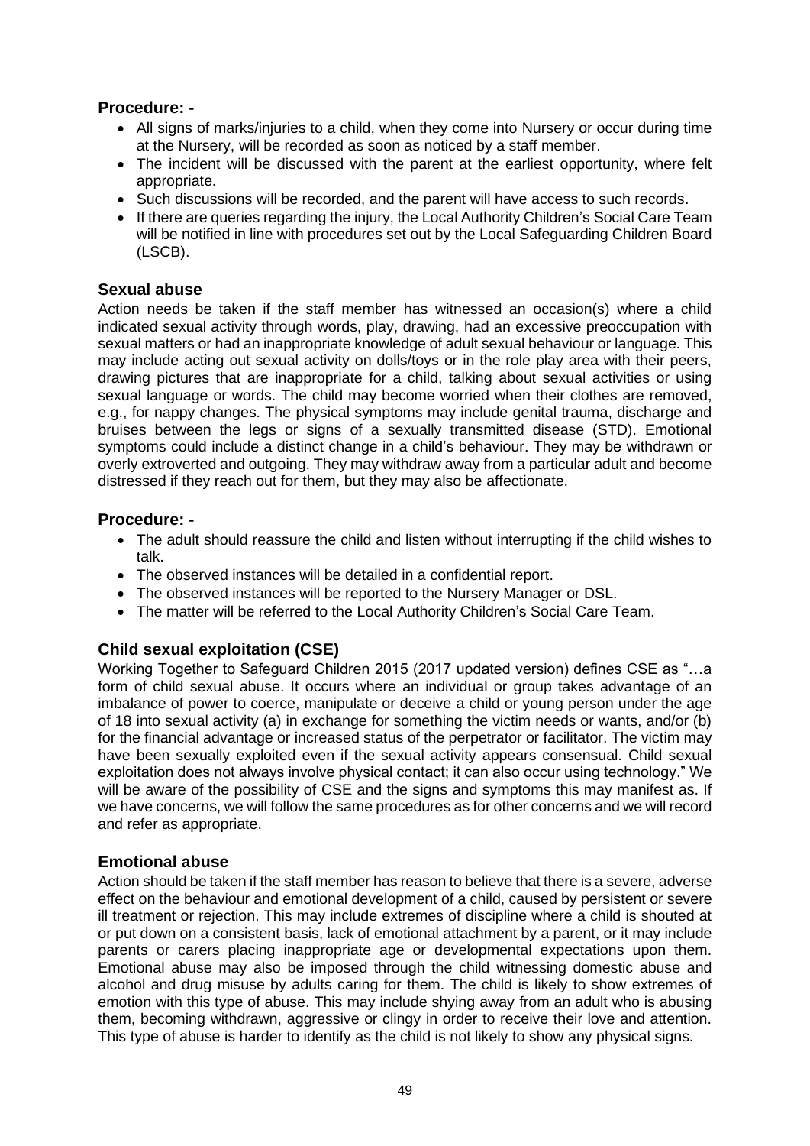# **Procedure: -**

- All signs of marks/injuries to a child, when they come into Nursery or occur during time at the Nursery, will be recorded as soon as noticed by a staff member.
- The incident will be discussed with the parent at the earliest opportunity, where felt appropriate.
- Such discussions will be recorded, and the parent will have access to such records.
- If there are queries regarding the injury, the Local Authority Children's Social Care Team will be notified in line with procedures set out by the Local Safeguarding Children Board (LSCB).

# **Sexual abuse**

Action needs be taken if the staff member has witnessed an occasion(s) where a child indicated sexual activity through words, play, drawing, had an excessive preoccupation with sexual matters or had an inappropriate knowledge of adult sexual behaviour or language. This may include acting out sexual activity on dolls/toys or in the role play area with their peers, drawing pictures that are inappropriate for a child, talking about sexual activities or using sexual language or words. The child may become worried when their clothes are removed, e.g., for nappy changes. The physical symptoms may include genital trauma, discharge and bruises between the legs or signs of a sexually transmitted disease (STD). Emotional symptoms could include a distinct change in a child's behaviour. They may be withdrawn or overly extroverted and outgoing. They may withdraw away from a particular adult and become distressed if they reach out for them, but they may also be affectionate.

#### **Procedure: -**

- The adult should reassure the child and listen without interrupting if the child wishes to talk.
- The observed instances will be detailed in a confidential report.
- The observed instances will be reported to the Nursery Manager or DSL.
- The matter will be referred to the Local Authority Children's Social Care Team.

# **Child sexual exploitation (CSE)**

Working Together to Safeguard Children 2015 (2017 updated version) defines CSE as "…a form of child sexual abuse. It occurs where an individual or group takes advantage of an imbalance of power to coerce, manipulate or deceive a child or young person under the age of 18 into sexual activity (a) in exchange for something the victim needs or wants, and/or (b) for the financial advantage or increased status of the perpetrator or facilitator. The victim may have been sexually exploited even if the sexual activity appears consensual. Child sexual exploitation does not always involve physical contact; it can also occur using technology." We will be aware of the possibility of CSE and the signs and symptoms this may manifest as. If we have concerns, we will follow the same procedures as for other concerns and we will record and refer as appropriate.

#### **Emotional abuse**

Action should be taken if the staff member has reason to believe that there is a severe, adverse effect on the behaviour and emotional development of a child, caused by persistent or severe ill treatment or rejection. This may include extremes of discipline where a child is shouted at or put down on a consistent basis, lack of emotional attachment by a parent, or it may include parents or carers placing inappropriate age or developmental expectations upon them. Emotional abuse may also be imposed through the child witnessing domestic abuse and alcohol and drug misuse by adults caring for them. The child is likely to show extremes of emotion with this type of abuse. This may include shying away from an adult who is abusing them, becoming withdrawn, aggressive or clingy in order to receive their love and attention. This type of abuse is harder to identify as the child is not likely to show any physical signs.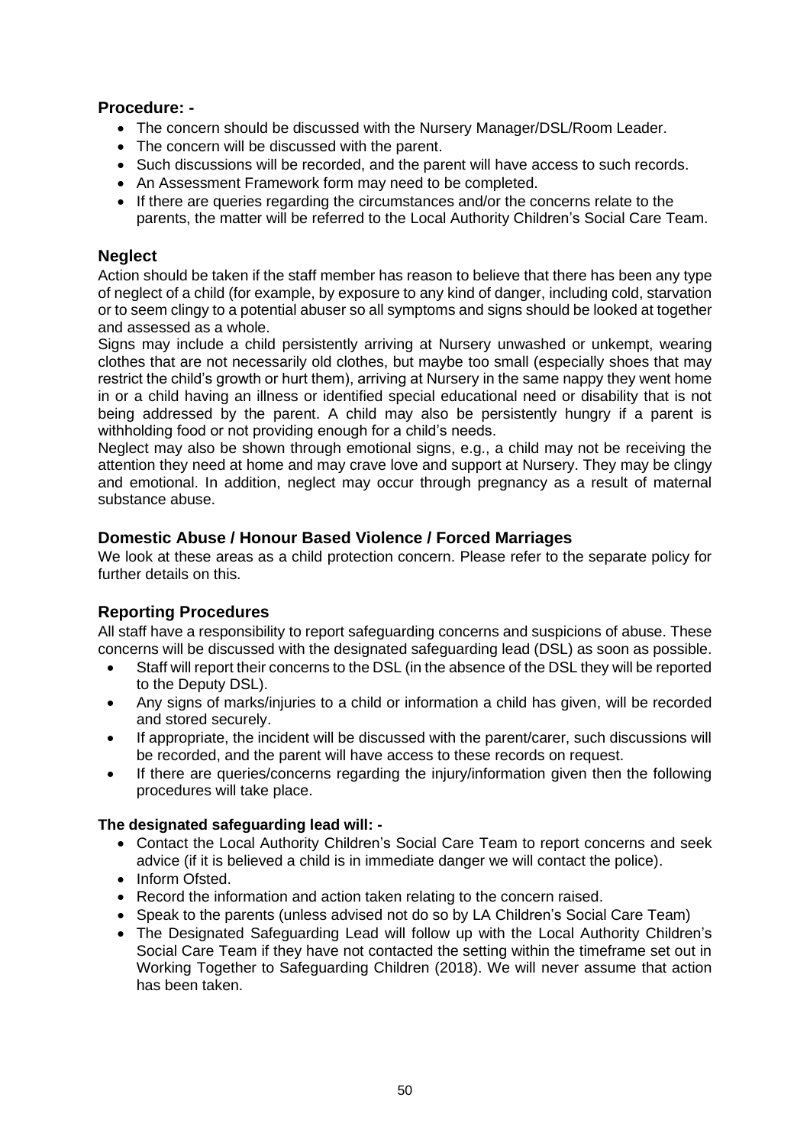# **Procedure: -**

- The concern should be discussed with the Nursery Manager/DSL/Room Leader.
- The concern will be discussed with the parent.
- Such discussions will be recorded, and the parent will have access to such records.
- An Assessment Framework form may need to be completed.
- If there are queries regarding the circumstances and/or the concerns relate to the parents, the matter will be referred to the Local Authority Children's Social Care Team.

# **Neglect**

Action should be taken if the staff member has reason to believe that there has been any type of neglect of a child (for example, by exposure to any kind of danger, including cold, starvation or to seem clingy to a potential abuser so all symptoms and signs should be looked at together and assessed as a whole.

Signs may include a child persistently arriving at Nursery unwashed or unkempt, wearing clothes that are not necessarily old clothes, but maybe too small (especially shoes that may restrict the child's growth or hurt them), arriving at Nursery in the same nappy they went home in or a child having an illness or identified special educational need or disability that is not being addressed by the parent. A child may also be persistently hungry if a parent is withholding food or not providing enough for a child's needs.

Neglect may also be shown through emotional signs, e.g., a child may not be receiving the attention they need at home and may crave love and support at Nursery. They may be clingy and emotional. In addition, neglect may occur through pregnancy as a result of maternal substance abuse.

# **Domestic Abuse / Honour Based Violence / Forced Marriages**

We look at these areas as a child protection concern. Please refer to the separate policy for further details on this.

# **Reporting Procedures**

All staff have a responsibility to report safeguarding concerns and suspicions of abuse. These concerns will be discussed with the designated safeguarding lead (DSL) as soon as possible.

- Staff will report their concerns to the DSL (in the absence of the DSL they will be reported to the Deputy DSL).
- Any signs of marks/injuries to a child or information a child has given, will be recorded and stored securely.
- If appropriate, the incident will be discussed with the parent/carer, such discussions will be recorded, and the parent will have access to these records on request.
- If there are queries/concerns regarding the injury/information given then the following procedures will take place.

# **The designated safeguarding lead will: -**

- Contact the Local Authority Children's Social Care Team to report concerns and seek advice (if it is believed a child is in immediate danger we will contact the police).
- Inform Ofsted.
- Record the information and action taken relating to the concern raised.
- Speak to the parents (unless advised not do so by LA Children's Social Care Team)
- The Designated Safeguarding Lead will follow up with the Local Authority Children's Social Care Team if they have not contacted the setting within the timeframe set out in Working Together to Safeguarding Children (2018). We will never assume that action has been taken.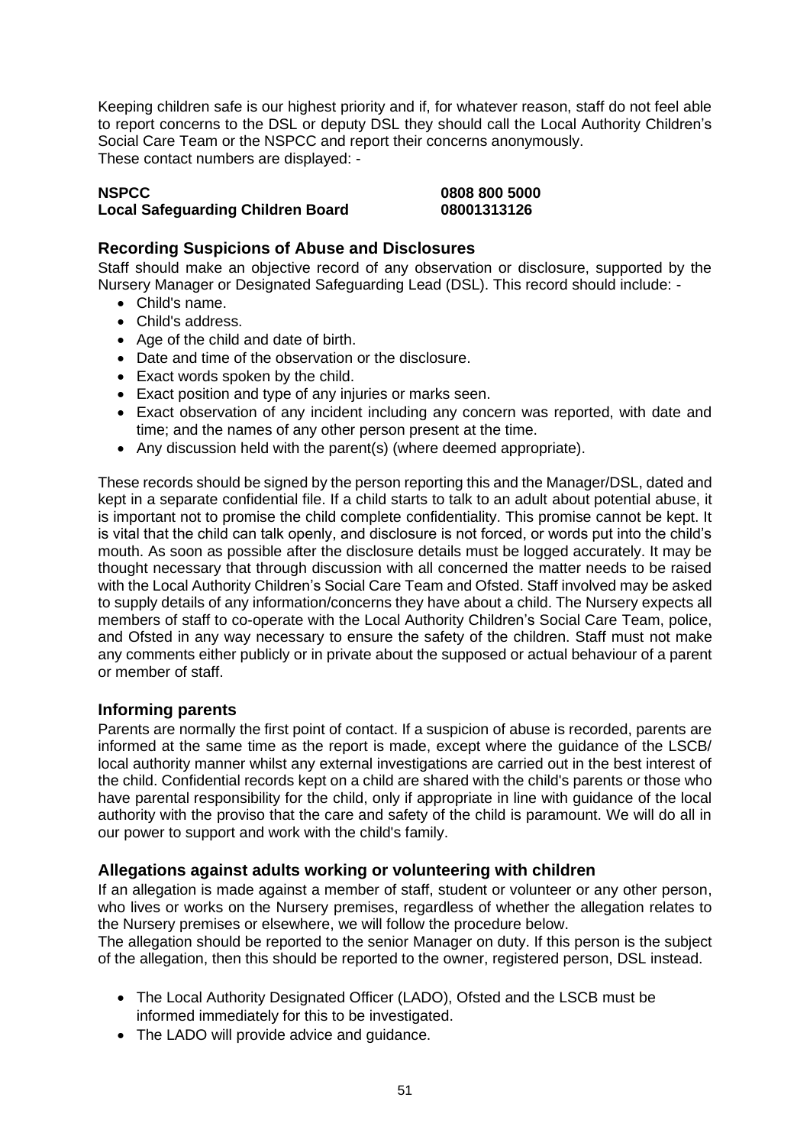Keeping children safe is our highest priority and if, for whatever reason, staff do not feel able to report concerns to the DSL or deputy DSL they should call the Local Authority Children's Social Care Team or the NSPCC and report their concerns anonymously. These contact numbers are displayed: -

# **NSPCC 0808 800 5000 Local Safeguarding Children Board 08001313126**

# **Recording Suspicions of Abuse and Disclosures**

Staff should make an objective record of any observation or disclosure, supported by the Nursery Manager or Designated Safeguarding Lead (DSL). This record should include: -

- Child's name.
- Child's address.
- Age of the child and date of birth.
- Date and time of the observation or the disclosure.
- Exact words spoken by the child.
- Exact position and type of any injuries or marks seen.
- Exact observation of any incident including any concern was reported, with date and time; and the names of any other person present at the time.
- Any discussion held with the parent(s) (where deemed appropriate).

These records should be signed by the person reporting this and the Manager/DSL, dated and kept in a separate confidential file. If a child starts to talk to an adult about potential abuse, it is important not to promise the child complete confidentiality. This promise cannot be kept. It is vital that the child can talk openly, and disclosure is not forced, or words put into the child's mouth. As soon as possible after the disclosure details must be logged accurately. It may be thought necessary that through discussion with all concerned the matter needs to be raised with the Local Authority Children's Social Care Team and Ofsted. Staff involved may be asked to supply details of any information/concerns they have about a child. The Nursery expects all members of staff to co-operate with the Local Authority Children's Social Care Team, police, and Ofsted in any way necessary to ensure the safety of the children. Staff must not make any comments either publicly or in private about the supposed or actual behaviour of a parent or member of staff.

# **Informing parents**

Parents are normally the first point of contact. If a suspicion of abuse is recorded, parents are informed at the same time as the report is made, except where the guidance of the LSCB/ local authority manner whilst any external investigations are carried out in the best interest of the child. Confidential records kept on a child are shared with the child's parents or those who have parental responsibility for the child, only if appropriate in line with guidance of the local authority with the proviso that the care and safety of the child is paramount. We will do all in our power to support and work with the child's family.

# **Allegations against adults working or volunteering with children**

If an allegation is made against a member of staff, student or volunteer or any other person, who lives or works on the Nursery premises, regardless of whether the allegation relates to the Nursery premises or elsewhere, we will follow the procedure below.

The allegation should be reported to the senior Manager on duty. If this person is the subject of the allegation, then this should be reported to the owner, registered person, DSL instead.

- The Local Authority Designated Officer (LADO), Ofsted and the LSCB must be informed immediately for this to be investigated.
- The LADO will provide advice and guidance.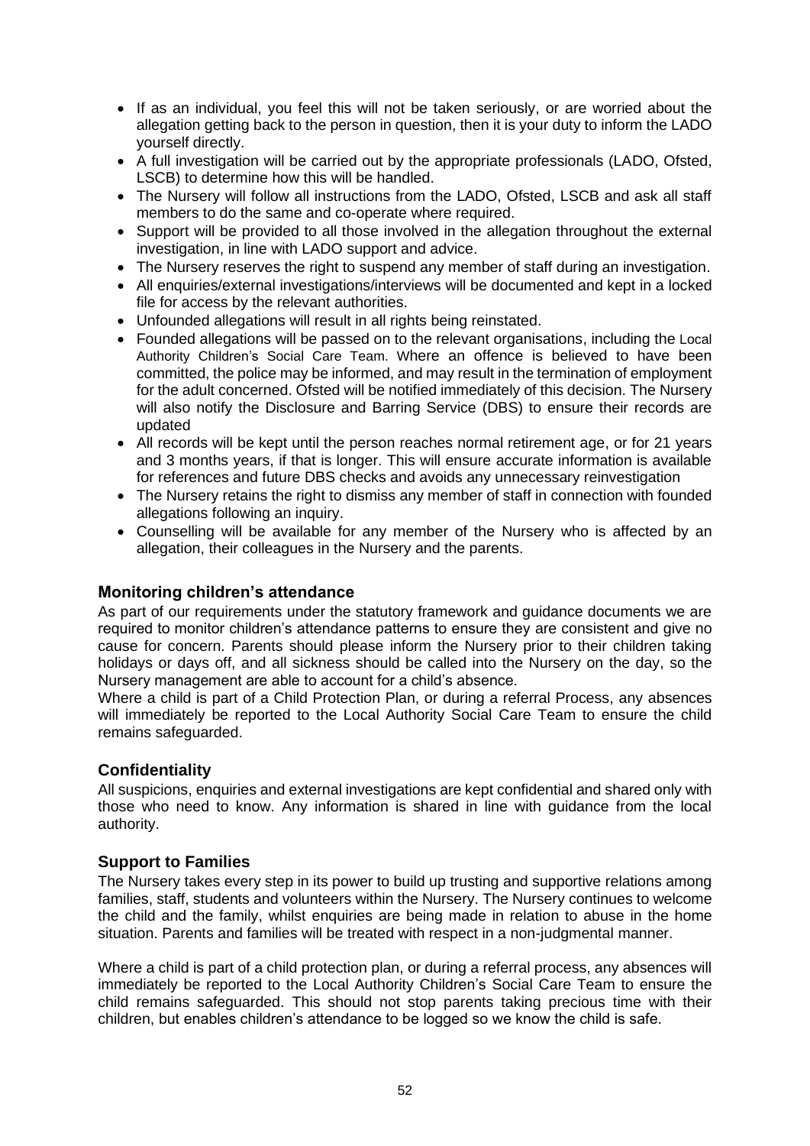- If as an individual, you feel this will not be taken seriously, or are worried about the allegation getting back to the person in question, then it is your duty to inform the LADO yourself directly.
- A full investigation will be carried out by the appropriate professionals (LADO, Ofsted, LSCB) to determine how this will be handled.
- The Nursery will follow all instructions from the LADO, Ofsted, LSCB and ask all staff members to do the same and co-operate where required.
- Support will be provided to all those involved in the allegation throughout the external investigation, in line with LADO support and advice.
- The Nursery reserves the right to suspend any member of staff during an investigation.
- All enquiries/external investigations/interviews will be documented and kept in a locked file for access by the relevant authorities.
- Unfounded allegations will result in all rights being reinstated.
- Founded allegations will be passed on to the relevant organisations, including the Local Authority Children's Social Care Team. Where an offence is believed to have been committed, the police may be informed, and may result in the termination of employment for the adult concerned. Ofsted will be notified immediately of this decision. The Nursery will also notify the Disclosure and Barring Service (DBS) to ensure their records are updated
- All records will be kept until the person reaches normal retirement age, or for 21 years and 3 months years, if that is longer. This will ensure accurate information is available for references and future DBS checks and avoids any unnecessary reinvestigation
- The Nursery retains the right to dismiss any member of staff in connection with founded allegations following an inquiry.
- Counselling will be available for any member of the Nursery who is affected by an allegation, their colleagues in the Nursery and the parents.

# **Monitoring children's attendance**

As part of our requirements under the statutory framework and guidance documents we are required to monitor children's attendance patterns to ensure they are consistent and give no cause for concern. Parents should please inform the Nursery prior to their children taking holidays or days off, and all sickness should be called into the Nursery on the day, so the Nursery management are able to account for a child's absence.

Where a child is part of a Child Protection Plan, or during a referral Process, any absences will immediately be reported to the Local Authority Social Care Team to ensure the child remains safeguarded.

# **Confidentiality**

All suspicions, enquiries and external investigations are kept confidential and shared only with those who need to know. Any information is shared in line with guidance from the local authority.

#### **Support to Families**

The Nursery takes every step in its power to build up trusting and supportive relations among families, staff, students and volunteers within the Nursery. The Nursery continues to welcome the child and the family, whilst enquiries are being made in relation to abuse in the home situation. Parents and families will be treated with respect in a non-judgmental manner.

Where a child is part of a child protection plan, or during a referral process, any absences will immediately be reported to the Local Authority Children's Social Care Team to ensure the child remains safeguarded. This should not stop parents taking precious time with their children, but enables children's attendance to be logged so we know the child is safe.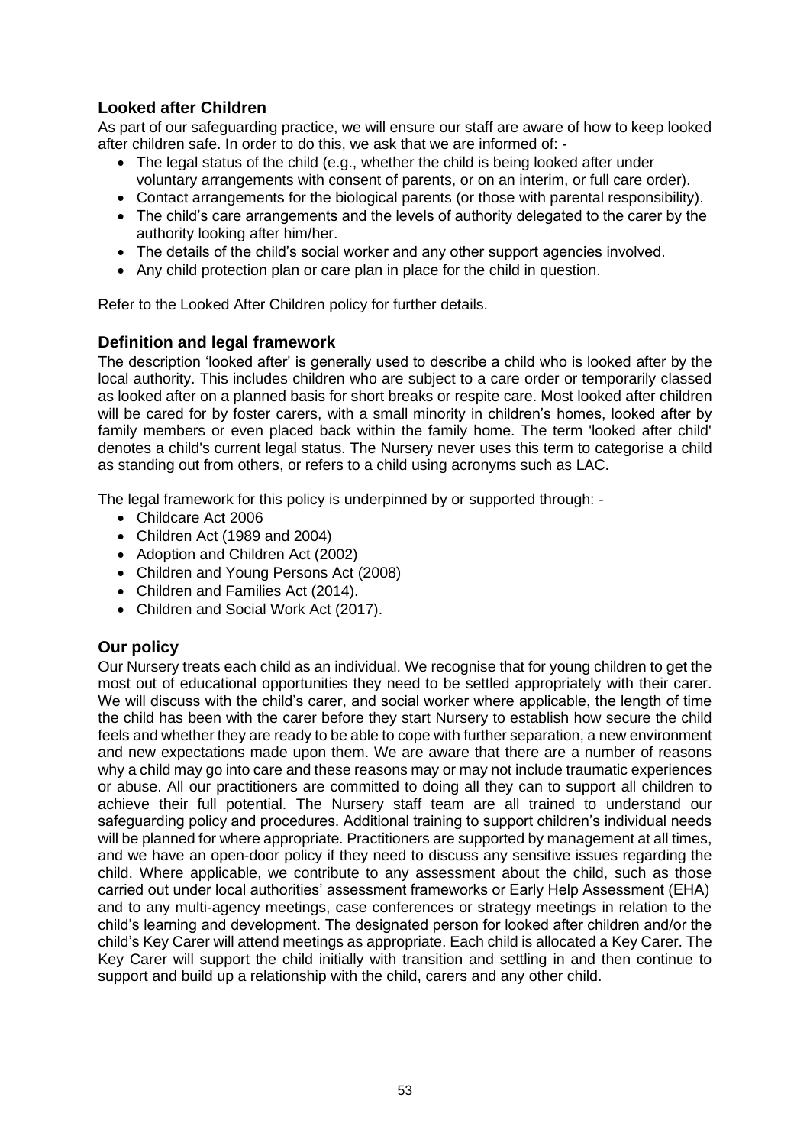# **Looked after Children**

As part of our safeguarding practice, we will ensure our staff are aware of how to keep looked after children safe. In order to do this, we ask that we are informed of: -

- The legal status of the child (e.g., whether the child is being looked after under voluntary arrangements with consent of parents, or on an interim, or full care order).
- Contact arrangements for the biological parents (or those with parental responsibility).
- The child's care arrangements and the levels of authority delegated to the carer by the authority looking after him/her.
- The details of the child's social worker and any other support agencies involved.
- Any child protection plan or care plan in place for the child in question.

Refer to the Looked After Children policy for further details.

#### **Definition and legal framework**

The description 'looked after' is generally used to describe a child who is looked after by the local authority. This includes children who are subject to a care order or temporarily classed as looked after on a planned basis for short breaks or respite care. Most looked after children will be cared for by foster carers, with a small minority in children's homes, looked after by family members or even placed back within the family home. The term 'looked after child' denotes a child's current legal status. The Nursery never uses this term to categorise a child as standing out from others, or refers to a child using acronyms such as LAC.

The legal framework for this policy is underpinned by or supported through: -

- Childcare Act 2006
- Children Act (1989 and 2004)
- Adoption and Children Act (2002)
- Children and Young Persons Act (2008)
- Children and Families Act (2014).
- Children and Social Work Act (2017).

# **Our policy**

Our Nursery treats each child as an individual. We recognise that for young children to get the most out of educational opportunities they need to be settled appropriately with their carer. We will discuss with the child's carer, and social worker where applicable, the length of time the child has been with the carer before they start Nursery to establish how secure the child feels and whether they are ready to be able to cope with further separation, a new environment and new expectations made upon them. We are aware that there are a number of reasons why a child may go into care and these reasons may or may not include traumatic experiences or abuse. All our practitioners are committed to doing all they can to support all children to achieve their full potential. The Nursery staff team are all trained to understand our safeguarding policy and procedures. Additional training to support children's individual needs will be planned for where appropriate. Practitioners are supported by management at all times, and we have an open-door policy if they need to discuss any sensitive issues regarding the child. Where applicable, we contribute to any assessment about the child, such as those carried out under local authorities' assessment frameworks or Early Help Assessment (EHA) and to any multi-agency meetings, case conferences or strategy meetings in relation to the child's learning and development. The designated person for looked after children and/or the child's Key Carer will attend meetings as appropriate. Each child is allocated a Key Carer. The Key Carer will support the child initially with transition and settling in and then continue to support and build up a relationship with the child, carers and any other child.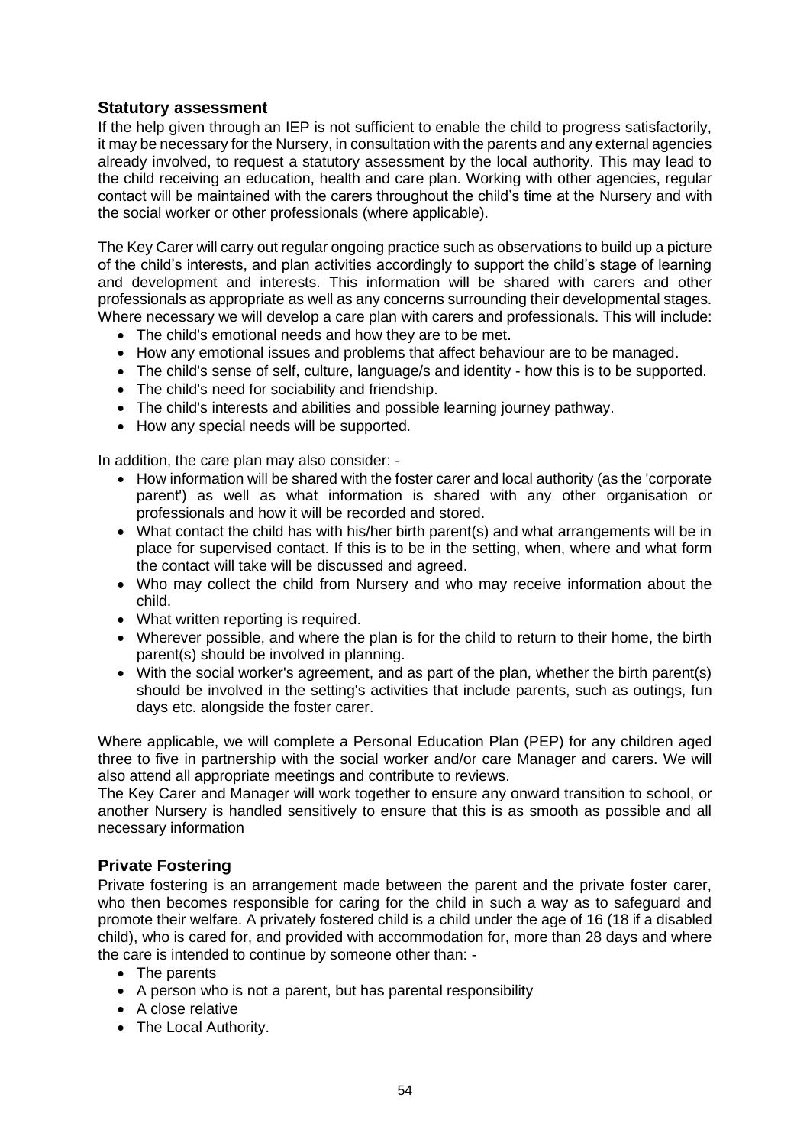# **Statutory assessment**

If the help given through an IEP is not sufficient to enable the child to progress satisfactorily, it may be necessary for the Nursery, in consultation with the parents and any external agencies already involved, to request a statutory assessment by the local authority. This may lead to the child receiving an education, health and care plan. Working with other agencies, regular contact will be maintained with the carers throughout the child's time at the Nursery and with the social worker or other professionals (where applicable).

The Key Carer will carry out regular ongoing practice such as observations to build up a picture of the child's interests, and plan activities accordingly to support the child's stage of learning and development and interests. This information will be shared with carers and other professionals as appropriate as well as any concerns surrounding their developmental stages. Where necessary we will develop a care plan with carers and professionals. This will include:

- The child's emotional needs and how they are to be met.
- How any emotional issues and problems that affect behaviour are to be managed.
- The child's sense of self, culture, language/s and identity how this is to be supported.
- The child's need for sociability and friendship.
- The child's interests and abilities and possible learning journey pathway.
- How any special needs will be supported.

In addition, the care plan may also consider: -

- How information will be shared with the foster carer and local authority (as the 'corporate parent') as well as what information is shared with any other organisation or professionals and how it will be recorded and stored.
- What contact the child has with his/her birth parent(s) and what arrangements will be in place for supervised contact. If this is to be in the setting, when, where and what form the contact will take will be discussed and agreed.
- Who may collect the child from Nursery and who may receive information about the child.
- What written reporting is required.
- Wherever possible, and where the plan is for the child to return to their home, the birth parent(s) should be involved in planning.
- With the social worker's agreement, and as part of the plan, whether the birth parent(s) should be involved in the setting's activities that include parents, such as outings, fun days etc. alongside the foster carer.

Where applicable, we will complete a Personal Education Plan (PEP) for any children aged three to five in partnership with the social worker and/or care Manager and carers. We will also attend all appropriate meetings and contribute to reviews.

The Key Carer and Manager will work together to ensure any onward transition to school, or another Nursery is handled sensitively to ensure that this is as smooth as possible and all necessary information

# **Private Fostering**

Private fostering is an arrangement made between the parent and the private foster carer, who then becomes responsible for caring for the child in such a way as to safeguard and promote their welfare. A privately fostered child is a child under the age of 16 (18 if a disabled child), who is cared for, and provided with accommodation for, more than 28 days and where the care is intended to continue by someone other than: -

- The parents
- A person who is not a parent, but has parental responsibility
- A close relative
- The Local Authority.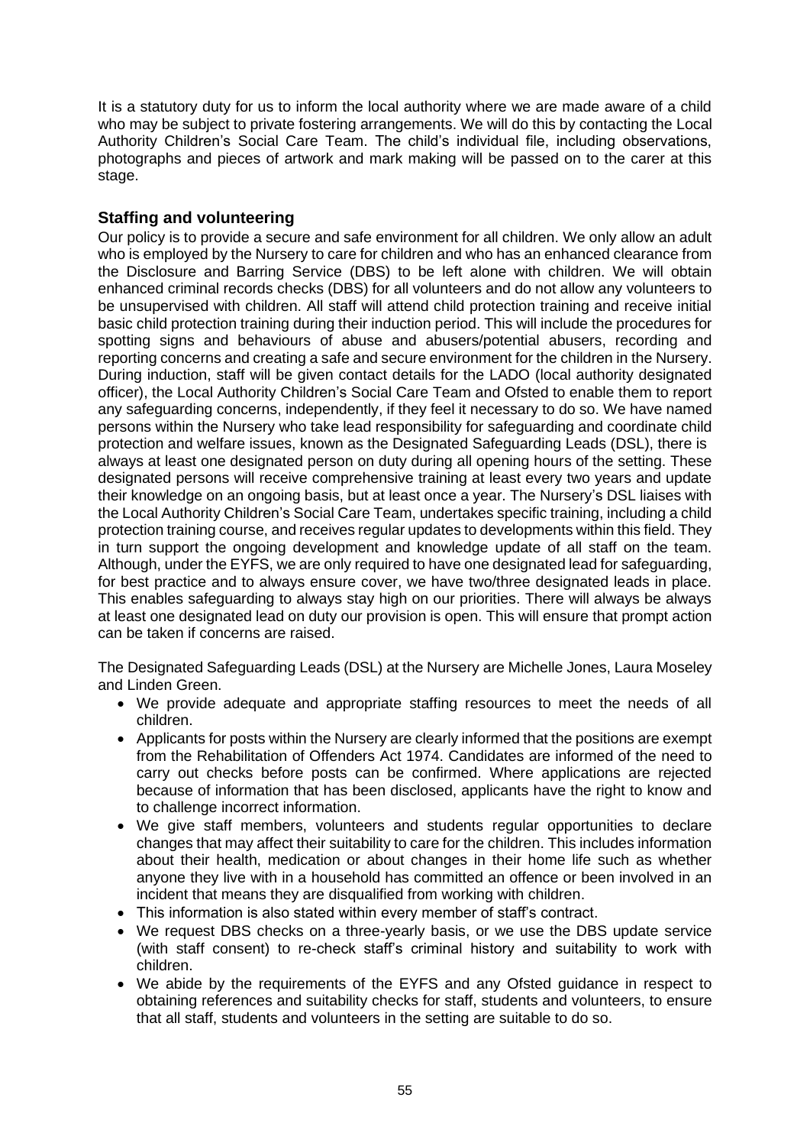It is a statutory duty for us to inform the local authority where we are made aware of a child who may be subject to private fostering arrangements. We will do this by contacting the Local Authority Children's Social Care Team. The child's individual file, including observations, photographs and pieces of artwork and mark making will be passed on to the carer at this stage.

# **Staffing and volunteering**

Our policy is to provide a secure and safe environment for all children. We only allow an adult who is employed by the Nursery to care for children and who has an enhanced clearance from the Disclosure and Barring Service (DBS) to be left alone with children. We will obtain enhanced criminal records checks (DBS) for all volunteers and do not allow any volunteers to be unsupervised with children. All staff will attend child protection training and receive initial basic child protection training during their induction period. This will include the procedures for spotting signs and behaviours of abuse and abusers/potential abusers, recording and reporting concerns and creating a safe and secure environment for the children in the Nursery. During induction, staff will be given contact details for the LADO (local authority designated officer), the Local Authority Children's Social Care Team and Ofsted to enable them to report any safeguarding concerns, independently, if they feel it necessary to do so. We have named persons within the Nursery who take lead responsibility for safeguarding and coordinate child protection and welfare issues, known as the Designated Safeguarding Leads (DSL), there is always at least one designated person on duty during all opening hours of the setting. These designated persons will receive comprehensive training at least every two years and update their knowledge on an ongoing basis, but at least once a year. The Nursery's DSL liaises with the Local Authority Children's Social Care Team, undertakes specific training, including a child protection training course, and receives regular updates to developments within this field. They in turn support the ongoing development and knowledge update of all staff on the team. Although, under the EYFS, we are only required to have one designated lead for safeguarding, for best practice and to always ensure cover, we have two/three designated leads in place. This enables safeguarding to always stay high on our priorities. There will always be always at least one designated lead on duty our provision is open. This will ensure that prompt action can be taken if concerns are raised.

The Designated Safeguarding Leads (DSL) at the Nursery are Michelle Jones, Laura Moseley and Linden Green.

- We provide adequate and appropriate staffing resources to meet the needs of all children.
- Applicants for posts within the Nursery are clearly informed that the positions are exempt from the Rehabilitation of Offenders Act 1974. Candidates are informed of the need to carry out checks before posts can be confirmed. Where applications are rejected because of information that has been disclosed, applicants have the right to know and to challenge incorrect information.
- We give staff members, volunteers and students regular opportunities to declare changes that may affect their suitability to care for the children. This includes information about their health, medication or about changes in their home life such as whether anyone they live with in a household has committed an offence or been involved in an incident that means they are disqualified from working with children.
- This information is also stated within every member of staff's contract.
- We request DBS checks on a three-yearly basis, or we use the DBS update service (with staff consent) to re-check staff's criminal history and suitability to work with children.
- We abide by the requirements of the EYFS and any Ofsted guidance in respect to obtaining references and suitability checks for staff, students and volunteers, to ensure that all staff, students and volunteers in the setting are suitable to do so.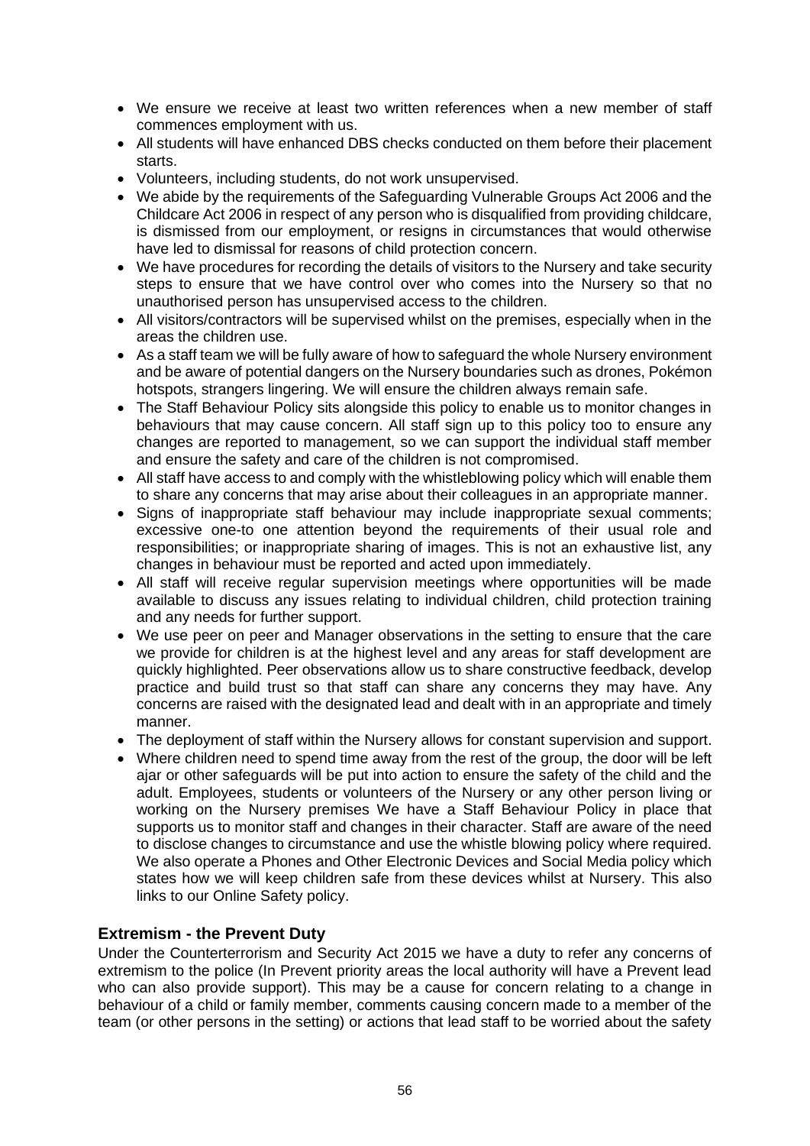- We ensure we receive at least two written references when a new member of staff commences employment with us.
- All students will have enhanced DBS checks conducted on them before their placement starts.
- Volunteers, including students, do not work unsupervised.
- We abide by the requirements of the Safeguarding Vulnerable Groups Act 2006 and the Childcare Act 2006 in respect of any person who is disqualified from providing childcare, is dismissed from our employment, or resigns in circumstances that would otherwise have led to dismissal for reasons of child protection concern.
- We have procedures for recording the details of visitors to the Nursery and take security steps to ensure that we have control over who comes into the Nursery so that no unauthorised person has unsupervised access to the children.
- All visitors/contractors will be supervised whilst on the premises, especially when in the areas the children use.
- As a staff team we will be fully aware of how to safeguard the whole Nursery environment and be aware of potential dangers on the Nursery boundaries such as drones, Pokémon hotspots, strangers lingering. We will ensure the children always remain safe.
- The Staff Behaviour Policy sits alongside this policy to enable us to monitor changes in behaviours that may cause concern. All staff sign up to this policy too to ensure any changes are reported to management, so we can support the individual staff member and ensure the safety and care of the children is not compromised.
- All staff have access to and comply with the whistleblowing policy which will enable them to share any concerns that may arise about their colleagues in an appropriate manner.
- Signs of inappropriate staff behaviour may include inappropriate sexual comments; excessive one-to one attention beyond the requirements of their usual role and responsibilities; or inappropriate sharing of images. This is not an exhaustive list, any changes in behaviour must be reported and acted upon immediately.
- All staff will receive regular supervision meetings where opportunities will be made available to discuss any issues relating to individual children, child protection training and any needs for further support.
- We use peer on peer and Manager observations in the setting to ensure that the care we provide for children is at the highest level and any areas for staff development are quickly highlighted. Peer observations allow us to share constructive feedback, develop practice and build trust so that staff can share any concerns they may have. Any concerns are raised with the designated lead and dealt with in an appropriate and timely manner.
- The deployment of staff within the Nursery allows for constant supervision and support.
- Where children need to spend time away from the rest of the group, the door will be left ajar or other safeguards will be put into action to ensure the safety of the child and the adult. Employees, students or volunteers of the Nursery or any other person living or working on the Nursery premises We have a Staff Behaviour Policy in place that supports us to monitor staff and changes in their character. Staff are aware of the need to disclose changes to circumstance and use the whistle blowing policy where required. We also operate a Phones and Other Electronic Devices and Social Media policy which states how we will keep children safe from these devices whilst at Nursery. This also links to our Online Safety policy.

# **Extremism - the Prevent Duty**

Under the Counterterrorism and Security Act 2015 we have a duty to refer any concerns of extremism to the police (In Prevent priority areas the local authority will have a Prevent lead who can also provide support). This may be a cause for concern relating to a change in behaviour of a child or family member, comments causing concern made to a member of the team (or other persons in the setting) or actions that lead staff to be worried about the safety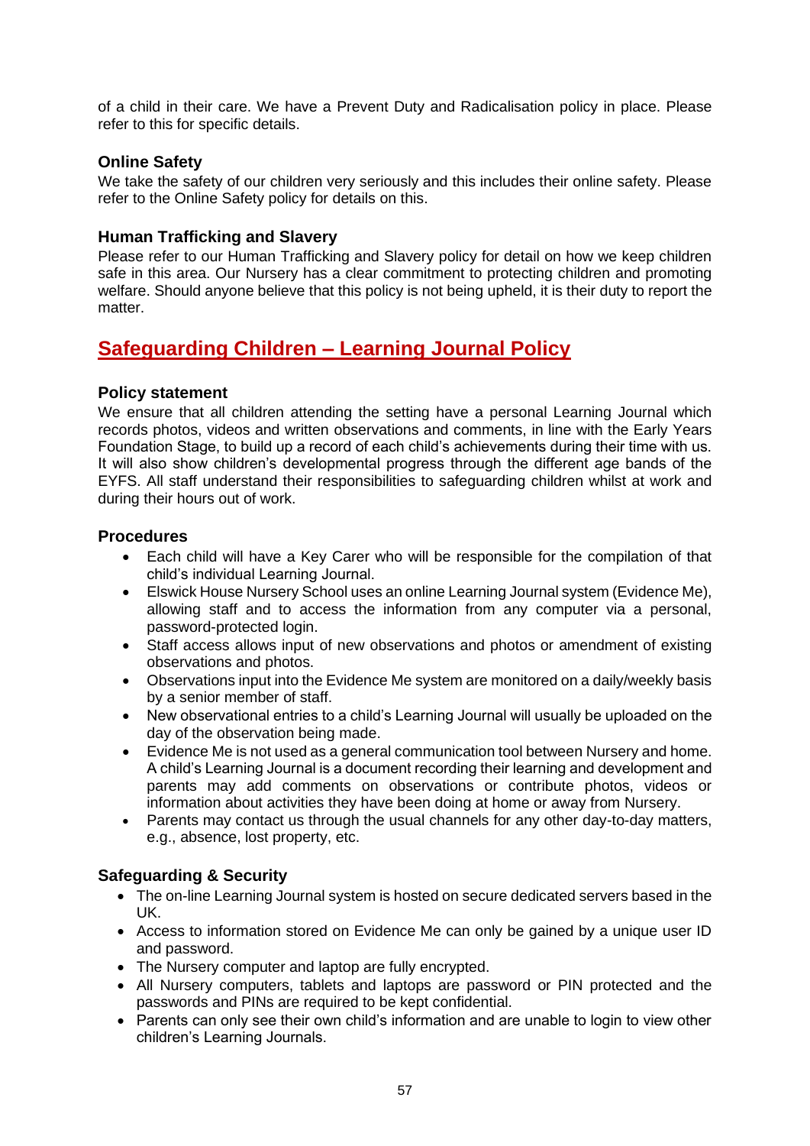of a child in their care. We have a Prevent Duty and Radicalisation policy in place. Please refer to this for specific details.

### **Online Safety**

We take the safety of our children very seriously and this includes their online safety. Please refer to the Online Safety policy for details on this.

#### **Human Trafficking and Slavery**

Please refer to our Human Trafficking and Slavery policy for detail on how we keep children safe in this area. Our Nursery has a clear commitment to protecting children and promoting welfare. Should anyone believe that this policy is not being upheld, it is their duty to report the matter.

# **Safeguarding Children – Learning Journal Policy**

#### **Policy statement**

We ensure that all children attending the setting have a personal Learning Journal which records photos, videos and written observations and comments, in line with the Early Years Foundation Stage, to build up a record of each child's achievements during their time with us. It will also show children's developmental progress through the different age bands of the EYFS. All staff understand their responsibilities to safeguarding children whilst at work and during their hours out of work.

#### **Procedures**

- Each child will have a Key Carer who will be responsible for the compilation of that child's individual Learning Journal.
- Elswick House Nursery School uses an online Learning Journal system (Evidence Me), allowing staff and to access the information from any computer via a personal, password-protected login.
- Staff access allows input of new observations and photos or amendment of existing observations and photos.
- Observations input into the Evidence Me system are monitored on a daily/weekly basis by a senior member of staff.
- New observational entries to a child's Learning Journal will usually be uploaded on the day of the observation being made.
- Evidence Me is not used as a general communication tool between Nursery and home. A child's Learning Journal is a document recording their learning and development and parents may add comments on observations or contribute photos, videos or information about activities they have been doing at home or away from Nursery.
- Parents may contact us through the usual channels for any other day-to-day matters, e.g., absence, lost property, etc.

# **Safeguarding & Security**

- The on-line Learning Journal system is hosted on secure dedicated servers based in the UK.
- Access to information stored on Evidence Me can only be gained by a unique user ID and password.
- The Nursery computer and laptop are fully encrypted.
- All Nursery computers, tablets and laptops are password or PIN protected and the passwords and PINs are required to be kept confidential.
- Parents can only see their own child's information and are unable to login to view other children's Learning Journals.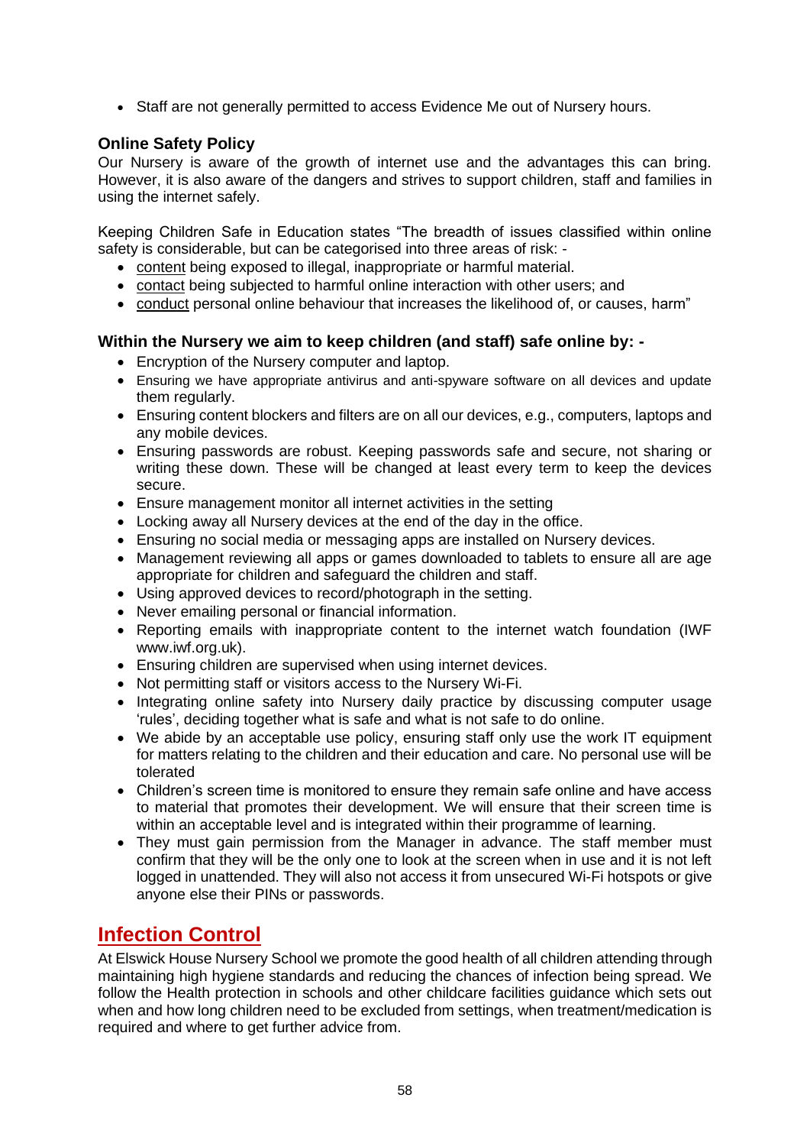• Staff are not generally permitted to access Evidence Me out of Nursery hours.

# **Online Safety Policy**

Our Nursery is aware of the growth of internet use and the advantages this can bring. However, it is also aware of the dangers and strives to support children, staff and families in using the internet safely.

Keeping Children Safe in Education states "The breadth of issues classified within online safety is considerable, but can be categorised into three areas of risk: -

- content being exposed to illegal, inappropriate or harmful material.
- contact being subjected to harmful online interaction with other users; and
- conduct personal online behaviour that increases the likelihood of, or causes, harm"

# **Within the Nursery we aim to keep children (and staff) safe online by: -**

- Encryption of the Nursery computer and laptop.
- Ensuring we have appropriate antivirus and anti-spyware software on all devices and update them regularly.
- Ensuring content blockers and filters are on all our devices, e.g., computers, laptops and any mobile devices.
- Ensuring passwords are robust. Keeping passwords safe and secure, not sharing or writing these down. These will be changed at least every term to keep the devices secure.
- Ensure management monitor all internet activities in the setting
- Locking away all Nursery devices at the end of the day in the office.
- Ensuring no social media or messaging apps are installed on Nursery devices.
- Management reviewing all apps or games downloaded to tablets to ensure all are age appropriate for children and safeguard the children and staff.
- Using approved devices to record/photograph in the setting.
- Never emailing personal or financial information.
- Reporting emails with inappropriate content to the internet watch foundation (IWF www.iwf.org.uk).
- Ensuring children are supervised when using internet devices.
- Not permitting staff or visitors access to the Nursery Wi-Fi.
- Integrating online safety into Nursery daily practice by discussing computer usage 'rules', deciding together what is safe and what is not safe to do online.
- We abide by an acceptable use policy, ensuring staff only use the work IT equipment for matters relating to the children and their education and care. No personal use will be tolerated
- Children's screen time is monitored to ensure they remain safe online and have access to material that promotes their development. We will ensure that their screen time is within an acceptable level and is integrated within their programme of learning.
- They must gain permission from the Manager in advance. The staff member must confirm that they will be the only one to look at the screen when in use and it is not left logged in unattended. They will also not access it from unsecured Wi-Fi hotspots or give anyone else their PINs or passwords.

# **Infection Control**

At Elswick House Nursery School we promote the good health of all children attending through maintaining high hygiene standards and reducing the chances of infection being spread. We follow the Health protection in schools and other childcare facilities guidance which sets out when and how long children need to be excluded from settings, when treatment/medication is required and where to get further advice from.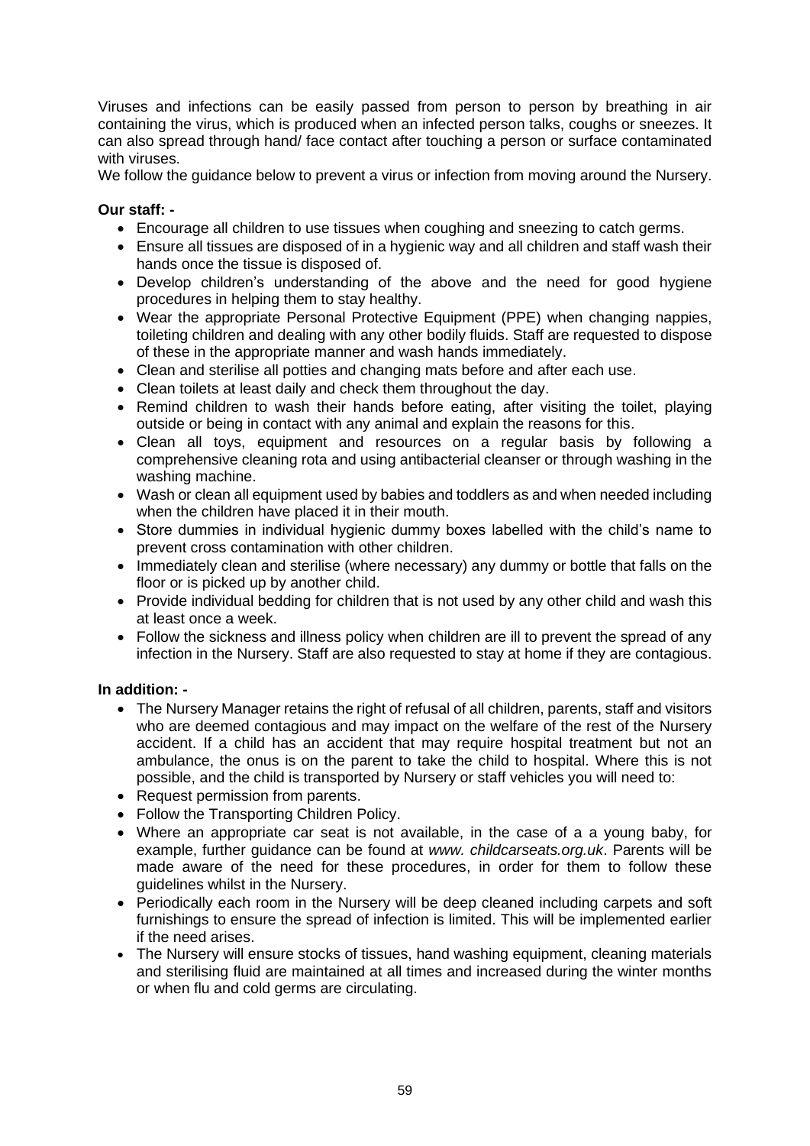Viruses and infections can be easily passed from person to person by breathing in air containing the virus, which is produced when an infected person talks, coughs or sneezes. It can also spread through hand/ face contact after touching a person or surface contaminated with viruses.

We follow the guidance below to prevent a virus or infection from moving around the Nursery.

#### **Our staff: -**

- Encourage all children to use tissues when coughing and sneezing to catch germs.
- Ensure all tissues are disposed of in a hygienic way and all children and staff wash their hands once the tissue is disposed of.
- Develop children's understanding of the above and the need for good hygiene procedures in helping them to stay healthy.
- Wear the appropriate Personal Protective Equipment (PPE) when changing nappies, toileting children and dealing with any other bodily fluids. Staff are requested to dispose of these in the appropriate manner and wash hands immediately.
- Clean and sterilise all potties and changing mats before and after each use.
- Clean toilets at least daily and check them throughout the day.
- Remind children to wash their hands before eating, after visiting the toilet, playing outside or being in contact with any animal and explain the reasons for this.
- Clean all toys, equipment and resources on a regular basis by following a comprehensive cleaning rota and using antibacterial cleanser or through washing in the washing machine.
- Wash or clean all equipment used by babies and toddlers as and when needed including when the children have placed it in their mouth.
- Store dummies in individual hygienic dummy boxes labelled with the child's name to prevent cross contamination with other children.
- Immediately clean and sterilise (where necessary) any dummy or bottle that falls on the floor or is picked up by another child.
- Provide individual bedding for children that is not used by any other child and wash this at least once a week.
- Follow the sickness and illness policy when children are ill to prevent the spread of any infection in the Nursery. Staff are also requested to stay at home if they are contagious.

#### **In addition: -**

- The Nursery Manager retains the right of refusal of all children, parents, staff and visitors who are deemed contagious and may impact on the welfare of the rest of the Nursery accident. If a child has an accident that may require hospital treatment but not an ambulance, the onus is on the parent to take the child to hospital. Where this is not possible, and the child is transported by Nursery or staff vehicles you will need to:
- Request permission from parents.
- Follow the Transporting Children Policy.
- Where an appropriate car seat is not available, in the case of a a young baby, for example, further guidance can be found at *www. childcarseats.org.uk*. Parents will be made aware of the need for these procedures, in order for them to follow these guidelines whilst in the Nursery.
- Periodically each room in the Nursery will be deep cleaned including carpets and soft furnishings to ensure the spread of infection is limited. This will be implemented earlier if the need arises.
- The Nursery will ensure stocks of tissues, hand washing equipment, cleaning materials and sterilising fluid are maintained at all times and increased during the winter months or when flu and cold germs are circulating.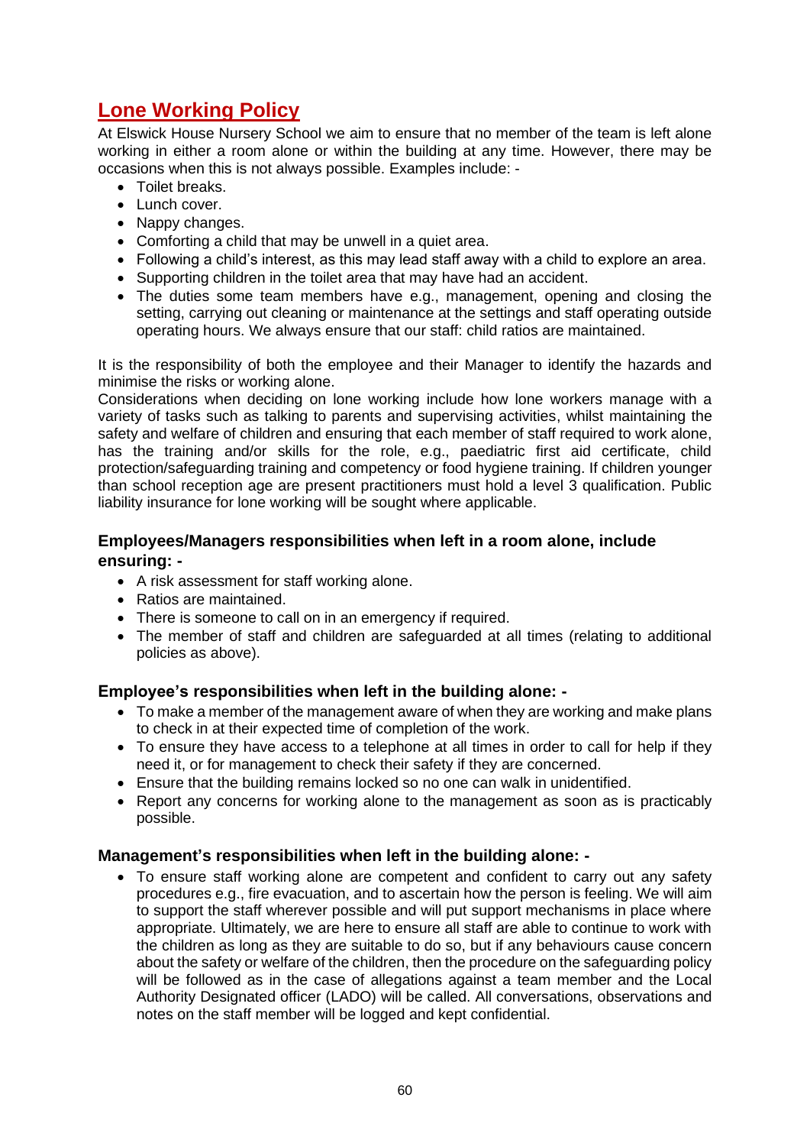# **Lone Working Policy**

At Elswick House Nursery School we aim to ensure that no member of the team is left alone working in either a room alone or within the building at any time. However, there may be occasions when this is not always possible. Examples include: -

- Toilet breaks.
- Lunch cover.
- Nappy changes.
- Comforting a child that may be unwell in a quiet area.
- Following a child's interest, as this may lead staff away with a child to explore an area.
- Supporting children in the toilet area that may have had an accident.
- The duties some team members have e.g., management, opening and closing the setting, carrying out cleaning or maintenance at the settings and staff operating outside operating hours. We always ensure that our staff: child ratios are maintained.

It is the responsibility of both the employee and their Manager to identify the hazards and minimise the risks or working alone.

Considerations when deciding on lone working include how lone workers manage with a variety of tasks such as talking to parents and supervising activities, whilst maintaining the safety and welfare of children and ensuring that each member of staff required to work alone, has the training and/or skills for the role, e.g., paediatric first aid certificate, child protection/safeguarding training and competency or food hygiene training. If children younger than school reception age are present practitioners must hold a level 3 qualification. Public liability insurance for lone working will be sought where applicable.

# **Employees/Managers responsibilities when left in a room alone, include ensuring: -**

- A risk assessment for staff working alone.
- Ratios are maintained.
- There is someone to call on in an emergency if required.
- The member of staff and children are safeguarded at all times (relating to additional policies as above).

# **Employee's responsibilities when left in the building alone: -**

- To make a member of the management aware of when they are working and make plans to check in at their expected time of completion of the work.
- To ensure they have access to a telephone at all times in order to call for help if they need it, or for management to check their safety if they are concerned.
- Ensure that the building remains locked so no one can walk in unidentified.
- Report any concerns for working alone to the management as soon as is practicably possible.

# **Management's responsibilities when left in the building alone: -**

• To ensure staff working alone are competent and confident to carry out any safety procedures e.g., fire evacuation, and to ascertain how the person is feeling. We will aim to support the staff wherever possible and will put support mechanisms in place where appropriate. Ultimately, we are here to ensure all staff are able to continue to work with the children as long as they are suitable to do so, but if any behaviours cause concern about the safety or welfare of the children, then the procedure on the safeguarding policy will be followed as in the case of allegations against a team member and the Local Authority Designated officer (LADO) will be called. All conversations, observations and notes on the staff member will be logged and kept confidential.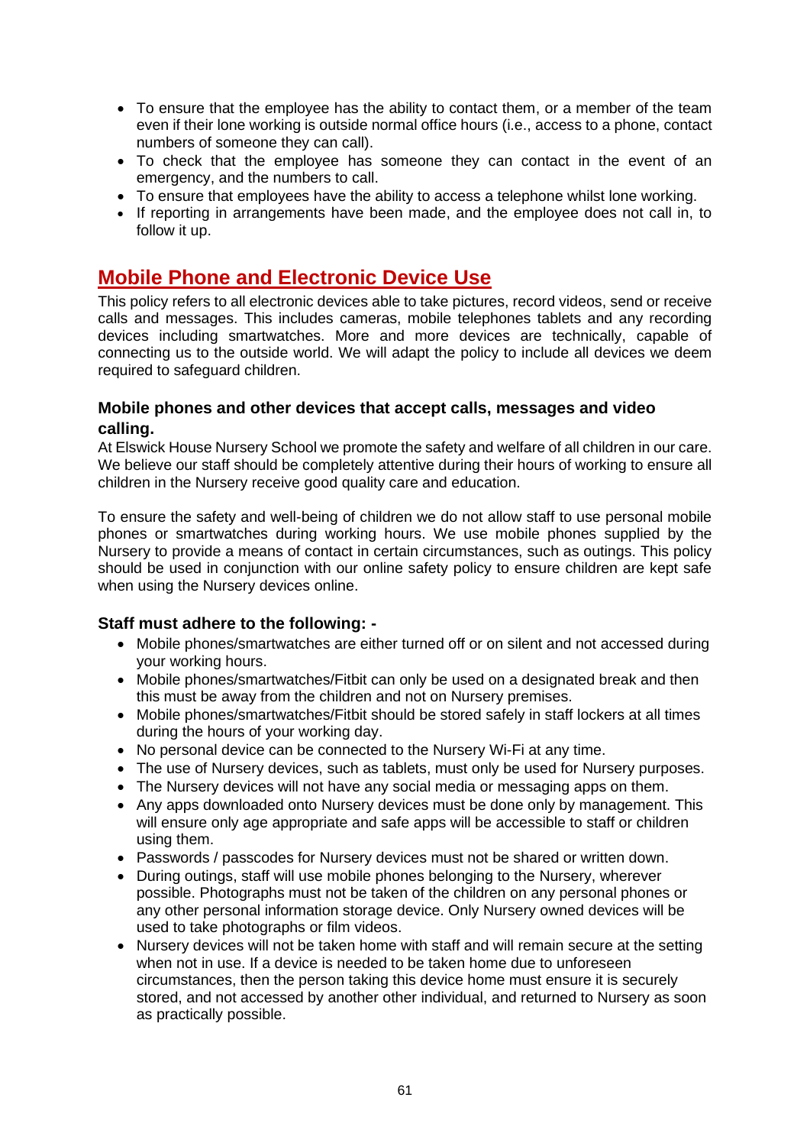- To ensure that the employee has the ability to contact them, or a member of the team even if their lone working is outside normal office hours (i.e., access to a phone, contact numbers of someone they can call).
- To check that the employee has someone they can contact in the event of an emergency, and the numbers to call.
- To ensure that employees have the ability to access a telephone whilst lone working.
- If reporting in arrangements have been made, and the employee does not call in, to follow it up.

# **Mobile Phone and Electronic Device Use**

This policy refers to all electronic devices able to take pictures, record videos, send or receive calls and messages. This includes cameras, mobile telephones tablets and any recording devices including smartwatches. More and more devices are technically, capable of connecting us to the outside world. We will adapt the policy to include all devices we deem required to safeguard children.

#### **Mobile phones and other devices that accept calls, messages and video calling.**

At Elswick House Nursery School we promote the safety and welfare of all children in our care. We believe our staff should be completely attentive during their hours of working to ensure all children in the Nursery receive good quality care and education.

To ensure the safety and well-being of children we do not allow staff to use personal mobile phones or smartwatches during working hours. We use mobile phones supplied by the Nursery to provide a means of contact in certain circumstances, such as outings. This policy should be used in conjunction with our online safety policy to ensure children are kept safe when using the Nursery devices online.

# **Staff must adhere to the following: -**

- Mobile phones/smartwatches are either turned off or on silent and not accessed during your working hours.
- Mobile phones/smartwatches/Fitbit can only be used on a designated break and then this must be away from the children and not on Nursery premises.
- Mobile phones/smartwatches/Fitbit should be stored safely in staff lockers at all times during the hours of your working day.
- No personal device can be connected to the Nursery Wi-Fi at any time.
- The use of Nursery devices, such as tablets, must only be used for Nursery purposes.
- The Nursery devices will not have any social media or messaging apps on them.
- Any apps downloaded onto Nursery devices must be done only by management. This will ensure only age appropriate and safe apps will be accessible to staff or children using them.
- Passwords / passcodes for Nursery devices must not be shared or written down.
- During outings, staff will use mobile phones belonging to the Nursery, wherever possible. Photographs must not be taken of the children on any personal phones or any other personal information storage device. Only Nursery owned devices will be used to take photographs or film videos.
- Nursery devices will not be taken home with staff and will remain secure at the setting when not in use. If a device is needed to be taken home due to unforeseen circumstances, then the person taking this device home must ensure it is securely stored, and not accessed by another other individual, and returned to Nursery as soon as practically possible.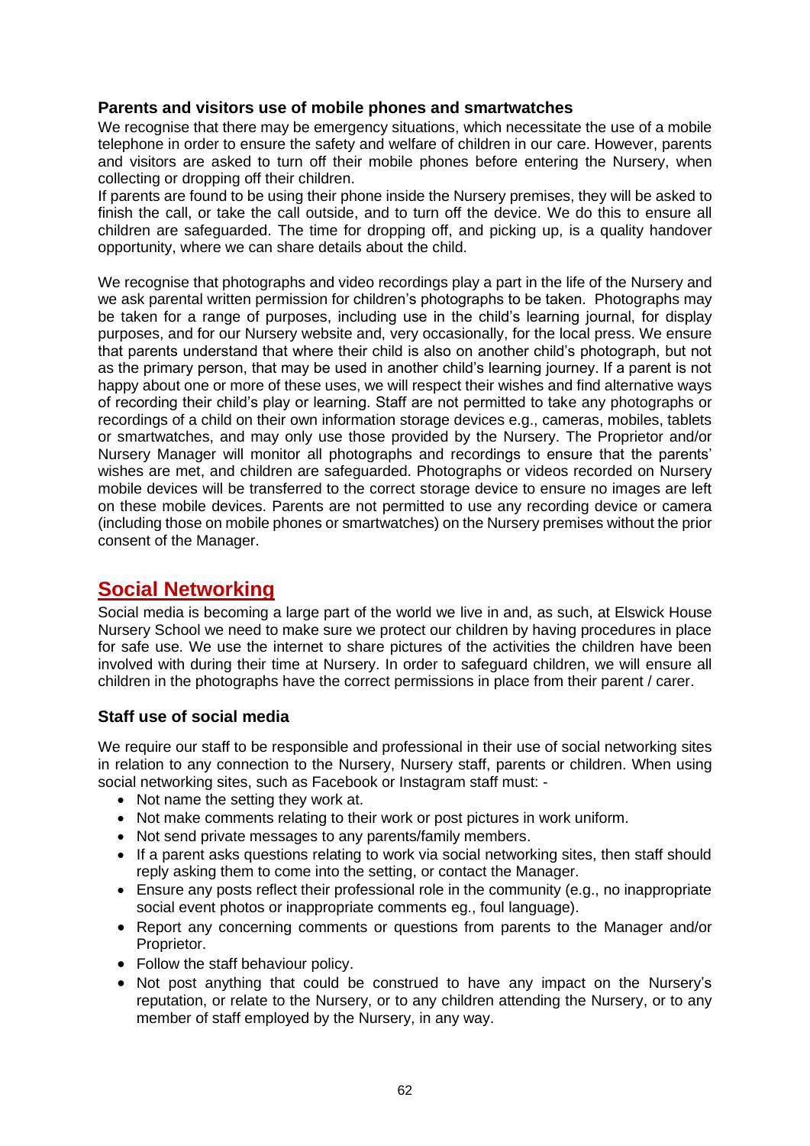# **Parents and visitors use of mobile phones and smartwatches**

We recognise that there may be emergency situations, which necessitate the use of a mobile telephone in order to ensure the safety and welfare of children in our care. However, parents and visitors are asked to turn off their mobile phones before entering the Nursery, when collecting or dropping off their children.

If parents are found to be using their phone inside the Nursery premises, they will be asked to finish the call, or take the call outside, and to turn off the device. We do this to ensure all children are safeguarded. The time for dropping off, and picking up, is a quality handover opportunity, where we can share details about the child.

We recognise that photographs and video recordings play a part in the life of the Nursery and we ask parental written permission for children's photographs to be taken. Photographs may be taken for a range of purposes, including use in the child's learning journal, for display purposes, and for our Nursery website and, very occasionally, for the local press. We ensure that parents understand that where their child is also on another child's photograph, but not as the primary person, that may be used in another child's learning journey. If a parent is not happy about one or more of these uses, we will respect their wishes and find alternative ways of recording their child's play or learning. Staff are not permitted to take any photographs or recordings of a child on their own information storage devices e.g., cameras, mobiles, tablets or smartwatches, and may only use those provided by the Nursery. The Proprietor and/or Nursery Manager will monitor all photographs and recordings to ensure that the parents' wishes are met, and children are safeguarded. Photographs or videos recorded on Nursery mobile devices will be transferred to the correct storage device to ensure no images are left on these mobile devices. Parents are not permitted to use any recording device or camera (including those on mobile phones or smartwatches) on the Nursery premises without the prior consent of the Manager.

# **Social Networking**

Social media is becoming a large part of the world we live in and, as such, at Elswick House Nursery School we need to make sure we protect our children by having procedures in place for safe use. We use the internet to share pictures of the activities the children have been involved with during their time at Nursery. In order to safeguard children, we will ensure all children in the photographs have the correct permissions in place from their parent / carer.

# **Staff use of social media**

We require our staff to be responsible and professional in their use of social networking sites in relation to any connection to the Nursery, Nursery staff, parents or children. When using social networking sites, such as Facebook or Instagram staff must: -

- Not name the setting they work at.
- Not make comments relating to their work or post pictures in work uniform.
- Not send private messages to any parents/family members.
- If a parent asks questions relating to work via social networking sites, then staff should reply asking them to come into the setting, or contact the Manager.
- Ensure any posts reflect their professional role in the community (e.g., no inappropriate social event photos or inappropriate comments eg., foul language).
- Report any concerning comments or questions from parents to the Manager and/or Proprietor.
- Follow the staff behaviour policy.
- Not post anything that could be construed to have any impact on the Nursery's reputation, or relate to the Nursery, or to any children attending the Nursery, or to any member of staff employed by the Nursery, in any way.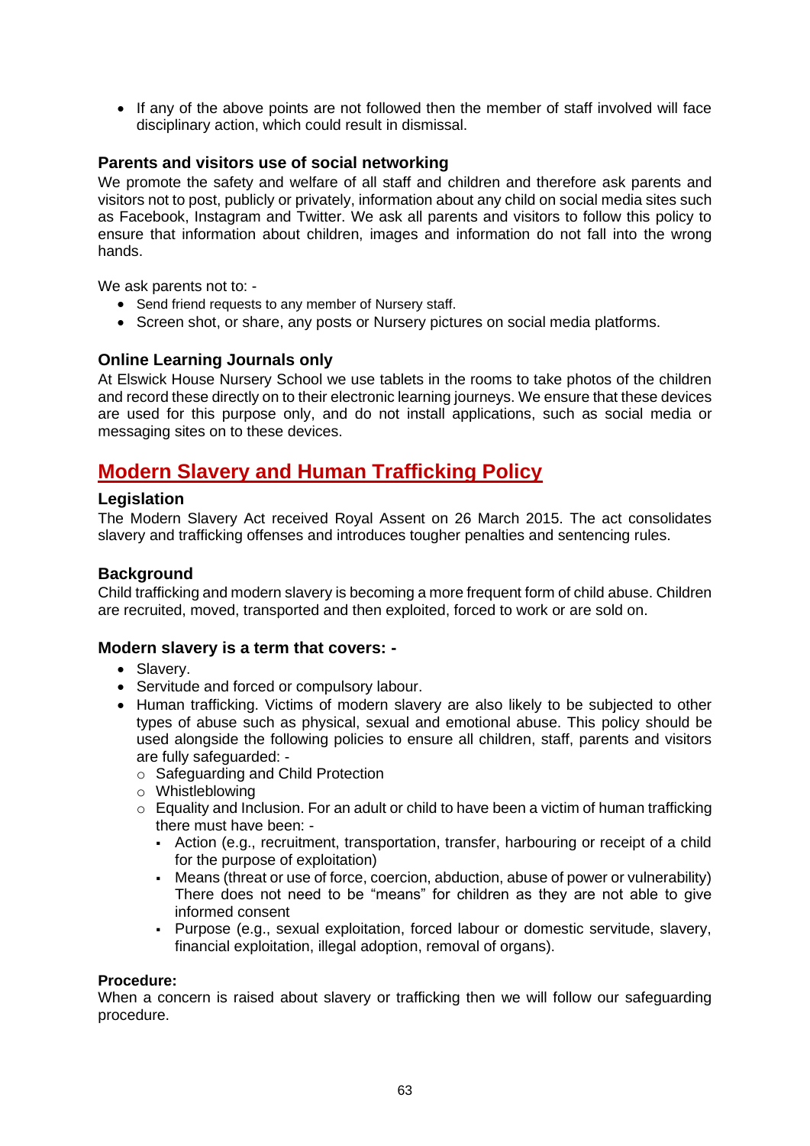• If any of the above points are not followed then the member of staff involved will face disciplinary action, which could result in dismissal.

# **Parents and visitors use of social networking**

We promote the safety and welfare of all staff and children and therefore ask parents and visitors not to post, publicly or privately, information about any child on social media sites such as Facebook, Instagram and Twitter. We ask all parents and visitors to follow this policy to ensure that information about children, images and information do not fall into the wrong hands.

We ask parents not to: -

- Send friend requests to any member of Nursery staff.
- Screen shot, or share, any posts or Nursery pictures on social media platforms.

#### **Online Learning Journals only**

At Elswick House Nursery School we use tablets in the rooms to take photos of the children and record these directly on to their electronic learning journeys. We ensure that these devices are used for this purpose only, and do not install applications, such as social media or messaging sites on to these devices.

# **Modern Slavery and Human Trafficking Policy**

#### **Legislation**

The Modern Slavery Act received Royal Assent on 26 March 2015. The act consolidates slavery and trafficking offenses and introduces tougher penalties and sentencing rules.

#### **Background**

Child trafficking and modern slavery is becoming a more frequent form of child abuse. Children are recruited, moved, transported and then exploited, forced to work or are sold on.

#### **Modern slavery is a term that covers: -**

- Slavery.
- Servitude and forced or compulsory labour.
- Human trafficking. Victims of modern slavery are also likely to be subjected to other types of abuse such as physical, sexual and emotional abuse. This policy should be used alongside the following policies to ensure all children, staff, parents and visitors are fully safeguarded:
	- o Safeguarding and Child Protection
	- o Whistleblowing
	- $\circ$  Equality and Inclusion. For an adult or child to have been a victim of human trafficking there must have been: -
		- Action (e.g., recruitment, transportation, transfer, harbouring or receipt of a child for the purpose of exploitation)
		- Means (threat or use of force, coercion, abduction, abuse of power or vulnerability) There does not need to be "means" for children as they are not able to give informed consent
		- Purpose (e.g., sexual exploitation, forced labour or domestic servitude, slavery, financial exploitation, illegal adoption, removal of organs).

#### **Procedure:**

When a concern is raised about slavery or trafficking then we will follow our safeguarding procedure.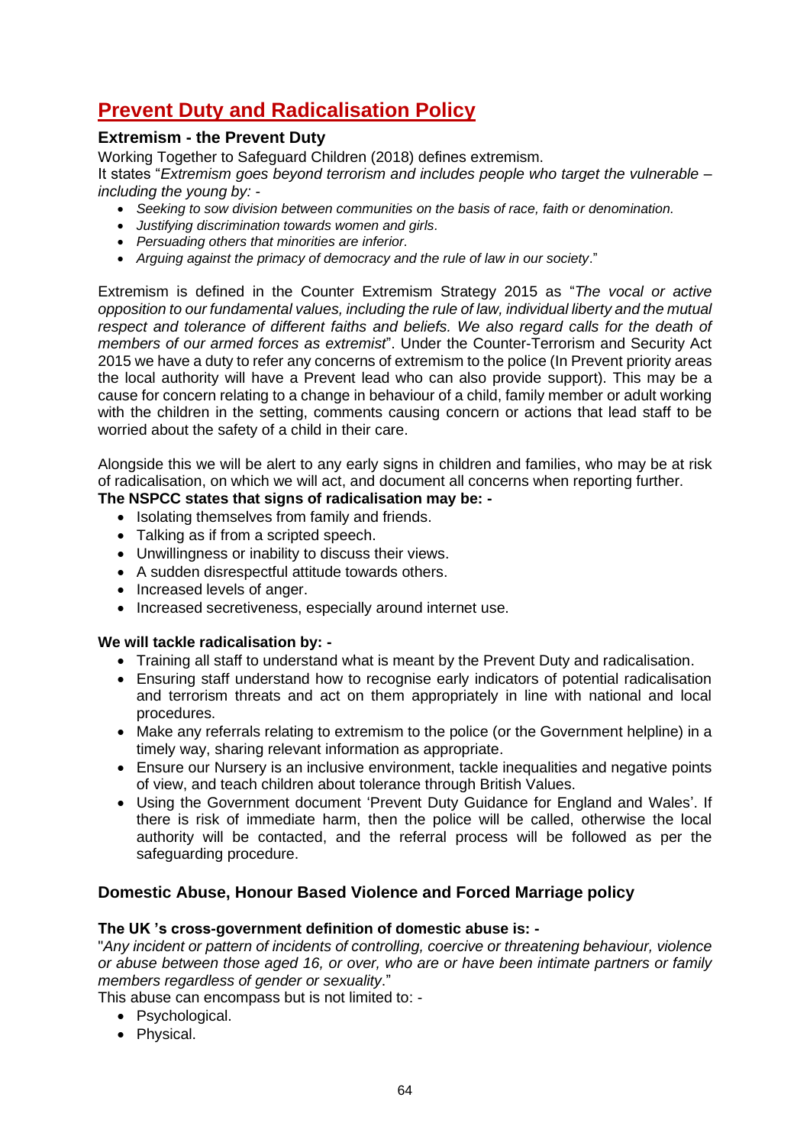# **Prevent Duty and Radicalisation Policy**

# **Extremism - the Prevent Duty**

Working Together to Safeguard Children (2018) defines extremism.

It states "*Extremism goes beyond terrorism and includes people who target the vulnerable – including the young by: -*

- *Seeking to sow division between communities on the basis of race, faith or denomination.*
- *Justifying discrimination towards women and girls.*
- *Persuading others that minorities are inferior.*
- *Arguing against the primacy of democracy and the rule of law in our society*."

Extremism is defined in the Counter Extremism Strategy 2015 as "*The vocal or active opposition to our fundamental values, including the rule of law, individual liberty and the mutual respect and tolerance of different faiths and beliefs. We also regard calls for the death of members of our armed forces as extremist*". Under the Counter-Terrorism and Security Act 2015 we have a duty to refer any concerns of extremism to the police (In Prevent priority areas the local authority will have a Prevent lead who can also provide support). This may be a cause for concern relating to a change in behaviour of a child, family member or adult working with the children in the setting, comments causing concern or actions that lead staff to be worried about the safety of a child in their care.

Alongside this we will be alert to any early signs in children and families, who may be at risk of radicalisation, on which we will act, and document all concerns when reporting further.

# **The NSPCC states that signs of radicalisation may be: -**

- Isolating themselves from family and friends.
- Talking as if from a scripted speech.
- Unwillingness or inability to discuss their views.
- A sudden disrespectful attitude towards others.
- Increased levels of anger.
- Increased secretiveness, especially around internet use.

#### **We will tackle radicalisation by: -**

- Training all staff to understand what is meant by the Prevent Duty and radicalisation.
- Ensuring staff understand how to recognise early indicators of potential radicalisation and terrorism threats and act on them appropriately in line with national and local procedures.
- Make any referrals relating to extremism to the police (or the Government helpline) in a timely way, sharing relevant information as appropriate.
- Ensure our Nursery is an inclusive environment, tackle inequalities and negative points of view, and teach children about tolerance through British Values.
- Using the Government document 'Prevent Duty Guidance for England and Wales'. If there is risk of immediate harm, then the police will be called, otherwise the local authority will be contacted, and the referral process will be followed as per the safeguarding procedure.

# **Domestic Abuse, Honour Based Violence and Forced Marriage policy**

#### **The UK 's cross-government definition of domestic abuse is: -**

"*Any incident or pattern of incidents of controlling, coercive or threatening behaviour, violence or abuse between those aged 16, or over, who are or have been intimate partners or family members regardless of gender or sexuality*."

This abuse can encompass but is not limited to: -

- Psychological.
- Physical.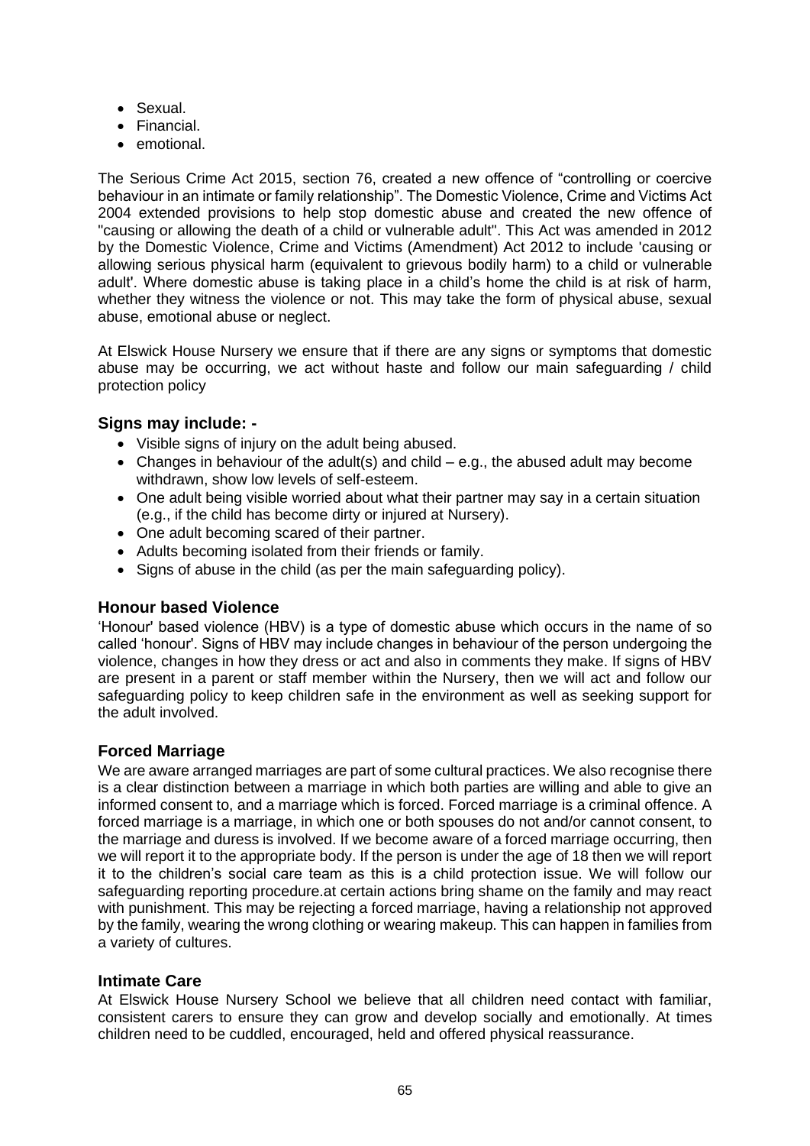- Sexual.
- Financial.
- emotional.

The Serious Crime Act 2015, section 76, created a new offence of "controlling or coercive behaviour in an intimate or family relationship". The Domestic Violence, Crime and Victims Act 2004 extended provisions to help stop domestic abuse and created the new offence of "causing or allowing the death of a child or vulnerable adult". This Act was amended in 2012 by the Domestic Violence, Crime and Victims (Amendment) Act 2012 to include 'causing or allowing serious physical harm (equivalent to grievous bodily harm) to a child or vulnerable adult'. Where domestic abuse is taking place in a child's home the child is at risk of harm, whether they witness the violence or not. This may take the form of physical abuse, sexual abuse, emotional abuse or neglect.

At Elswick House Nursery we ensure that if there are any signs or symptoms that domestic abuse may be occurring, we act without haste and follow our main safeguarding / child protection policy

# **Signs may include: -**

- Visible signs of injury on the adult being abused.
- Changes in behaviour of the adult(s) and child  $-$  e.g., the abused adult may become withdrawn, show low levels of self-esteem.
- One adult being visible worried about what their partner may say in a certain situation (e.g., if the child has become dirty or injured at Nursery).
- One adult becoming scared of their partner.
- Adults becoming isolated from their friends or family.
- Signs of abuse in the child (as per the main safeguarding policy).

# **Honour based Violence**

'Honour' based violence (HBV) is a type of domestic abuse which occurs in the name of so called 'honour'. Signs of HBV may include changes in behaviour of the person undergoing the violence, changes in how they dress or act and also in comments they make. If signs of HBV are present in a parent or staff member within the Nursery, then we will act and follow our safeguarding policy to keep children safe in the environment as well as seeking support for the adult involved.

# **Forced Marriage**

We are aware arranged marriages are part of some cultural practices. We also recognise there is a clear distinction between a marriage in which both parties are willing and able to give an informed consent to, and a marriage which is forced. Forced marriage is a criminal offence. A forced marriage is a marriage, in which one or both spouses do not and/or cannot consent, to the marriage and duress is involved. If we become aware of a forced marriage occurring, then we will report it to the appropriate body. If the person is under the age of 18 then we will report it to the children's social care team as this is a child protection issue. We will follow our safeguarding reporting procedure.at certain actions bring shame on the family and may react with punishment. This may be rejecting a forced marriage, having a relationship not approved by the family, wearing the wrong clothing or wearing makeup. This can happen in families from a variety of cultures.

# **Intimate Care**

At Elswick House Nursery School we believe that all children need contact with familiar, consistent carers to ensure they can grow and develop socially and emotionally. At times children need to be cuddled, encouraged, held and offered physical reassurance.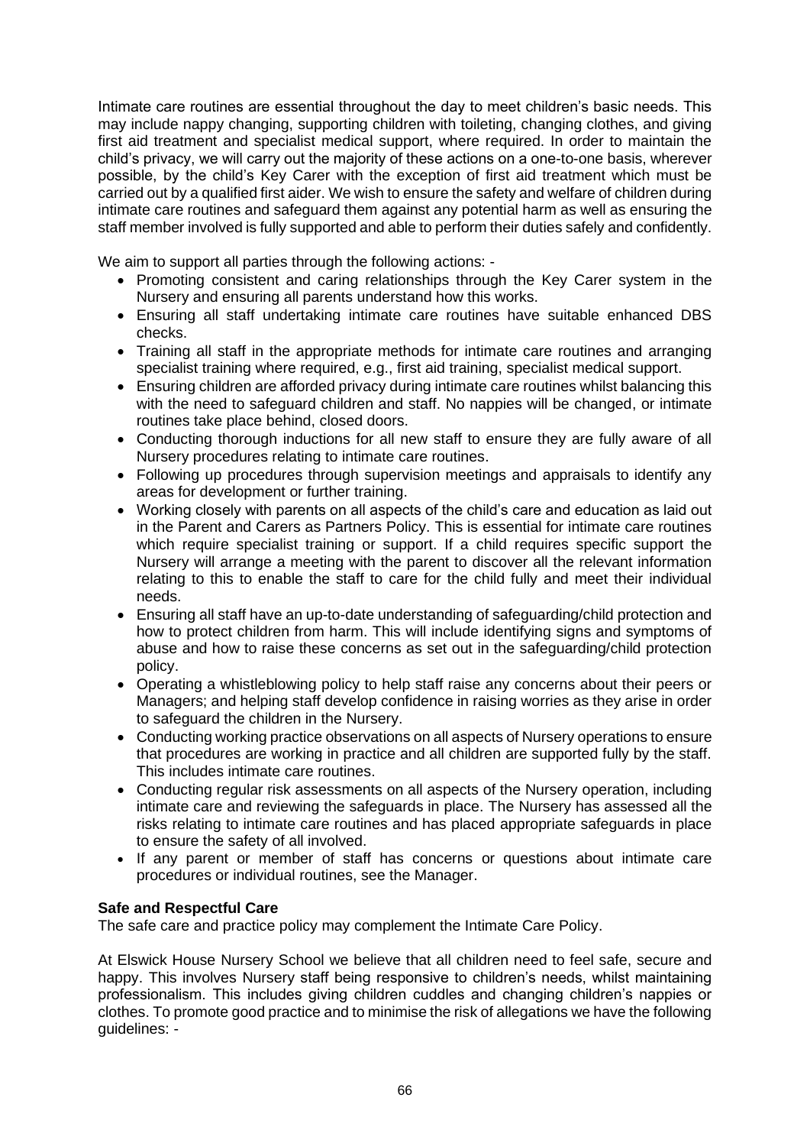Intimate care routines are essential throughout the day to meet children's basic needs. This may include nappy changing, supporting children with toileting, changing clothes, and giving first aid treatment and specialist medical support, where required. In order to maintain the child's privacy, we will carry out the majority of these actions on a one-to-one basis, wherever possible, by the child's Key Carer with the exception of first aid treatment which must be carried out by a qualified first aider. We wish to ensure the safety and welfare of children during intimate care routines and safeguard them against any potential harm as well as ensuring the staff member involved is fully supported and able to perform their duties safely and confidently.

We aim to support all parties through the following actions: -

- Promoting consistent and caring relationships through the Key Carer system in the Nursery and ensuring all parents understand how this works.
- Ensuring all staff undertaking intimate care routines have suitable enhanced DBS checks.
- Training all staff in the appropriate methods for intimate care routines and arranging specialist training where required, e.g., first aid training, specialist medical support.
- Ensuring children are afforded privacy during intimate care routines whilst balancing this with the need to safeguard children and staff. No nappies will be changed, or intimate routines take place behind, closed doors.
- Conducting thorough inductions for all new staff to ensure they are fully aware of all Nursery procedures relating to intimate care routines.
- Following up procedures through supervision meetings and appraisals to identify any areas for development or further training.
- Working closely with parents on all aspects of the child's care and education as laid out in the Parent and Carers as Partners Policy. This is essential for intimate care routines which require specialist training or support. If a child requires specific support the Nursery will arrange a meeting with the parent to discover all the relevant information relating to this to enable the staff to care for the child fully and meet their individual needs.
- Ensuring all staff have an up-to-date understanding of safeguarding/child protection and how to protect children from harm. This will include identifying signs and symptoms of abuse and how to raise these concerns as set out in the safeguarding/child protection policy.
- Operating a whistleblowing policy to help staff raise any concerns about their peers or Managers; and helping staff develop confidence in raising worries as they arise in order to safeguard the children in the Nursery.
- Conducting working practice observations on all aspects of Nursery operations to ensure that procedures are working in practice and all children are supported fully by the staff. This includes intimate care routines.
- Conducting regular risk assessments on all aspects of the Nursery operation, including intimate care and reviewing the safeguards in place. The Nursery has assessed all the risks relating to intimate care routines and has placed appropriate safeguards in place to ensure the safety of all involved.
- If any parent or member of staff has concerns or questions about intimate care procedures or individual routines, see the Manager.

#### **Safe and Respectful Care**

The safe care and practice policy may complement the Intimate Care Policy.

At Elswick House Nursery School we believe that all children need to feel safe, secure and happy. This involves Nursery staff being responsive to children's needs, whilst maintaining professionalism. This includes giving children cuddles and changing children's nappies or clothes. To promote good practice and to minimise the risk of allegations we have the following guidelines: -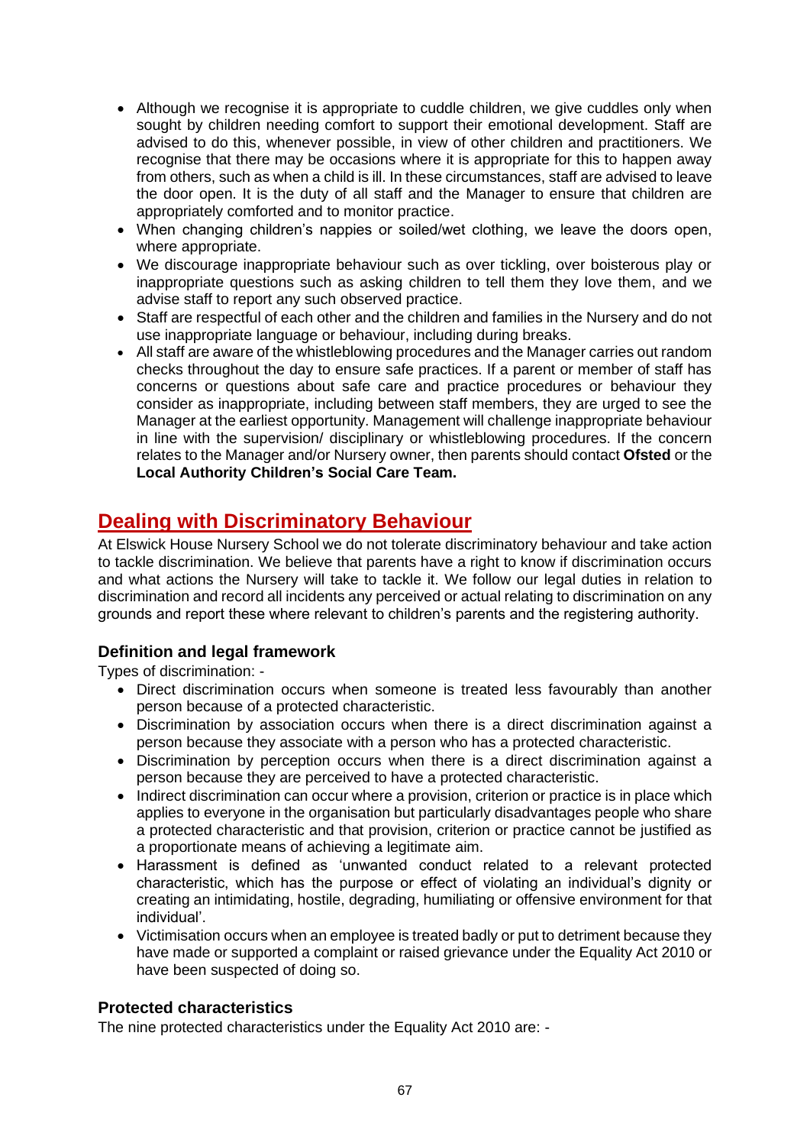- Although we recognise it is appropriate to cuddle children, we give cuddles only when sought by children needing comfort to support their emotional development. Staff are advised to do this, whenever possible, in view of other children and practitioners. We recognise that there may be occasions where it is appropriate for this to happen away from others, such as when a child is ill. In these circumstances, staff are advised to leave the door open. It is the duty of all staff and the Manager to ensure that children are appropriately comforted and to monitor practice.
- When changing children's nappies or soiled/wet clothing, we leave the doors open, where appropriate.
- We discourage inappropriate behaviour such as over tickling, over boisterous play or inappropriate questions such as asking children to tell them they love them, and we advise staff to report any such observed practice.
- Staff are respectful of each other and the children and families in the Nursery and do not use inappropriate language or behaviour, including during breaks.
- All staff are aware of the whistleblowing procedures and the Manager carries out random checks throughout the day to ensure safe practices. If a parent or member of staff has concerns or questions about safe care and practice procedures or behaviour they consider as inappropriate, including between staff members, they are urged to see the Manager at the earliest opportunity. Management will challenge inappropriate behaviour in line with the supervision/ disciplinary or whistleblowing procedures. If the concern relates to the Manager and/or Nursery owner, then parents should contact **Ofsted** or the **Local Authority Children's Social Care Team.**

# **Dealing with Discriminatory Behaviour**

At Elswick House Nursery School we do not tolerate discriminatory behaviour and take action to tackle discrimination. We believe that parents have a right to know if discrimination occurs and what actions the Nursery will take to tackle it. We follow our legal duties in relation to discrimination and record all incidents any perceived or actual relating to discrimination on any grounds and report these where relevant to children's parents and the registering authority.

# **Definition and legal framework**

Types of discrimination: -

- Direct discrimination occurs when someone is treated less favourably than another person because of a protected characteristic.
- Discrimination by association occurs when there is a direct discrimination against a person because they associate with a person who has a protected characteristic.
- Discrimination by perception occurs when there is a direct discrimination against a person because they are perceived to have a protected characteristic.
- Indirect discrimination can occur where a provision, criterion or practice is in place which applies to everyone in the organisation but particularly disadvantages people who share a protected characteristic and that provision, criterion or practice cannot be justified as a proportionate means of achieving a legitimate aim.
- Harassment is defined as 'unwanted conduct related to a relevant protected characteristic, which has the purpose or effect of violating an individual's dignity or creating an intimidating, hostile, degrading, humiliating or offensive environment for that individual'.
- Victimisation occurs when an employee is treated badly or put to detriment because they have made or supported a complaint or raised grievance under the Equality Act 2010 or have been suspected of doing so.

# **Protected characteristics**

The nine protected characteristics under the Equality Act 2010 are: -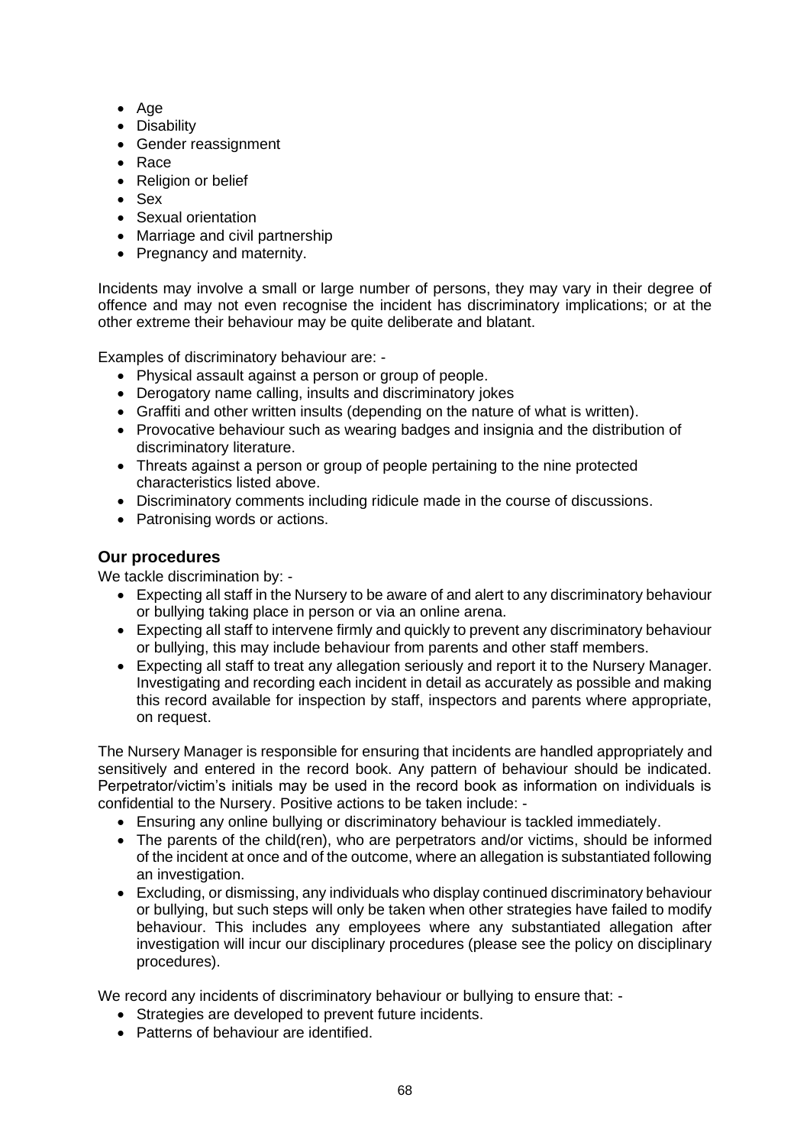- Age
- Disability
- Gender reassignment
- Race
- Religion or belief
- Sex
- Sexual orientation
- Marriage and civil partnership
- Pregnancy and maternity.

Incidents may involve a small or large number of persons, they may vary in their degree of offence and may not even recognise the incident has discriminatory implications; or at the other extreme their behaviour may be quite deliberate and blatant.

Examples of discriminatory behaviour are: -

- Physical assault against a person or group of people.
- Derogatory name calling, insults and discriminatory jokes
- Graffiti and other written insults (depending on the nature of what is written).
- Provocative behaviour such as wearing badges and insignia and the distribution of discriminatory literature.
- Threats against a person or group of people pertaining to the nine protected characteristics listed above.
- Discriminatory comments including ridicule made in the course of discussions.
- Patronising words or actions.

# **Our procedures**

We tackle discrimination by: -

- Expecting all staff in the Nursery to be aware of and alert to any discriminatory behaviour or bullying taking place in person or via an online arena.
- Expecting all staff to intervene firmly and quickly to prevent any discriminatory behaviour or bullying, this may include behaviour from parents and other staff members.
- Expecting all staff to treat any allegation seriously and report it to the Nursery Manager. Investigating and recording each incident in detail as accurately as possible and making this record available for inspection by staff, inspectors and parents where appropriate, on request.

The Nursery Manager is responsible for ensuring that incidents are handled appropriately and sensitively and entered in the record book. Any pattern of behaviour should be indicated. Perpetrator/victim's initials may be used in the record book as information on individuals is confidential to the Nursery. Positive actions to be taken include: -

- Ensuring any online bullying or discriminatory behaviour is tackled immediately.
- The parents of the child(ren), who are perpetrators and/or victims, should be informed of the incident at once and of the outcome, where an allegation is substantiated following an investigation.
- Excluding, or dismissing, any individuals who display continued discriminatory behaviour or bullying, but such steps will only be taken when other strategies have failed to modify behaviour. This includes any employees where any substantiated allegation after investigation will incur our disciplinary procedures (please see the policy on disciplinary procedures).

We record any incidents of discriminatory behaviour or bullying to ensure that: -

- Strategies are developed to prevent future incidents.
- Patterns of behaviour are identified.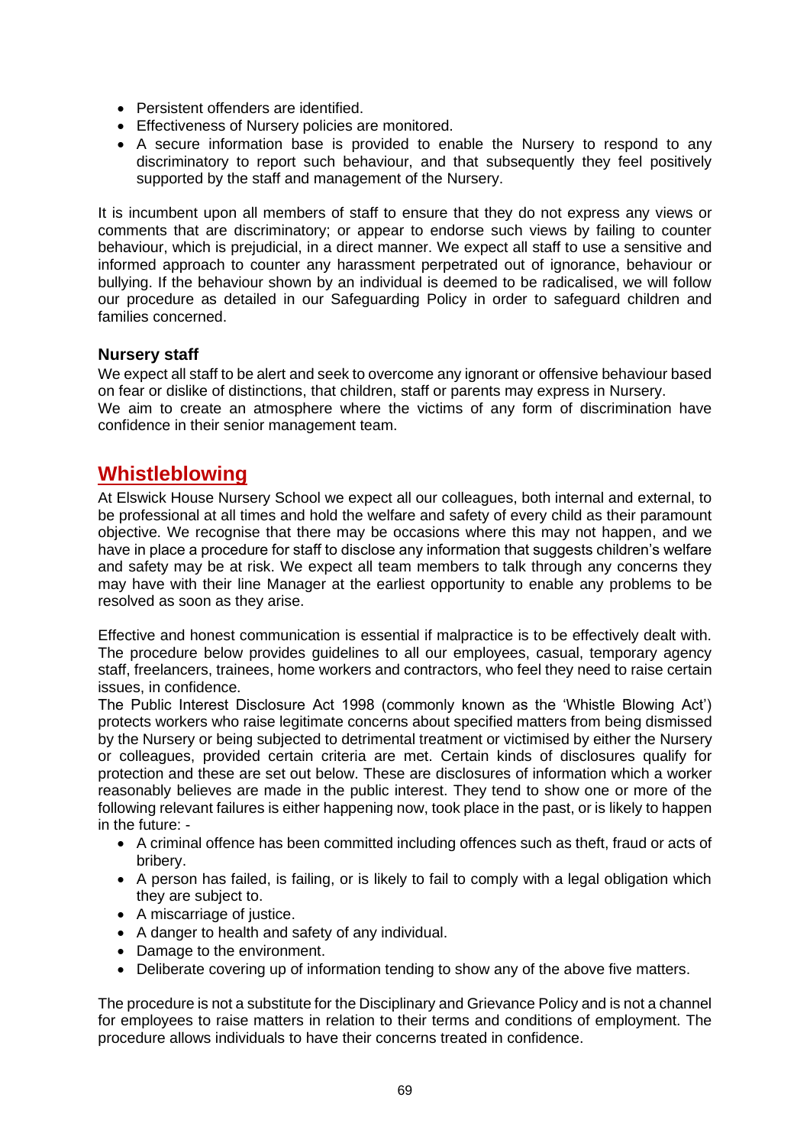- Persistent offenders are identified.
- Effectiveness of Nursery policies are monitored.
- A secure information base is provided to enable the Nursery to respond to any discriminatory to report such behaviour, and that subsequently they feel positively supported by the staff and management of the Nursery.

It is incumbent upon all members of staff to ensure that they do not express any views or comments that are discriminatory; or appear to endorse such views by failing to counter behaviour, which is prejudicial, in a direct manner. We expect all staff to use a sensitive and informed approach to counter any harassment perpetrated out of ignorance, behaviour or bullying. If the behaviour shown by an individual is deemed to be radicalised, we will follow our procedure as detailed in our Safeguarding Policy in order to safeguard children and families concerned.

# **Nursery staff**

We expect all staff to be alert and seek to overcome any ignorant or offensive behaviour based on fear or dislike of distinctions, that children, staff or parents may express in Nursery. We aim to create an atmosphere where the victims of any form of discrimination have confidence in their senior management team.

# **Whistleblowing**

At Elswick House Nursery School we expect all our colleagues, both internal and external, to be professional at all times and hold the welfare and safety of every child as their paramount objective. We recognise that there may be occasions where this may not happen, and we have in place a procedure for staff to disclose any information that suggests children's welfare and safety may be at risk. We expect all team members to talk through any concerns they may have with their line Manager at the earliest opportunity to enable any problems to be resolved as soon as they arise.

Effective and honest communication is essential if malpractice is to be effectively dealt with. The procedure below provides guidelines to all our employees, casual, temporary agency staff, freelancers, trainees, home workers and contractors, who feel they need to raise certain issues, in confidence.

The Public Interest Disclosure Act 1998 (commonly known as the 'Whistle Blowing Act') protects workers who raise legitimate concerns about specified matters from being dismissed by the Nursery or being subjected to detrimental treatment or victimised by either the Nursery or colleagues, provided certain criteria are met. Certain kinds of disclosures qualify for protection and these are set out below. These are disclosures of information which a worker reasonably believes are made in the public interest. They tend to show one or more of the following relevant failures is either happening now, took place in the past, or is likely to happen in the future: -

- A criminal offence has been committed including offences such as theft, fraud or acts of bribery.
- A person has failed, is failing, or is likely to fail to comply with a legal obligation which they are subject to.
- A miscarriage of justice.
- A danger to health and safety of any individual.
- Damage to the environment.
- Deliberate covering up of information tending to show any of the above five matters.

The procedure is not a substitute for the Disciplinary and Grievance Policy and is not a channel for employees to raise matters in relation to their terms and conditions of employment. The procedure allows individuals to have their concerns treated in confidence.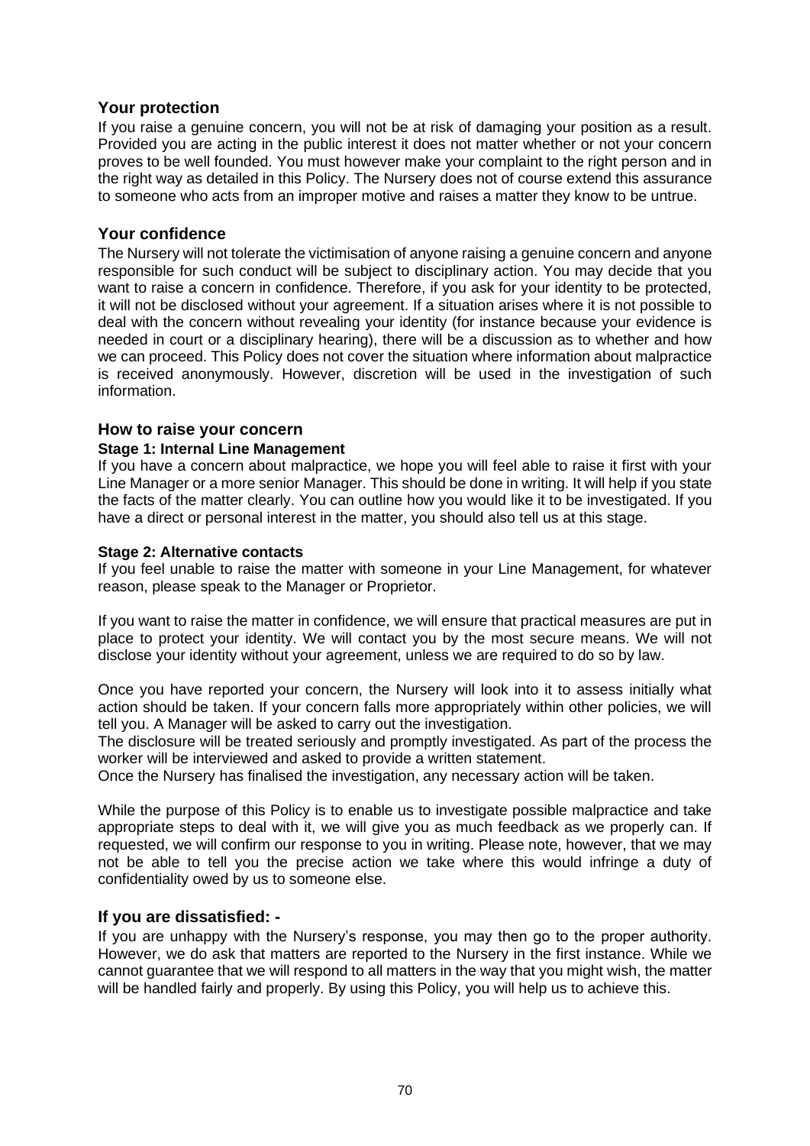### **Your protection**

If you raise a genuine concern, you will not be at risk of damaging your position as a result. Provided you are acting in the public interest it does not matter whether or not your concern proves to be well founded. You must however make your complaint to the right person and in the right way as detailed in this Policy. The Nursery does not of course extend this assurance to someone who acts from an improper motive and raises a matter they know to be untrue.

#### **Your confidence**

The Nursery will not tolerate the victimisation of anyone raising a genuine concern and anyone responsible for such conduct will be subject to disciplinary action. You may decide that you want to raise a concern in confidence. Therefore, if you ask for your identity to be protected, it will not be disclosed without your agreement. If a situation arises where it is not possible to deal with the concern without revealing your identity (for instance because your evidence is needed in court or a disciplinary hearing), there will be a discussion as to whether and how we can proceed. This Policy does not cover the situation where information about malpractice is received anonymously. However, discretion will be used in the investigation of such information.

#### **How to raise your concern**

#### **Stage 1: Internal Line Management**

If you have a concern about malpractice, we hope you will feel able to raise it first with your Line Manager or a more senior Manager. This should be done in writing. It will help if you state the facts of the matter clearly. You can outline how you would like it to be investigated. If you have a direct or personal interest in the matter, you should also tell us at this stage.

#### **Stage 2: Alternative contacts**

If you feel unable to raise the matter with someone in your Line Management, for whatever reason, please speak to the Manager or Proprietor.

If you want to raise the matter in confidence, we will ensure that practical measures are put in place to protect your identity. We will contact you by the most secure means. We will not disclose your identity without your agreement, unless we are required to do so by law.

Once you have reported your concern, the Nursery will look into it to assess initially what action should be taken. If your concern falls more appropriately within other policies, we will tell you. A Manager will be asked to carry out the investigation.

The disclosure will be treated seriously and promptly investigated. As part of the process the worker will be interviewed and asked to provide a written statement.

Once the Nursery has finalised the investigation, any necessary action will be taken.

While the purpose of this Policy is to enable us to investigate possible malpractice and take appropriate steps to deal with it, we will give you as much feedback as we properly can. If requested, we will confirm our response to you in writing. Please note, however, that we may not be able to tell you the precise action we take where this would infringe a duty of confidentiality owed by us to someone else.

#### **If you are dissatisfied: -**

If you are unhappy with the Nursery's response, you may then go to the proper authority. However, we do ask that matters are reported to the Nursery in the first instance. While we cannot guarantee that we will respond to all matters in the way that you might wish, the matter will be handled fairly and properly. By using this Policy, you will help us to achieve this.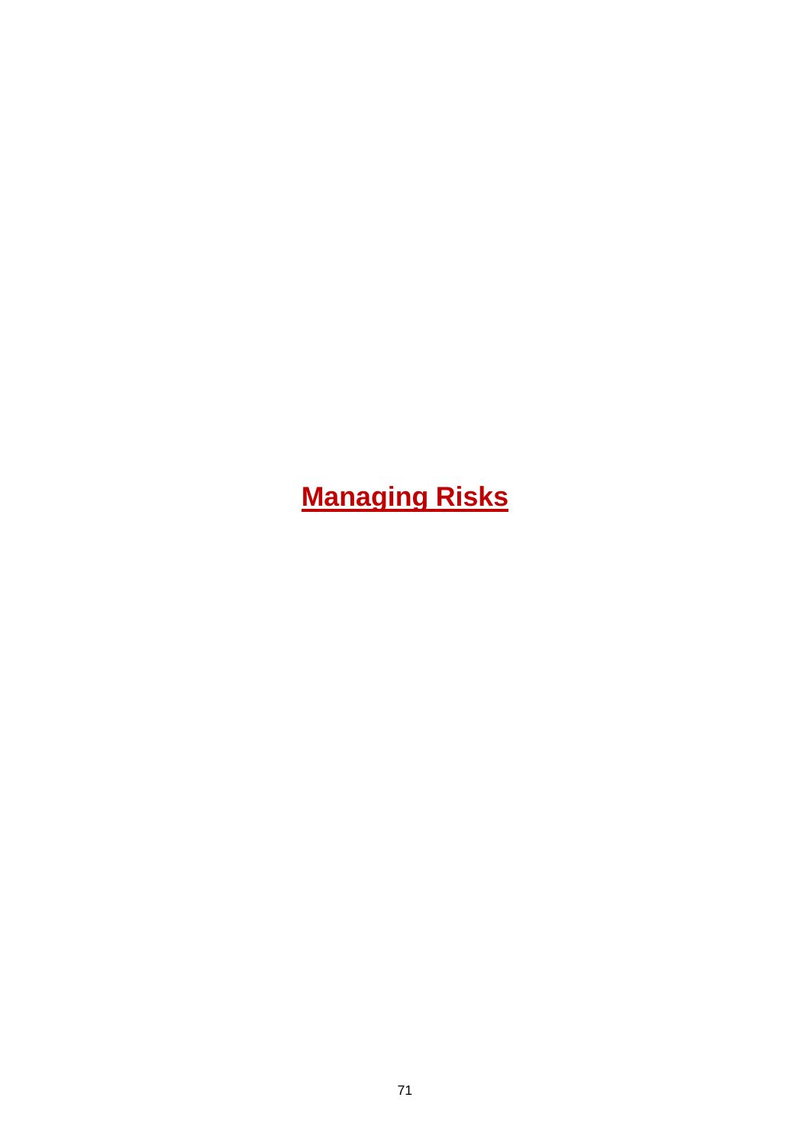**Managing Risks**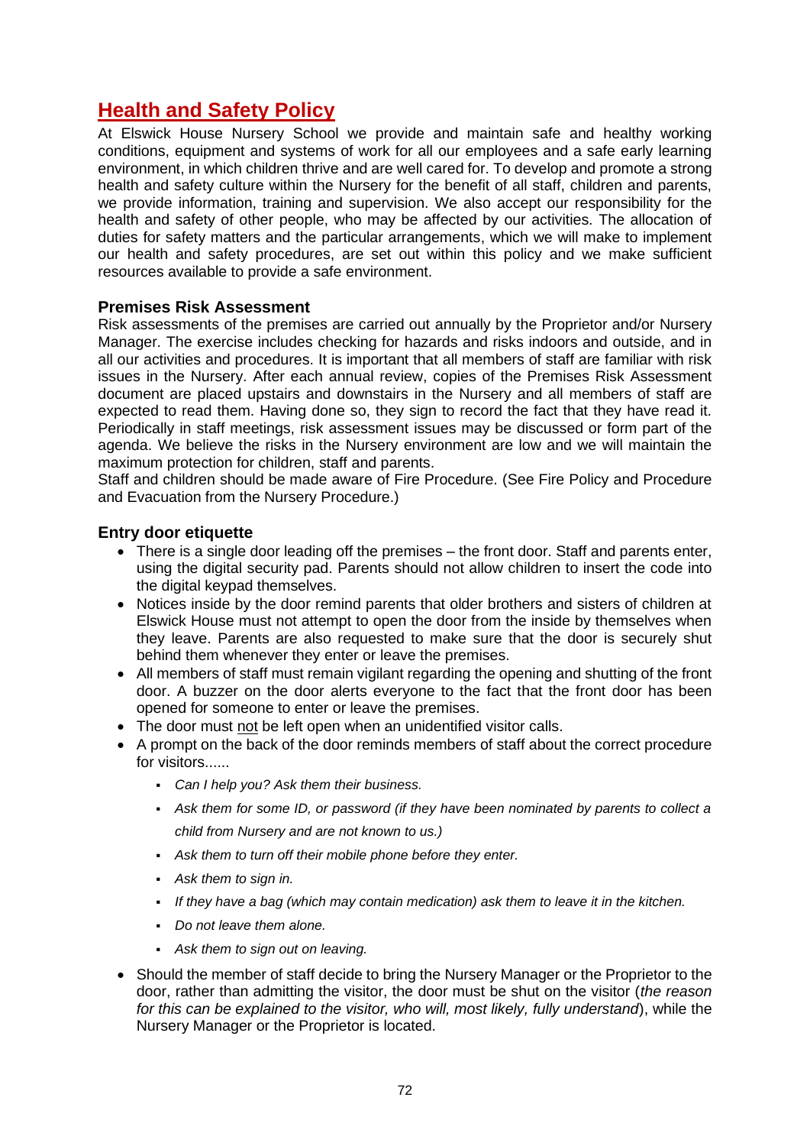# **Health and Safety Policy**

At Elswick House Nursery School we provide and maintain safe and healthy working conditions, equipment and systems of work for all our employees and a safe early learning environment, in which children thrive and are well cared for. To develop and promote a strong health and safety culture within the Nursery for the benefit of all staff, children and parents, we provide information, training and supervision. We also accept our responsibility for the health and safety of other people, who may be affected by our activities. The allocation of duties for safety matters and the particular arrangements, which we will make to implement our health and safety procedures, are set out within this policy and we make sufficient resources available to provide a safe environment.

#### **Premises Risk Assessment**

Risk assessments of the premises are carried out annually by the Proprietor and/or Nursery Manager. The exercise includes checking for hazards and risks indoors and outside, and in all our activities and procedures. It is important that all members of staff are familiar with risk issues in the Nursery. After each annual review, copies of the Premises Risk Assessment document are placed upstairs and downstairs in the Nursery and all members of staff are expected to read them. Having done so, they sign to record the fact that they have read it. Periodically in staff meetings, risk assessment issues may be discussed or form part of the agenda. We believe the risks in the Nursery environment are low and we will maintain the maximum protection for children, staff and parents.

Staff and children should be made aware of Fire Procedure. (See Fire Policy and Procedure and Evacuation from the Nursery Procedure.)

#### **Entry door etiquette**

- There is a single door leading off the premises the front door. Staff and parents enter, using the digital security pad. Parents should not allow children to insert the code into the digital keypad themselves.
- Notices inside by the door remind parents that older brothers and sisters of children at Elswick House must not attempt to open the door from the inside by themselves when they leave. Parents are also requested to make sure that the door is securely shut behind them whenever they enter or leave the premises.
- All members of staff must remain vigilant regarding the opening and shutting of the front door. A buzzer on the door alerts everyone to the fact that the front door has been opened for someone to enter or leave the premises.
- The door must not be left open when an unidentified visitor calls.
- A prompt on the back of the door reminds members of staff about the correct procedure for visitors......
	- *Can I help you? Ask them their business.*
	- *Ask them for some ID, or password (if they have been nominated by parents to collect a child from Nursery and are not known to us.)*
	- *Ask them to turn off their mobile phone before they enter.*
	- *Ask them to sign in.*
	- *If they have a bag (which may contain medication) ask them to leave it in the kitchen.*
	- *Do not leave them alone.*
	- *Ask them to sign out on leaving.*
- Should the member of staff decide to bring the Nursery Manager or the Proprietor to the door, rather than admitting the visitor, the door must be shut on the visitor (*the reason for this can be explained to the visitor, who will, most likely, fully understand*), while the Nursery Manager or the Proprietor is located.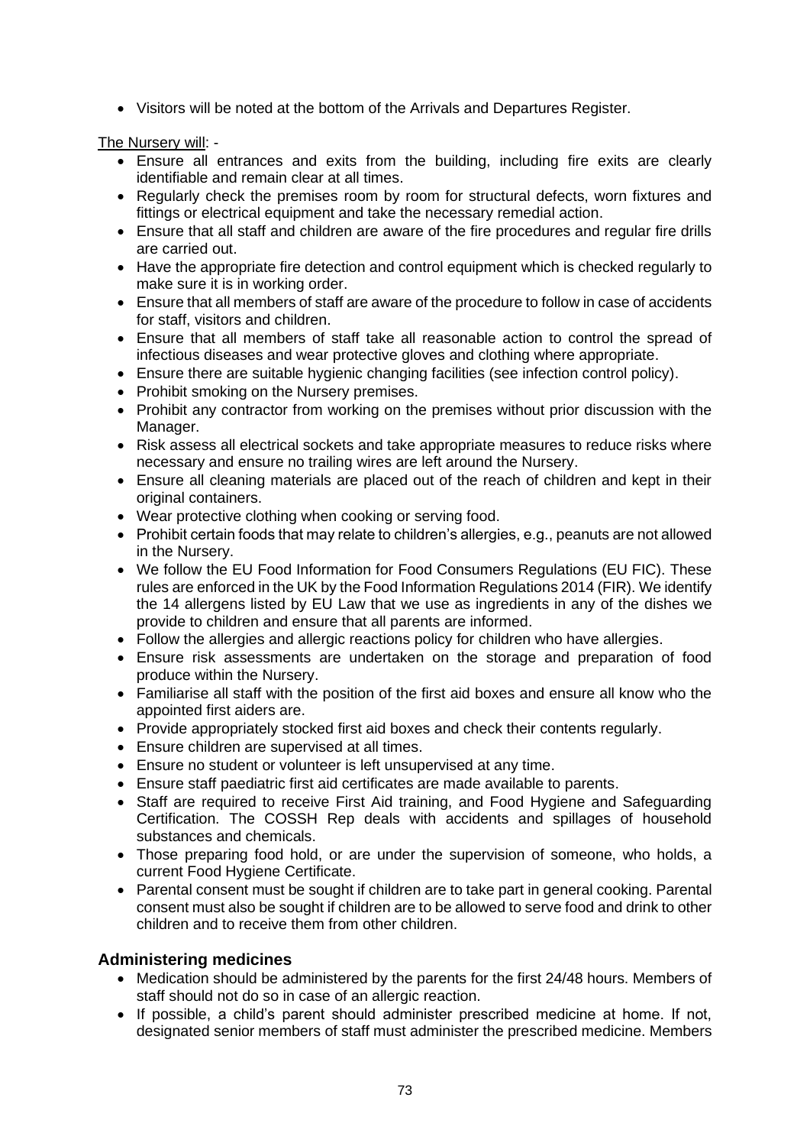• Visitors will be noted at the bottom of the Arrivals and Departures Register.

The Nursery will: -

- Ensure all entrances and exits from the building, including fire exits are clearly identifiable and remain clear at all times.
- Regularly check the premises room by room for structural defects, worn fixtures and fittings or electrical equipment and take the necessary remedial action.
- Ensure that all staff and children are aware of the fire procedures and regular fire drills are carried out.
- Have the appropriate fire detection and control equipment which is checked regularly to make sure it is in working order.
- Ensure that all members of staff are aware of the procedure to follow in case of accidents for staff, visitors and children.
- Ensure that all members of staff take all reasonable action to control the spread of infectious diseases and wear protective gloves and clothing where appropriate.
- Ensure there are suitable hygienic changing facilities (see infection control policy).
- Prohibit smoking on the Nursery premises.
- Prohibit any contractor from working on the premises without prior discussion with the Manager.
- Risk assess all electrical sockets and take appropriate measures to reduce risks where necessary and ensure no trailing wires are left around the Nursery.
- Ensure all cleaning materials are placed out of the reach of children and kept in their original containers.
- Wear protective clothing when cooking or serving food.
- Prohibit certain foods that may relate to children's allergies, e.g., peanuts are not allowed in the Nursery.
- We follow the EU Food Information for Food Consumers Regulations (EU FIC). These rules are enforced in the UK by the Food Information Regulations 2014 (FIR). We identify the 14 allergens listed by EU Law that we use as ingredients in any of the dishes we provide to children and ensure that all parents are informed.
- Follow the allergies and allergic reactions policy for children who have allergies.
- Ensure risk assessments are undertaken on the storage and preparation of food produce within the Nursery.
- Familiarise all staff with the position of the first aid boxes and ensure all know who the appointed first aiders are.
- Provide appropriately stocked first aid boxes and check their contents regularly.
- Ensure children are supervised at all times.
- Ensure no student or volunteer is left unsupervised at any time.
- Ensure staff paediatric first aid certificates are made available to parents.
- Staff are required to receive First Aid training, and Food Hygiene and Safeguarding Certification. The COSSH Rep deals with accidents and spillages of household substances and chemicals.
- Those preparing food hold, or are under the supervision of someone, who holds, a current Food Hygiene Certificate.
- Parental consent must be sought if children are to take part in general cooking. Parental consent must also be sought if children are to be allowed to serve food and drink to other children and to receive them from other children.

#### **Administering medicines**

- Medication should be administered by the parents for the first 24/48 hours. Members of staff should not do so in case of an allergic reaction.
- If possible, a child's parent should administer prescribed medicine at home. If not, designated senior members of staff must administer the prescribed medicine. Members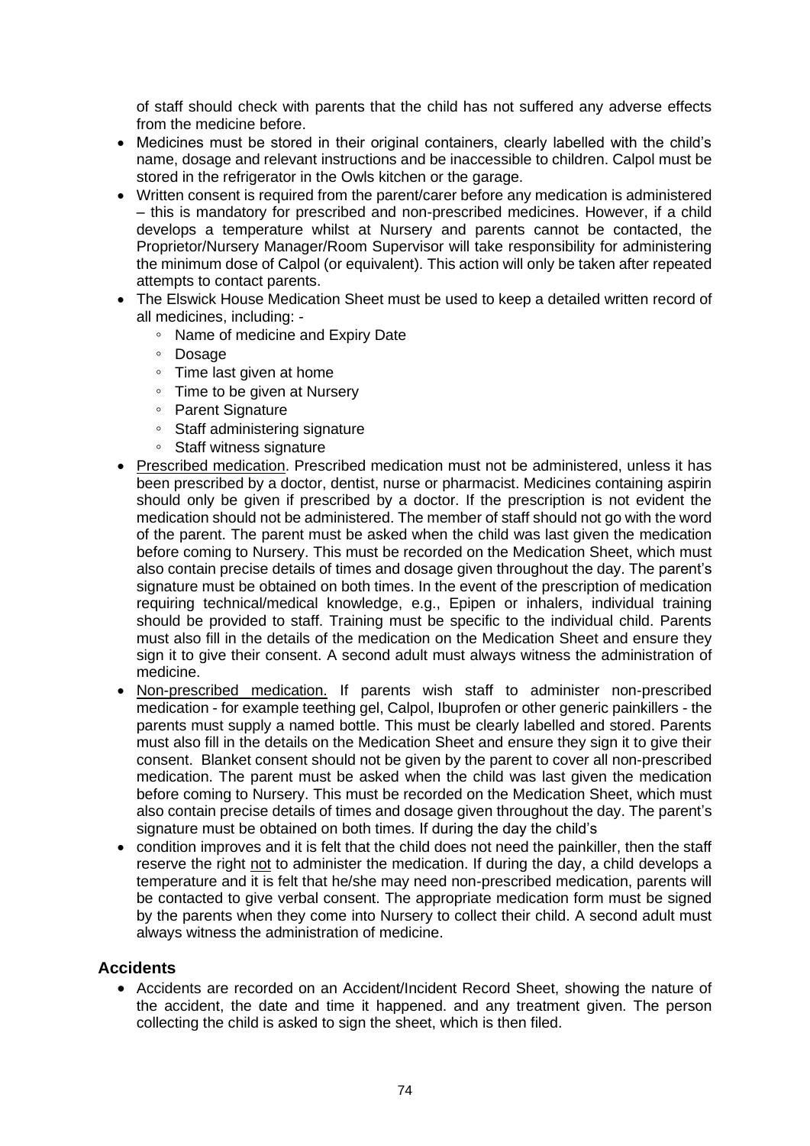of staff should check with parents that the child has not suffered any adverse effects from the medicine before.

- Medicines must be stored in their original containers, clearly labelled with the child's name, dosage and relevant instructions and be inaccessible to children. Calpol must be stored in the refrigerator in the Owls kitchen or the garage.
- Written consent is required from the parent/carer before any medication is administered – this is mandatory for prescribed and non-prescribed medicines. However, if a child develops a temperature whilst at Nursery and parents cannot be contacted, the Proprietor/Nursery Manager/Room Supervisor will take responsibility for administering the minimum dose of Calpol (or equivalent). This action will only be taken after repeated attempts to contact parents.
- The Elswick House Medication Sheet must be used to keep a detailed written record of all medicines, including: -
	- Name of medicine and Expiry Date
	- Dosage
	- Time last given at home
	- Time to be given at Nursery
	- Parent Signature
	- Staff administering signature
	- Staff witness signature
- Prescribed medication. Prescribed medication must not be administered, unless it has been prescribed by a doctor, dentist, nurse or pharmacist. Medicines containing aspirin should only be given if prescribed by a doctor. If the prescription is not evident the medication should not be administered. The member of staff should not go with the word of the parent. The parent must be asked when the child was last given the medication before coming to Nursery. This must be recorded on the Medication Sheet, which must also contain precise details of times and dosage given throughout the day. The parent's signature must be obtained on both times. In the event of the prescription of medication requiring technical/medical knowledge, e.g., Epipen or inhalers, individual training should be provided to staff. Training must be specific to the individual child. Parents must also fill in the details of the medication on the Medication Sheet and ensure they sign it to give their consent. A second adult must always witness the administration of medicine.
- Non-prescribed medication. If parents wish staff to administer non-prescribed medication - for example teething gel, Calpol, Ibuprofen or other generic painkillers - the parents must supply a named bottle. This must be clearly labelled and stored. Parents must also fill in the details on the Medication Sheet and ensure they sign it to give their consent. Blanket consent should not be given by the parent to cover all non-prescribed medication. The parent must be asked when the child was last given the medication before coming to Nursery. This must be recorded on the Medication Sheet, which must also contain precise details of times and dosage given throughout the day. The parent's signature must be obtained on both times. If during the day the child's
- condition improves and it is felt that the child does not need the painkiller, then the staff reserve the right not to administer the medication. If during the day, a child develops a temperature and it is felt that he/she may need non-prescribed medication, parents will be contacted to give verbal consent. The appropriate medication form must be signed by the parents when they come into Nursery to collect their child. A second adult must always witness the administration of medicine.

#### **Accidents**

• Accidents are recorded on an Accident/Incident Record Sheet, showing the nature of the accident, the date and time it happened. and any treatment given. The person collecting the child is asked to sign the sheet, which is then filed.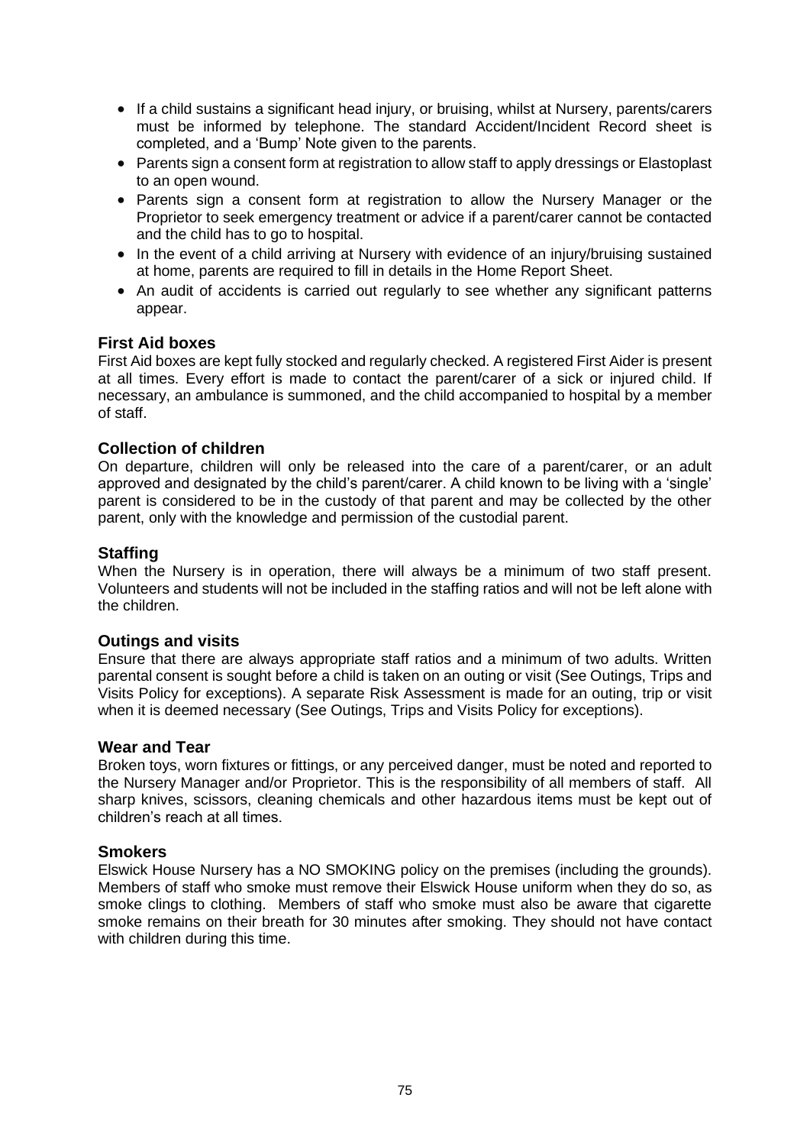- If a child sustains a significant head injury, or bruising, whilst at Nursery, parents/carers must be informed by telephone. The standard Accident/Incident Record sheet is completed, and a 'Bump' Note given to the parents.
- Parents sign a consent form at registration to allow staff to apply dressings or Elastoplast to an open wound.
- Parents sign a consent form at registration to allow the Nursery Manager or the Proprietor to seek emergency treatment or advice if a parent/carer cannot be contacted and the child has to go to hospital.
- In the event of a child arriving at Nursery with evidence of an injury/bruising sustained at home, parents are required to fill in details in the Home Report Sheet.
- An audit of accidents is carried out regularly to see whether any significant patterns appear.

#### **First Aid boxes**

First Aid boxes are kept fully stocked and regularly checked. A registered First Aider is present at all times. Every effort is made to contact the parent/carer of a sick or injured child. If necessary, an ambulance is summoned, and the child accompanied to hospital by a member of staff.

#### **Collection of children**

On departure, children will only be released into the care of a parent/carer, or an adult approved and designated by the child's parent/carer. A child known to be living with a 'single' parent is considered to be in the custody of that parent and may be collected by the other parent, only with the knowledge and permission of the custodial parent.

#### **Staffing**

When the Nursery is in operation, there will always be a minimum of two staff present. Volunteers and students will not be included in the staffing ratios and will not be left alone with the children.

#### **Outings and visits**

Ensure that there are always appropriate staff ratios and a minimum of two adults. Written parental consent is sought before a child is taken on an outing or visit (See Outings, Trips and Visits Policy for exceptions). A separate Risk Assessment is made for an outing, trip or visit when it is deemed necessary (See Outings, Trips and Visits Policy for exceptions).

#### **Wear and Tear**

Broken toys, worn fixtures or fittings, or any perceived danger, must be noted and reported to the Nursery Manager and/or Proprietor. This is the responsibility of all members of staff. All sharp knives, scissors, cleaning chemicals and other hazardous items must be kept out of children's reach at all times.

#### **Smokers**

Elswick House Nursery has a NO SMOKING policy on the premises (including the grounds). Members of staff who smoke must remove their Elswick House uniform when they do so, as smoke clings to clothing. Members of staff who smoke must also be aware that cigarette smoke remains on their breath for 30 minutes after smoking. They should not have contact with children during this time.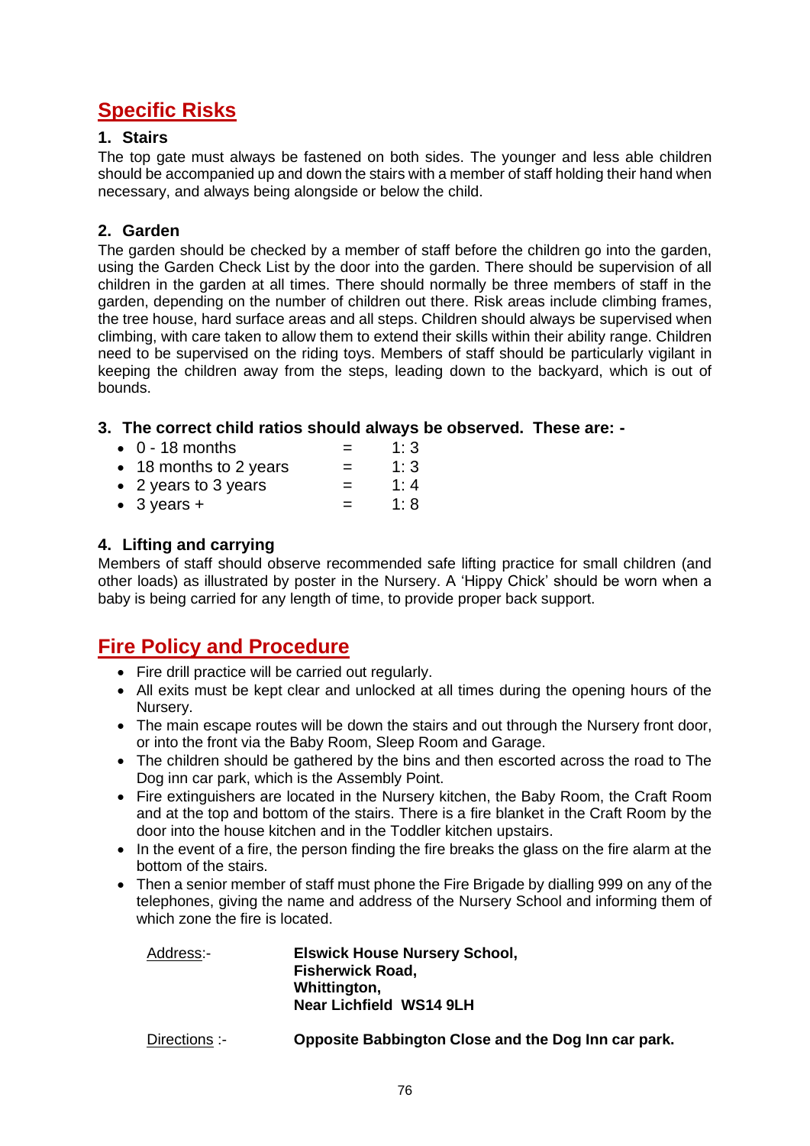# **Specific Risks**

### **1. Stairs**

The top gate must always be fastened on both sides. The younger and less able children should be accompanied up and down the stairs with a member of staff holding their hand when necessary, and always being alongside or below the child.

#### **2. Garden**

The garden should be checked by a member of staff before the children go into the garden, using the Garden Check List by the door into the garden. There should be supervision of all children in the garden at all times. There should normally be three members of staff in the garden, depending on the number of children out there. Risk areas include climbing frames, the tree house, hard surface areas and all steps. Children should always be supervised when climbing, with care taken to allow them to extend their skills within their ability range. Children need to be supervised on the riding toys. Members of staff should be particularly vigilant in keeping the children away from the steps, leading down to the backyard, which is out of bounds.

#### **3. The correct child ratios should always be observed. These are: -**

- $0 18$  months  $=$  1: 3  $\bullet$  18 months to 2 years  $\qquad \qquad = \qquad$  1: 3
- 2 years to 3 years  $=$  1: 4 • 3 years +  $=$  1: 8

#### **4. Lifting and carrying**

Members of staff should observe recommended safe lifting practice for small children (and other loads) as illustrated by poster in the Nursery. A 'Hippy Chick' should be worn when a baby is being carried for any length of time, to provide proper back support.

# **Fire Policy and Procedure**

- Fire drill practice will be carried out regularly.
- All exits must be kept clear and unlocked at all times during the opening hours of the Nursery.
- The main escape routes will be down the stairs and out through the Nursery front door, or into the front via the Baby Room, Sleep Room and Garage.
- The children should be gathered by the bins and then escorted across the road to The Dog inn car park, which is the Assembly Point.
- Fire extinguishers are located in the Nursery kitchen, the Baby Room, the Craft Room and at the top and bottom of the stairs. There is a fire blanket in the Craft Room by the door into the house kitchen and in the Toddler kitchen upstairs.
- In the event of a fire, the person finding the fire breaks the glass on the fire alarm at the bottom of the stairs.
- Then a senior member of staff must phone the Fire Brigade by dialling 999 on any of the telephones, giving the name and address of the Nursery School and informing them of which zone the fire is located.

| Address:-     | <b>Elswick House Nursery School,</b><br><b>Fisherwick Road,</b><br>Whittington,<br><b>Near Lichfield WS14 9LH</b> |
|---------------|-------------------------------------------------------------------------------------------------------------------|
| Directions :- | Opposite Babbington Close and the Dog Inn car park.                                                               |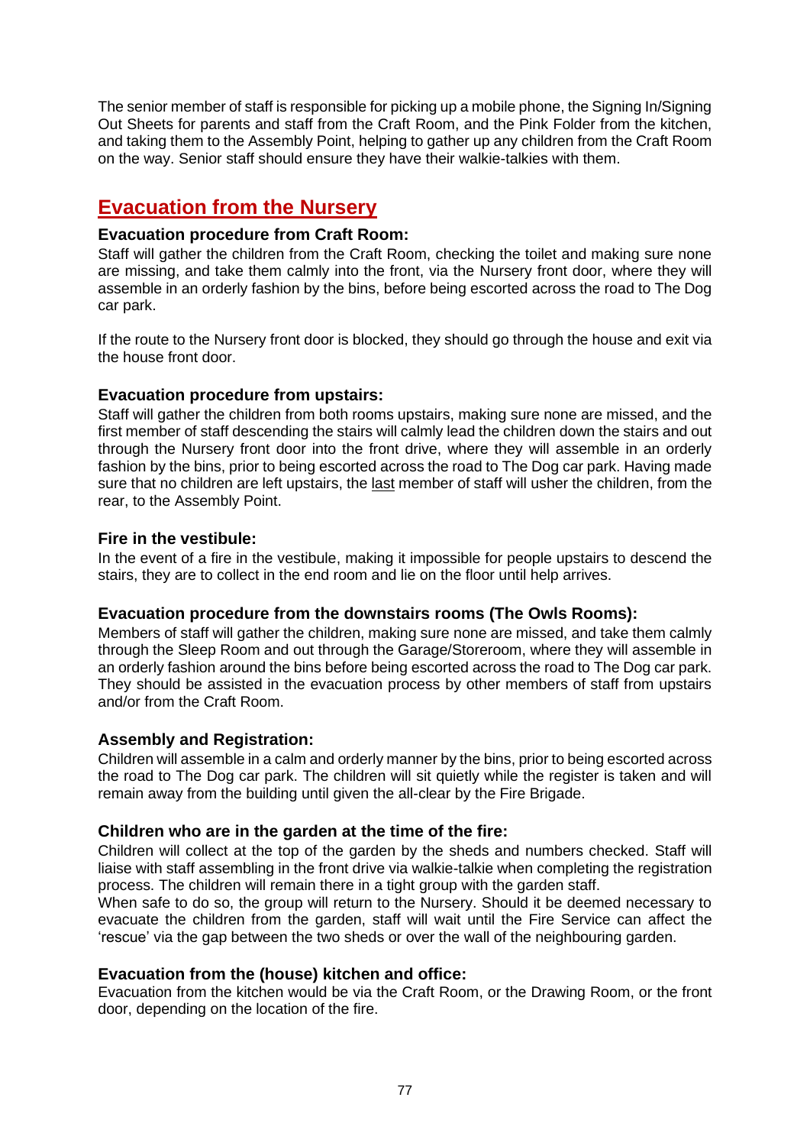The senior member of staff is responsible for picking up a mobile phone, the Signing In/Signing Out Sheets for parents and staff from the Craft Room, and the Pink Folder from the kitchen, and taking them to the Assembly Point, helping to gather up any children from the Craft Room on the way. Senior staff should ensure they have their walkie-talkies with them.

# **Evacuation from the Nursery**

#### **Evacuation procedure from Craft Room:**

Staff will gather the children from the Craft Room, checking the toilet and making sure none are missing, and take them calmly into the front, via the Nursery front door, where they will assemble in an orderly fashion by the bins, before being escorted across the road to The Dog car park.

If the route to the Nursery front door is blocked, they should go through the house and exit via the house front door.

#### **Evacuation procedure from upstairs:**

Staff will gather the children from both rooms upstairs, making sure none are missed, and the first member of staff descending the stairs will calmly lead the children down the stairs and out through the Nursery front door into the front drive, where they will assemble in an orderly fashion by the bins, prior to being escorted across the road to The Dog car park. Having made sure that no children are left upstairs, the last member of staff will usher the children, from the rear, to the Assembly Point.

#### **Fire in the vestibule:**

In the event of a fire in the vestibule, making it impossible for people upstairs to descend the stairs, they are to collect in the end room and lie on the floor until help arrives.

#### **Evacuation procedure from the downstairs rooms (The Owls Rooms):**

Members of staff will gather the children, making sure none are missed, and take them calmly through the Sleep Room and out through the Garage/Storeroom, where they will assemble in an orderly fashion around the bins before being escorted across the road to The Dog car park. They should be assisted in the evacuation process by other members of staff from upstairs and/or from the Craft Room.

#### **Assembly and Registration:**

Children will assemble in a calm and orderly manner by the bins, prior to being escorted across the road to The Dog car park. The children will sit quietly while the register is taken and will remain away from the building until given the all-clear by the Fire Brigade.

#### **Children who are in the garden at the time of the fire:**

Children will collect at the top of the garden by the sheds and numbers checked. Staff will liaise with staff assembling in the front drive via walkie-talkie when completing the registration process. The children will remain there in a tight group with the garden staff.

When safe to do so, the group will return to the Nursery. Should it be deemed necessary to evacuate the children from the garden, staff will wait until the Fire Service can affect the 'rescue' via the gap between the two sheds or over the wall of the neighbouring garden.

#### **Evacuation from the (house) kitchen and office:**

Evacuation from the kitchen would be via the Craft Room, or the Drawing Room, or the front door, depending on the location of the fire.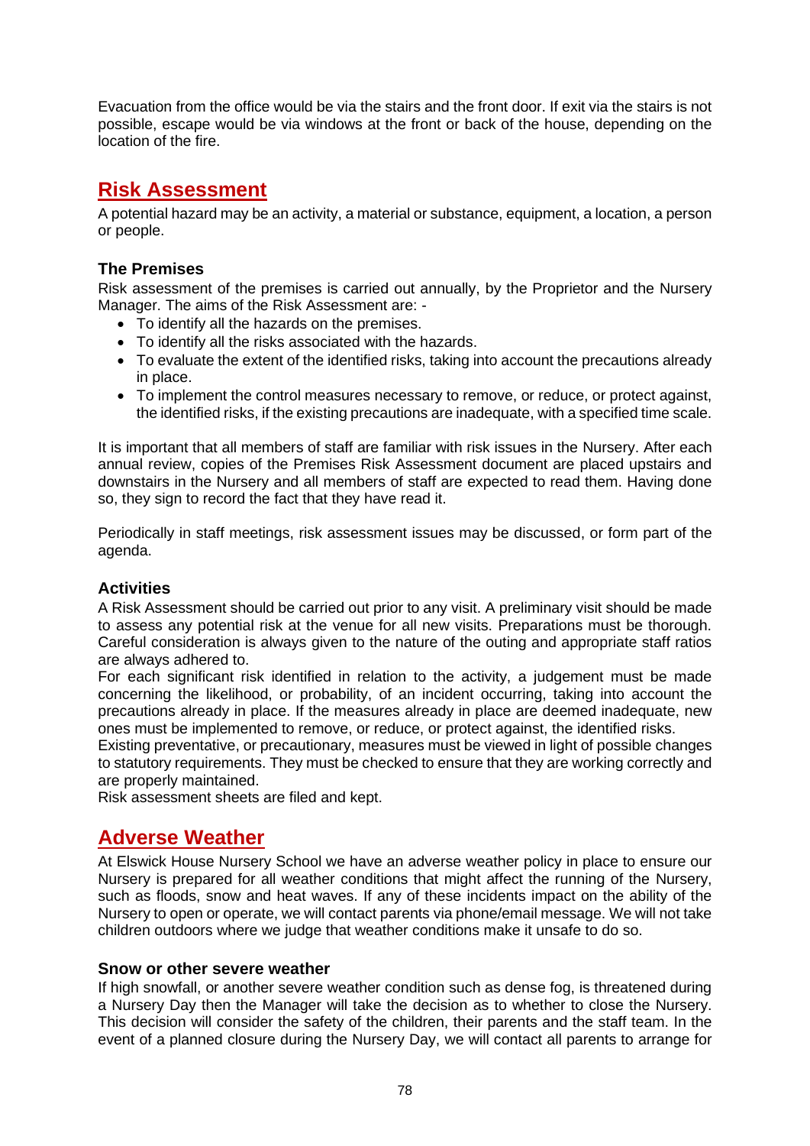Evacuation from the office would be via the stairs and the front door. If exit via the stairs is not possible, escape would be via windows at the front or back of the house, depending on the location of the fire.

### **Risk Assessment**

A potential hazard may be an activity, a material or substance, equipment, a location, a person or people.

#### **The Premises**

Risk assessment of the premises is carried out annually, by the Proprietor and the Nursery Manager. The aims of the Risk Assessment are: -

- To identify all the hazards on the premises.
- To identify all the risks associated with the hazards.
- To evaluate the extent of the identified risks, taking into account the precautions already in place.
- To implement the control measures necessary to remove, or reduce, or protect against, the identified risks, if the existing precautions are inadequate, with a specified time scale.

It is important that all members of staff are familiar with risk issues in the Nursery. After each annual review, copies of the Premises Risk Assessment document are placed upstairs and downstairs in the Nursery and all members of staff are expected to read them. Having done so, they sign to record the fact that they have read it.

Periodically in staff meetings, risk assessment issues may be discussed, or form part of the agenda.

#### **Activities**

A Risk Assessment should be carried out prior to any visit. A preliminary visit should be made to assess any potential risk at the venue for all new visits. Preparations must be thorough. Careful consideration is always given to the nature of the outing and appropriate staff ratios are always adhered to.

For each significant risk identified in relation to the activity, a judgement must be made concerning the likelihood, or probability, of an incident occurring, taking into account the precautions already in place. If the measures already in place are deemed inadequate, new ones must be implemented to remove, or reduce, or protect against, the identified risks.

Existing preventative, or precautionary, measures must be viewed in light of possible changes to statutory requirements. They must be checked to ensure that they are working correctly and are properly maintained.

Risk assessment sheets are filed and kept.

### **Adverse Weather**

At Elswick House Nursery School we have an adverse weather policy in place to ensure our Nursery is prepared for all weather conditions that might affect the running of the Nursery, such as floods, snow and heat waves. If any of these incidents impact on the ability of the Nursery to open or operate, we will contact parents via phone/email message. We will not take children outdoors where we judge that weather conditions make it unsafe to do so.

#### **Snow or other severe weather**

If high snowfall, or another severe weather condition such as dense fog, is threatened during a Nursery Day then the Manager will take the decision as to whether to close the Nursery. This decision will consider the safety of the children, their parents and the staff team. In the event of a planned closure during the Nursery Day, we will contact all parents to arrange for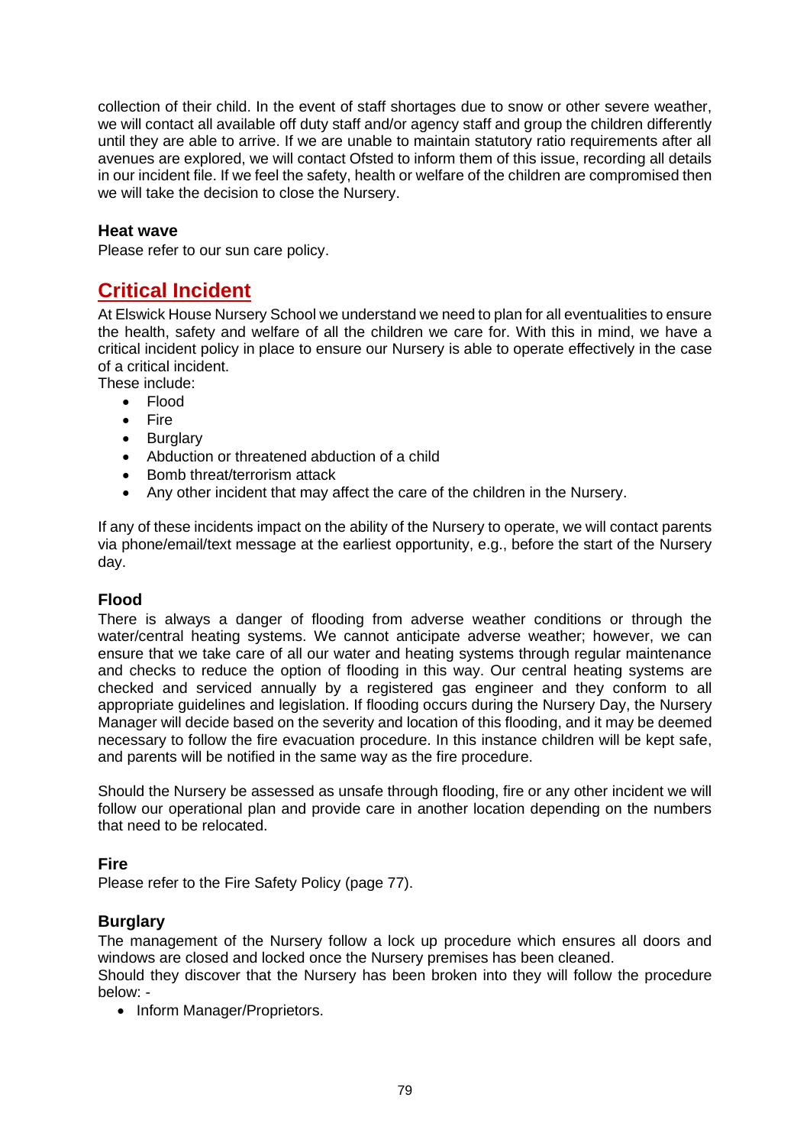collection of their child. In the event of staff shortages due to snow or other severe weather, we will contact all available off duty staff and/or agency staff and group the children differently until they are able to arrive. If we are unable to maintain statutory ratio requirements after all avenues are explored, we will contact Ofsted to inform them of this issue, recording all details in our incident file. If we feel the safety, health or welfare of the children are compromised then we will take the decision to close the Nursery.

#### **Heat wave**

Please refer to our sun care policy.

# **Critical Incident**

At Elswick House Nursery School we understand we need to plan for all eventualities to ensure the health, safety and welfare of all the children we care for. With this in mind, we have a critical incident policy in place to ensure our Nursery is able to operate effectively in the case of a critical incident.

These include:

- Flood
- Fire
- Burglary
- Abduction or threatened abduction of a child
- Bomb threat/terrorism attack
- Any other incident that may affect the care of the children in the Nursery.

If any of these incidents impact on the ability of the Nursery to operate, we will contact parents via phone/email/text message at the earliest opportunity, e.g., before the start of the Nursery day.

#### **Flood**

There is always a danger of flooding from adverse weather conditions or through the water/central heating systems. We cannot anticipate adverse weather; however, we can ensure that we take care of all our water and heating systems through regular maintenance and checks to reduce the option of flooding in this way. Our central heating systems are checked and serviced annually by a registered gas engineer and they conform to all appropriate guidelines and legislation. If flooding occurs during the Nursery Day, the Nursery Manager will decide based on the severity and location of this flooding, and it may be deemed necessary to follow the fire evacuation procedure. In this instance children will be kept safe, and parents will be notified in the same way as the fire procedure.

Should the Nursery be assessed as unsafe through flooding, fire or any other incident we will follow our operational plan and provide care in another location depending on the numbers that need to be relocated.

#### **Fire**

Please refer to the Fire Safety Policy (page 77).

#### **Burglary**

The management of the Nursery follow a lock up procedure which ensures all doors and windows are closed and locked once the Nursery premises has been cleaned.

Should they discover that the Nursery has been broken into they will follow the procedure below: -

• Inform Manager/Proprietors.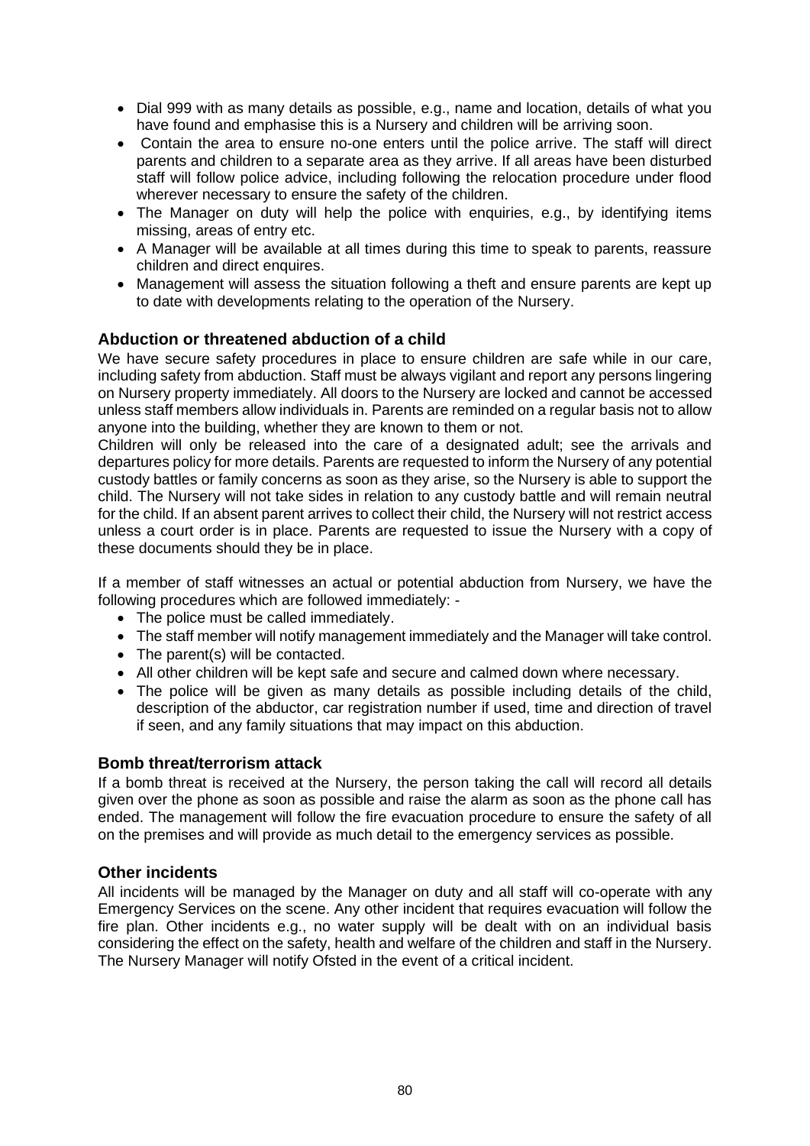- Dial 999 with as many details as possible, e.g., name and location, details of what you have found and emphasise this is a Nursery and children will be arriving soon.
- Contain the area to ensure no-one enters until the police arrive. The staff will direct parents and children to a separate area as they arrive. If all areas have been disturbed staff will follow police advice, including following the relocation procedure under flood wherever necessary to ensure the safety of the children.
- The Manager on duty will help the police with enquiries, e.g., by identifying items missing, areas of entry etc.
- A Manager will be available at all times during this time to speak to parents, reassure children and direct enquires.
- Management will assess the situation following a theft and ensure parents are kept up to date with developments relating to the operation of the Nursery.

#### **Abduction or threatened abduction of a child**

We have secure safety procedures in place to ensure children are safe while in our care, including safety from abduction. Staff must be always vigilant and report any persons lingering on Nursery property immediately. All doors to the Nursery are locked and cannot be accessed unless staff members allow individuals in. Parents are reminded on a regular basis not to allow anyone into the building, whether they are known to them or not.

Children will only be released into the care of a designated adult; see the arrivals and departures policy for more details. Parents are requested to inform the Nursery of any potential custody battles or family concerns as soon as they arise, so the Nursery is able to support the child. The Nursery will not take sides in relation to any custody battle and will remain neutral for the child. If an absent parent arrives to collect their child, the Nursery will not restrict access unless a court order is in place. Parents are requested to issue the Nursery with a copy of these documents should they be in place.

If a member of staff witnesses an actual or potential abduction from Nursery, we have the following procedures which are followed immediately: -

- The police must be called immediately.
- The staff member will notify management immediately and the Manager will take control.
- The parent(s) will be contacted.
- All other children will be kept safe and secure and calmed down where necessary.
- The police will be given as many details as possible including details of the child, description of the abductor, car registration number if used, time and direction of travel if seen, and any family situations that may impact on this abduction.

#### **Bomb threat/terrorism attack**

If a bomb threat is received at the Nursery, the person taking the call will record all details given over the phone as soon as possible and raise the alarm as soon as the phone call has ended. The management will follow the fire evacuation procedure to ensure the safety of all on the premises and will provide as much detail to the emergency services as possible.

#### **Other incidents**

All incidents will be managed by the Manager on duty and all staff will co-operate with any Emergency Services on the scene. Any other incident that requires evacuation will follow the fire plan. Other incidents e.g., no water supply will be dealt with on an individual basis considering the effect on the safety, health and welfare of the children and staff in the Nursery. The Nursery Manager will notify Ofsted in the event of a critical incident.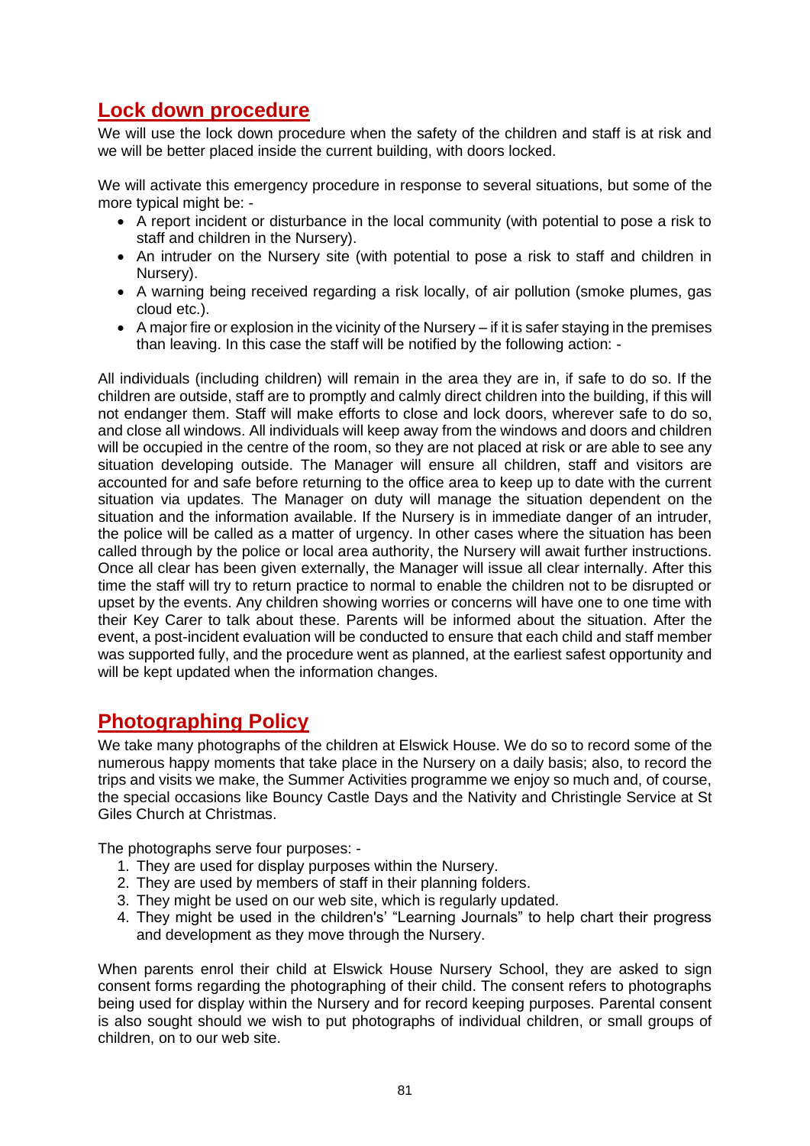## **Lock down procedure**

We will use the lock down procedure when the safety of the children and staff is at risk and we will be better placed inside the current building, with doors locked.

We will activate this emergency procedure in response to several situations, but some of the more typical might be: -

- A report incident or disturbance in the local community (with potential to pose a risk to staff and children in the Nursery).
- An intruder on the Nursery site (with potential to pose a risk to staff and children in Nursery).
- A warning being received regarding a risk locally, of air pollution (smoke plumes, gas cloud etc.).
- $\bullet$  A major fire or explosion in the vicinity of the Nursery if it is safer staying in the premises than leaving. In this case the staff will be notified by the following action: -

All individuals (including children) will remain in the area they are in, if safe to do so. If the children are outside, staff are to promptly and calmly direct children into the building, if this will not endanger them. Staff will make efforts to close and lock doors, wherever safe to do so, and close all windows. All individuals will keep away from the windows and doors and children will be occupied in the centre of the room, so they are not placed at risk or are able to see any situation developing outside. The Manager will ensure all children, staff and visitors are accounted for and safe before returning to the office area to keep up to date with the current situation via updates. The Manager on duty will manage the situation dependent on the situation and the information available. If the Nursery is in immediate danger of an intruder, the police will be called as a matter of urgency. In other cases where the situation has been called through by the police or local area authority, the Nursery will await further instructions. Once all clear has been given externally, the Manager will issue all clear internally. After this time the staff will try to return practice to normal to enable the children not to be disrupted or upset by the events. Any children showing worries or concerns will have one to one time with their Key Carer to talk about these. Parents will be informed about the situation. After the event, a post-incident evaluation will be conducted to ensure that each child and staff member was supported fully, and the procedure went as planned, at the earliest safest opportunity and will be kept updated when the information changes.

### **Photographing Policy**

We take many photographs of the children at Elswick House. We do so to record some of the numerous happy moments that take place in the Nursery on a daily basis; also, to record the trips and visits we make, the Summer Activities programme we enjoy so much and, of course, the special occasions like Bouncy Castle Days and the Nativity and Christingle Service at St Giles Church at Christmas.

The photographs serve four purposes: -

- 1. They are used for display purposes within the Nursery.
- 2. They are used by members of staff in their planning folders.
- 3. They might be used on our web site, which is regularly updated.
- 4. They might be used in the children's' "Learning Journals" to help chart their progress and development as they move through the Nursery.

When parents enrol their child at Elswick House Nursery School, they are asked to sign consent forms regarding the photographing of their child. The consent refers to photographs being used for display within the Nursery and for record keeping purposes. Parental consent is also sought should we wish to put photographs of individual children, or small groups of children, on to our web site.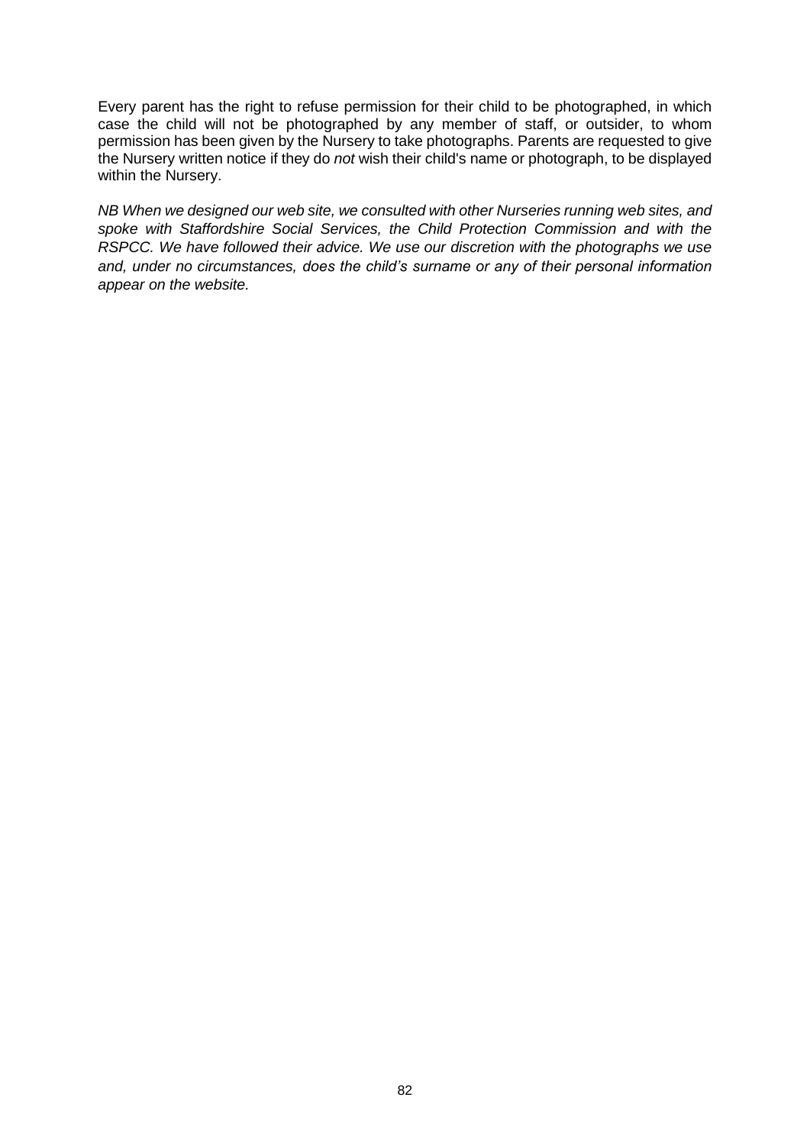Every parent has the right to refuse permission for their child to be photographed, in which case the child will not be photographed by any member of staff, or outsider, to whom permission has been given by the Nursery to take photographs. Parents are requested to give the Nursery written notice if they do *not* wish their child's name or photograph, to be displayed within the Nursery.

*NB When we designed our web site, we consulted with other Nurseries running web sites, and spoke with Staffordshire Social Services, the Child Protection Commission and with the RSPCC. We have followed their advice. We use our discretion with the photographs we use and, under no circumstances, does the child's surname or any of their personal information appear on the website.*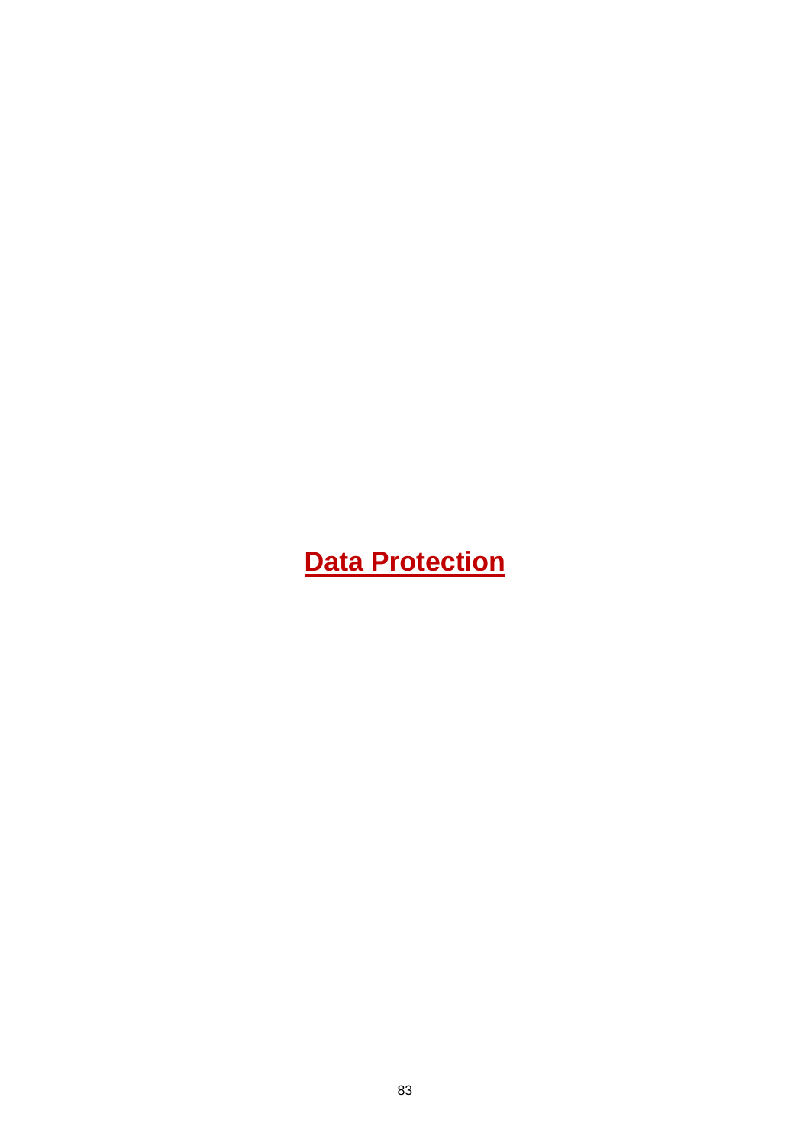# **Data Protection**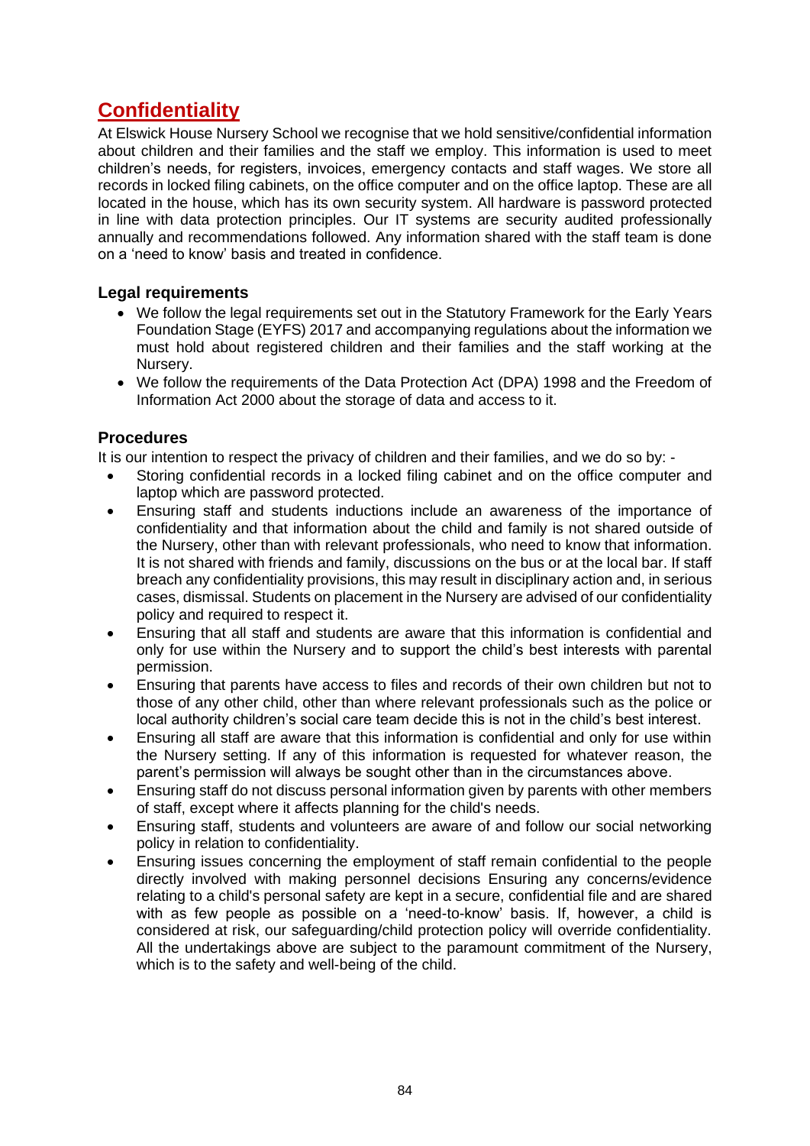# **Confidentiality**

At Elswick House Nursery School we recognise that we hold sensitive/confidential information about children and their families and the staff we employ. This information is used to meet children's needs, for registers, invoices, emergency contacts and staff wages. We store all records in locked filing cabinets, on the office computer and on the office laptop. These are all located in the house, which has its own security system. All hardware is password protected in line with data protection principles. Our IT systems are security audited professionally annually and recommendations followed. Any information shared with the staff team is done on a 'need to know' basis and treated in confidence.

#### **Legal requirements**

- We follow the legal requirements set out in the Statutory Framework for the Early Years Foundation Stage (EYFS) 2017 and accompanying regulations about the information we must hold about registered children and their families and the staff working at the Nursery.
- We follow the requirements of the Data Protection Act (DPA) 1998 and the Freedom of Information Act 2000 about the storage of data and access to it.

#### **Procedures**

It is our intention to respect the privacy of children and their families, and we do so by: -

- Storing confidential records in a locked filing cabinet and on the office computer and laptop which are password protected.
- Ensuring staff and students inductions include an awareness of the importance of confidentiality and that information about the child and family is not shared outside of the Nursery, other than with relevant professionals, who need to know that information. It is not shared with friends and family, discussions on the bus or at the local bar. If staff breach any confidentiality provisions, this may result in disciplinary action and, in serious cases, dismissal. Students on placement in the Nursery are advised of our confidentiality policy and required to respect it.
- Ensuring that all staff and students are aware that this information is confidential and only for use within the Nursery and to support the child's best interests with parental permission.
- Ensuring that parents have access to files and records of their own children but not to those of any other child, other than where relevant professionals such as the police or local authority children's social care team decide this is not in the child's best interest.
- Ensuring all staff are aware that this information is confidential and only for use within the Nursery setting. If any of this information is requested for whatever reason, the parent's permission will always be sought other than in the circumstances above.
- Ensuring staff do not discuss personal information given by parents with other members of staff, except where it affects planning for the child's needs.
- Ensuring staff, students and volunteers are aware of and follow our social networking policy in relation to confidentiality.
- Ensuring issues concerning the employment of staff remain confidential to the people directly involved with making personnel decisions Ensuring any concerns/evidence relating to a child's personal safety are kept in a secure, confidential file and are shared with as few people as possible on a 'need-to-know' basis. If, however, a child is considered at risk, our safeguarding/child protection policy will override confidentiality. All the undertakings above are subject to the paramount commitment of the Nursery, which is to the safety and well-being of the child.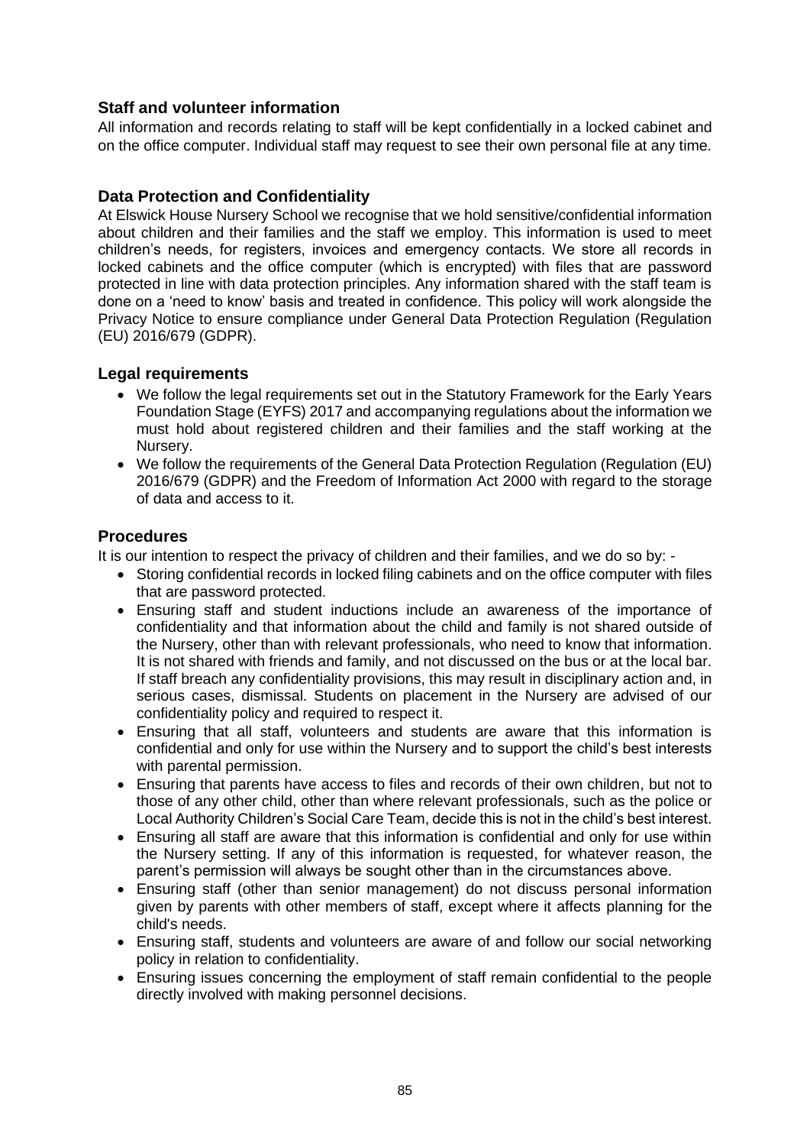#### **Staff and volunteer information**

All information and records relating to staff will be kept confidentially in a locked cabinet and on the office computer. Individual staff may request to see their own personal file at any time.

#### **Data Protection and Confidentiality**

At Elswick House Nursery School we recognise that we hold sensitive/confidential information about children and their families and the staff we employ. This information is used to meet children's needs, for registers, invoices and emergency contacts. We store all records in locked cabinets and the office computer (which is encrypted) with files that are password protected in line with data protection principles. Any information shared with the staff team is done on a 'need to know' basis and treated in confidence. This policy will work alongside the Privacy Notice to ensure compliance under General Data Protection Regulation (Regulation (EU) 2016/679 (GDPR).

#### **Legal requirements**

- We follow the legal requirements set out in the Statutory Framework for the Early Years Foundation Stage (EYFS) 2017 and accompanying regulations about the information we must hold about registered children and their families and the staff working at the Nursery.
- We follow the requirements of the General Data Protection Regulation (Regulation (EU) 2016/679 (GDPR) and the Freedom of Information Act 2000 with regard to the storage of data and access to it.

#### **Procedures**

It is our intention to respect the privacy of children and their families, and we do so by: -

- Storing confidential records in locked filing cabinets and on the office computer with files that are password protected.
- Ensuring staff and student inductions include an awareness of the importance of confidentiality and that information about the child and family is not shared outside of the Nursery, other than with relevant professionals, who need to know that information. It is not shared with friends and family, and not discussed on the bus or at the local bar. If staff breach any confidentiality provisions, this may result in disciplinary action and, in serious cases, dismissal. Students on placement in the Nursery are advised of our confidentiality policy and required to respect it.
- Ensuring that all staff, volunteers and students are aware that this information is confidential and only for use within the Nursery and to support the child's best interests with parental permission.
- Ensuring that parents have access to files and records of their own children, but not to those of any other child, other than where relevant professionals, such as the police or Local Authority Children's Social Care Team, decide this is not in the child's best interest.
- Ensuring all staff are aware that this information is confidential and only for use within the Nursery setting. If any of this information is requested, for whatever reason, the parent's permission will always be sought other than in the circumstances above.
- Ensuring staff (other than senior management) do not discuss personal information given by parents with other members of staff, except where it affects planning for the child's needs.
- Ensuring staff, students and volunteers are aware of and follow our social networking policy in relation to confidentiality.
- Ensuring issues concerning the employment of staff remain confidential to the people directly involved with making personnel decisions.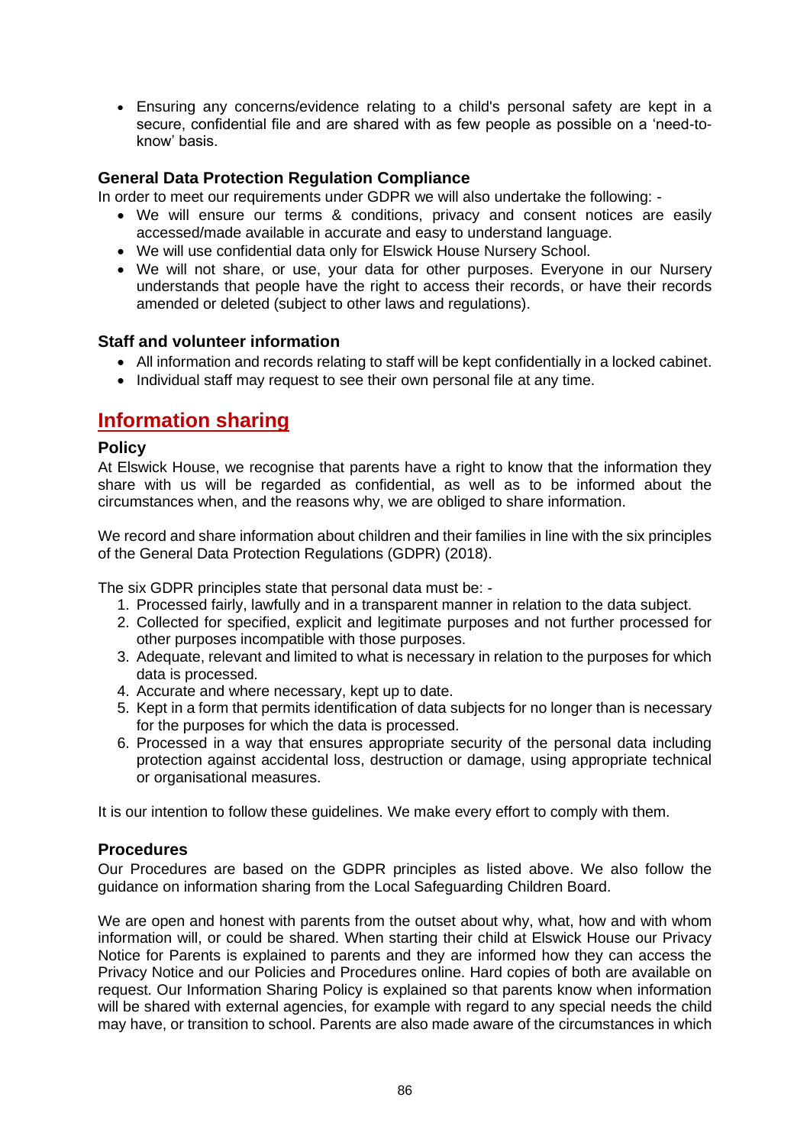• Ensuring any concerns/evidence relating to a child's personal safety are kept in a secure, confidential file and are shared with as few people as possible on a 'need-toknow' basis.

#### **General Data Protection Regulation Compliance**

In order to meet our requirements under GDPR we will also undertake the following: -

- We will ensure our terms & conditions, privacy and consent notices are easily accessed/made available in accurate and easy to understand language.
- We will use confidential data only for Elswick House Nursery School.
- We will not share, or use, your data for other purposes. Everyone in our Nursery understands that people have the right to access their records, or have their records amended or deleted (subject to other laws and regulations).

#### **Staff and volunteer information**

- All information and records relating to staff will be kept confidentially in a locked cabinet.
- Individual staff may request to see their own personal file at any time.

# **Information sharing**

#### **Policy**

At Elswick House, we recognise that parents have a right to know that the information they share with us will be regarded as confidential, as well as to be informed about the circumstances when, and the reasons why, we are obliged to share information.

We record and share information about children and their families in line with the six principles of the General Data Protection Regulations (GDPR) (2018).

The six GDPR principles state that personal data must be: -

- 1. Processed fairly, lawfully and in a transparent manner in relation to the data subject.
- 2. Collected for specified, explicit and legitimate purposes and not further processed for other purposes incompatible with those purposes.
- 3. Adequate, relevant and limited to what is necessary in relation to the purposes for which data is processed.
- 4. Accurate and where necessary, kept up to date.
- 5. Kept in a form that permits identification of data subjects for no longer than is necessary for the purposes for which the data is processed.
- 6. Processed in a way that ensures appropriate security of the personal data including protection against accidental loss, destruction or damage, using appropriate technical or organisational measures.

It is our intention to follow these guidelines. We make every effort to comply with them.

#### **Procedures**

Our Procedures are based on the GDPR principles as listed above. We also follow the guidance on information sharing from the Local Safeguarding Children Board.

We are open and honest with parents from the outset about why, what, how and with whom information will, or could be shared. When starting their child at Elswick House our Privacy Notice for Parents is explained to parents and they are informed how they can access the Privacy Notice and our Policies and Procedures online. Hard copies of both are available on request. Our Information Sharing Policy is explained so that parents know when information will be shared with external agencies, for example with regard to any special needs the child may have, or transition to school. Parents are also made aware of the circumstances in which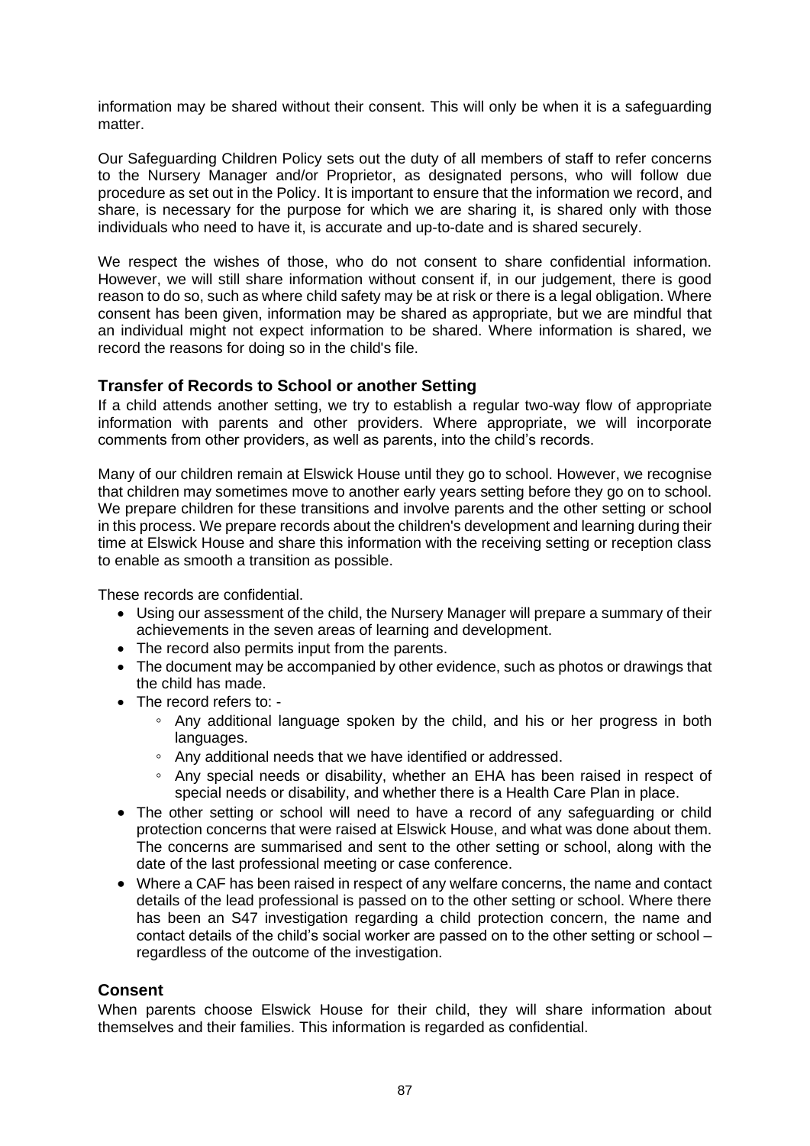information may be shared without their consent. This will only be when it is a safeguarding matter.

Our Safeguarding Children Policy sets out the duty of all members of staff to refer concerns to the Nursery Manager and/or Proprietor, as designated persons, who will follow due procedure as set out in the Policy. It is important to ensure that the information we record, and share, is necessary for the purpose for which we are sharing it, is shared only with those individuals who need to have it, is accurate and up-to-date and is shared securely.

We respect the wishes of those, who do not consent to share confidential information. However, we will still share information without consent if, in our judgement, there is good reason to do so, such as where child safety may be at risk or there is a legal obligation. Where consent has been given, information may be shared as appropriate, but we are mindful that an individual might not expect information to be shared. Where information is shared, we record the reasons for doing so in the child's file.

#### **Transfer of Records to School or another Setting**

If a child attends another setting, we try to establish a regular two-way flow of appropriate information with parents and other providers. Where appropriate, we will incorporate comments from other providers, as well as parents, into the child's records.

Many of our children remain at Elswick House until they go to school. However, we recognise that children may sometimes move to another early years setting before they go on to school. We prepare children for these transitions and involve parents and the other setting or school in this process. We prepare records about the children's development and learning during their time at Elswick House and share this information with the receiving setting or reception class to enable as smooth a transition as possible.

These records are confidential.

- Using our assessment of the child, the Nursery Manager will prepare a summary of their achievements in the seven areas of learning and development.
- The record also permits input from the parents.
- The document may be accompanied by other evidence, such as photos or drawings that the child has made.
- The record refers to:
	- Any additional language spoken by the child, and his or her progress in both languages.
	- Any additional needs that we have identified or addressed.
	- Any special needs or disability, whether an EHA has been raised in respect of special needs or disability, and whether there is a Health Care Plan in place.
- The other setting or school will need to have a record of any safeguarding or child protection concerns that were raised at Elswick House, and what was done about them. The concerns are summarised and sent to the other setting or school, along with the date of the last professional meeting or case conference.
- Where a CAF has been raised in respect of any welfare concerns, the name and contact details of the lead professional is passed on to the other setting or school. Where there has been an S47 investigation regarding a child protection concern, the name and contact details of the child's social worker are passed on to the other setting or school – regardless of the outcome of the investigation.

#### **Consent**

When parents choose Elswick House for their child, they will share information about themselves and their families. This information is regarded as confidential.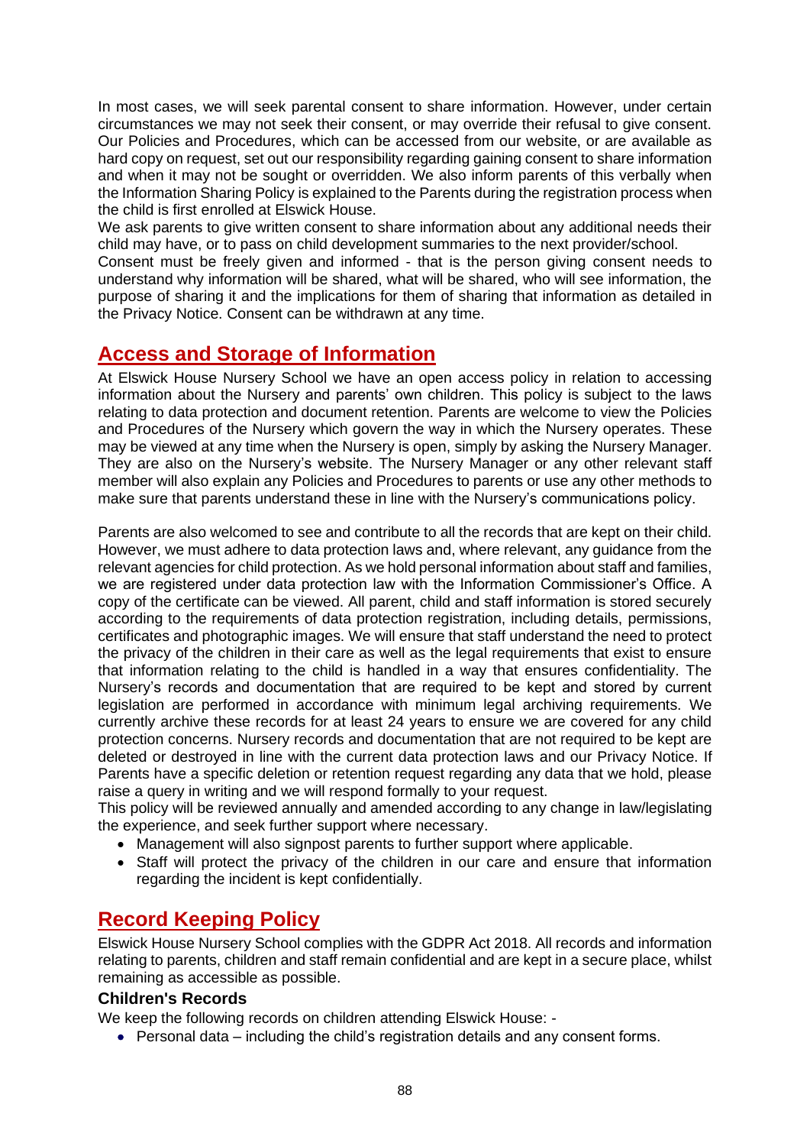In most cases, we will seek parental consent to share information. However, under certain circumstances we may not seek their consent, or may override their refusal to give consent. Our Policies and Procedures, which can be accessed from our website, or are available as hard copy on request, set out our responsibility regarding gaining consent to share information and when it may not be sought or overridden. We also inform parents of this verbally when the Information Sharing Policy is explained to the Parents during the registration process when the child is first enrolled at Elswick House.

We ask parents to give written consent to share information about any additional needs their child may have, or to pass on child development summaries to the next provider/school.

Consent must be freely given and informed - that is the person giving consent needs to understand why information will be shared, what will be shared, who will see information, the purpose of sharing it and the implications for them of sharing that information as detailed in the Privacy Notice. Consent can be withdrawn at any time.

### **Access and Storage of Information**

At Elswick House Nursery School we have an open access policy in relation to accessing information about the Nursery and parents' own children. This policy is subject to the laws relating to data protection and document retention. Parents are welcome to view the Policies and Procedures of the Nursery which govern the way in which the Nursery operates. These may be viewed at any time when the Nursery is open, simply by asking the Nursery Manager. They are also on the Nursery's website. The Nursery Manager or any other relevant staff member will also explain any Policies and Procedures to parents or use any other methods to make sure that parents understand these in line with the Nursery's communications policy.

Parents are also welcomed to see and contribute to all the records that are kept on their child. However, we must adhere to data protection laws and, where relevant, any guidance from the relevant agencies for child protection. As we hold personal information about staff and families, we are registered under data protection law with the Information Commissioner's Office. A copy of the certificate can be viewed. All parent, child and staff information is stored securely according to the requirements of data protection registration, including details, permissions, certificates and photographic images. We will ensure that staff understand the need to protect the privacy of the children in their care as well as the legal requirements that exist to ensure that information relating to the child is handled in a way that ensures confidentiality. The Nursery's records and documentation that are required to be kept and stored by current legislation are performed in accordance with minimum legal archiving requirements. We currently archive these records for at least 24 years to ensure we are covered for any child protection concerns. Nursery records and documentation that are not required to be kept are deleted or destroyed in line with the current data protection laws and our Privacy Notice. If Parents have a specific deletion or retention request regarding any data that we hold, please raise a query in writing and we will respond formally to your request.

This policy will be reviewed annually and amended according to any change in law/legislating the experience, and seek further support where necessary.

- Management will also signpost parents to further support where applicable.
- Staff will protect the privacy of the children in our care and ensure that information regarding the incident is kept confidentially.

# **Record Keeping Policy**

Elswick House Nursery School complies with the GDPR Act 2018. All records and information relating to parents, children and staff remain confidential and are kept in a secure place, whilst remaining as accessible as possible.

#### **Children's Records**

We keep the following records on children attending Elswick House: -

• Personal data – including the child's registration details and any consent forms.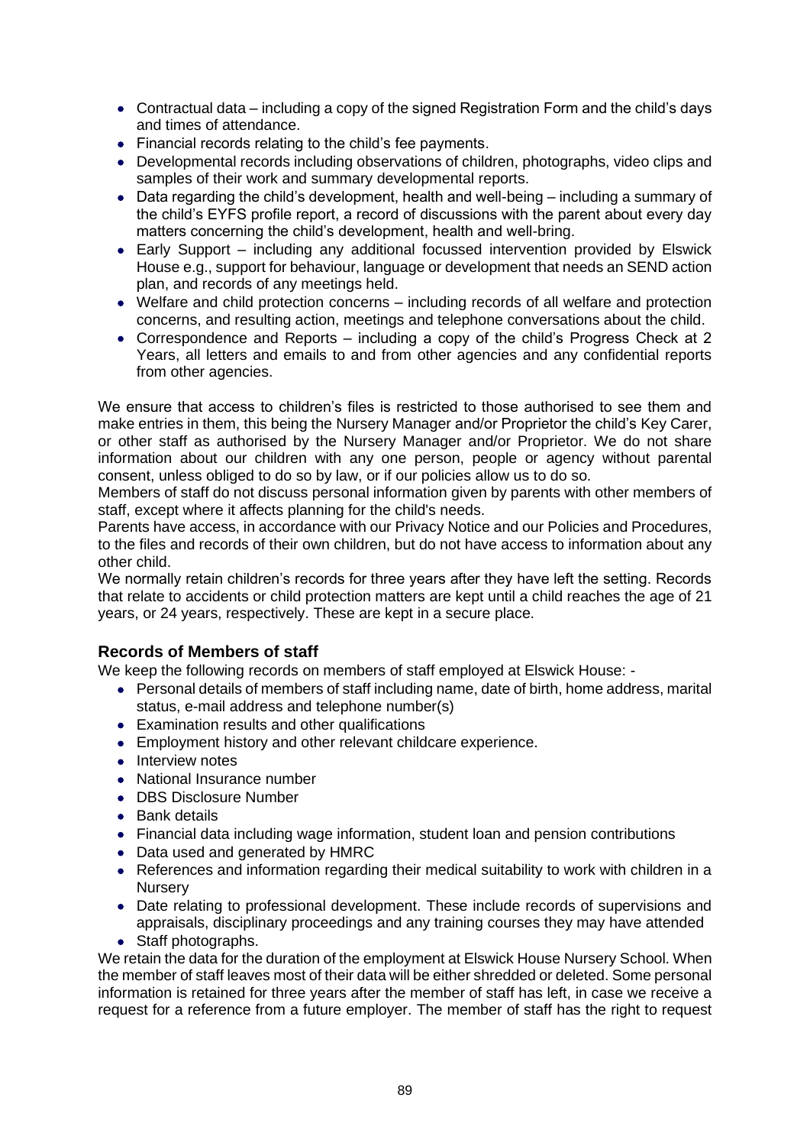- Contractual data including a copy of the signed Registration Form and the child's days and times of attendance.
- Financial records relating to the child's fee payments.
- Developmental records including observations of children, photographs, video clips and samples of their work and summary developmental reports.
- Data regarding the child's development, health and well-being including a summary of the child's EYFS profile report, a record of discussions with the parent about every day matters concerning the child's development, health and well-bring.
- Early Support including any additional focussed intervention provided by Elswick House e.g., support for behaviour, language or development that needs an SEND action plan, and records of any meetings held.
- Welfare and child protection concerns including records of all welfare and protection concerns, and resulting action, meetings and telephone conversations about the child.
- Correspondence and Reports including a copy of the child's Progress Check at 2 Years, all letters and emails to and from other agencies and any confidential reports from other agencies.

We ensure that access to children's files is restricted to those authorised to see them and make entries in them, this being the Nursery Manager and/or Proprietor the child's Key Carer, or other staff as authorised by the Nursery Manager and/or Proprietor. We do not share information about our children with any one person, people or agency without parental consent, unless obliged to do so by law, or if our policies allow us to do so.

Members of staff do not discuss personal information given by parents with other members of staff, except where it affects planning for the child's needs.

Parents have access, in accordance with our Privacy Notice and our Policies and Procedures, to the files and records of their own children, but do not have access to information about any other child.

We normally retain children's records for three years after they have left the setting. Records that relate to accidents or child protection matters are kept until a child reaches the age of 21 years, or 24 years, respectively. These are kept in a secure place.

#### **Records of Members of staff**

We keep the following records on members of staff employed at Elswick House: -

- Personal details of members of staff including name, date of birth, home address, marital status, e-mail address and telephone number(s)
- Examination results and other qualifications
- Employment history and other relevant childcare experience.
- Interview notes
- National Insurance number
- DBS Disclosure Number
- Bank details
- Financial data including wage information, student loan and pension contributions
- Data used and generated by HMRC
- References and information regarding their medical suitability to work with children in a **Nurserv**
- Date relating to professional development. These include records of supervisions and appraisals, disciplinary proceedings and any training courses they may have attended
- Staff photographs.

We retain the data for the duration of the employment at Elswick House Nursery School. When the member of staff leaves most of their data will be either shredded or deleted. Some personal information is retained for three years after the member of staff has left, in case we receive a request for a reference from a future employer. The member of staff has the right to request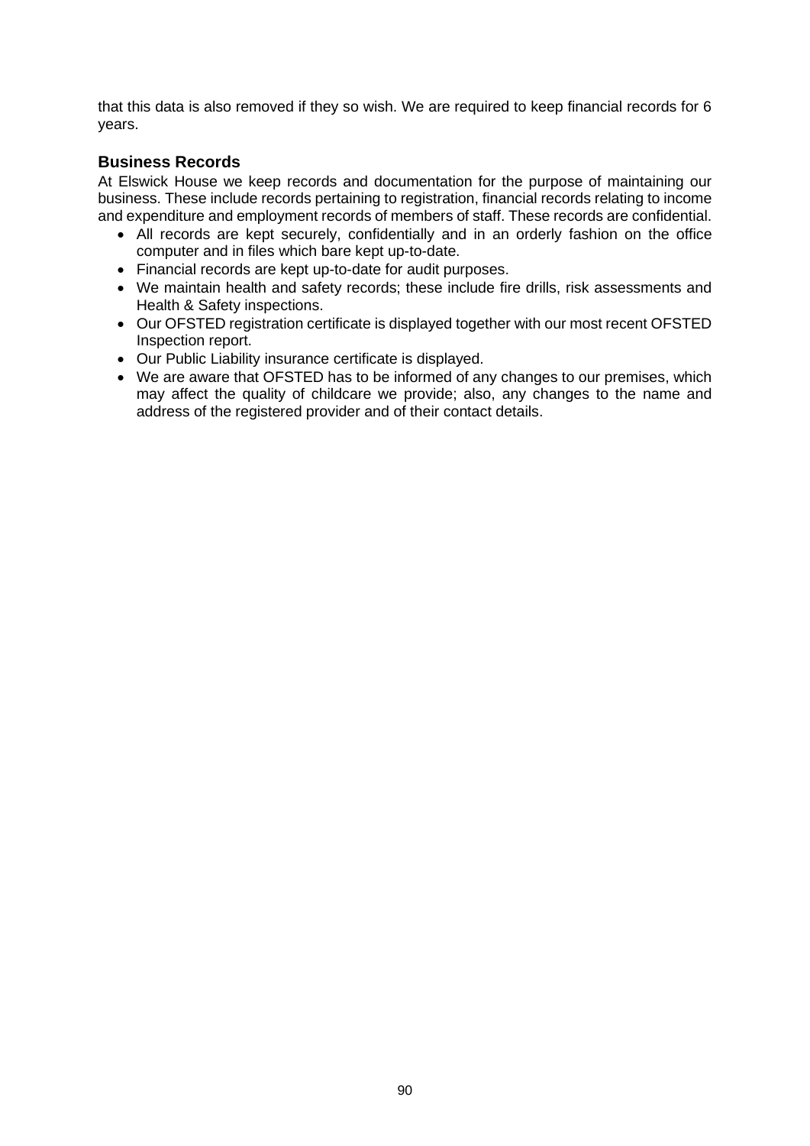that this data is also removed if they so wish. We are required to keep financial records for 6 years.

#### **Business Records**

At Elswick House we keep records and documentation for the purpose of maintaining our business. These include records pertaining to registration, financial records relating to income and expenditure and employment records of members of staff. These records are confidential.

- All records are kept securely, confidentially and in an orderly fashion on the office computer and in files which bare kept up-to-date.
- Financial records are kept up-to-date for audit purposes.
- We maintain health and safety records; these include fire drills, risk assessments and Health & Safety inspections.
- Our OFSTED registration certificate is displayed together with our most recent OFSTED Inspection report.
- Our Public Liability insurance certificate is displayed.
- We are aware that OFSTED has to be informed of any changes to our premises, which may affect the quality of childcare we provide; also, any changes to the name and address of the registered provider and of their contact details.